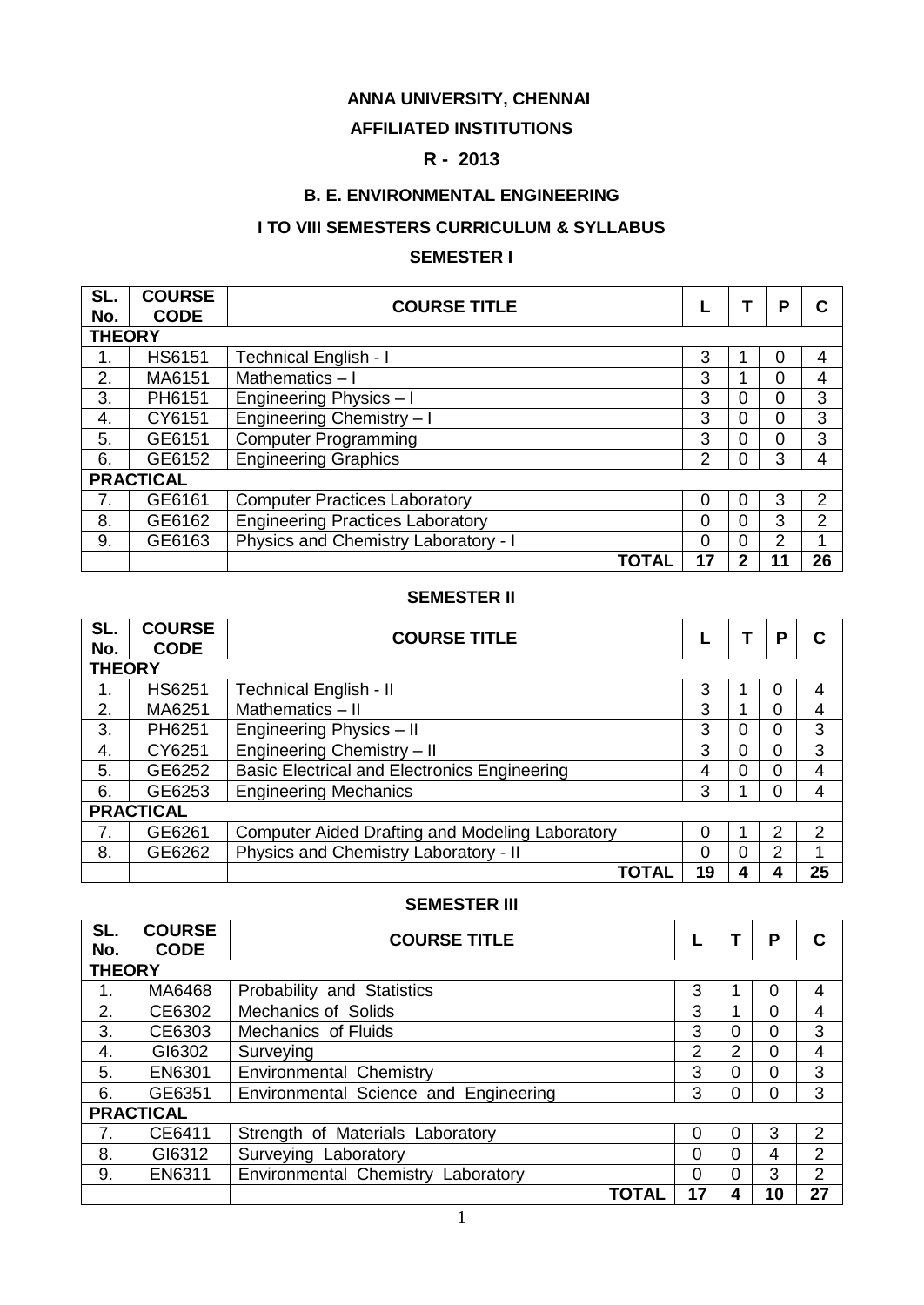### **ANNA UNIVERSITY, CHENNAI**

#### **AFFILIATED INSTITUTIONS**

### **R - 2013**

#### **B. E. ENVIRONMENTAL ENGINEERING**

### **I TO VIII SEMESTERS CURRICULUM & SYLLABUS**

#### **SEMESTER I**

| SL.<br>No.    | <b>COURSE</b><br><b>CODE</b> | <b>COURSE TITLE</b>                     |          |              | P |               |
|---------------|------------------------------|-----------------------------------------|----------|--------------|---|---------------|
| <b>THEORY</b> |                              |                                         |          |              |   |               |
| 1.            | <b>HS6151</b>                | <b>Technical English - I</b>            | 3        |              | 0 | 4             |
| 2.            | MA6151                       | Mathematics-I                           | 3        |              | 0 | 4             |
| 3.            | PH6151                       | Engineering Physics - I                 | 3        | 0            | 0 | 3             |
| 4.            | CY6151                       | Engineering Chemistry - I               | 3        | 0            | 0 | 3             |
| 5.            | GE6151                       | <b>Computer Programming</b>             | 3        | 0            | 0 | 3             |
| 6.            | GE6152                       | <b>Engineering Graphics</b>             | 2        | 0            | 3 | 4             |
|               | <b>PRACTICAL</b>             |                                         |          |              |   |               |
| 7.            | GE6161                       | <b>Computer Practices Laboratory</b>    | 0        | 0            | 3 | $\mathcal{P}$ |
| 8.            | GE6162                       | <b>Engineering Practices Laboratory</b> | $\Omega$ | 0            | 3 | 2             |
| 9.            | GE6163                       | Physics and Chemistry Laboratory - I    | 0        | 0            | 2 |               |
|               |                              | TOTAL                                   | 17       | $\mathbf{2}$ |   | 26            |

#### **SEMESTER II**

| SL.<br>No.    | <b>COURSE</b><br><b>CODE</b> | <b>COURSE TITLE</b>                                    |          |   | Р              |    |
|---------------|------------------------------|--------------------------------------------------------|----------|---|----------------|----|
| <b>THEORY</b> |                              |                                                        |          |   |                |    |
| 1.            | <b>HS6251</b>                | <b>Technical English - II</b>                          | 3        |   | 0              | 4  |
| 2.            | MA6251                       | Mathematics - II                                       | 3        |   | $\Omega$       | 4  |
| 3.            | PH6251                       | Engineering Physics - II                               | 3        | 0 | $\mathbf 0$    | 3  |
| 4.            | CY6251                       | Engineering Chemistry - II                             | 3        | 0 | $\overline{0}$ | 3  |
| 5.            | GE6252                       | <b>Basic Electrical and Electronics Engineering</b>    | 4        | 0 | 0              | 4  |
| 6.            | GE6253                       | <b>Engineering Mechanics</b>                           | 3        |   | 0              | 4  |
|               | <b>PRACTICAL</b>             |                                                        |          |   |                |    |
| 7.            | GE6261                       | <b>Computer Aided Drafting and Modeling Laboratory</b> | 0        |   | 2              | 2  |
| 8.            | GE6262                       | Physics and Chemistry Laboratory - II                  | $\Omega$ | 0 | 2              | 1  |
|               |                              | TOTAL                                                  | 19       |   |                | 25 |

#### **SEMESTER III**

| SL.           | <b>COURSE</b><br><b>CODE</b> | <b>COURSE TITLE</b>                   |    |          | P        |                |
|---------------|------------------------------|---------------------------------------|----|----------|----------|----------------|
| No.           |                              |                                       |    |          |          |                |
| <b>THEORY</b> |                              |                                       |    |          |          |                |
| 1.            | MA6468                       | Probability and Statistics            | 3  |          | 0        | 4              |
| 2.            | CE6302                       | <b>Mechanics of Solids</b>            | 3  |          | 0        | 4              |
| 3.            | CE6303                       | <b>Mechanics of Fluids</b>            | 3  | $\Omega$ | 0        | 3              |
| 4.            | GI6302                       | Surveying                             | 2  | 2        | 0        | 4              |
| 5.            | EN6301                       | <b>Environmental Chemistry</b>        | 3  | $\Omega$ | $\Omega$ | 3              |
| 6.            | GE6351                       | Environmental Science and Engineering | 3  | 0        | 0        | 3              |
|               | <b>PRACTICAL</b>             |                                       |    |          |          |                |
| 7.            | CE6411                       | Strength of Materials Laboratory      | 0  | 0        | 3        | 2              |
| 8.            | GI6312                       | Surveying Laboratory                  | 0  | $\Omega$ | 4        | $\overline{2}$ |
| 9.            | EN6311                       | Environmental Chemistry Laboratory    | 0  | 0        | 3        | 2              |
|               |                              | TOTAL                                 | 17 | 4        | 10       | 27             |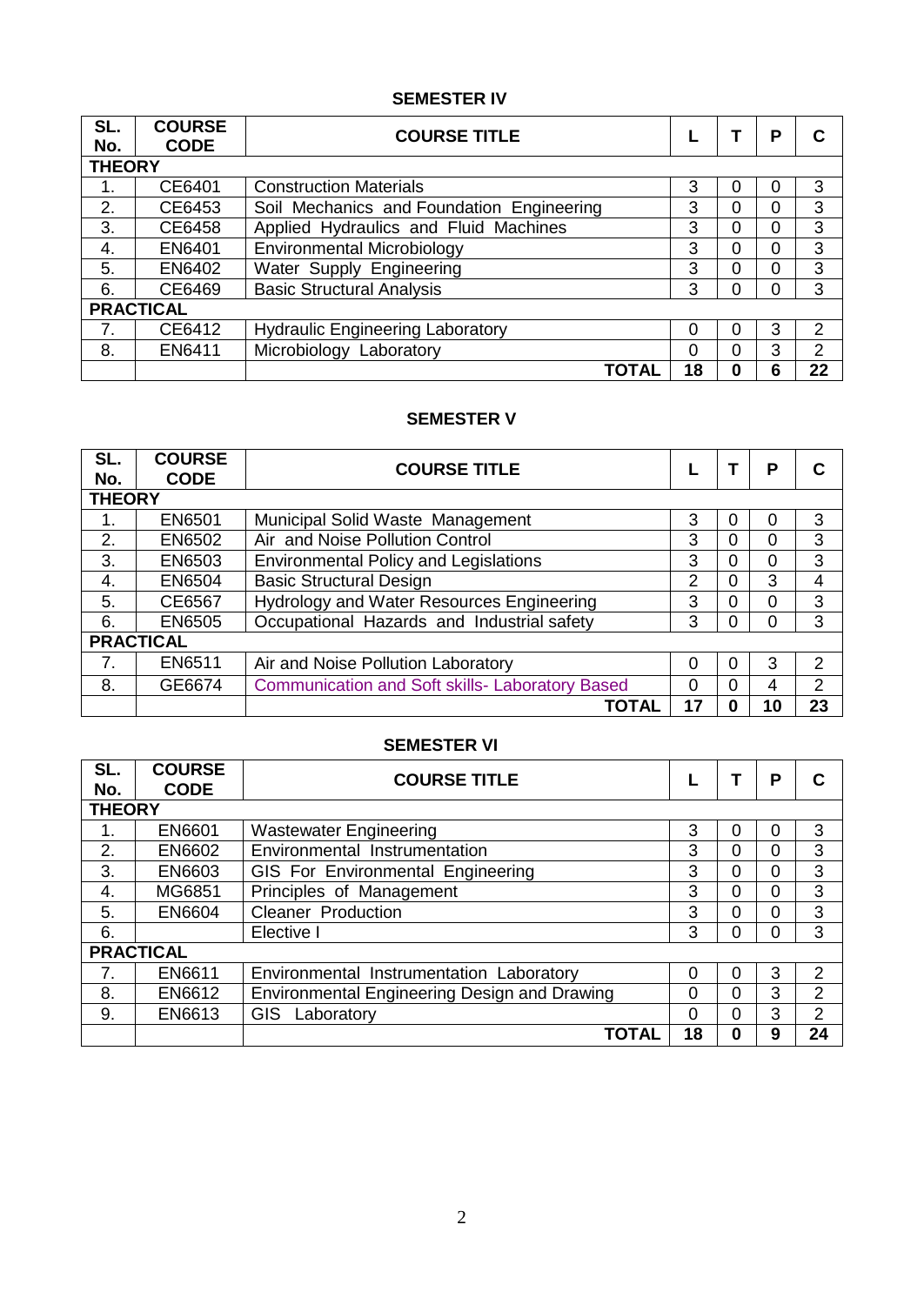## **SEMESTER IV**

| SL.<br>No.    | <b>COURSE</b><br><b>CODE</b> | <b>COURSE TITLE</b>                       |    |   | Р              |                |
|---------------|------------------------------|-------------------------------------------|----|---|----------------|----------------|
| <b>THEORY</b> |                              |                                           |    |   |                |                |
|               | CE6401                       | <b>Construction Materials</b>             | 3  | 0 | 0              | 3              |
| 2.            | CE6453                       | Soil Mechanics and Foundation Engineering | 3  | 0 | 0              | 3              |
| 3.            | CE6458                       | Applied Hydraulics and Fluid Machines     | 3  | 0 | 0              | 3              |
| 4.            | EN6401                       | <b>Environmental Microbiology</b>         | 3  | 0 | $\overline{0}$ | 3              |
| 5.            | EN6402                       | Water Supply Engineering                  | 3  | 0 | 0              | 3              |
| 6.            | CE6469                       | <b>Basic Structural Analysis</b>          | 3  | 0 | 0              | 3              |
|               | <b>PRACTICAL</b>             |                                           |    |   |                |                |
| 7.            | CE6412                       | <b>Hydraulic Engineering Laboratory</b>   | 0  | 0 | 3              | $\mathfrak{p}$ |
| 8.            | EN6411                       | Microbiology Laboratory                   | 0  | 0 | 3              | $\overline{2}$ |
|               |                              | TOTAL                                     | 18 | 0 | 6              | 22             |

### **SEMESTER V**

| SL.<br>No.    | <b>COURSE</b><br><b>CODE</b> | <b>COURSE TITLE</b>                                    |    |   | P        |                |
|---------------|------------------------------|--------------------------------------------------------|----|---|----------|----------------|
| <b>THEORY</b> |                              |                                                        |    |   |          |                |
|               | EN6501                       | Municipal Solid Waste Management                       | 3  | 0 | $\Omega$ | 3              |
| 2.            | EN6502                       | Air and Noise Pollution Control                        | 3  | 0 | 0        | 3              |
| 3.            | EN6503                       | <b>Environmental Policy and Legislations</b>           | 3  | 0 | 0        | 3              |
| 4.            | <b>EN6504</b>                | <b>Basic Structural Design</b>                         | 2  | 0 | 3        | 4              |
| 5.            | CE6567                       | <b>Hydrology and Water Resources Engineering</b>       | 3  | 0 | 0        | 3              |
| 6.            | <b>EN6505</b>                | Occupational Hazards and Industrial safety             | 3  | 0 | 0        | 3              |
|               | <b>PRACTICAL</b>             |                                                        |    |   |          |                |
| 7.            | EN6511                       | Air and Noise Pollution Laboratory                     | 0  | 0 | 3        | $\mathfrak{p}$ |
| 8.            | GE6674                       | <b>Communication and Soft skills- Laboratory Based</b> | 0  | 0 | 4        | $\overline{2}$ |
|               |                              | TOTAL                                                  | 17 | 0 | 10       | 23             |

### **SEMESTER VI**

| SL.<br>No.    | <b>COURSE</b><br><b>CODE</b> | <b>COURSE TITLE</b>                          |    |                | Ρ |                |
|---------------|------------------------------|----------------------------------------------|----|----------------|---|----------------|
| <b>THEORY</b> |                              |                                              |    |                |   |                |
|               | EN6601                       | <b>Wastewater Engineering</b>                | 3  | 0              | 0 | 3              |
| 2.            | EN6602                       | Environmental Instrumentation                | 3  | 0              | 0 | 3              |
| 3.            | EN6603                       | GIS For Environmental Engineering            | 3  | $\overline{0}$ | 0 | 3              |
| 4.            | MG6851                       | Principles of Management                     | 3  | 0              | 0 | 3              |
| 5.            | EN6604                       | Cleaner Production                           | 3  | 0              | 0 | 3              |
| 6.            |                              | Elective I                                   | 3  | $\overline{0}$ | 0 | 3              |
|               | <b>PRACTICAL</b>             |                                              |    |                |   |                |
|               | EN6611                       | Environmental Instrumentation Laboratory     | 0  | 0              | 3 | 2              |
| 8.            | EN6612                       | Environmental Engineering Design and Drawing | 0  | $\overline{0}$ | 3 | $\overline{2}$ |
| 9.            | EN6613                       | GIS.<br>Laboratory                           | 0  | $\overline{0}$ | 3 | $\overline{2}$ |
|               |                              | <b>TOTAL</b>                                 | 18 | $\bf{0}$       | 9 | 24             |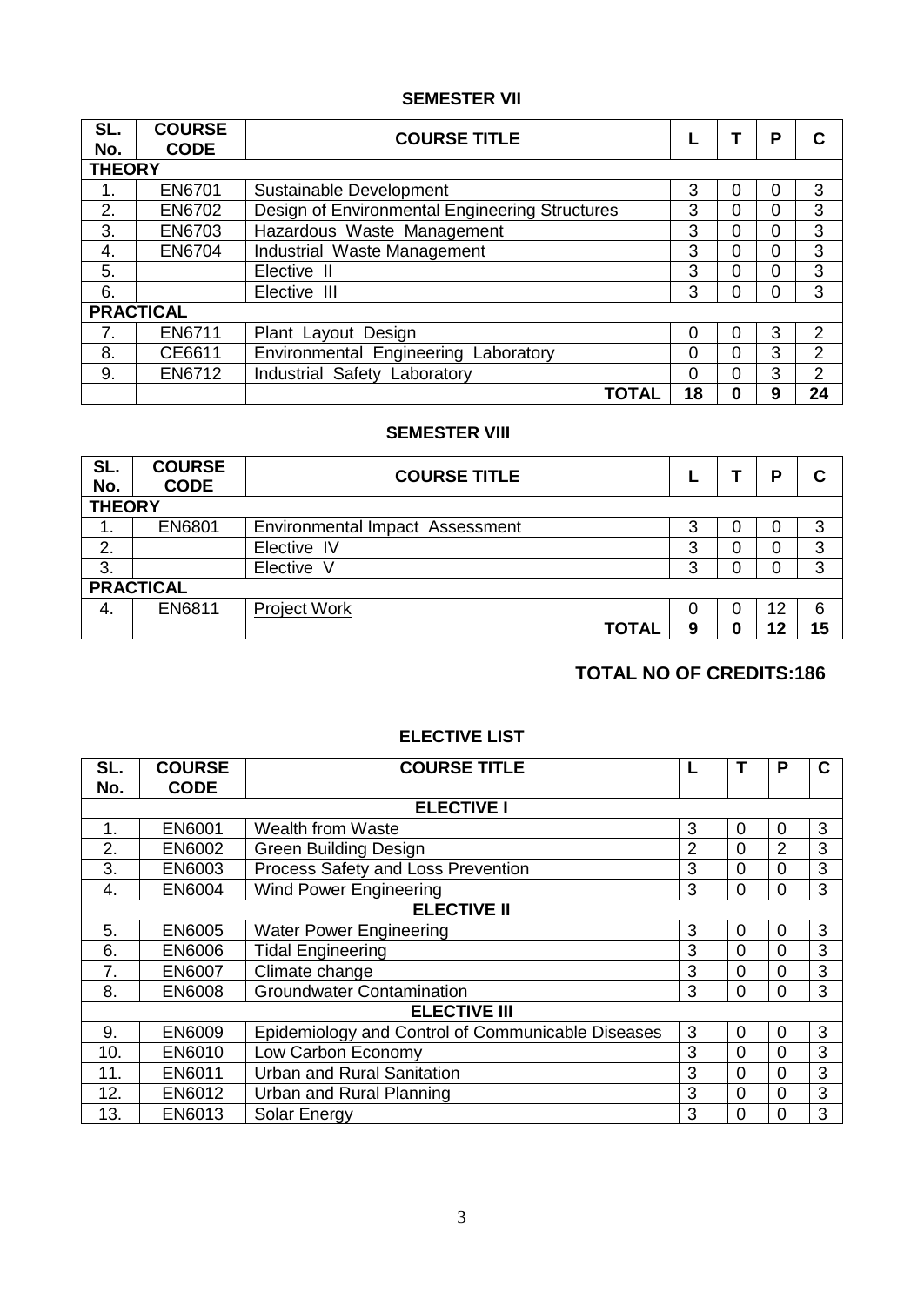### **SEMESTER VII**

| SL.<br>No.    | <b>COURSE</b><br><b>CODE</b> | <b>COURSE TITLE</b>                            |    |   | Ρ | C              |
|---------------|------------------------------|------------------------------------------------|----|---|---|----------------|
| <b>THEORY</b> |                              |                                                |    |   |   |                |
| 1.            | EN6701                       | Sustainable Development                        | 3  | 0 | 0 | 3              |
| 2.            | EN6702                       | Design of Environmental Engineering Structures | 3  | 0 | 0 | 3              |
| 3.            | EN6703                       | Hazardous Waste Management                     | 3  | 0 | 0 | 3              |
| 4.            | EN6704                       | Industrial Waste Management                    | 3  | 0 | 0 | 3              |
| 5.            |                              | Elective II                                    | 3  | 0 | 0 | 3              |
| 6.            |                              | Elective III                                   | 3  | 0 | 0 | 3              |
|               | <b>PRACTICAL</b>             |                                                |    |   |   |                |
| 7.            | EN6711                       | Plant Layout Design                            | 0  | 0 | 3 | 2              |
| 8.            | CE6611                       | Environmental Engineering Laboratory           | 0  | 0 | 3 | $\overline{2}$ |
| 9.            | EN6712                       | Industrial Safety Laboratory                   | 0  | 0 | 3 | 2              |
|               |                              | <b>TOTAL</b>                                   | 18 | 0 | 9 | 24             |

#### **SEMESTER VIII**

| SL.<br>No.    | <b>COURSE</b><br><b>CODE</b> | <b>COURSE TITLE</b>                    |   |   | D  |    |
|---------------|------------------------------|----------------------------------------|---|---|----|----|
| <b>THEORY</b> |                              |                                        |   |   |    |    |
| 1.            | EN6801                       | <b>Environmental Impact Assessment</b> | 3 | O | 0  | 3  |
| 2.            |                              | Elective IV                            | 3 | 0 | 0  | 3  |
| 3.            |                              | Elective V                             | 3 |   | 0  | 3  |
|               | <b>PRACTICAL</b>             |                                        |   |   |    |    |
| 4.            | EN6811                       | <b>Project Work</b>                    | 0 |   | 12 | 6  |
|               |                              | <b>TOTAL</b>                           | 9 | 0 | 12 | 15 |

## **TOTAL NO OF CREDITS:186**

#### **ELECTIVE LIST**

| SL.                | <b>COURSE</b> | <b>COURSE TITLE</b>                               |   |          | Р        | C |  |
|--------------------|---------------|---------------------------------------------------|---|----------|----------|---|--|
| No.                | <b>CODE</b>   |                                                   |   |          |          |   |  |
|                    |               | <b>ELECTIVE I</b>                                 |   |          |          |   |  |
| 1.                 | EN6001        | <b>Wealth from Waste</b>                          | 3 | $\Omega$ | 0        | 3 |  |
| 2.                 | EN6002        | <b>Green Building Design</b>                      | 2 | $\Omega$ | 2        | 3 |  |
| 3.                 | EN6003        | Process Safety and Loss Prevention                | 3 | $\Omega$ | $\Omega$ | 3 |  |
| 4.                 | <b>EN6004</b> | <b>Wind Power Engineering</b>                     | 3 | 0        | $\Omega$ | 3 |  |
| <b>ELECTIVE II</b> |               |                                                   |   |          |          |   |  |
| 5.                 | <b>EN6005</b> | <b>Water Power Engineering</b>                    | 3 | $\Omega$ | $\Omega$ | 3 |  |
| 6.                 | <b>EN6006</b> | <b>Tidal Engineering</b>                          | 3 | $\Omega$ | $\Omega$ | 3 |  |
| 7.                 | <b>EN6007</b> | Climate change                                    | 3 | $\Omega$ | $\Omega$ | 3 |  |
| 8.                 | <b>EN6008</b> | <b>Groundwater Contamination</b>                  | 3 | 0        | $\Omega$ | 3 |  |
|                    |               | <b>ELECTIVE III</b>                               |   |          |          |   |  |
| 9.                 | <b>EN6009</b> | Epidemiology and Control of Communicable Diseases | 3 | $\Omega$ | $\Omega$ | 3 |  |
| 10.                | EN6010        | Low Carbon Economy                                | 3 | $\Omega$ | $\Omega$ | 3 |  |
| 11.                | EN6011        | <b>Urban and Rural Sanitation</b>                 | 3 | $\Omega$ | $\Omega$ | 3 |  |
| 12.                | EN6012        | Urban and Rural Planning                          | 3 | $\Omega$ | $\Omega$ | 3 |  |
| 13.                | EN6013        | Solar Energy                                      | 3 | 0        | 0        | 3 |  |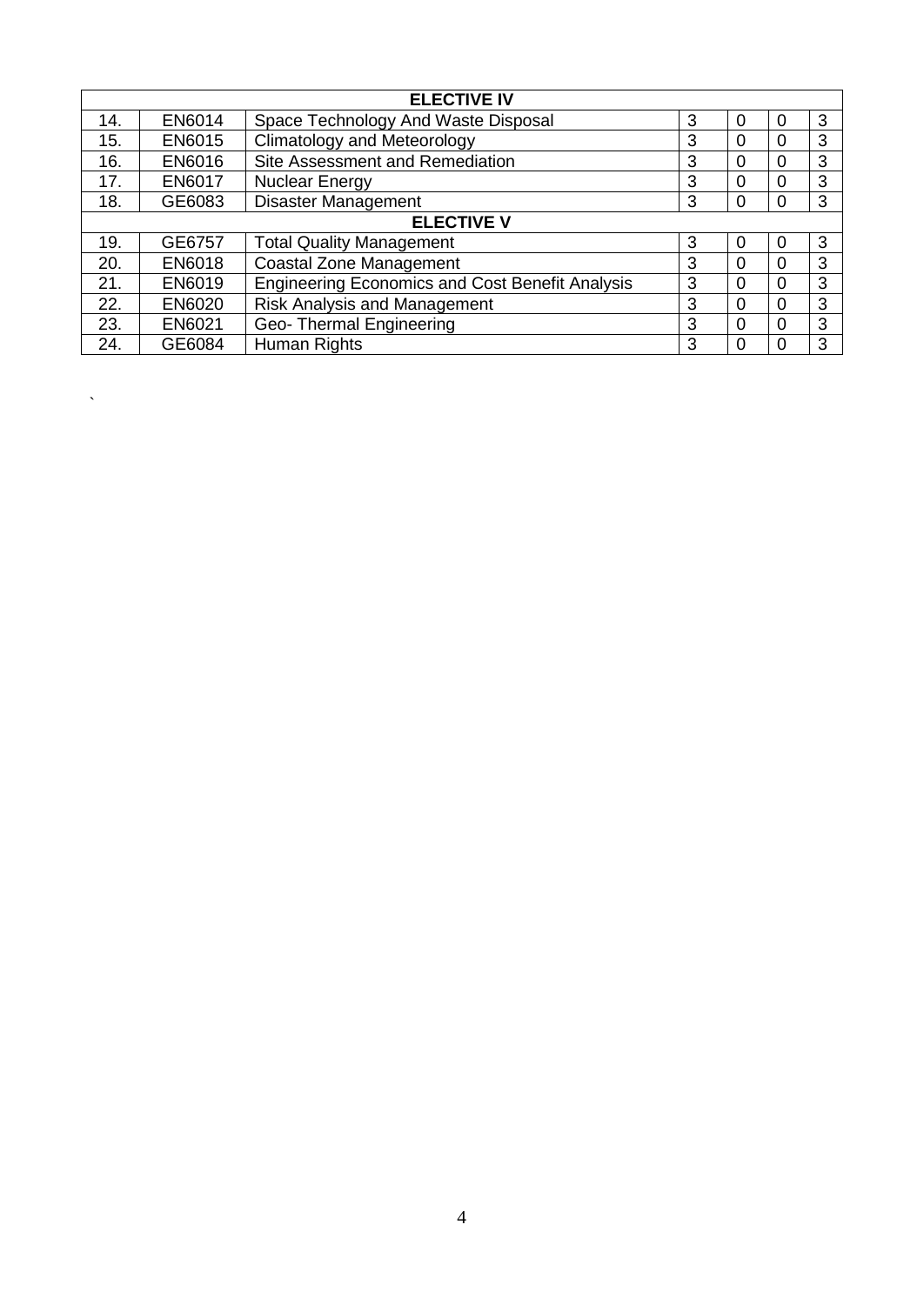| <b>ELECTIVE IV</b> |                   |                                                        |   |          |          |   |  |
|--------------------|-------------------|--------------------------------------------------------|---|----------|----------|---|--|
| 14.                | EN6014            | Space Technology And Waste Disposal                    | 3 | $\Omega$ | 0        | 3 |  |
| 15.                | EN6015            | <b>Climatology and Meteorology</b>                     | 3 | $\Omega$ | $\Omega$ | 3 |  |
| 16.                | EN6016            | Site Assessment and Remediation                        | 3 | $\Omega$ | 0        | 3 |  |
| 17.                | <b>EN6017</b>     | <b>Nuclear Energy</b>                                  | 3 | $\Omega$ | $\Omega$ | 3 |  |
| 18.                | GE6083            | <b>Disaster Management</b>                             | 3 | $\Omega$ | $\Omega$ | 3 |  |
|                    | <b>ELECTIVE V</b> |                                                        |   |          |          |   |  |
| 19.                | GE6757            | <b>Total Quality Management</b>                        | 3 | $\Omega$ | 0        | 3 |  |
| 20.                | EN6018            | <b>Coastal Zone Management</b>                         | 3 | $\Omega$ | $\Omega$ | 3 |  |
| 21.                | EN6019            | <b>Engineering Economics and Cost Benefit Analysis</b> | 3 | $\Omega$ | $\Omega$ | 3 |  |
| 22.                | EN6020            | <b>Risk Analysis and Management</b>                    | 3 | $\Omega$ | $\Omega$ | 3 |  |
| 23.                | EN6021            | Geo-Thermal Engineering                                | 3 | $\Omega$ | 0        | 3 |  |
| 24.                | GE6084            | Human Rights                                           | 3 | $\Omega$ |          | 3 |  |

 $\ddot{\phantom{a}}$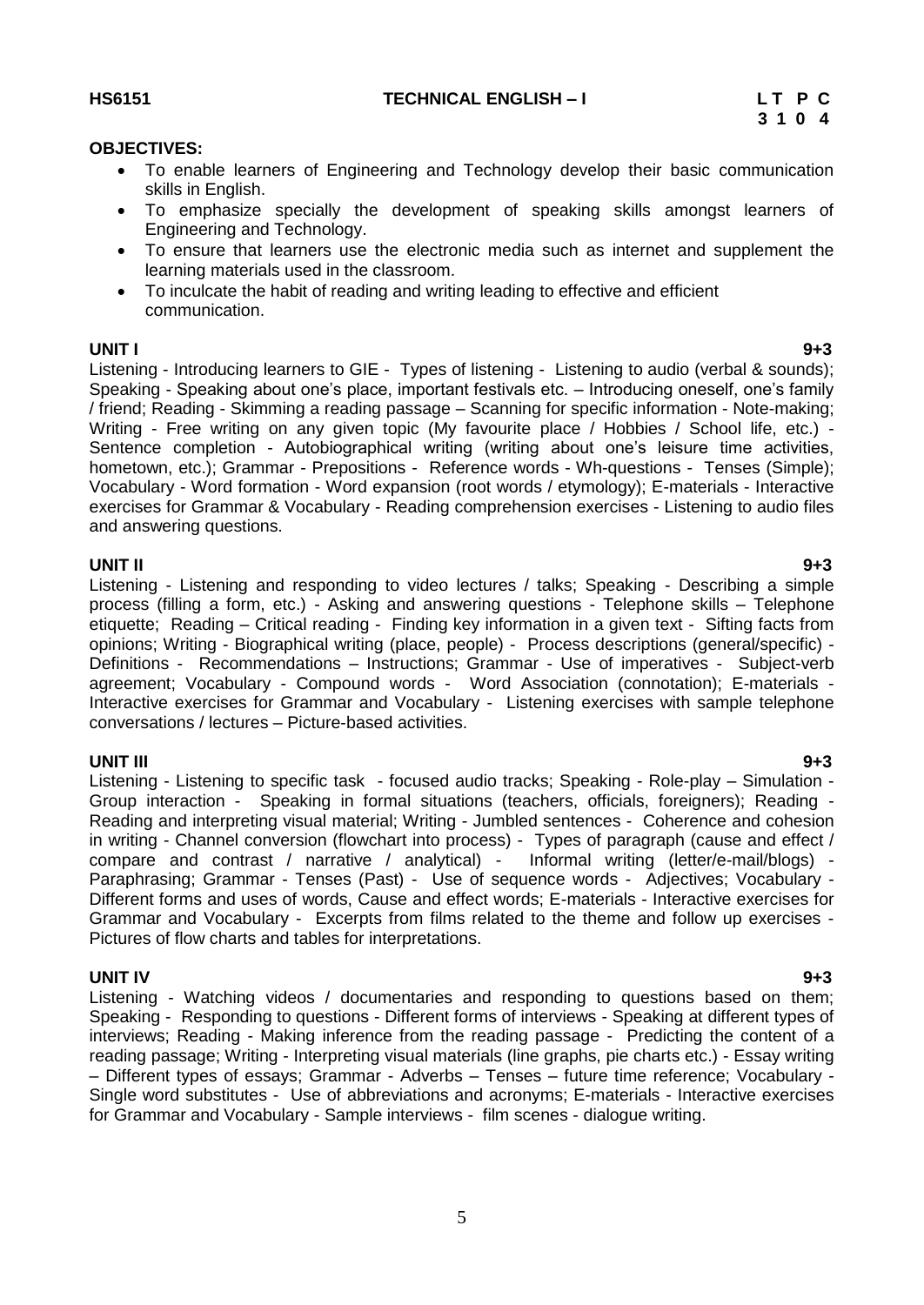5

**HS6151 TECHNICAL ENGLISH – I L T P C**

#### **OBJECTIVES:**

- <span id="page-4-0"></span> To enable learners of Engineering and Technology develop their basic communication skills in English.
- To emphasize specially the development of speaking skills amongst learners of Engineering and Technology.
- To ensure that learners use the electronic media such as internet and supplement the learning materials used in the classroom.
- To inculcate the habit of reading and writing leading to effective and efficient communication.

**UNIT I 9+3** Listening - Introducing learners to GIE - Types of listening - Listening to audio (verbal & sounds); Speaking - Speaking about one"s place, important festivals etc. – Introducing oneself, one"s family / friend; Reading - Skimming a reading passage – Scanning for specific information - Note-making; Writing - Free writing on any given topic (My favourite place / Hobbies / School life, etc.) - Sentence completion - Autobiographical writing (writing about one"s leisure time activities, hometown, etc.); Grammar - Prepositions - Reference words - Wh-questions - Tenses (Simple); Vocabulary - Word formation - Word expansion (root words / etymology); E-materials - Interactive exercises for Grammar & Vocabulary - Reading comprehension exercises - Listening to audio files and answering questions.

**UNIT II 9+3** Listening - Listening and responding to video lectures / talks; Speaking - Describing a simple process (filling a form, etc.) - Asking and answering questions - Telephone skills – Telephone etiquette; Reading – Critical reading - Finding key information in a given text - Sifting facts from opinions; Writing - Biographical writing (place, people) - Process descriptions (general/specific) - Definitions - Recommendations – Instructions; Grammar - Use of imperatives - Subject-verb agreement; Vocabulary - Compound words - Word Association (connotation); E-materials - Interactive exercises for Grammar and Vocabulary - Listening exercises with sample telephone conversations / lectures – Picture-based activities.

#### **UNIT III 9+3**

Listening - Listening to specific task - focused audio tracks; Speaking - Role-play – Simulation - Group interaction - Speaking in formal situations (teachers, officials, foreigners); Reading - Reading and interpreting visual material; Writing - Jumbled sentences - Coherence and cohesion in writing - Channel conversion (flowchart into process) - Types of paragraph (cause and effect / compare and contrast / narrative / analytical) - Informal writing (letter/e-mail/blogs) - Paraphrasing; Grammar - Tenses (Past) - Use of sequence words - Adjectives; Vocabulary - Different forms and uses of words, Cause and effect words; E-materials - Interactive exercises for Grammar and Vocabulary - Excerpts from films related to the theme and follow up exercises - Pictures of flow charts and tables for interpretations.

#### **UNIT IV 9+3**

Listening - Watching videos / documentaries and responding to questions based on them; Speaking - Responding to questions - Different forms of interviews - Speaking at different types of interviews; Reading - Making inference from the reading passage - Predicting the content of a reading passage; Writing - Interpreting visual materials (line graphs, pie charts etc.) - Essay writing – Different types of essays; Grammar - Adverbs – Tenses – future time reference; Vocabulary - Single word substitutes - Use of abbreviations and acronyms; E-materials - Interactive exercises for Grammar and Vocabulary - Sample interviews - film scenes - dialogue writing.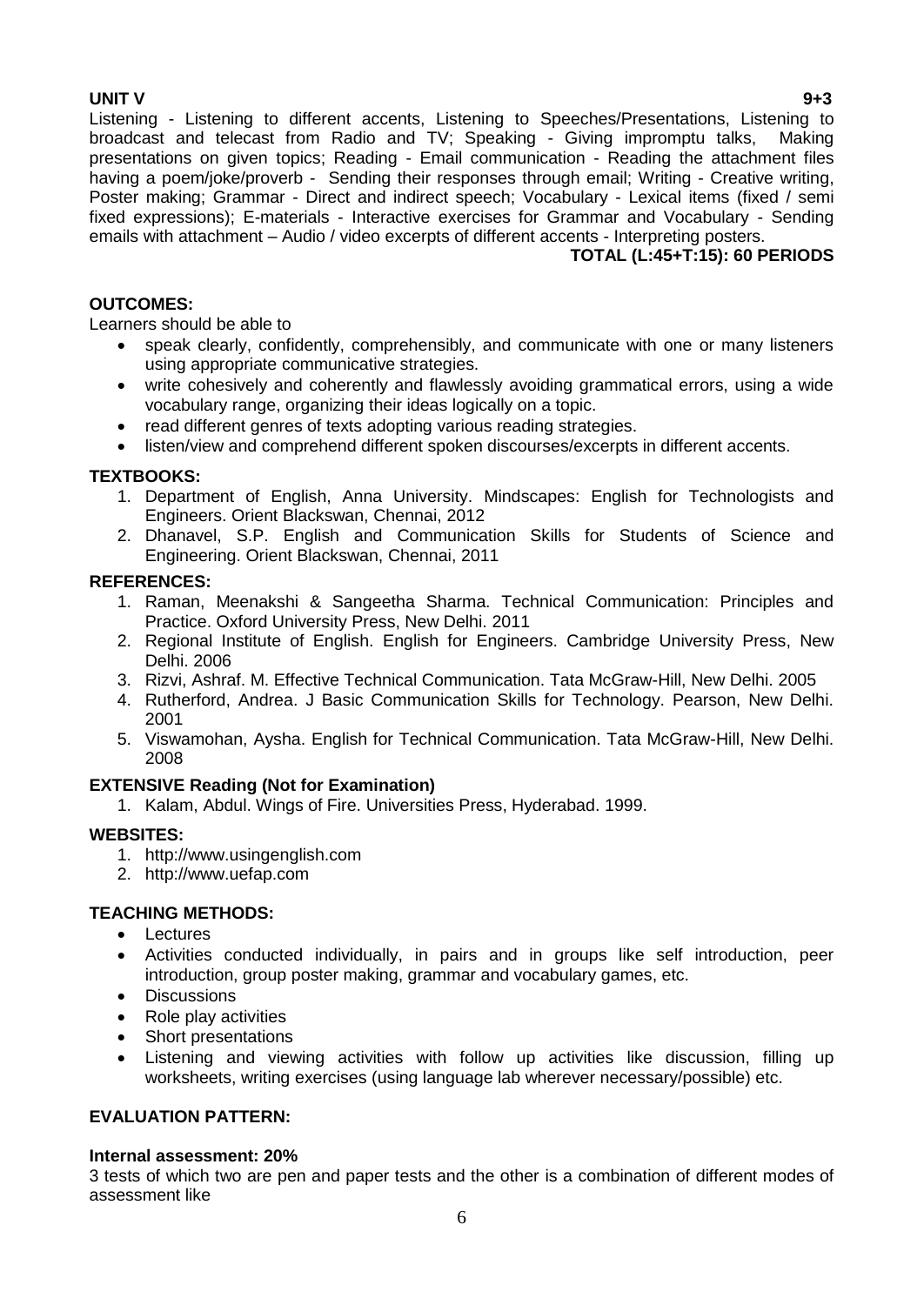**UNIT V 9+3** Listening - Listening to different accents, Listening to Speeches/Presentations, Listening to broadcast and telecast from Radio and TV; Speaking - Giving impromptu talks, Making presentations on given topics; Reading - Email communication - Reading the attachment files having a poem/joke/proverb - Sending their responses through email; Writing - Creative writing, Poster making; Grammar - Direct and indirect speech; Vocabulary - Lexical items (fixed / semi fixed expressions); E-materials - Interactive exercises for Grammar and Vocabulary - Sending emails with attachment – Audio / video excerpts of different accents - Interpreting posters.

#### **TOTAL (L:45+T:15): 60 PERIODS**

#### **OUTCOMES:**

Learners should be able to

- speak clearly, confidently, comprehensibly, and communicate with one or many listeners using appropriate communicative strategies.
- write cohesively and coherently and flawlessly avoiding grammatical errors, using a wide vocabulary range, organizing their ideas logically on a topic.
- read different genres of texts adopting various reading strategies.
- listen/view and comprehend different spoken discourses/excerpts in different accents.

#### **TEXTBOOKS:**

- 1. Department of English, Anna University. Mindscapes: English for Technologists and Engineers. Orient Blackswan, Chennai, 2012
- 2. Dhanavel, S.P. English and Communication Skills for Students of Science and Engineering. Orient Blackswan, Chennai, 2011

#### **REFERENCES:**

- 1. Raman, Meenakshi & Sangeetha Sharma. Technical Communication: Principles and Practice. Oxford University Press, New Delhi. 2011
- 2. Regional Institute of English. English for Engineers. Cambridge University Press, New Delhi. 2006
- 3. Rizvi, Ashraf. M. Effective Technical Communication. Tata McGraw-Hill, New Delhi. 2005
- 4. Rutherford, Andrea. J Basic Communication Skills for Technology. Pearson, New Delhi. 2001
- 5. Viswamohan, Aysha. English for Technical Communication. Tata McGraw-Hill, New Delhi. 2008

#### **EXTENSIVE Reading (Not for Examination)**

1. Kalam, Abdul. Wings of Fire. Universities Press, Hyderabad. 1999.

#### **WEBSITES:**

- 1. http://www.usingenglish.com
- 2. http://www.uefap.com

### **TEACHING METHODS:**

- Lectures
- Activities conducted individually, in pairs and in groups like self introduction, peer introduction, group poster making, grammar and vocabulary games, etc.
- Discussions
- Role play activities
- Short presentations
- Listening and viewing activities with follow up activities like discussion, filling up worksheets, writing exercises (using language lab wherever necessary/possible) etc.

### **EVALUATION PATTERN:**

#### **Internal assessment: 20%**

3 tests of which two are pen and paper tests and the other is a combination of different modes of assessment like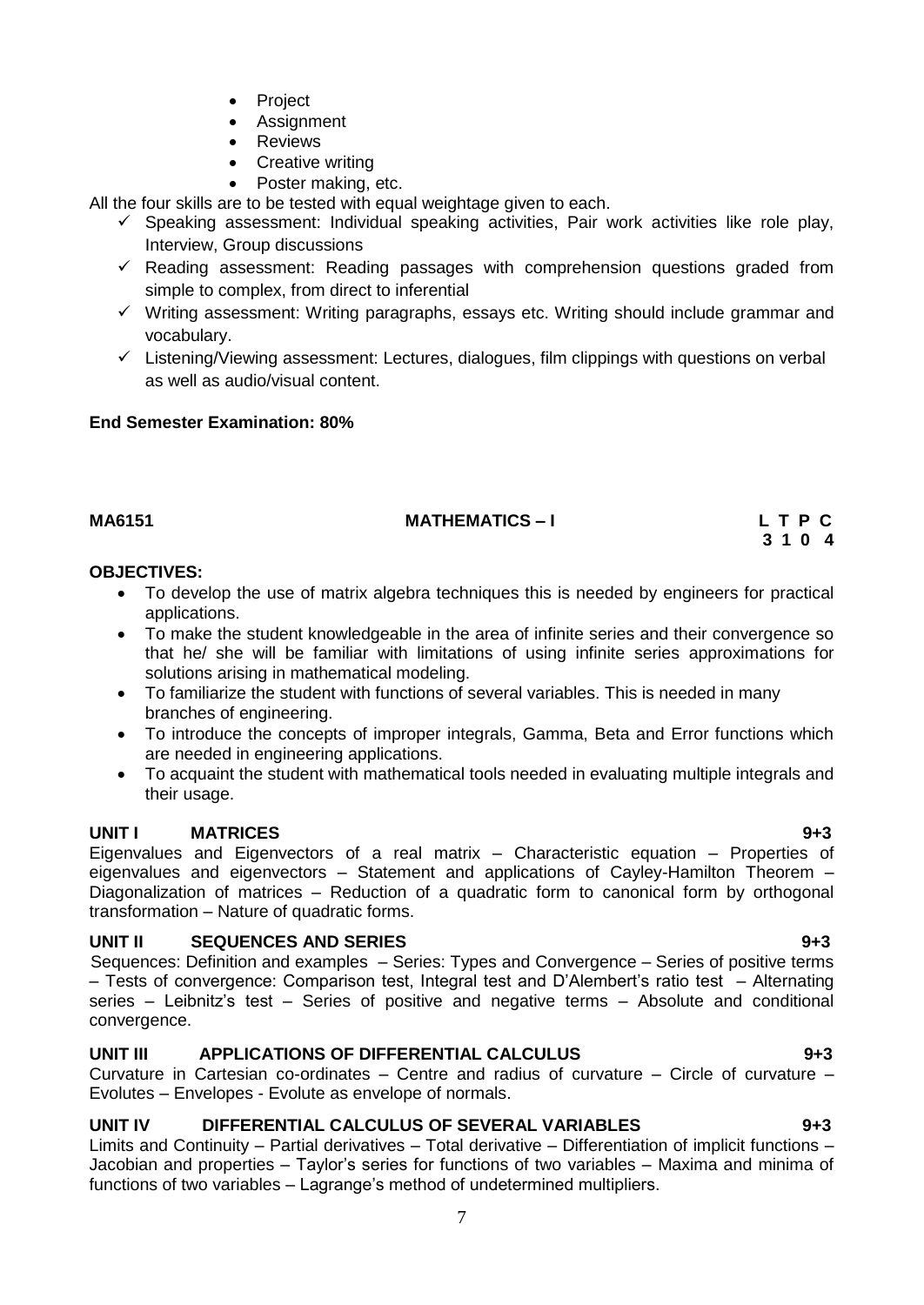- Project
- Assignment
- Reviews
- Creative writing
- Poster making, etc.

All the four skills are to be tested with equal weightage given to each.

- $\checkmark$  Speaking assessment: Individual speaking activities, Pair work activities like role play, Interview, Group discussions
- $\checkmark$  Reading assessment: Reading passages with comprehension questions graded from simple to complex, from direct to inferential
- $\checkmark$  Writing assessment: Writing paragraphs, essays etc. Writing should include grammar and vocabulary.
- $\checkmark$  Listening/Viewing assessment: Lectures, dialogues, film clippings with questions on verbal as well as audio/visual content.

#### **End Semester Examination: 80%**

# MA6151 **MATHEMATICS – I** L T P C 2 1 0 4

 **3 1 0 4** 

#### **OBJECTIVES:**

- <span id="page-6-0"></span> To develop the use of matrix algebra techniques this is needed by engineers for practical applications.
- To make the student knowledgeable in the area of infinite series and their convergence so that he/ she will be familiar with limitations of using infinite series approximations for solutions arising in mathematical modeling.
- To familiarize the student with functions of several variables. This is needed in many branches of engineering.
- To introduce the concepts of improper integrals, Gamma, Beta and Error functions which are needed in engineering applications.
- To acquaint the student with mathematical tools needed in evaluating multiple integrals and their usage.

### **UNIT I MATRICES 9+3**

Eigenvalues and Eigenvectors of a real matrix – Characteristic equation – Properties of eigenvalues and eigenvectors – Statement and applications of Cayley-Hamilton Theorem – Diagonalization of matrices – Reduction of a quadratic form to canonical form by orthogonal transformation – Nature of quadratic forms.

### **UNIT II SEQUENCES AND SERIES 9+3**

Sequences: Definition and examples – Series: Types and Convergence – Series of positive terms – Tests of convergence: Comparison test, Integral test and D"Alembert"s ratio test – Alternating series – Leibnitz"s test – Series of positive and negative terms – Absolute and conditional convergence.

### **UNIT III APPLICATIONS OF DIFFERENTIAL CALCULUS 9+3**

Curvature in Cartesian co-ordinates – Centre and radius of curvature – Circle of curvature – Evolutes – Envelopes - Evolute as envelope of normals.

### **UNIT IV DIFFERENTIAL CALCULUS OF SEVERAL VARIABLES 9+3**

Limits and Continuity – Partial derivatives – Total derivative – Differentiation of implicit functions – Jacobian and properties – Taylor"s series for functions of two variables – Maxima and minima of functions of two variables – Lagrange's method of undetermined multipliers.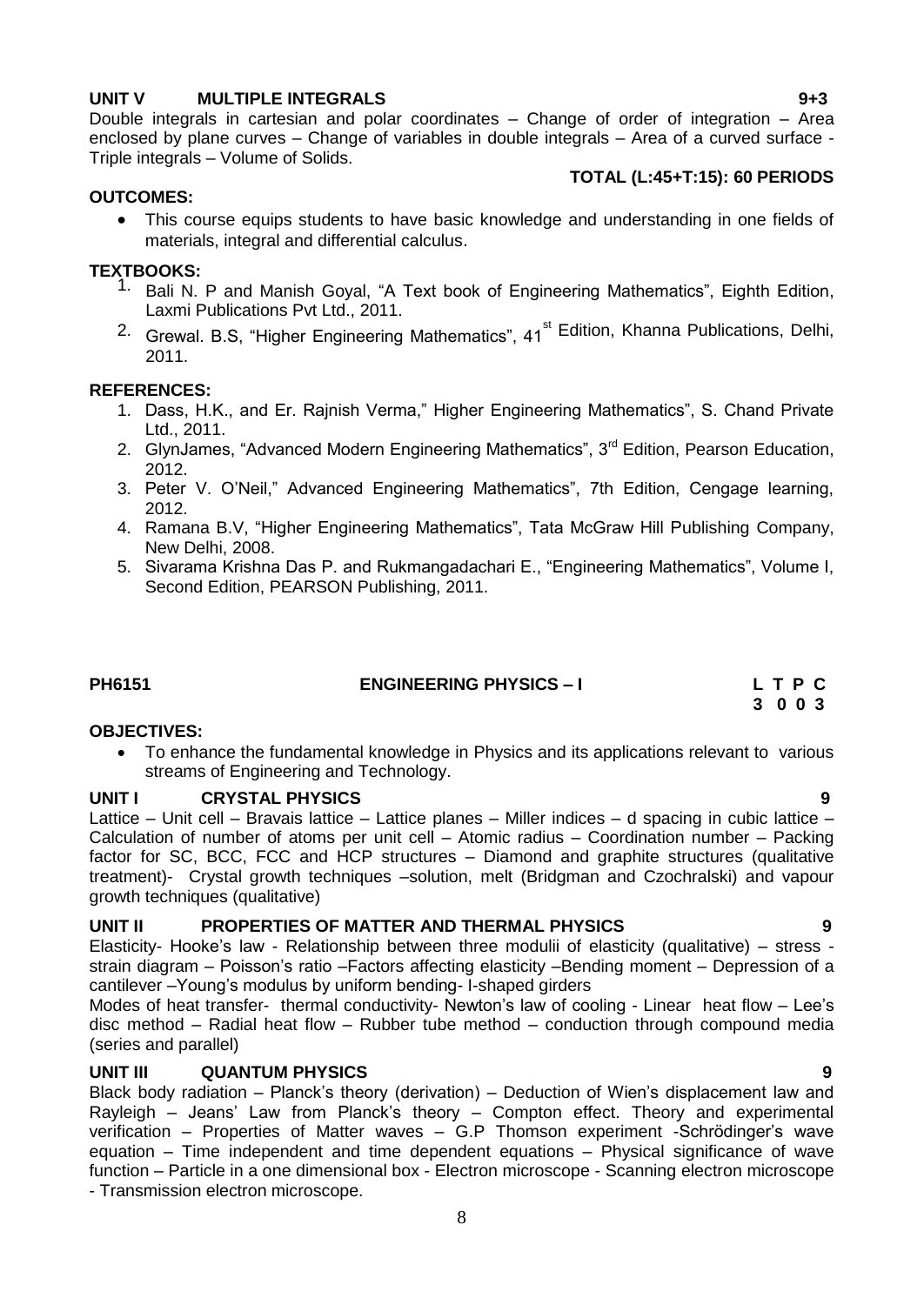#### **UNIT V MULTIPLE INTEGRALS 9+3**

Double integrals in cartesian and polar coordinates – Change of order of integration – Area enclosed by plane curves – Change of variables in double integrals – Area of a curved surface - Triple integrals – Volume of Solids.

#### **TOTAL (L:45+T:15): 60 PERIODS**

#### **OUTCOMES:**

 This course equips students to have basic knowledge and understanding in one fields of materials, integral and differential calculus.

#### **TEXTBOOKS:**

- <sup>1.</sup> Bali N. P and Manish Goval. "A Text book of Engineering Mathematics", Eighth Edition, Laxmi Publications Pvt Ltd., 2011.
- <sup>2.</sup> Grewal. B.S, "Higher Engineering Mathematics", 41<sup>st</sup> Edition, Khanna Publications, Delhi, 2011.

#### **REFERENCES:**

- 1. Dass, H.K., and Er. Rajnish Verma," Higher Engineering Mathematics", S. Chand Private Ltd., 2011.
- 2. GlynJames, "Advanced Modern Engineering Mathematics", 3<sup>rd</sup> Edition, Pearson Education, 2012.
- 3. Peter V. O"Neil," Advanced Engineering Mathematics", 7th Edition, Cengage learning, 2012.
- 4. Ramana B.V, "Higher Engineering Mathematics", Tata McGraw Hill Publishing Company, New Delhi, 2008.
- 5. Sivarama Krishna Das P. and Rukmangadachari E., "Engineering Mathematics", Volume I, Second Edition, PEARSON Publishing, 2011.

# PH6151 **ENGINEERING PHYSICS – I** L T P C **C** 3 0 0 3

### **OBJECTIVES:**

<span id="page-7-0"></span> To enhance the fundamental knowledge in Physics and its applications relevant to various streams of Engineering and Technology.

#### **UNIT I CRYSTAL PHYSICS 9**

Lattice – Unit cell – Bravais lattice – Lattice planes – Miller indices – d spacing in cubic lattice – Calculation of number of atoms per unit cell – Atomic radius – Coordination number – Packing factor for SC, BCC, FCC and HCP structures – Diamond and graphite structures (qualitative treatment)- Crystal growth techniques –solution, melt (Bridgman and Czochralski) and vapour growth techniques (qualitative)

#### **UNIT II PROPERTIES OF MATTER AND THERMAL PHYSICS 9**

Elasticity- Hooke"s law - Relationship between three modulii of elasticity (qualitative) – stress strain diagram – Poisson"s ratio –Factors affecting elasticity –Bending moment – Depression of a cantilever –Young"s modulus by uniform bending- I-shaped girders

Modes of heat transfer- thermal conductivity- Newton's law of cooling - Linear heat flow – Lee's disc method – Radial heat flow – Rubber tube method – conduction through compound media (series and parallel)

#### **UNIT III QUANTUM PHYSICS 9**

Black body radiation – Planck's theory (derivation) – Deduction of Wien's displacement law and Rayleigh – Jeans" Law from Planck"s theory – Compton effect. Theory and experimental verification – Properties of Matter waves – G.P Thomson experiment -Schrödinger"s wave equation – Time independent and time dependent equations – Physical significance of wave function – Particle in a one dimensional box - Electron microscope - Scanning electron microscope - Transmission electron microscope.

# **3 0 0 3**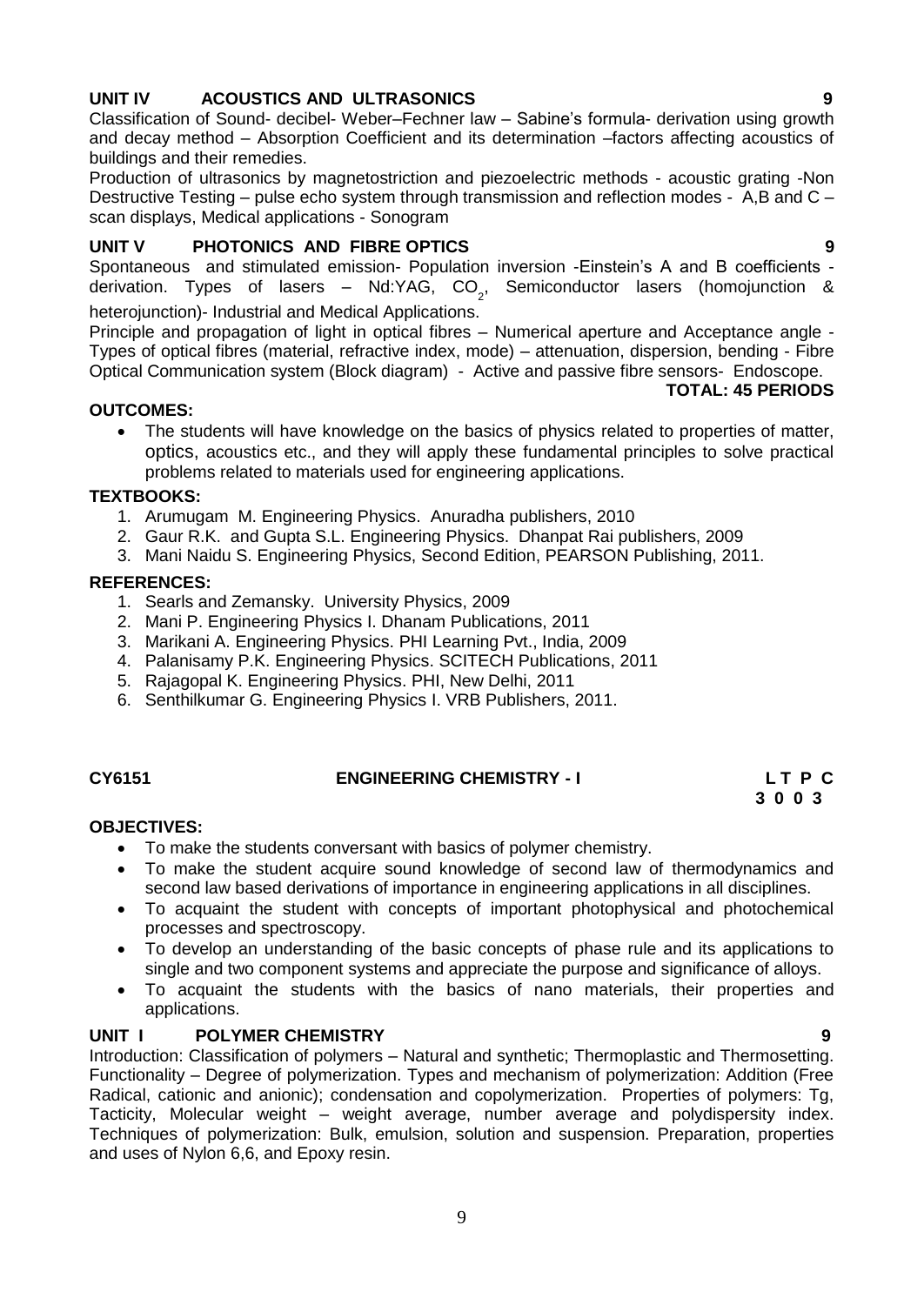### **UNIT IV ACOUSTICS AND ULTRASONICS 9**

Classification of Sound- decibel- Weber–Fechner law – Sabine"s formula- derivation using growth and decay method – Absorption Coefficient and its determination –factors affecting acoustics of buildings and their remedies.

Production of ultrasonics by magnetostriction and piezoelectric methods - acoustic grating -Non Destructive Testing – pulse echo system through transmission and reflection modes - A,B and C – scan displays, Medical applications - Sonogram

### **UNIT V PHOTONICS AND FIBRE OPTICS 9**

Spontaneous and stimulated emission- Population inversion -Einstein"s A and B coefficients derivation. Types of lasers – Nd:YAG, CO<sub>2</sub>, Semiconductor lasers (homojunction & heterojunction)- Industrial and Medical Applications.

Principle and propagation of light in optical fibres – Numerical aperture and Acceptance angle - Types of optical fibres (material, refractive index, mode) – attenuation, dispersion, bending - Fibre Optical Communication system (Block diagram) - Active and passive fibre sensors- Endoscope.

#### **OUTCOMES:**

 The students will have knowledge on the basics of physics related to properties of matter, optics, acoustics etc., and they will apply these fundamental principles to solve practical problems related to materials used for engineering applications.

#### **TEXTBOOKS:**

- 1. Arumugam M. Engineering Physics. Anuradha publishers, 2010
- 2. Gaur R.K. and Gupta S.L. Engineering Physics. Dhanpat Rai publishers, 2009
- 3. Mani Naidu S. Engineering Physics, Second Edition, PEARSON Publishing, 2011.

#### **REFERENCES:**

- 1. Searls and Zemansky. University Physics, 2009
- 2. Mani P. Engineering Physics I. Dhanam Publications, 2011
- 3. Marikani A. Engineering Physics. PHI Learning Pvt., India, 2009
- 4. Palanisamy P.K. Engineering Physics. SCITECH Publications, 2011
- 5. Rajagopal K. Engineering Physics. PHI, New Delhi, 2011
- 6. Senthilkumar G. Engineering Physics I. VRB Publishers, 2011.

#### **CY6151 ENGINEERING CHEMISTRY - I L T P C**

# **3 0 0 3**

#### **OBJECTIVES:**

- <span id="page-8-0"></span>To make the students conversant with basics of polymer chemistry.
- To make the student acquire sound knowledge of second law of thermodynamics and second law based derivations of importance in engineering applications in all disciplines.
- To acquaint the student with concepts of important photophysical and photochemical processes and spectroscopy.
- To develop an understanding of the basic concepts of phase rule and its applications to single and two component systems and appreciate the purpose and significance of alloys.
- To acquaint the students with the basics of nano materials, their properties and applications.

### **UNIT I POLYMER CHEMISTRY 9**

Introduction: Classification of polymers – Natural and synthetic; Thermoplastic and Thermosetting. Functionality – Degree of polymerization. Types and mechanism of polymerization: Addition (Free Radical, cationic and anionic); condensation and copolymerization. Properties of polymers: Tg, Tacticity, Molecular weight – weight average, number average and polydispersity index. Techniques of polymerization: Bulk, emulsion, solution and suspension. Preparation, properties and uses of Nylon 6,6, and Epoxy resin.

**TOTAL: 45 PERIODS**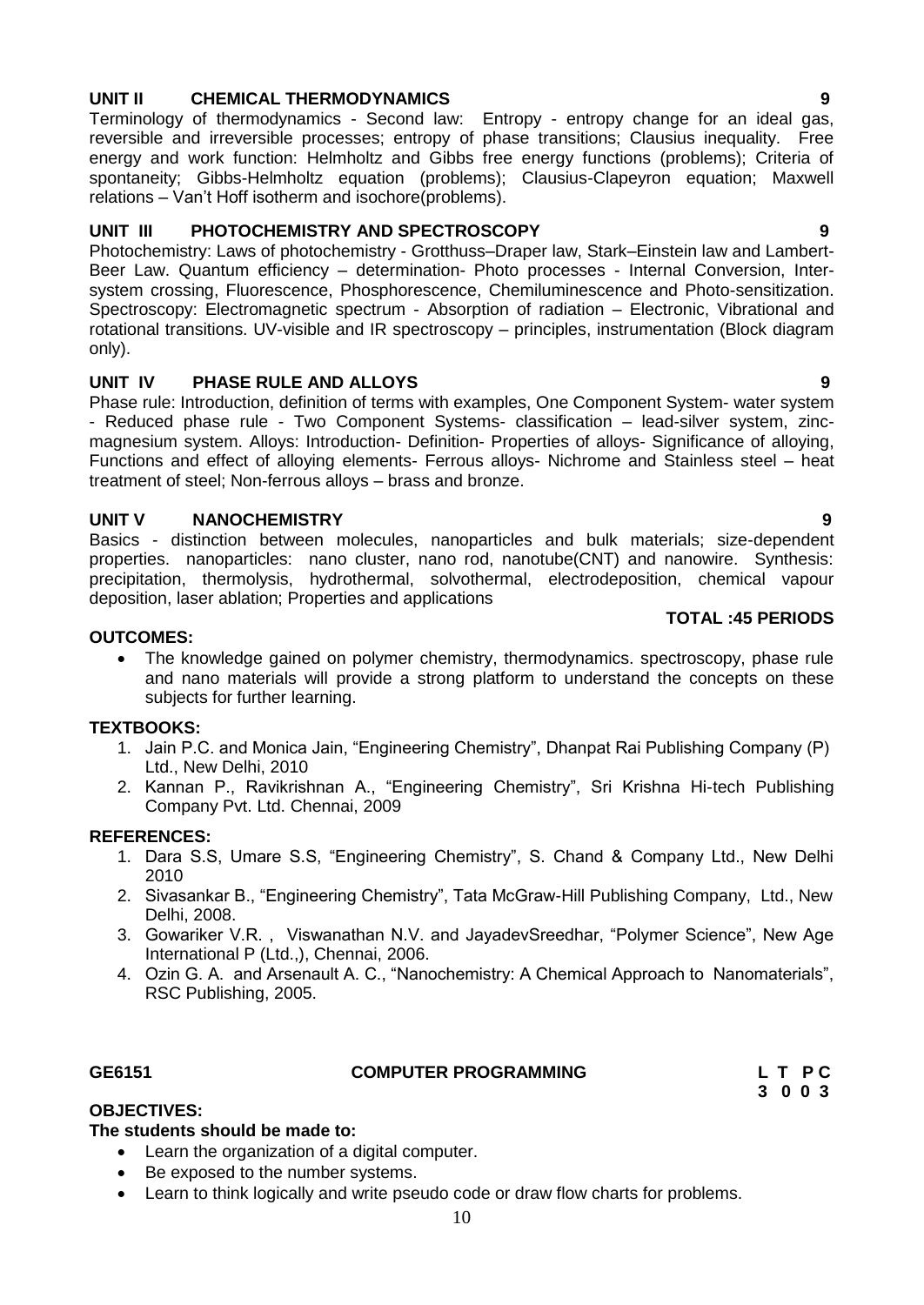#### <span id="page-9-0"></span>10

#### **UNIT II CHEMICAL THERMODYNAMICS 9**

Terminology of thermodynamics - Second law: Entropy - entropy change for an ideal gas, reversible and irreversible processes; entropy of phase transitions; Clausius inequality. Free energy and work function: Helmholtz and Gibbs free energy functions (problems); Criteria of spontaneity; Gibbs-Helmholtz equation (problems); Clausius-Clapeyron equation; Maxwell relations – Van"t Hoff isotherm and isochore(problems).

#### **UNIT III PHOTOCHEMISTRY AND SPECTROSCOPY 9**

Photochemistry: Laws of photochemistry - Grotthuss–Draper law, Stark–Einstein law and Lambert-Beer Law. Quantum efficiency – determination- Photo processes - Internal Conversion, Intersystem crossing, Fluorescence, Phosphorescence, Chemiluminescence and Photo-sensitization. Spectroscopy: Electromagnetic spectrum - Absorption of radiation – Electronic, Vibrational and rotational transitions. UV-visible and IR spectroscopy – principles, instrumentation (Block diagram only).

#### **UNIT IV PHASE RULE AND ALLOYS 9**

Phase rule: Introduction, definition of terms with examples, One Component System- water system - Reduced phase rule - Two Component Systems- classification – lead-silver system, zincmagnesium system. Alloys: Introduction- Definition- Properties of alloys- Significance of alloying, Functions and effect of alloying elements- Ferrous alloys- Nichrome and Stainless steel – heat treatment of steel; Non-ferrous alloys – brass and bronze.

#### **UNIT V NANOCHEMISTRY 9**

Basics - distinction between molecules, nanoparticles and bulk materials; size-dependent properties. nanoparticles: nano cluster, nano rod, nanotube(CNT) and nanowire. Synthesis: precipitation, thermolysis, hydrothermal, solvothermal, electrodeposition, chemical vapour deposition, laser ablation; Properties and applications

#### **OUTCOMES:**

 The knowledge gained on polymer chemistry, thermodynamics. spectroscopy, phase rule and nano materials will provide a strong platform to understand the concepts on these subjects for further learning.

#### **TEXTBOOKS:**

- 1. Jain P.C. and Monica Jain, "Engineering Chemistry", Dhanpat Rai Publishing Company (P) Ltd., New Delhi, 2010
- 2. Kannan P., Ravikrishnan A., "Engineering Chemistry", Sri Krishna Hi-tech Publishing Company Pvt. Ltd. Chennai, 2009

#### **REFERENCES:**

- 1. Dara S.S, Umare S.S, "Engineering Chemistry", S. Chand & Company Ltd., New Delhi 2010
- 2. Sivasankar B., "Engineering Chemistry", Tata McGraw-Hill Publishing Company, Ltd., New Delhi, 2008.
- 3. Gowariker V.R. , Viswanathan N.V. and JayadevSreedhar, "Polymer Science", New Age International P (Ltd.,), Chennai, 2006.
- 4. Ozin G. A. and Arsenault A. C., "Nanochemistry: A Chemical Approach to Nanomaterials", RSC Publishing, 2005.

#### **GE6151 COMPUTER PROGRAMMING L T P C**

 **3 0 0 3** 

### **OBJECTIVES:**

#### **The students should be made to:**

- Learn the organization of a digital computer.
- Be exposed to the number systems.
- Learn to think logically and write pseudo code or draw flow charts for problems.

**TOTAL :45 PERIODS**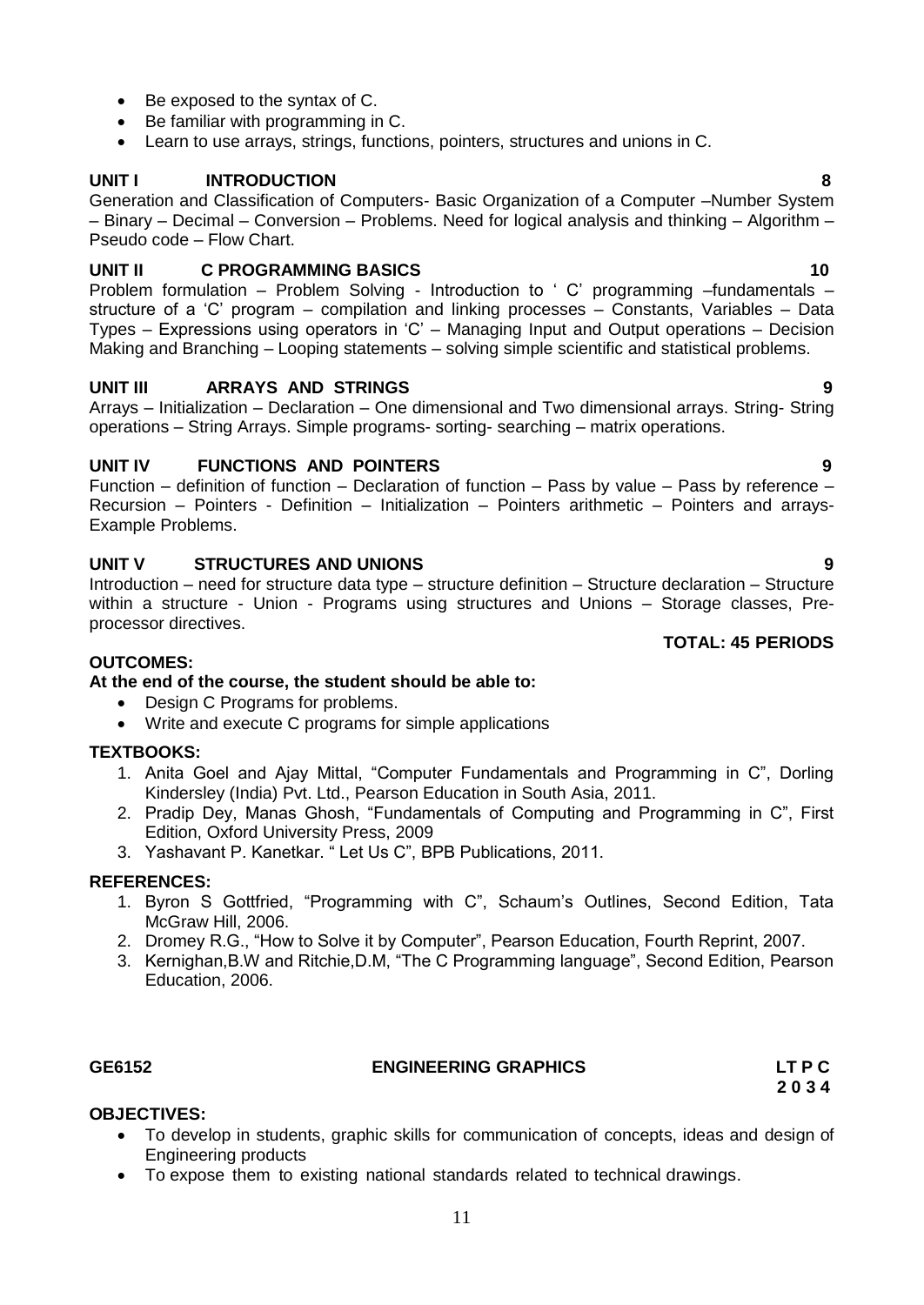- Be exposed to the syntax of C.
- Be familiar with programming in C.
- Learn to use arrays, strings, functions, pointers, structures and unions in C.

#### **UNIT I INTRODUCTION 8**

Generation and Classification of Computers- Basic Organization of a Computer –Number System – Binary – Decimal – Conversion – Problems. Need for logical analysis and thinking – Algorithm – Pseudo code – Flow Chart.

#### **UNIT II C PROGRAMMING BASICS** 10

Problem formulation – Problem Solving - Introduction to 'C' programming –fundamentals – structure of a "C" program – compilation and linking processes – Constants, Variables – Data Types – Expressions using operators in "C" – Managing Input and Output operations – Decision Making and Branching – Looping statements – solving simple scientific and statistical problems.

#### **UNIT III ARRAYS AND STRINGS 9**

Arrays – Initialization – Declaration – One dimensional and Two dimensional arrays. String- String operations – String Arrays. Simple programs- sorting- searching – matrix operations.

#### **UNIT IV FUNCTIONS AND POINTERS 9**

Function – definition of function – Declaration of function – Pass by value – Pass by reference – Recursion – Pointers - Definition – Initialization – Pointers arithmetic – Pointers and arrays-Example Problems.

#### **UNIT V STRUCTURES AND UNIONS 9**

Introduction – need for structure data type – structure definition – Structure declaration – Structure within a structure - Union - Programs using structures and Unions – Storage classes, Preprocessor directives.

#### **OUTCOMES:**

#### **At the end of the course, the student should be able to:**

- Design C Programs for problems.
- Write and execute C programs for simple applications

### **TEXTBOOKS:**

- 1. Anita Goel and Ajay Mittal, "Computer Fundamentals and Programming in C", Dorling Kindersley (India) Pvt. Ltd., Pearson Education in South Asia, 2011.
- 2. Pradip Dey, Manas Ghosh, "Fundamentals of Computing and Programming in C", First Edition, Oxford University Press, 2009
- 3. Yashavant P. Kanetkar. " Let Us C", BPB Publications, 2011.

#### **REFERENCES:**

- 1. Byron S Gottfried, "Programming with C", Schaum"s Outlines, Second Edition, Tata McGraw Hill, 2006.
- 2. Dromey R.G., "How to Solve it by Computer", Pearson Education, Fourth Reprint, 2007.
- 3. Kernighan,B.W and Ritchie,D.M, "The C Programming language", Second Edition, Pearson Education, 2006.

#### **GE6152 ENGINEERING GRAPHICS LT P C**

<span id="page-10-0"></span> **2 0 3 4**

#### **OBJECTIVES:**

- To develop in students, graphic skills for communication of concepts, ideas and design of Engineering products
- To expose them to existing national standards related to technical drawings.

#### **TOTAL: 45 PERIODS**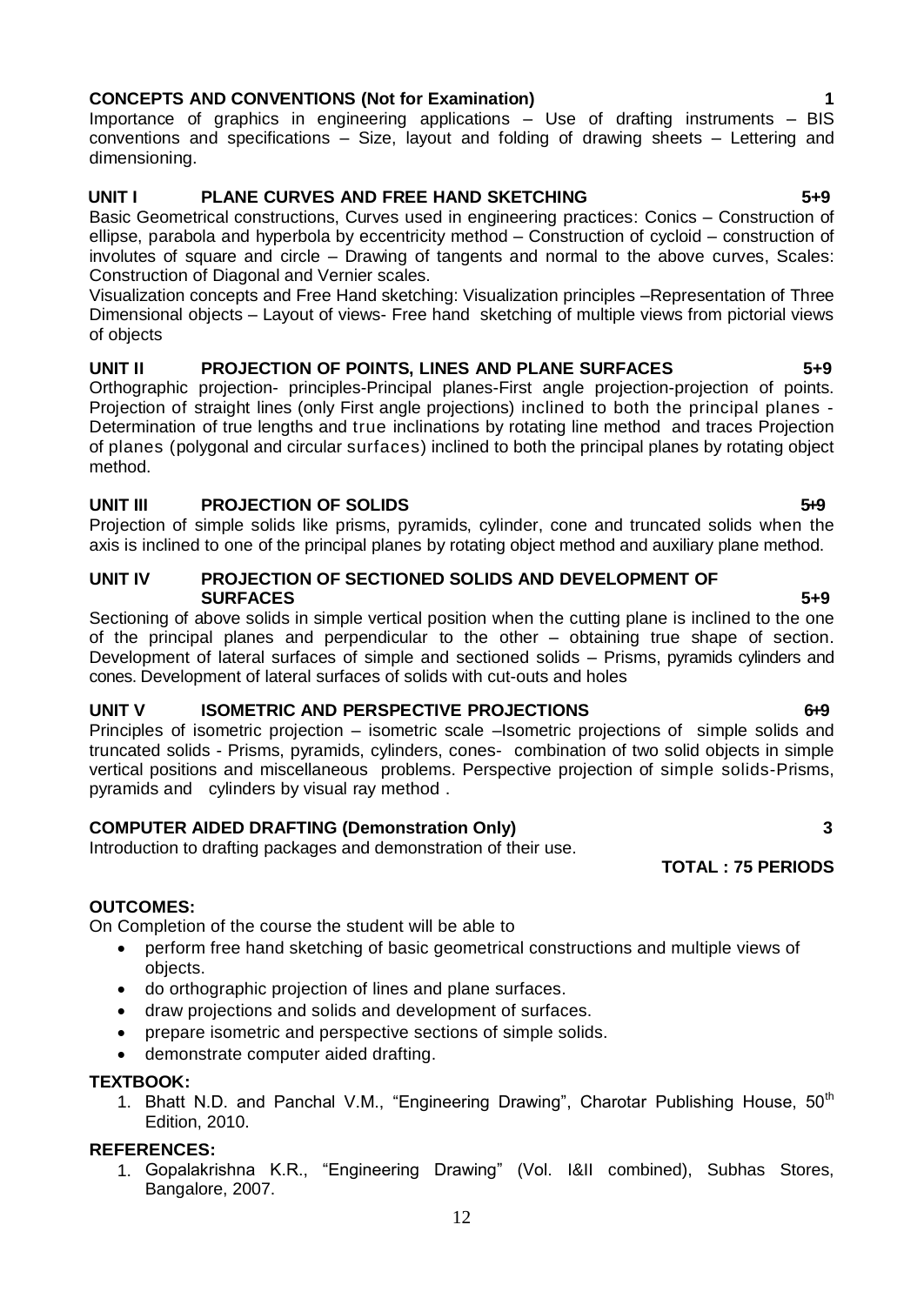1. Gopalakrishna K.R., "Engineering Drawing" (Vol. I&II combined), Subhas Stores, Bangalore, 2007.

#### **CONCEPTS AND CONVENTIONS (Not for Examination) 1**

Importance of graphics in engineering applications – Use of drafting instruments – BIS conventions and specifications – Size, layout and folding of drawing sheets – Lettering and dimensioning.

#### **UNIT I PLANE CURVES AND FREE HAND SKETCHING 5+9**

Basic Geometrical constructions, Curves used in engineering practices: Conics – Construction of ellipse, parabola and hyperbola by eccentricity method – Construction of cycloid – construction of involutes of square and circle – Drawing of tangents and normal to the above curves, Scales: Construction of Diagonal and Vernier scales.

Visualization concepts and Free Hand sketching: Visualization principles –Representation of Three Dimensional objects – Layout of views- Free hand sketching of multiple views from pictorial views of objects

#### **UNIT II PROJECTION OF POINTS, LINES AND PLANE SURFACES 5+9**

Orthographic projection- principles-Principal planes-First angle projection-projection of points. Projection of straight lines (only First angle projections) inclined to both the principal planes - Determination of true lengths and true inclinations by rotating line method and traces Projection of planes (polygonal and circular surfaces) inclined to both the principal planes by rotating object method.

#### **UNIT III PROJECTION OF SOLIDS 5.9 5.9**

Projection of simple solids like prisms, pyramids, cylinder, cone and truncated solids when the axis is inclined to one of the principal planes by rotating object method and auxiliary plane method.

#### **UNIT IV PROJECTION OF SECTIONED SOLIDS AND DEVELOPMENT OF SURFACES** 5+9

Sectioning of above solids in simple vertical position when the cutting plane is inclined to the one of the principal planes and perpendicular to the other – obtaining true shape of section. Development of lateral surfaces of simple and sectioned solids – Prisms, pyramids cylinders and cones. Development of lateral surfaces of solids with cut-outs and holes

#### **UNIT V ISOMETRIC AND PERSPECTIVE PROJECTIONS** 6-9

Principles of isometric projection – isometric scale –Isometric projections of simple solids and truncated solids - Prisms, pyramids, cylinders, cones- combination of two solid objects in simple vertical positions and miscellaneous problems. Perspective projection of simple solids-Prisms, pyramids and cylinders by visual ray method .

#### **COMPUTER AIDED DRAFTING (Demonstration Only) 3**

Introduction to drafting packages and demonstration of their use.

### **OUTCOMES:**

On Completion of the course the student will be able to

- perform free hand sketching of basic geometrical constructions and multiple views of objects.
- do orthographic projection of lines and plane surfaces.
- draw projections and solids and development of surfaces.
- prepare isometric and perspective sections of simple solids.
- demonstrate computer aided drafting.

#### **TEXTBOOK:**

1. Bhatt N.D. and Panchal V.M., "Engineering Drawing", Charotar Publishing House, 50<sup>th</sup> Edition, 2010.

#### **REFERENCES:**

- 
- 

 **TOTAL : 75 PERIODS**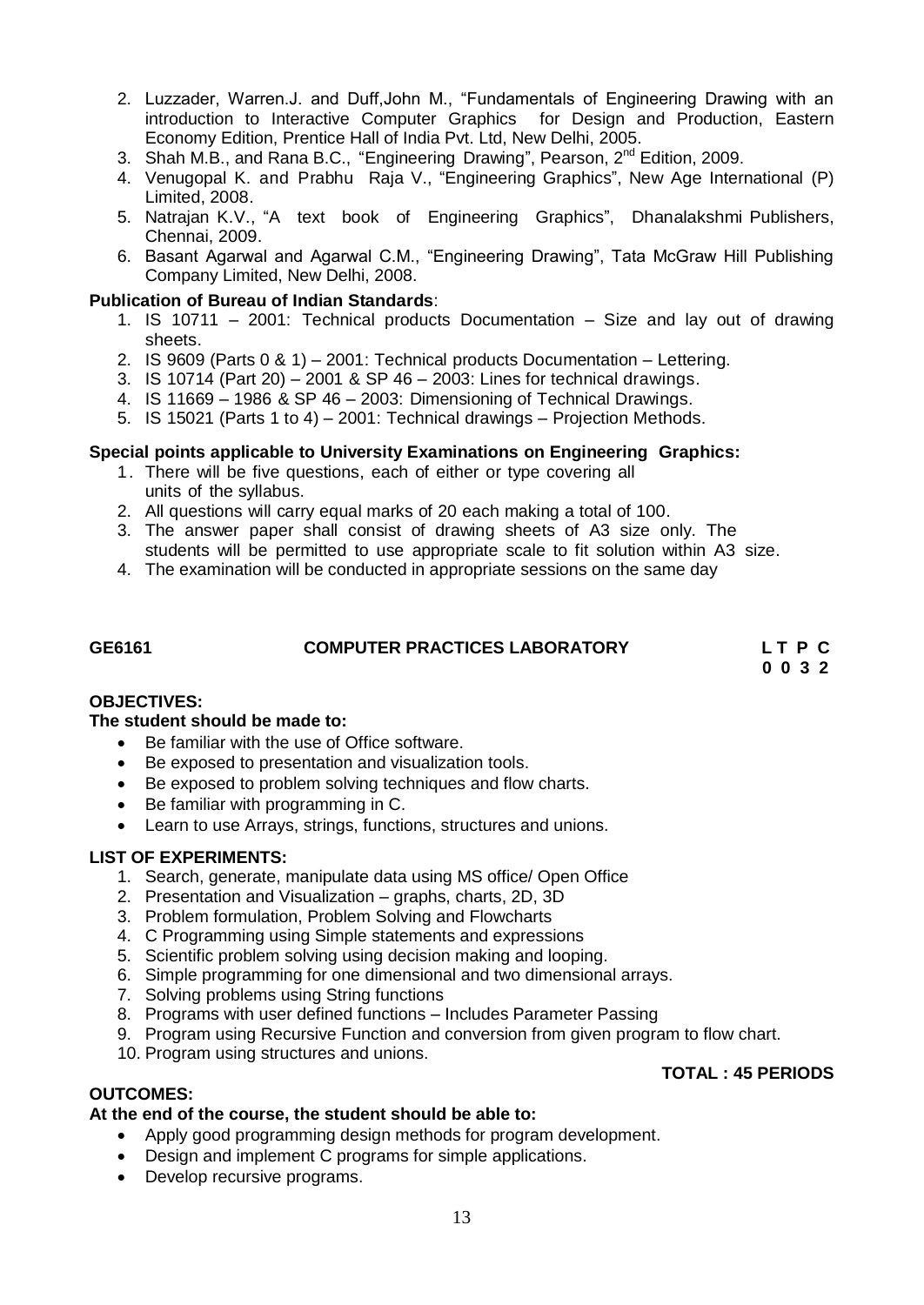- 2. Luzzader, Warren.J. and Duff,John M., "Fundamentals of Engineering Drawing with an introduction to Interactive Computer Graphics for Design and Production, Eastern Economy Edition, Prentice Hall of India Pvt. Ltd, New Delhi, 2005.
- 3. Shah M.B., and Rana B.C., "Engineering Drawing", Pearson, 2<sup>nd</sup> Edition, 2009.
- 4. Venugopal K. and Prabhu Raja V., "Engineering Graphics", New Age International (P) Limited, 2008.
- 5. Natrajan K.V., "A text book of Engineering Graphics", Dhanalakshmi Publishers, Chennai, 2009.
- 6. Basant Agarwal and Agarwal C.M., "Engineering Drawing", Tata McGraw Hill Publishing Company Limited, New Delhi, 2008.

#### **Publication of Bureau of Indian Standards**:

- 1. IS 10711 2001: Technical products Documentation Size and lay out of drawing sheets.
- 2. IS 9609 (Parts 0 & 1) 2001: Technical products Documentation Lettering.
- 3. IS 10714 (Part 20) 2001 & SP 46 2003: Lines for technical drawings.
- 4. IS 11669 1986 & SP 46 2003: Dimensioning of Technical Drawings.
- 5. IS 15021 (Parts 1 to 4) 2001: Technical drawings Projection Methods.

#### **Special points applicable to University Examinations on Engineering Graphics:**

- 1. There will be five questions, each of either or type covering all units of the syllabus.
- 2. All questions will carry equal marks of 20 each making a total of 100.
- 3. The answer paper shall consist of drawing sheets of A3 size only. The students will be permitted to use appropriate scale to fit solution within A3 size.
- 4. The examination will be conducted in appropriate sessions on the same day

#### **GE6161 COMPUTER PRACTICES LABORATORY L T P C**

<span id="page-12-0"></span> **0 0 3 2**

#### **OBJECTIVES:**

#### **The student should be made to:**

- Be familiar with the use of Office software.
- Be exposed to presentation and visualization tools.
- Be exposed to problem solving techniques and flow charts.
- Be familiar with programming in C.
- Learn to use Arrays, strings, functions, structures and unions.

#### **LIST OF EXPERIMENTS:**

- 1. Search, generate, manipulate data using MS office/ Open Office
- 2. Presentation and Visualization graphs, charts, 2D, 3D
- 3. Problem formulation, Problem Solving and Flowcharts
- 4. C Programming using Simple statements and expressions
- 5. Scientific problem solving using decision making and looping.
- 6. Simple programming for one dimensional and two dimensional arrays.
- 7. Solving problems using String functions
- 8. Programs with user defined functions Includes Parameter Passing
- 9. Program using Recursive Function and conversion from given program to flow chart.
- 10. Program using structures and unions.

#### **TOTAL : 45 PERIODS**

#### **OUTCOMES:**

#### **At the end of the course, the student should be able to:**

- Apply good programming design methods for program development.
- Design and implement C programs for simple applications.
- Develop recursive programs.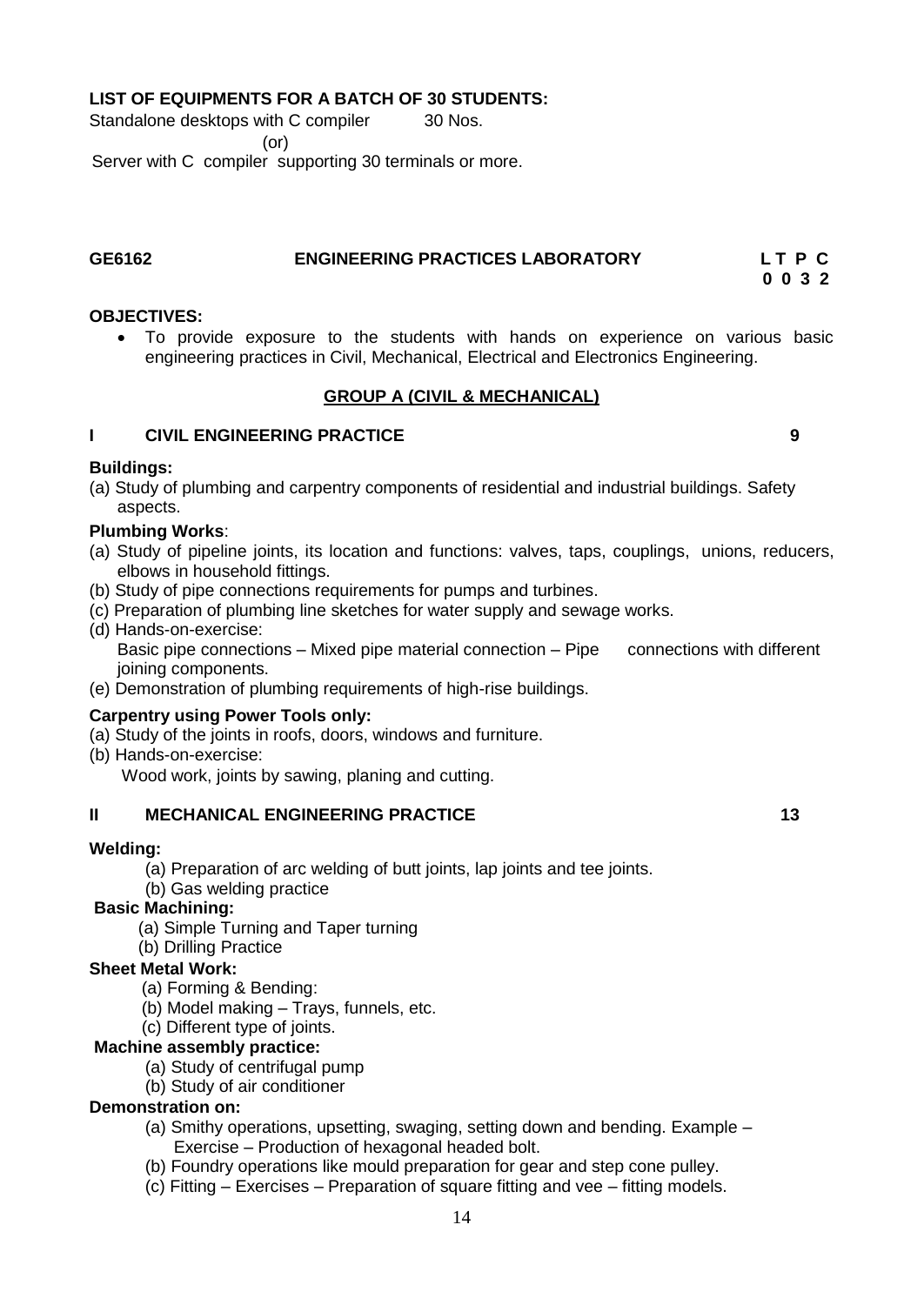#### **LIST OF EQUIPMENTS FOR A BATCH OF 30 STUDENTS:**

Standalone desktops with C compiler 30 Nos. (or)

## Server with C compiler supporting 30 terminals or more.

### **GE6162 ENGINEERING PRACTICES LABORATORY L T P C**

 **0 0 3 2** 

#### **OBJECTIVES:**

 To provide exposure to the students with hands on experience on various basic engineering practices in Civil, Mechanical, Electrical and Electronics Engineering.

#### <span id="page-13-0"></span>**GROUP A (CIVIL & MECHANICAL)**

### **I CIVIL ENGINEERING PRACTICE 9**

#### **Buildings:**

(a) Study of plumbing and carpentry components of residential and industrial buildings. Safety aspects.

#### **Plumbing Works**:

- (a) Study of pipeline joints, its location and functions: valves, taps, couplings, unions, reducers, elbows in household fittings.
- (b) Study of pipe connections requirements for pumps and turbines.
- (c) Preparation of plumbing line sketches for water supply and sewage works.
- (d) Hands-on-exercise: Basic pipe connections – Mixed pipe material connection – Pipe connections with different joining components.
- (e) Demonstration of plumbing requirements of high-rise buildings.

#### **Carpentry using Power Tools only:**

- (a) Study of the joints in roofs, doors, windows and furniture.
- (b) Hands-on-exercise:

Wood work, joints by sawing, planing and cutting.

#### **II MECHANICAL ENGINEERING PRACTICE 13 13**

#### **Welding:**

- (a) Preparation of arc welding of butt joints, lap joints and tee joints.
- (b) Gas welding practice

### **Basic Machining:**

- (a) Simple Turning and Taper turning
- (b) Drilling Practice

#### **Sheet Metal Work:**

- (a) Forming & Bending:
- (b) Model making Trays, funnels, etc.

#### (c) Different type of joints.

#### **Machine assembly practice:**

- (a) Study of centrifugal pump
- (b) Study of air conditioner

#### **Demonstration on:**

- (a) Smithy operations, upsetting, swaging, setting down and bending. Example Exercise – Production of hexagonal headed bolt.
- (b) Foundry operations like mould preparation for gear and step cone pulley.
- (c) Fitting Exercises Preparation of square fitting and vee fitting models.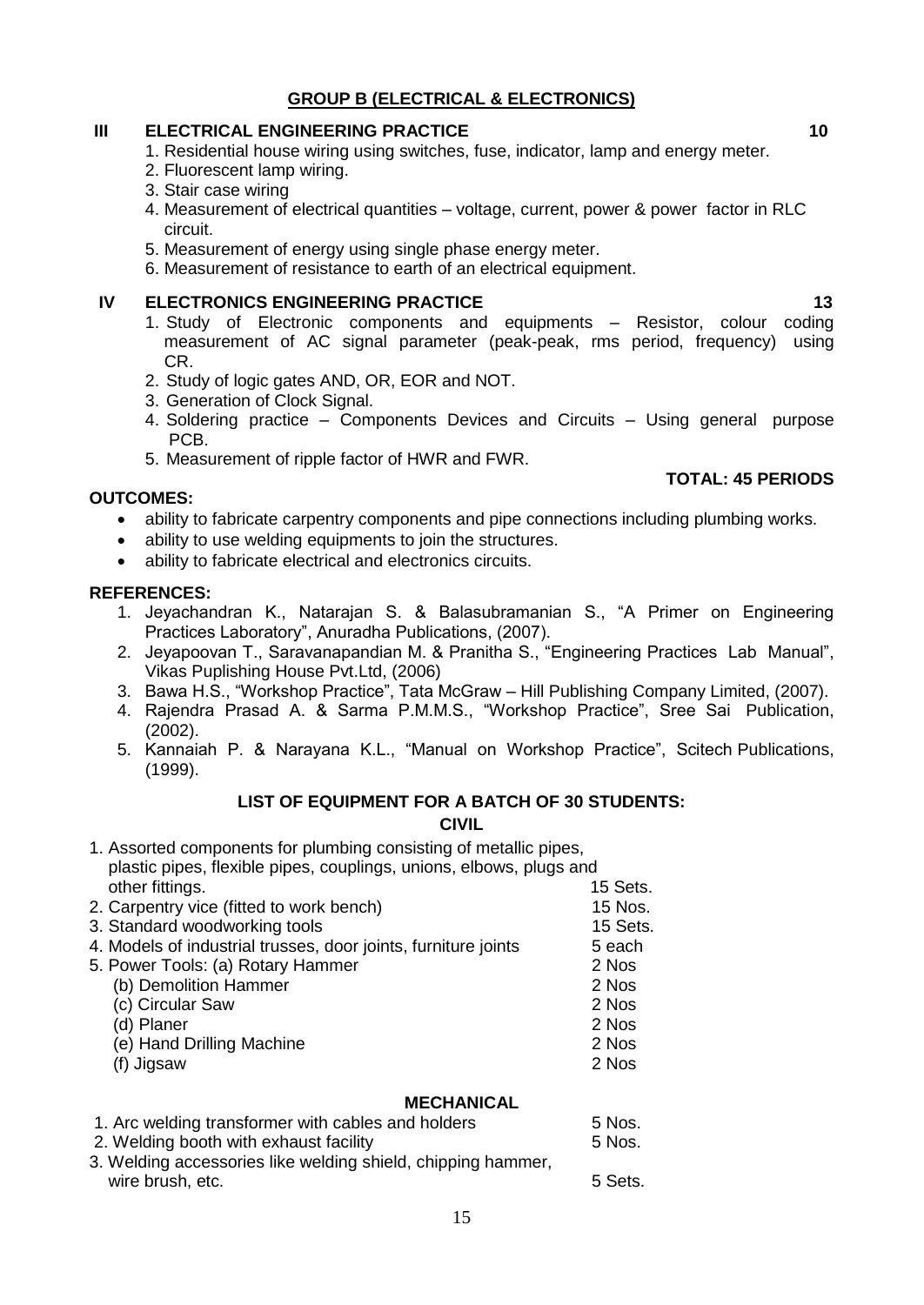### **GROUP B (ELECTRICAL & ELECTRONICS)**

#### **III ELECTRICAL ENGINEERING PRACTICE 10 10 10**

- 1. Residential house wiring using switches, fuse, indicator, lamp and energy meter.
- 2. Fluorescent lamp wiring.
- 3. Stair case wiring
- 4. Measurement of electrical quantities voltage, current, power & power factor in RLC circuit.
- 5. Measurement of energy using single phase energy meter.
- 6. Measurement of resistance to earth of an electrical equipment.

#### **IV ELECTRONICS ENGINEERING PRACTICE 13 13**

- 1. Study of Electronic components and equipments Resistor, colour coding measurement of AC signal parameter (peak-peak, rms period, frequency) using CR.
- 2. Study of logic gates AND, OR, EOR and NOT.
- 3. Generation of Clock Signal.
- 4. Soldering practice Components Devices and Circuits Using general purpose PCB.
- 5. Measurement of ripple factor of HWR and FWR.

#### **OUTCOMES:**

- ability to fabricate carpentry components and pipe connections including plumbing works.
- ability to use welding equipments to join the structures.
- ability to fabricate electrical and electronics circuits.

#### **REFERENCES:**

- 1. Jeyachandran K., Natarajan S. & Balasubramanian S., "A Primer on Engineering Practices Laboratory", Anuradha Publications, (2007).
- 2. Jeyapoovan T., Saravanapandian M. & Pranitha S., "Engineering Practices Lab Manual", Vikas Puplishing House Pvt.Ltd, (2006)
- 3. Bawa H.S., "Workshop Practice", Tata McGraw Hill Publishing Company Limited, (2007).
- 4. Rajendra Prasad A. & Sarma P.M.M.S., "Workshop Practice", Sree Sai Publication, (2002).
- 5. Kannaiah P. & Narayana K.L., "Manual on Workshop Practice", Scitech Publications, (1999).

#### **LIST OF EQUIPMENT FOR A BATCH OF 30 STUDENTS:**

#### **CIVIL**

| 1. Assorted components for plumbing consisting of metallic pipes,<br>plastic pipes, flexible pipes, couplings, unions, elbows, plugs and |          |
|------------------------------------------------------------------------------------------------------------------------------------------|----------|
| other fittings.                                                                                                                          | 15 Sets. |
| 2. Carpentry vice (fitted to work bench)                                                                                                 | 15 Nos.  |
| 3. Standard woodworking tools                                                                                                            | 15 Sets. |
| 4. Models of industrial trusses, door joints, furniture joints                                                                           | 5 each   |
| 5. Power Tools: (a) Rotary Hammer                                                                                                        | 2 Nos    |
| (b) Demolition Hammer                                                                                                                    | 2 Nos    |
| (c) Circular Saw                                                                                                                         | 2 Nos    |
| (d) Planer                                                                                                                               | 2 Nos    |
| (e) Hand Drilling Machine                                                                                                                | 2 Nos    |
| (f) Jigsaw                                                                                                                               | 2 Nos    |

#### **MECHANICAL**

| 1. Arc welding transformer with cables and holders           | 5 Nos.  |
|--------------------------------------------------------------|---------|
| 2. Welding booth with exhaust facility                       | 5 Nos.  |
| 3. Welding accessories like welding shield, chipping hammer, |         |
| wire brush, etc.                                             | 5 Sets. |
|                                                              |         |

#### **TOTAL: 45 PERIODS**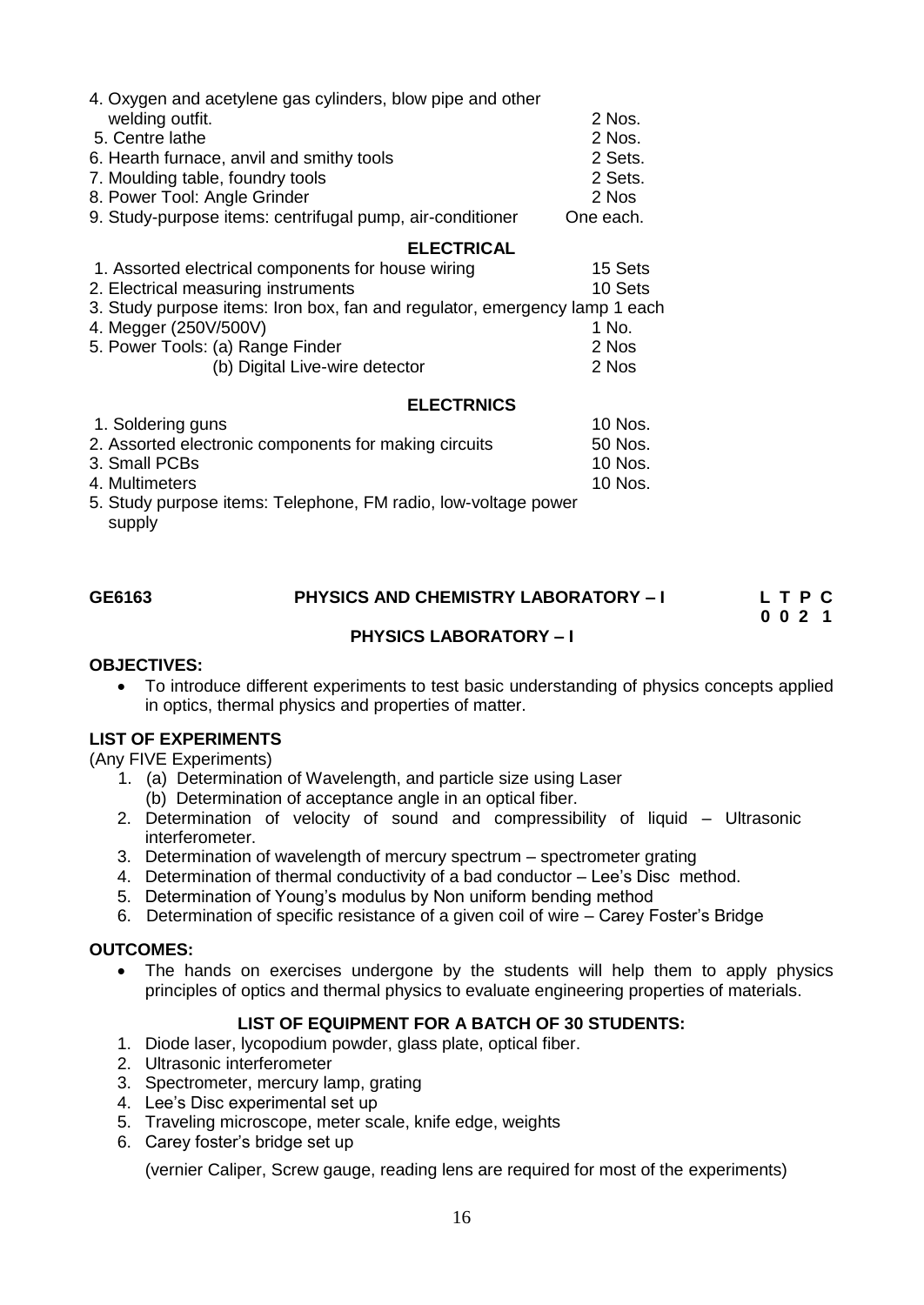| 4. Oxygen and acetylene gas cylinders, blow pipe and other                 |           |
|----------------------------------------------------------------------------|-----------|
| welding outfit.                                                            | 2 Nos.    |
| 5. Centre lathe                                                            | 2 Nos.    |
| 6. Hearth furnace, anvil and smithy tools                                  | 2 Sets.   |
| 7. Moulding table, foundry tools                                           | 2 Sets.   |
| 8. Power Tool: Angle Grinder                                               | 2 Nos     |
| 9. Study-purpose items: centrifugal pump, air-conditioner                  | One each. |
| <b>ELECTRICAL</b>                                                          |           |
| 1. Assorted electrical components for house wiring                         | 15 Sets   |
| 2. Electrical measuring instruments                                        | 10 Sets   |
| 3. Study purpose items: Iron box, fan and regulator, emergency lamp 1 each |           |
| 4. Megger (250V/500V)                                                      | 1 No.     |
| 5. Power Tools: (a) Range Finder                                           | 2 Nos     |
| (b) Digital Live-wire detector                                             | 2 Nos     |
| <b>ELECTRNICS</b>                                                          |           |
| 1. Soldering guns                                                          | 10 Nos.   |

| u. Julienny yuns                                               | 10 1905. |
|----------------------------------------------------------------|----------|
| 2. Assorted electronic components for making circuits          | 50 Nos.  |
| 3. Small PCBs                                                  | 10 Nos.  |
| 4. Multimeters                                                 | 10 Nos.  |
| 5. Study purpose items: Telephone, FM radio, low-voltage power |          |

supply

| GE6163 | <b>PHYSICS AND CHEMISTRY LABORATORY - I</b> | LTPC |
|--------|---------------------------------------------|------|
|        |                                             | 0021 |

#### <span id="page-15-0"></span> **PHYSICS LABORATORY – I**

#### **OBJECTIVES:**

 To introduce different experiments to test basic understanding of physics concepts applied in optics, thermal physics and properties of matter.

#### **LIST OF EXPERIMENTS**

(Any FIVE Experiments)

- 1. (a) Determination of Wavelength, and particle size using Laser
	- (b) Determination of acceptance angle in an optical fiber.
- 2. Determination of velocity of sound and compressibility of liquid Ultrasonic interferometer.
- 3. Determination of wavelength of mercury spectrum spectrometer grating
- 4. Determination of thermal conductivity of a bad conductor Lee's Disc method.
- 5. Determination of Young"s modulus by Non uniform bending method
- 6. Determination of specific resistance of a given coil of wire Carey Foster"s Bridge

#### **OUTCOMES:**

• The hands on exercises undergone by the students will help them to apply physics principles of optics and thermal physics to evaluate engineering properties of materials.

#### **LIST OF EQUIPMENT FOR A BATCH OF 30 STUDENTS:**

- 1. Diode laser, lycopodium powder, glass plate, optical fiber.
- 2. Ultrasonic interferometer
- 3. Spectrometer, mercury lamp, grating
- 4. Lee"s Disc experimental set up
- 5. Traveling microscope, meter scale, knife edge, weights
- 6. Carey foster"s bridge set up

(vernier Caliper, Screw gauge, reading lens are required for most of the experiments)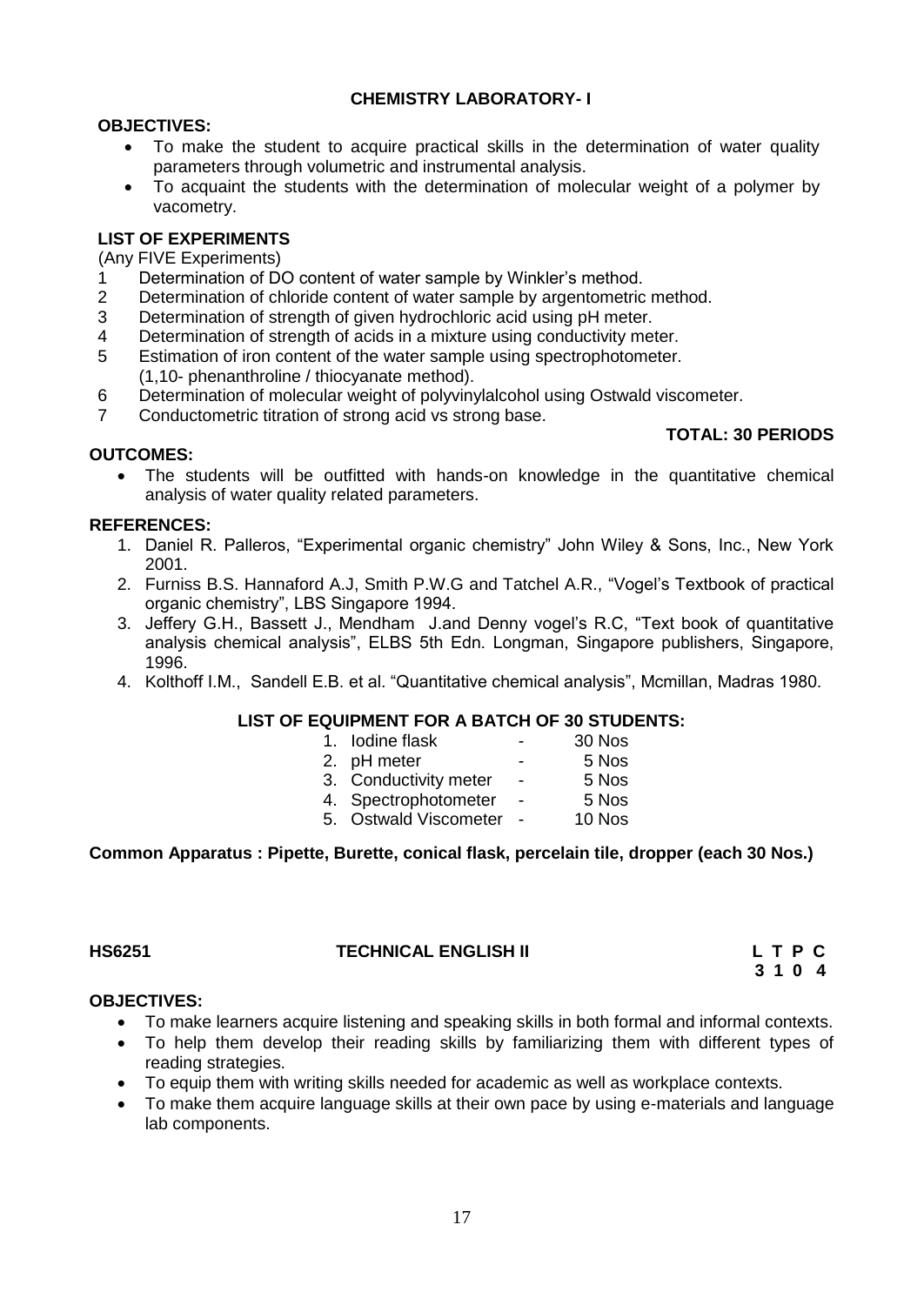### **CHEMISTRY LABORATORY- I**

#### **OBJECTIVES:**

- To make the student to acquire practical skills in the determination of water quality parameters through volumetric and instrumental analysis.
- To acquaint the students with the determination of molecular weight of a polymer by vacometry.

#### **LIST OF EXPERIMENTS**

(Any FIVE Experiments)

- 1 Determination of DO content of water sample by Winkler"s method.
- 2 Determination of chloride content of water sample by argentometric method.
- 3 Determination of strength of given hydrochloric acid using pH meter.
- 4 Determination of strength of acids in a mixture using conductivity meter.
- 5 Estimation of iron content of the water sample using spectrophotometer. (1,10- phenanthroline / thiocyanate method).
- 6 Determination of molecular weight of polyvinylalcohol using Ostwald viscometer.
- 7 Conductometric titration of strong acid vs strong base.

#### **OUTCOMES:**

- 
- The students will be outfitted with hands-on knowledge in the quantitative chemical analysis of water quality related parameters.

#### **REFERENCES:**

- 1. Daniel R. Palleros, "Experimental organic chemistry" John Wiley & Sons, Inc., New York 2001.
- 2. Furniss B.S. Hannaford A.J, Smith P.W.G and Tatchel A.R., "Vogel"s Textbook of practical organic chemistry", LBS Singapore 1994.
- 3. Jeffery G.H., Bassett J., Mendham J.and Denny vogel"s R.C, "Text book of quantitative analysis chemical analysis", ELBS 5th Edn. Longman, Singapore publishers, Singapore, 1996.
- 4. Kolthoff I.M., Sandell E.B. et al. "Quantitative chemical analysis", Mcmillan, Madras 1980.

#### **LIST OF EQUIPMENT FOR A BATCH OF 30 STUDENTS:**

| 1. Iodine flask                                                                                                                                                                                                                                                                                                                    | - | 30 Nos |
|------------------------------------------------------------------------------------------------------------------------------------------------------------------------------------------------------------------------------------------------------------------------------------------------------------------------------------|---|--------|
| 2. pH meter                                                                                                                                                                                                                                                                                                                        | - | 5 Nos  |
| $\mathbf{a}$ $\mathbf{a}$ $\mathbf{a}$ $\mathbf{a}$ $\mathbf{a}$ $\mathbf{b}$ $\mathbf{a}$ $\mathbf{b}$ $\mathbf{b}$ $\mathbf{b}$ $\mathbf{b}$ $\mathbf{b}$ $\mathbf{c}$ $\mathbf{a}$ $\mathbf{b}$ $\mathbf{c}$ $\mathbf{c}$ $\mathbf{b}$ $\mathbf{c}$ $\mathbf{c}$ $\mathbf{b}$ $\mathbf{c}$ $\mathbf{c}$ $\mathbf{b}$ $\mathbf{$ |   |        |

- 3. Conductivity meter 5 Nos 4. Spectrophotometer - 5 Nos
- 
- <span id="page-16-0"></span>5. Ostwald Viscometer - 10 Nos

#### **Common Apparatus : Pipette, Burette, conical flask, percelain tile, dropper (each 30 Nos.)**

#### **HS6251 TECHNICAL ENGLISH II L T P C**

 **3 1 0 4**

**TOTAL: 30 PERIODS** 

#### **OBJECTIVES:**

- To make learners acquire listening and speaking skills in both formal and informal contexts.
- To help them develop their reading skills by familiarizing them with different types of reading strategies.
- To equip them with writing skills needed for academic as well as workplace contexts.
- To make them acquire language skills at their own pace by using e-materials and language lab components.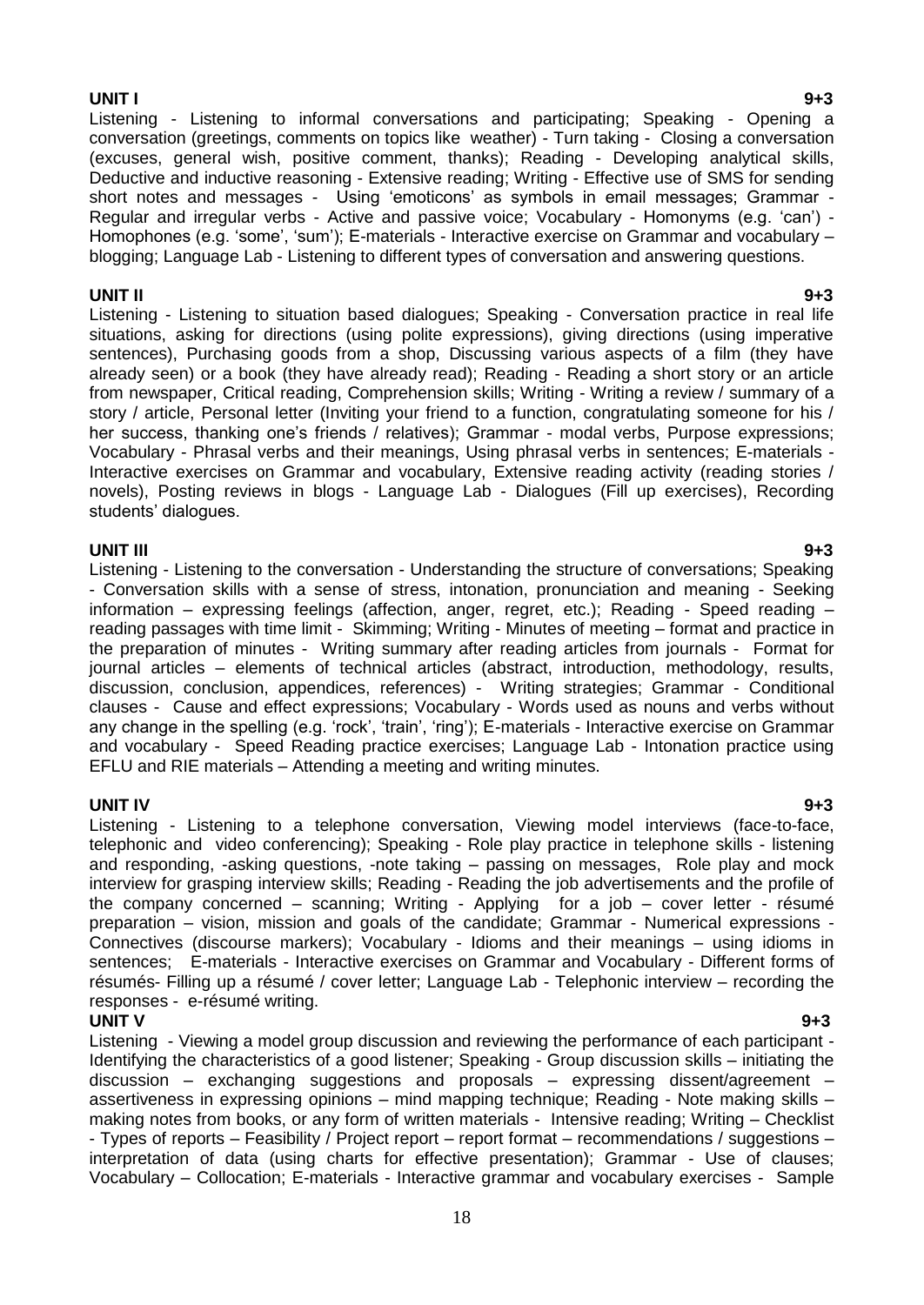**UNIT I 9+3** Listening - Listening to informal conversations and participating; Speaking - Opening a conversation (greetings, comments on topics like weather) - Turn taking - Closing a conversation (excuses, general wish, positive comment, thanks); Reading - Developing analytical skills, Deductive and inductive reasoning - Extensive reading; Writing - Effective use of SMS for sending short notes and messages - Using 'emoticons' as symbols in email messages; Grammar -Regular and irregular verbs - Active and passive voice; Vocabulary - Homonyms (e.g. "can") - Homophones (e.g. 'some', 'sum'); E-materials - Interactive exercise on Grammar and vocabulary blogging; Language Lab - Listening to different types of conversation and answering questions.

**UNIT II 9+3** Listening - Listening to situation based dialogues; Speaking - Conversation practice in real life situations, asking for directions (using polite expressions), giving directions (using imperative sentences), Purchasing goods from a shop, Discussing various aspects of a film (they have already seen) or a book (they have already read); Reading - Reading a short story or an article from newspaper, Critical reading, Comprehension skills; Writing - Writing a review / summary of a story / article, Personal letter (Inviting your friend to a function, congratulating someone for his / her success, thanking one's friends / relatives); Grammar - modal verbs, Purpose expressions; Vocabulary - Phrasal verbs and their meanings, Using phrasal verbs in sentences; E-materials - Interactive exercises on Grammar and vocabulary, Extensive reading activity (reading stories / novels), Posting reviews in blogs - Language Lab - Dialogues (Fill up exercises), Recording students' dialoques.

**UNIT III 9+3** Listening - Listening to the conversation - Understanding the structure of conversations; Speaking - Conversation skills with a sense of stress, intonation, pronunciation and meaning - Seeking information – expressing feelings (affection, anger, regret, etc.); Reading - Speed reading – reading passages with time limit - Skimming; Writing - Minutes of meeting – format and practice in the preparation of minutes - Writing summary after reading articles from journals - Format for journal articles – elements of technical articles (abstract, introduction, methodology, results, discussion, conclusion, appendices, references) - Writing strategies; Grammar - Conditional clauses - Cause and effect expressions; Vocabulary - Words used as nouns and verbs without any change in the spelling (e.g. "rock", "train", "ring"); E-materials - Interactive exercise on Grammar and vocabulary - Speed Reading practice exercises; Language Lab - Intonation practice using EFLU and RIE materials – Attending a meeting and writing minutes.

**UNIT IV 9+3** Listening - Listening to a telephone conversation, Viewing model interviews (face-to-face, telephonic and video conferencing); Speaking - Role play practice in telephone skills - listening and responding, -asking questions, -note taking – passing on messages, Role play and mock interview for grasping interview skills; Reading - Reading the job advertisements and the profile of the company concerned – scanning; Writing - Applying for a job – cover letter - résumé preparation – vision, mission and goals of the candidate; Grammar - Numerical expressions - Connectives (discourse markers); Vocabulary - Idioms and their meanings – using idioms in sentences; E-materials - Interactive exercises on Grammar and Vocabulary - Different forms of résumés- Filling up a résumé / cover letter; Language Lab - Telephonic interview – recording the responses - e-résumé writing.

#### **UNIT V 9+3**

Listening - Viewing a model group discussion and reviewing the performance of each participant - Identifying the characteristics of a good listener; Speaking - Group discussion skills – initiating the discussion – exchanging suggestions and proposals – expressing dissent/agreement – assertiveness in expressing opinions – mind mapping technique; Reading - Note making skills – making notes from books, or any form of written materials - Intensive reading; Writing – Checklist - Types of reports – Feasibility / Project report – report format – recommendations / suggestions – interpretation of data (using charts for effective presentation); Grammar - Use of clauses; Vocabulary – Collocation; E-materials - Interactive grammar and vocabulary exercises - Sample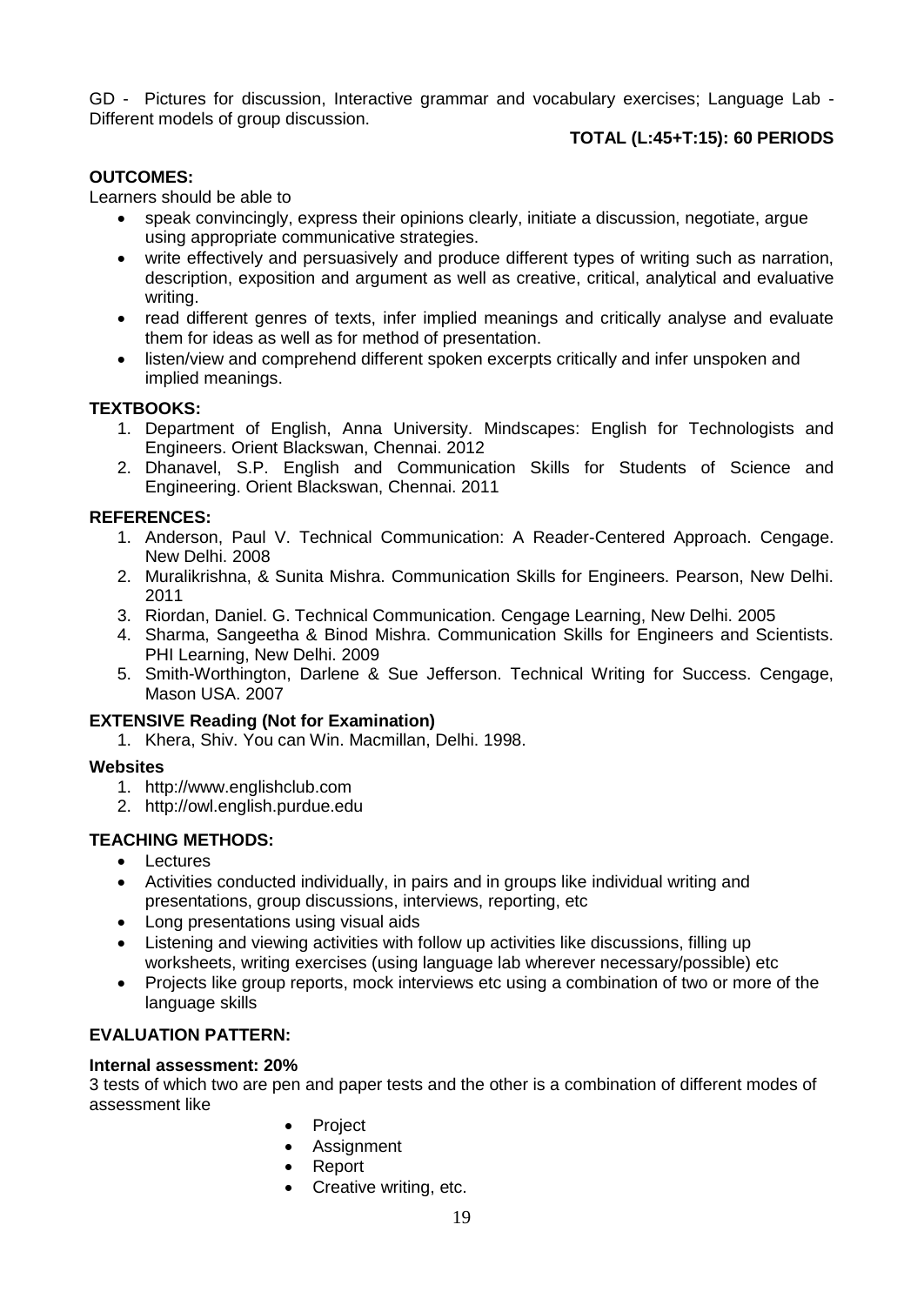GD - Pictures for discussion, Interactive grammar and vocabulary exercises; Language Lab - Different models of group discussion.

### **TOTAL (L:45+T:15): 60 PERIODS**

#### **OUTCOMES:**

Learners should be able to

- speak convincingly, express their opinions clearly, initiate a discussion, negotiate, argue using appropriate communicative strategies.
- write effectively and persuasively and produce different types of writing such as narration, description, exposition and argument as well as creative, critical, analytical and evaluative writing.
- read different genres of texts, infer implied meanings and critically analyse and evaluate them for ideas as well as for method of presentation.
- listen/view and comprehend different spoken excerpts critically and infer unspoken and implied meanings.

#### **TEXTBOOKS:**

- 1. Department of English, Anna University. Mindscapes: English for Technologists and Engineers. Orient Blackswan, Chennai. 2012
- 2. Dhanavel, S.P. English and Communication Skills for Students of Science and Engineering. Orient Blackswan, Chennai. 2011

#### **REFERENCES:**

- 1. Anderson, Paul V. Technical Communication: A Reader-Centered Approach. Cengage. New Delhi. 2008
- 2. Muralikrishna, & Sunita Mishra. Communication Skills for Engineers. Pearson, New Delhi. 2011
- 3. Riordan, Daniel. G. Technical Communication. Cengage Learning, New Delhi. 2005
- 4. Sharma, Sangeetha & Binod Mishra. Communication Skills for Engineers and Scientists. PHI Learning, New Delhi. 2009
- 5. Smith-Worthington, Darlene & Sue Jefferson. Technical Writing for Success. Cengage, Mason USA. 2007

#### **EXTENSIVE Reading (Not for Examination)**

1. Khera, Shiv. You can Win. Macmillan, Delhi. 1998.

#### **Websites**

- 1. http://www.englishclub.com
- 2. http://owl.english.purdue.edu

### **TEACHING METHODS:**

- Lectures
- Activities conducted individually, in pairs and in groups like individual writing and presentations, group discussions, interviews, reporting, etc
- Long presentations using visual aids
- Listening and viewing activities with follow up activities like discussions, filling up worksheets, writing exercises (using language lab wherever necessary/possible) etc
- Projects like group reports, mock interviews etc using a combination of two or more of the language skills

### **EVALUATION PATTERN:**

#### **Internal assessment: 20%**

3 tests of which two are pen and paper tests and the other is a combination of different modes of assessment like

- Project
- Assignment
- Report
- Creative writing, etc.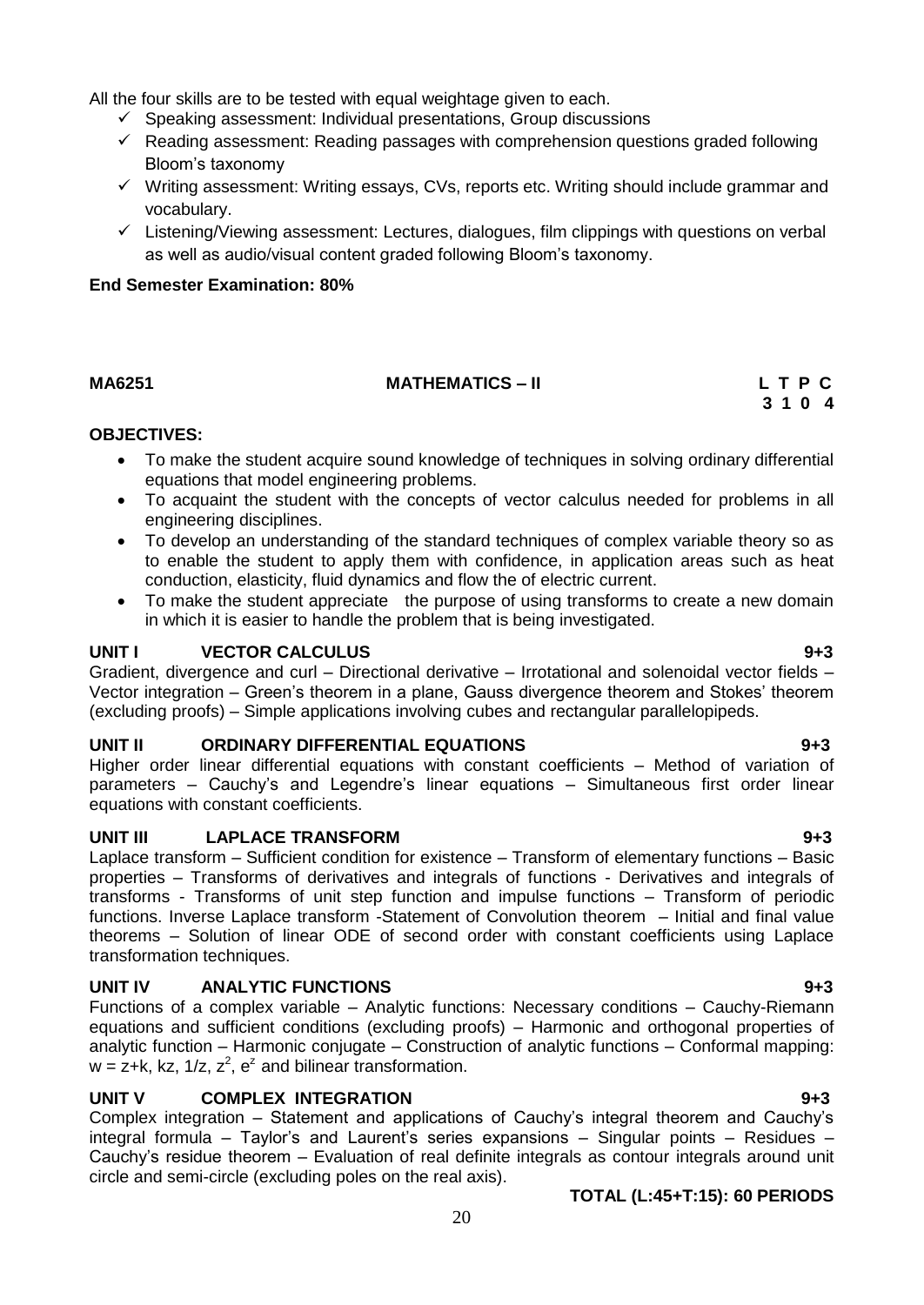All the four skills are to be tested with equal weightage given to each.

- $\checkmark$  Speaking assessment: Individual presentations, Group discussions
- $\checkmark$  Reading assessment: Reading passages with comprehension questions graded following Bloom"s taxonomy
- $\checkmark$  Writing assessment: Writing essays, CVs, reports etc. Writing should include grammar and vocabulary.
- $\checkmark$  Listening/Viewing assessment: Lectures, dialogues, film clippings with questions on verbal as well as audio/visual content graded following Bloom"s taxonomy.

#### **End Semester Examination: 80%**

## **MA6251 MATHEMATICS – II L T P C**

# **3 1 0 4**

#### **OBJECTIVES:**

- <span id="page-19-0"></span> To make the student acquire sound knowledge of techniques in solving ordinary differential equations that model engineering problems.
- To acquaint the student with the concepts of vector calculus needed for problems in all engineering disciplines.
- To develop an understanding of the standard techniques of complex variable theory so as to enable the student to apply them with confidence, in application areas such as heat conduction, elasticity, fluid dynamics and flow the of electric current.
- To make the student appreciate the purpose of using transforms to create a new domain in which it is easier to handle the problem that is being investigated.

#### **UNIT I VECTOR CALCULUS 9+3**

Gradient, divergence and curl – Directional derivative – Irrotational and solenoidal vector fields – Vector integration – Green"s theorem in a plane, Gauss divergence theorem and Stokes" theorem (excluding proofs) – Simple applications involving cubes and rectangular parallelopipeds.

#### **UNIT II ORDINARY DIFFERENTIAL EQUATIONS 9+3**

Higher order linear differential equations with constant coefficients – Method of variation of parameters – Cauchy's and Legendre's linear equations – Simultaneous first order linear equations with constant coefficients.

#### **UNIT III LAPLACE TRANSFORM 9+3**

Laplace transform – Sufficient condition for existence – Transform of elementary functions – Basic properties – Transforms of derivatives and integrals of functions - Derivatives and integrals of transforms - Transforms of unit step function and impulse functions – Transform of periodic functions. Inverse Laplace transform -Statement of Convolution theorem – Initial and final value theorems – Solution of linear ODE of second order with constant coefficients using Laplace transformation techniques.

### **UNIT IV ANALYTIC FUNCTIONS 9+3**

Functions of a complex variable – Analytic functions: Necessary conditions – Cauchy-Riemann equations and sufficient conditions (excluding proofs) – Harmonic and orthogonal properties of analytic function – Harmonic conjugate – Construction of analytic functions – Conformal mapping:  $w = z + k$ , kz, 1/z,  $z^2$ ,  $e^z$  and bilinear transformation.

### **UNIT V COMPLEX INTEGRATION 9+3**

Complex integration – Statement and applications of Cauchy"s integral theorem and Cauchy"s integral formula – Taylor"s and Laurent"s series expansions – Singular points – Residues – Cauchy"s residue theorem – Evaluation of real definite integrals as contour integrals around unit circle and semi-circle (excluding poles on the real axis).

#### **TOTAL (L:45+T:15): 60 PERIODS**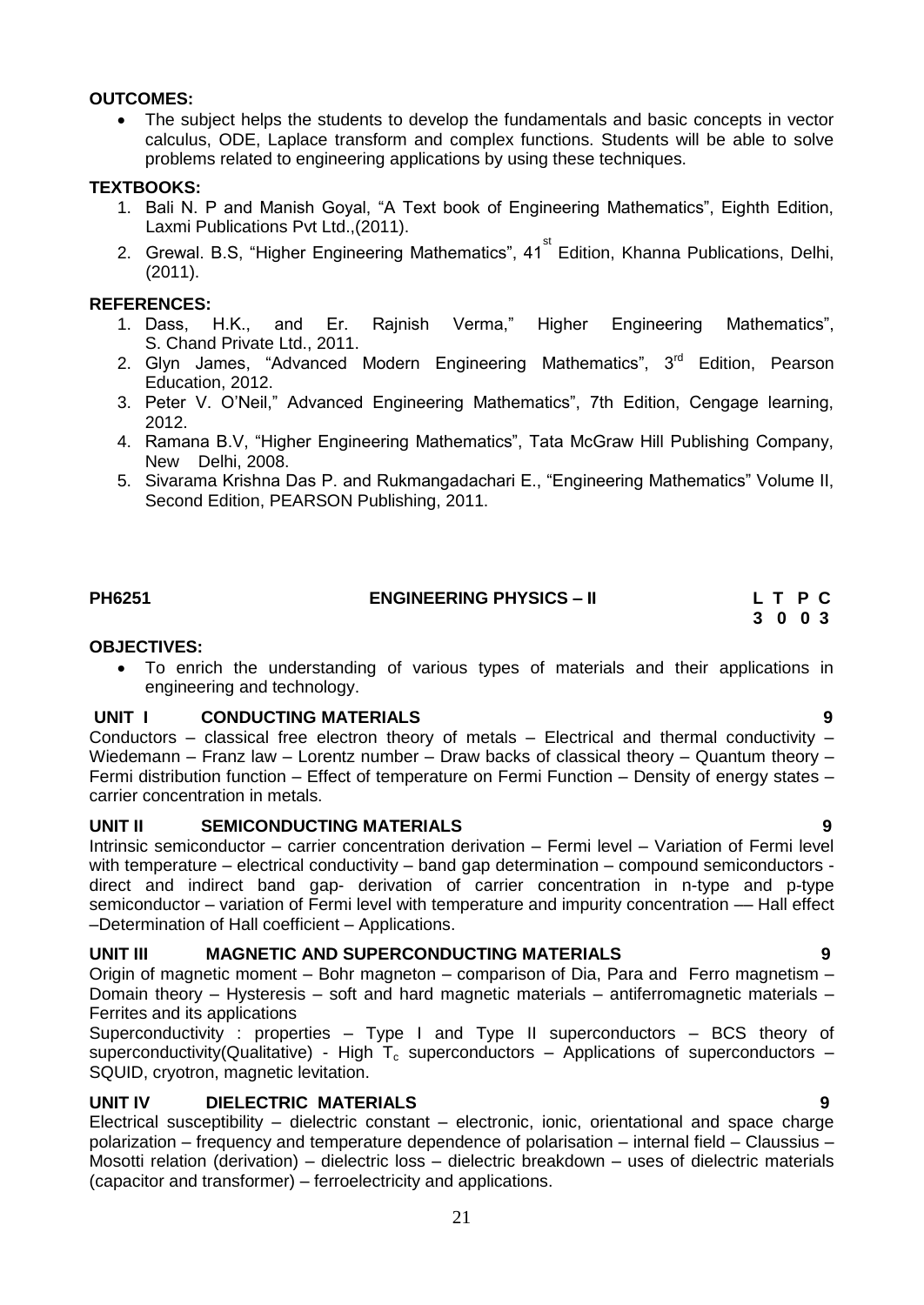#### **OUTCOMES:**

 The subject helps the students to develop the fundamentals and basic concepts in vector calculus, ODE, Laplace transform and complex functions. Students will be able to solve problems related to engineering applications by using these techniques.

#### **TEXTBOOKS:**

- 1. Bali N. P and Manish Goyal, "A Text book of Engineering Mathematics", Eighth Edition, Laxmi Publications Pvt Ltd.,(2011).
- 2. Grewal. B.S, "Higher Engineering Mathematics", 41<sup>st</sup> Edition, Khanna Publications, Delhi, (2011).

#### **REFERENCES:**

- 1. Dass, H.K., and Er. Rajnish Verma," Higher Engineering Mathematics", S. Chand Private Ltd., 2011.
- 2. Glyn James, "Advanced Modern Engineering Mathematics", 3<sup>rd</sup> Edition, Pearson Education, 2012.
- 3. Peter V. O"Neil," Advanced Engineering Mathematics", 7th Edition, Cengage learning, 2012.
- 4. Ramana B.V, "Higher Engineering Mathematics", Tata McGraw Hill Publishing Company, New Delhi, 2008.
- 5. Sivarama Krishna Das P. and Rukmangadachari E., "Engineering Mathematics" Volume II, Second Edition, PEARSON Publishing, 2011.

### **PH6251 ENGINEERING PHYSICS – II L T P C**

# **3 0 0 3**

#### **OBJECTIVES:**

<span id="page-20-0"></span> To enrich the understanding of various types of materials and their applications in engineering and technology.

#### **UNIT I CONDUCTING MATERIALS 9**

Conductors – classical free electron theory of metals – Electrical and thermal conductivity – Wiedemann – Franz law – Lorentz number – Draw backs of classical theory – Quantum theory – Fermi distribution function – Effect of temperature on Fermi Function – Density of energy states – carrier concentration in metals.

#### **UNIT II SEMICONDUCTING MATERIALS 9**

Intrinsic semiconductor – carrier concentration derivation – Fermi level – Variation of Fermi level with temperature – electrical conductivity – band gap determination – compound semiconductors direct and indirect band gap- derivation of carrier concentration in n-type and p-type semiconductor – variation of Fermi level with temperature and impurity concentration - Hall effect –Determination of Hall coefficient – Applications.

#### **UNIT III MAGNETIC AND SUPERCONDUCTING MATERIALS 9**

Origin of magnetic moment – Bohr magneton – comparison of Dia, Para and Ferro magnetism – Domain theory – Hysteresis – soft and hard magnetic materials – antiferromagnetic materials – Ferrites and its applications

Superconductivity : properties – Type I and Type II superconductors – BCS theory of superconductivity(Qualitative) - High  $T_c$  superconductors – Applications of superconductors – SQUID, cryotron, magnetic levitation.

#### **UNIT IV DIELECTRIC MATERIALS 9**

Electrical susceptibility – dielectric constant – electronic, ionic, orientational and space charge polarization – frequency and temperature dependence of polarisation – internal field – Claussius – Mosotti relation (derivation) – dielectric loss – dielectric breakdown – uses of dielectric materials (capacitor and transformer) – ferroelectricity and applications.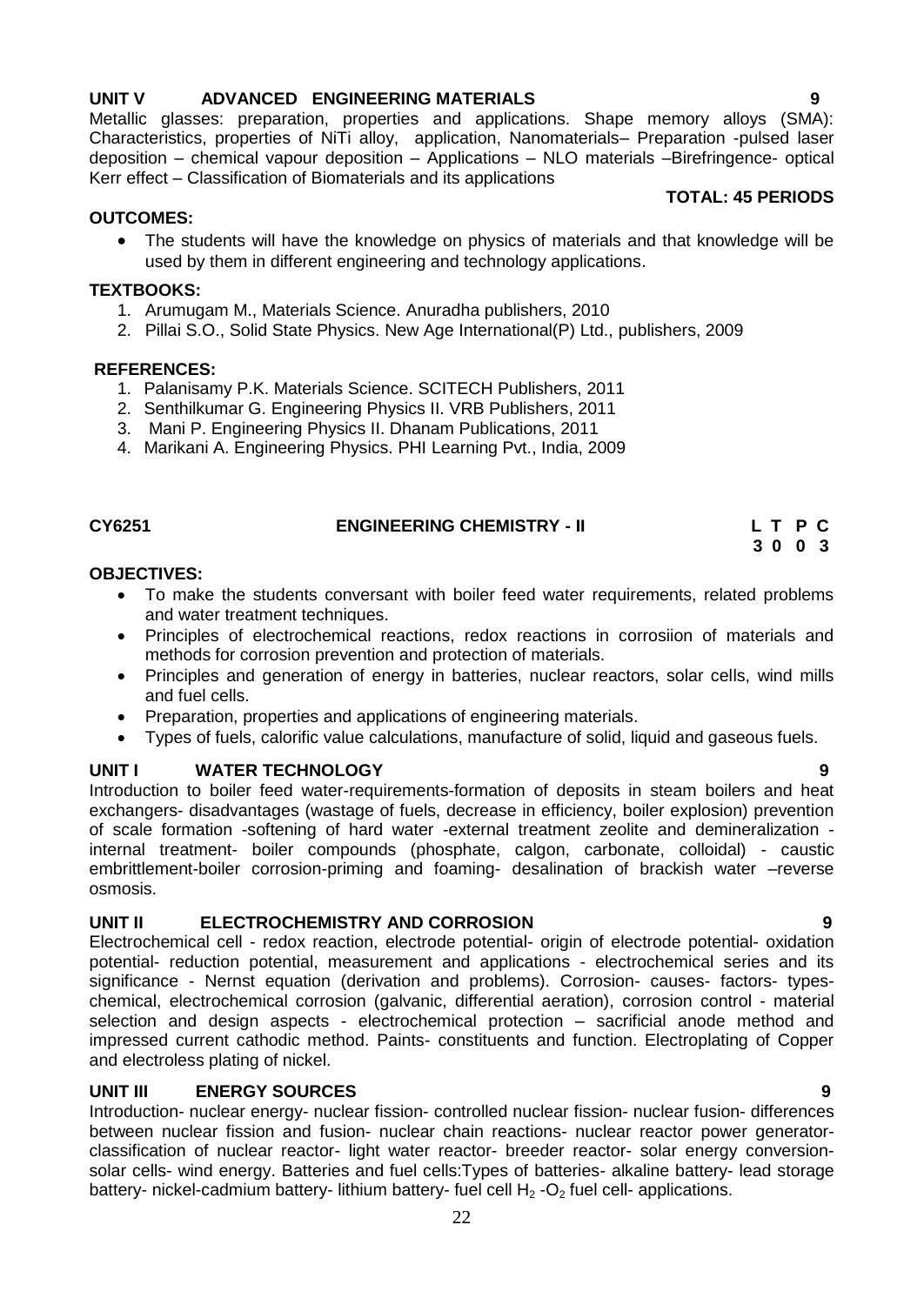#### 22

### **UNIT V ADVANCED ENGINEERING MATERIALS 9**

Metallic glasses: preparation, properties and applications. Shape memory alloys (SMA): Characteristics, properties of NiTi alloy, application, Nanomaterials– Preparation -pulsed laser deposition – chemical vapour deposition – Applications – NLO materials –Birefringence- optical Kerr effect – Classification of Biomaterials and its applications

#### **TOTAL: 45 PERIODS**

#### **OUTCOMES:**

• The students will have the knowledge on physics of materials and that knowledge will be used by them in different engineering and technology applications.

#### **TEXTBOOKS:**

- 1. Arumugam M., Materials Science. Anuradha publishers, 2010
- 2. Pillai S.O., Solid State Physics. New Age International(P) Ltd., publishers, 2009

#### **REFERENCES:**

- 1. Palanisamy P.K. Materials Science. SCITECH Publishers, 2011
- 2. Senthilkumar G. Engineering Physics II. VRB Publishers, 2011
- 3. Mani P. Engineering Physics II. Dhanam Publications, 2011
- 4. Marikani A. Engineering Physics. PHI Learning Pvt., India, 2009

#### **CY6251 ENGINEERING CHEMISTRY - II L T P C 3 0 0 3**

#### **OBJECTIVES:**

- <span id="page-21-0"></span> To make the students conversant with boiler feed water requirements, related problems and water treatment techniques.
- Principles of electrochemical reactions, redox reactions in corrosiion of materials and methods for corrosion prevention and protection of materials.
- Principles and generation of energy in batteries, nuclear reactors, solar cells, wind mills and fuel cells.
- Preparation, properties and applications of engineering materials.
- Types of fuels, calorific value calculations, manufacture of solid, liquid and gaseous fuels.

### **UNIT I WATER TECHNOLOGY 9**

Introduction to boiler feed water-requirements-formation of deposits in steam boilers and heat exchangers- disadvantages (wastage of fuels, decrease in efficiency, boiler explosion) prevention of scale formation -softening of hard water -external treatment zeolite and demineralization internal treatment- boiler compounds (phosphate, calgon, carbonate, colloidal) - caustic embrittlement-boiler corrosion-priming and foaming- desalination of brackish water –reverse osmosis.

### **UNIT II ELECTROCHEMISTRY AND CORROSION 9**

Electrochemical cell - redox reaction, electrode potential- origin of electrode potential- oxidation potential- reduction potential, measurement and applications - electrochemical series and its significance - Nernst equation (derivation and problems). Corrosion- causes- factors- typeschemical, electrochemical corrosion (galvanic, differential aeration), corrosion control - material selection and design aspects - electrochemical protection – sacrificial anode method and impressed current cathodic method. Paints- constituents and function. Electroplating of Copper and electroless plating of nickel.

### **UNIT III ENERGY SOURCES 9**

Introduction- nuclear energy- nuclear fission- controlled nuclear fission- nuclear fusion- differences between nuclear fission and fusion- nuclear chain reactions- nuclear reactor power generatorclassification of nuclear reactor- light water reactor- breeder reactor- solar energy conversionsolar cells- wind energy. Batteries and fuel cells:Types of batteries- alkaline battery- lead storage battery- nickel-cadmium battery- lithium battery- fuel cell  $H_2$ -O<sub>2</sub> fuel cell- applications.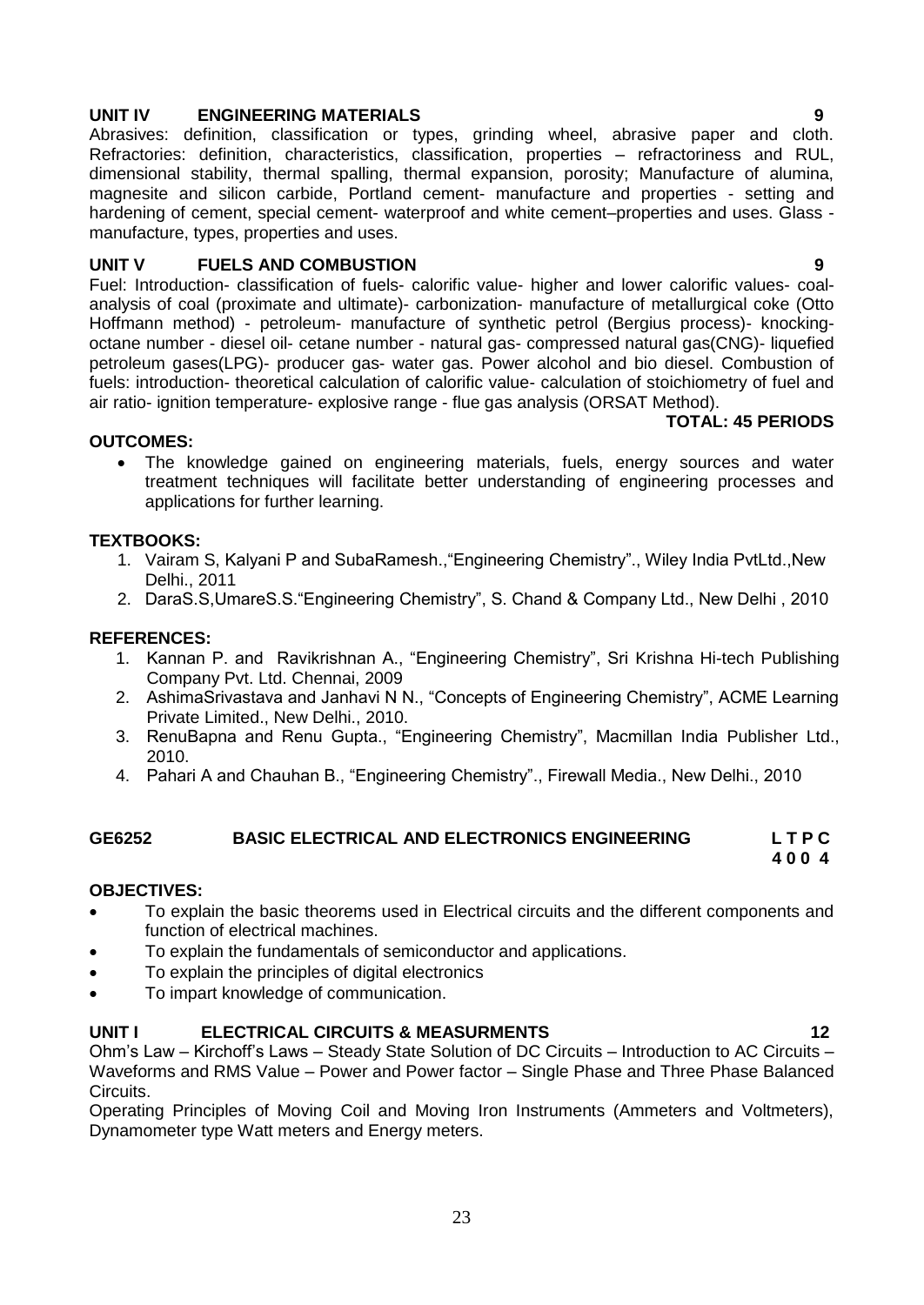#### **UNIT IV ENGINEERING MATERIALS 9**

Abrasives: definition, classification or types, grinding wheel, abrasive paper and cloth. Refractories: definition, characteristics, classification, properties – refractoriness and RUL, dimensional stability, thermal spalling, thermal expansion, porosity; Manufacture of alumina, magnesite and silicon carbide, Portland cement- manufacture and properties - setting and hardening of cement, special cement- waterproof and white cement–properties and uses. Glass manufacture, types, properties and uses.

#### **UNIT V FUELS AND COMBUSTION 9**

Fuel: Introduction- classification of fuels- calorific value- higher and lower calorific values- coalanalysis of coal (proximate and ultimate)- carbonization- manufacture of metallurgical coke (Otto Hoffmann method) - petroleum- manufacture of synthetic petrol (Bergius process)- knockingoctane number - diesel oil- cetane number - natural gas- compressed natural gas(CNG)- liquefied petroleum gases(LPG)- producer gas- water gas. Power alcohol and bio diesel. Combustion of fuels: introduction- theoretical calculation of calorific value- calculation of stoichiometry of fuel and air ratio- ignition temperature- explosive range - flue gas analysis (ORSAT Method).

#### **TOTAL: 45 PERIODS**

#### **OUTCOMES:**

 The knowledge gained on engineering materials, fuels, energy sources and water treatment techniques will facilitate better understanding of engineering processes and applications for further learning.

#### **TEXTBOOKS:**

- 1. Vairam S, Kalyani P and SubaRamesh.,"Engineering Chemistry"., Wiley India PvtLtd.,New Delhi., 2011
- 2. DaraS.S,UmareS.S."Engineering Chemistry", S. Chand & Company Ltd., New Delhi , 2010

#### **REFERENCES:**

- 1. Kannan P. and Ravikrishnan A., "Engineering Chemistry", Sri Krishna Hi-tech Publishing Company Pvt. Ltd. Chennai, 2009
- 2. AshimaSrivastava and Janhavi N N., "Concepts of Engineering Chemistry", ACME Learning Private Limited., New Delhi., 2010.
- 3. RenuBapna and Renu Gupta., "Engineering Chemistry", Macmillan India Publisher Ltd., 2010.
- <span id="page-22-0"></span>4. Pahari A and Chauhan B., "Engineering Chemistry"., Firewall Media., New Delhi., 2010

### **GE6252 BASIC ELECTRICAL AND ELECTRONICS ENGINEERING L T P C**

#### **4 0 0 4**

#### **OBJECTIVES:**

- To explain the basic theorems used in Electrical circuits and the different components and function of electrical machines.
- To explain the fundamentals of semiconductor and applications.
- To explain the principles of digital electronics
- To impart knowledge of communication.

#### **UNIT I ELECTRICAL CIRCUITS & MEASURMENTS 12**

Ohm"s Law – Kirchoff"s Laws – Steady State Solution of DC Circuits – Introduction to AC Circuits – Waveforms and RMS Value – Power and Power factor – Single Phase and Three Phase Balanced Circuits.

Operating Principles of Moving Coil and Moving Iron Instruments (Ammeters and Voltmeters), Dynamometer type Watt meters and Energy meters.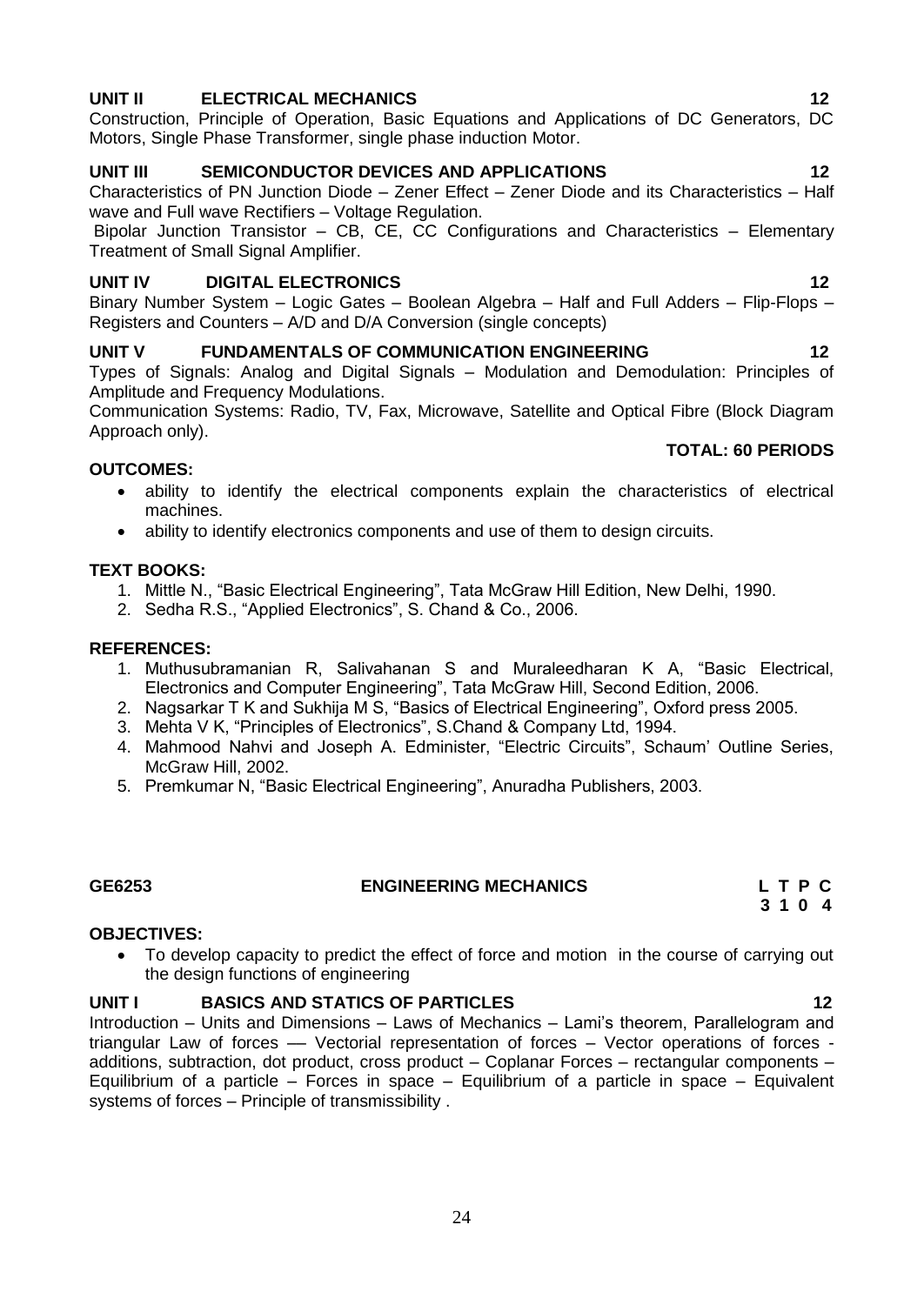### **UNIT II ELECTRICAL MECHANICS 12**

Construction, Principle of Operation, Basic Equations and Applications of DC Generators, DC Motors, Single Phase Transformer, single phase induction Motor.

### **UNIT III SEMICONDUCTOR DEVICES AND APPLICATIONS 12**

Characteristics of PN Junction Diode – Zener Effect – Zener Diode and its Characteristics – Half wave and Full wave Rectifiers – Voltage Regulation.

Bipolar Junction Transistor – CB, CE, CC Configurations and Characteristics – Elementary Treatment of Small Signal Amplifier.

#### **UNIT IV DIGITAL ELECTRONICS 12**

Binary Number System – Logic Gates – Boolean Algebra – Half and Full Adders – Flip-Flops – Registers and Counters – A/D and D/A Conversion (single concepts)

#### **UNIT V FUNDAMENTALS OF COMMUNICATION ENGINEERING 12**

Types of Signals: Analog and Digital Signals – Modulation and Demodulation: Principles of Amplitude and Frequency Modulations.

Communication Systems: Radio, TV, Fax, Microwave, Satellite and Optical Fibre (Block Diagram Approach only).

#### **TOTAL: 60 PERIODS**

#### **OUTCOMES:**

- ability to identify the electrical components explain the characteristics of electrical machines.
- ability to identify electronics components and use of them to design circuits.

#### **TEXT BOOKS:**

- 1. Mittle N., "Basic Electrical Engineering", Tata McGraw Hill Edition, New Delhi, 1990.
- 2. Sedha R.S., "Applied Electronics", S. Chand & Co., 2006.

#### **REFERENCES:**

- 1. Muthusubramanian R, Salivahanan S and Muraleedharan K A, "Basic Electrical, Electronics and Computer Engineering", Tata McGraw Hill, Second Edition, 2006.
- 2. Nagsarkar T K and Sukhija M S, "Basics of Electrical Engineering", Oxford press 2005.
- 3. Mehta V K, "Principles of Electronics", S.Chand & Company Ltd, 1994.
- 4. Mahmood Nahvi and Joseph A. Edminister, "Electric Circuits", Schaum" Outline Series, McGraw Hill, 2002.
- 5. Premkumar N, "Basic Electrical Engineering", Anuradha Publishers, 2003.

### **GE6253 ENGINEERING MECHANICS L T P C**

### **OBJECTIVES:**

<span id="page-23-0"></span> To develop capacity to predict the effect of force and motion in the course of carrying out the design functions of engineering

### **UNIT I BASICS AND STATICS OF PARTICLES 12**

Introduction – Units and Dimensions – Laws of Mechanics – Lami"s theorem, Parallelogram and triangular Law of forces –– Vectorial representation of forces – Vector operations of forces additions, subtraction, dot product, cross product – Coplanar Forces – rectangular components – Equilibrium of a particle – Forces in space – Equilibrium of a particle in space – Equivalent systems of forces – Principle of transmissibility .

 **3 1 0 4**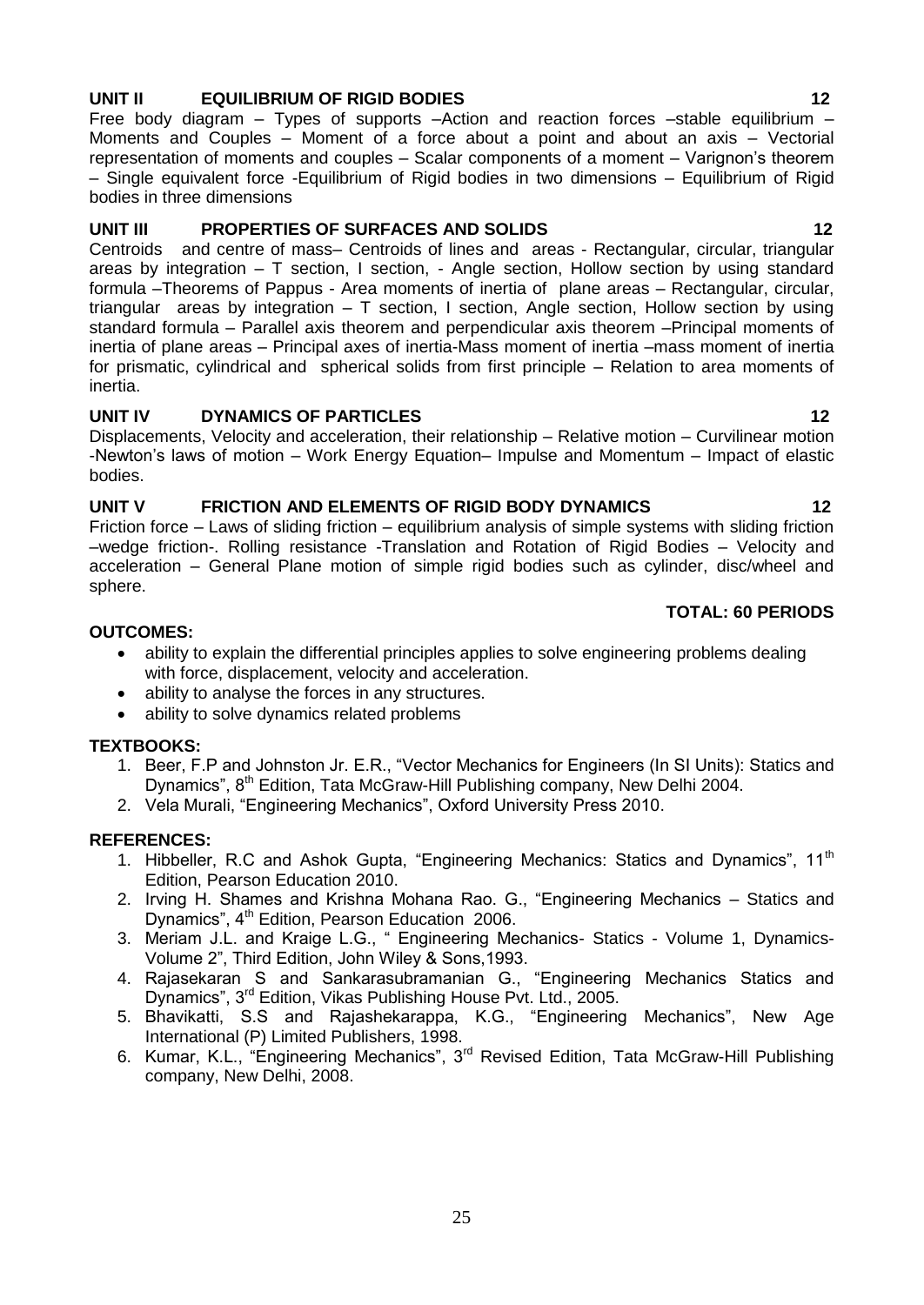### **UNIT II EQUILIBRIUM OF RIGID BODIES 12**

Free body diagram – Types of supports –Action and reaction forces –stable equilibrium – Moments and Couples – Moment of a force about a point and about an axis – Vectorial representation of moments and couples – Scalar components of a moment – Varignon"s theorem – Single equivalent force -Equilibrium of Rigid bodies in two dimensions – Equilibrium of Rigid bodies in three dimensions

#### UNIT III PROPERTIES OF SURFACES AND SOLIDS 12

Centroids and centre of mass– Centroids of lines and areas - Rectangular, circular, triangular areas by integration – T section, I section, - Angle section, Hollow section by using standard formula –Theorems of Pappus - Area moments of inertia of plane areas – Rectangular, circular, triangular areas by integration – T section, I section, Angle section, Hollow section by using standard formula – Parallel axis theorem and perpendicular axis theorem –Principal moments of inertia of plane areas – Principal axes of inertia-Mass moment of inertia –mass moment of inertia for prismatic, cylindrical and spherical solids from first principle – Relation to area moments of inertia.

#### UNIT IV DYNAMICS OF PARTICLES 12

Displacements, Velocity and acceleration, their relationship – Relative motion – Curvilinear motion -Newton"s laws of motion – Work Energy Equation– Impulse and Momentum – Impact of elastic bodies.

#### **UNIT V FRICTION AND ELEMENTS OF RIGID BODY DYNAMICS 12**

Friction force – Laws of sliding friction – equilibrium analysis of simple systems with sliding friction –wedge friction-. Rolling resistance -Translation and Rotation of Rigid Bodies – Velocity and acceleration – General Plane motion of simple rigid bodies such as cylinder, disc/wheel and sphere.

### **TOTAL: 60 PERIODS**

#### **OUTCOMES:**

- ability to explain the differential principles applies to solve engineering problems dealing with force, displacement, velocity and acceleration.
- ability to analyse the forces in any structures.
- ability to solve dynamics related problems

#### **TEXTBOOKS:**

- 1. Beer, F.P and Johnston Jr. E.R., "Vector Mechanics for Engineers (In SI Units): Statics and Dynamics", 8<sup>th</sup> Edition, Tata McGraw-Hill Publishing company, New Delhi 2004.
- 2. Vela Murali, "Engineering Mechanics", Oxford University Press 2010.

#### **REFERENCES:**

- 1. Hibbeller, R.C and Ashok Gupta, "Engineering Mechanics: Statics and Dynamics", 11<sup>th</sup> Edition, Pearson Education 2010.
- 2. Irving H. Shames and Krishna Mohana Rao. G., "Engineering Mechanics Statics and Dynamics", 4<sup>th</sup> Edition, Pearson Education 2006.
- 3. Meriam J.L. and Kraige L.G., " Engineering Mechanics- Statics Volume 1, Dynamics-Volume 2", Third Edition, John Wiley & Sons,1993.
- 4. Rajasekaran S and Sankarasubramanian G., "Engineering Mechanics Statics and Dynamics", 3rd Edition, Vikas Publishing House Pvt. Ltd., 2005.
- 5. Bhavikatti, S.S and Rajashekarappa, K.G., "Engineering Mechanics", New Age International (P) Limited Publishers, 1998.
- 6. Kumar, K.L., "Engineering Mechanics", 3rd Revised Edition, Tata McGraw-Hill Publishing company, New Delhi, 2008.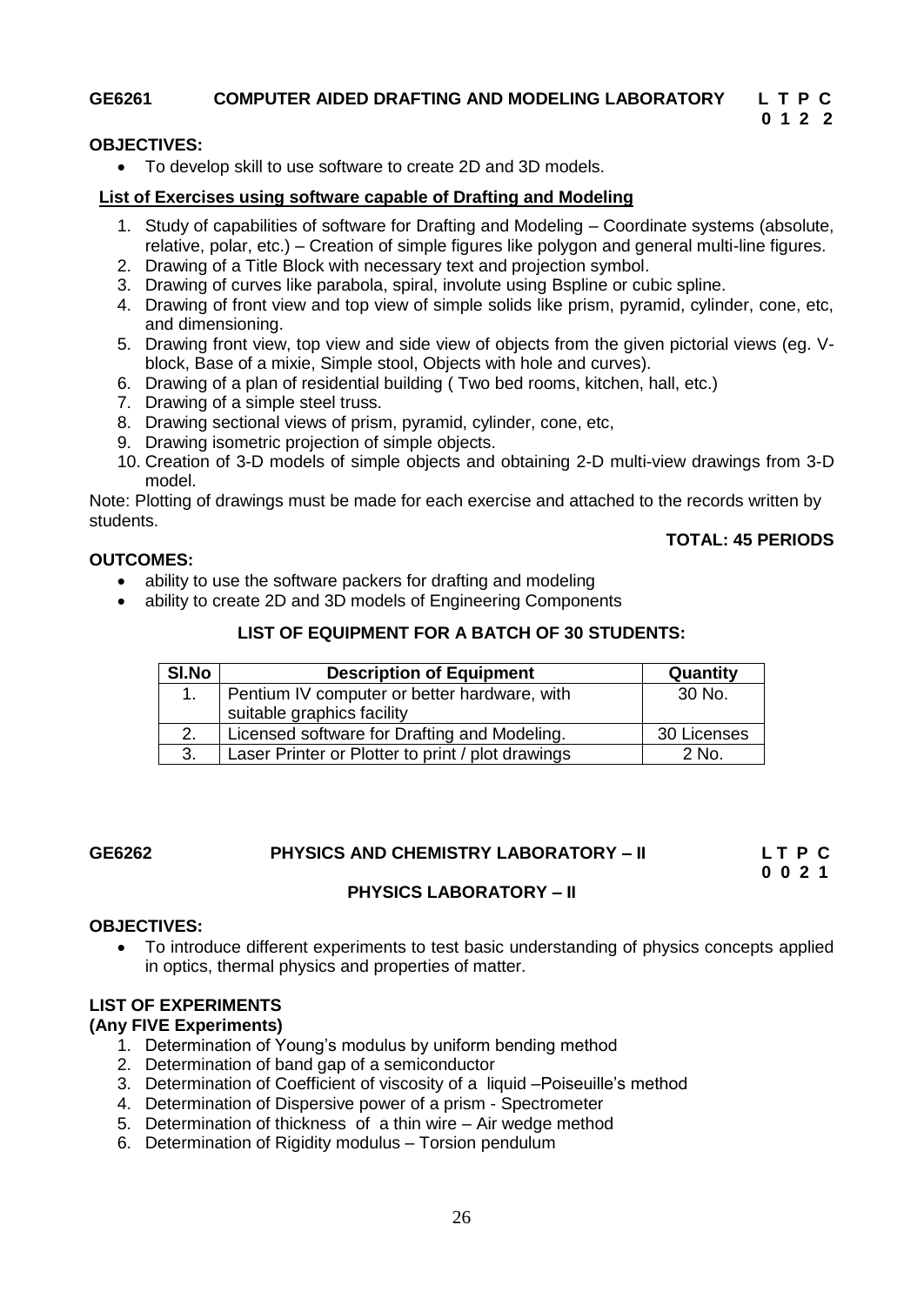#### **GE6261 COMPUTER AIDED DRAFTING AND MODELING LABORATORY L T P C**

### **0 1 2 2**

### **OBJECTIVES:**

<span id="page-25-0"></span>To develop skill to use software to create 2D and 3D models.

#### **List of Exercises using software capable of Drafting and Modeling**

- 1. Study of capabilities of software for Drafting and Modeling Coordinate systems (absolute, relative, polar, etc.) – Creation of simple figures like polygon and general multi-line figures.
- 2. Drawing of a Title Block with necessary text and projection symbol.
- 3. Drawing of curves like parabola, spiral, involute using Bspline or cubic spline.
- 4. Drawing of front view and top view of simple solids like prism, pyramid, cylinder, cone, etc, and dimensioning.
- 5. Drawing front view, top view and side view of objects from the given pictorial views (eg. Vblock, Base of a mixie, Simple stool, Objects with hole and curves).
- 6. Drawing of a plan of residential building ( Two bed rooms, kitchen, hall, etc.)
- 7. Drawing of a simple steel truss.
- 8. Drawing sectional views of prism, pyramid, cylinder, cone, etc,
- 9. Drawing isometric projection of simple objects.
- 10. Creation of 3-D models of simple objects and obtaining 2-D multi-view drawings from 3-D model.

Note: Plotting of drawings must be made for each exercise and attached to the records written by students.

#### **OUTCOMES:**

### **TOTAL: 45 PERIODS**

- ability to use the software packers for drafting and modeling
- ability to create 2D and 3D models of Engineering Components

#### **LIST OF EQUIPMENT FOR A BATCH OF 30 STUDENTS:**

| SI.No | <b>Description of Equipment</b>                   | Quantity    |
|-------|---------------------------------------------------|-------------|
|       | Pentium IV computer or better hardware, with      | 30 No.      |
|       | suitable graphics facility                        |             |
|       | Licensed software for Drafting and Modeling.      | 30 Licenses |
| 3.    | Laser Printer or Plotter to print / plot drawings | 2 No.       |

#### **GE6262 PHYSICS AND CHEMISTRY LABORATORY – II L T P C**

 **0 0 2 1**

### <span id="page-25-1"></span>**PHYSICS LABORATORY – II**

#### **OBJECTIVES:**

 To introduce different experiments to test basic understanding of physics concepts applied in optics, thermal physics and properties of matter.

#### **LIST OF EXPERIMENTS**

#### **(Any FIVE Experiments)**

- 1. Determination of Young"s modulus by uniform bending method
- 2. Determination of band gap of a semiconductor
- 3. Determination of Coefficient of viscosity of a liquid –Poiseuille"s method
- 4. Determination of Dispersive power of a prism Spectrometer
- 5. Determination of thickness of a thin wire Air wedge method
- 6. Determination of Rigidity modulus Torsion pendulum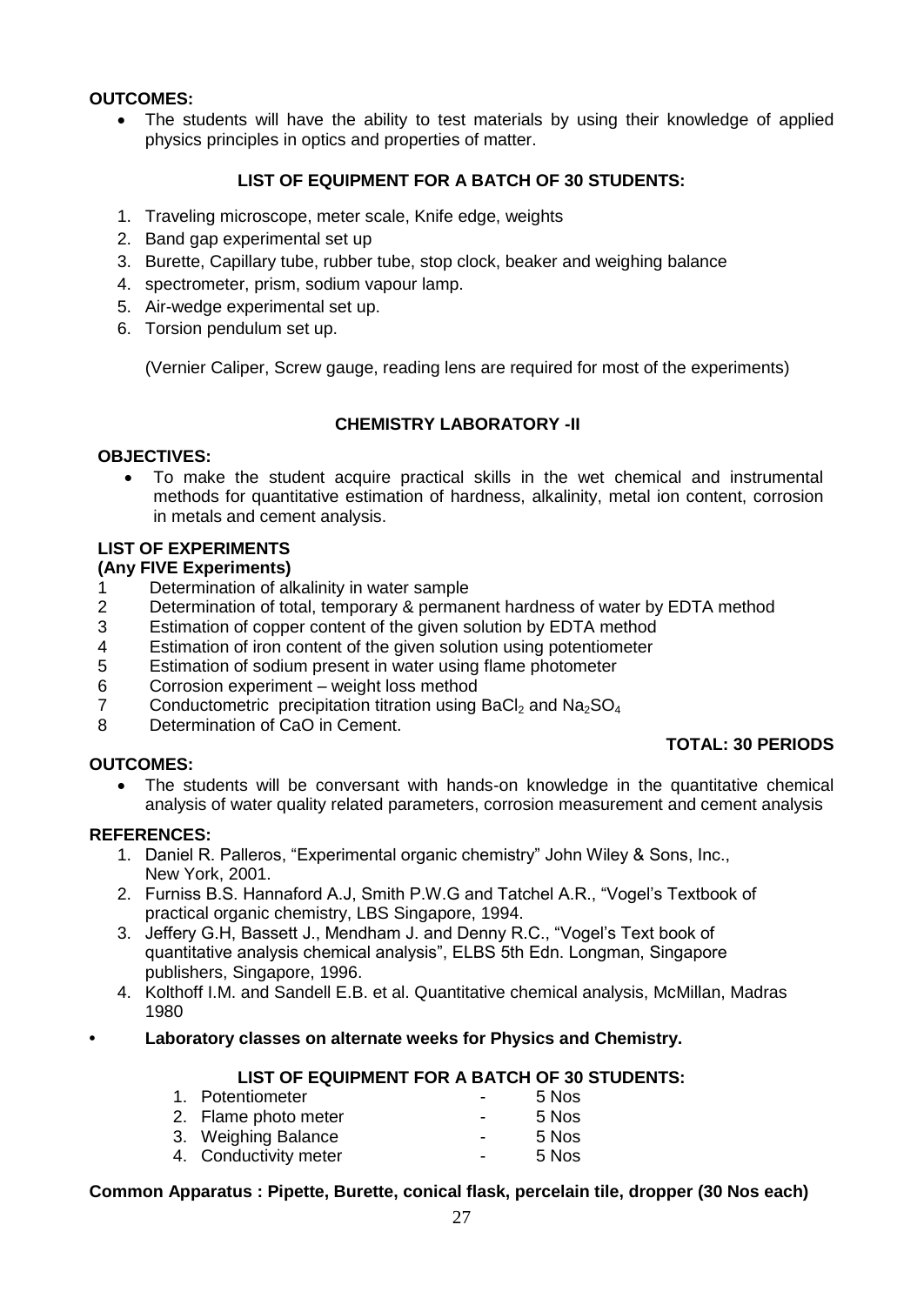#### **OUTCOMES:**

• The students will have the ability to test materials by using their knowledge of applied physics principles in optics and properties of matter.

### **LIST OF EQUIPMENT FOR A BATCH OF 30 STUDENTS:**

- 1. Traveling microscope, meter scale, Knife edge, weights
- 2. Band gap experimental set up
- 3. Burette, Capillary tube, rubber tube, stop clock, beaker and weighing balance
- 4. spectrometer, prism, sodium vapour lamp.
- 5. Air-wedge experimental set up.
- 6. Torsion pendulum set up.

(Vernier Caliper, Screw gauge, reading lens are required for most of the experiments)

#### **CHEMISTRY LABORATORY -II**

#### **OBJECTIVES:**

 To make the student acquire practical skills in the wet chemical and instrumental methods for quantitative estimation of hardness, alkalinity, metal ion content, corrosion in metals and cement analysis.

### **LIST OF EXPERIMENTS**

#### **(Any FIVE Experiments)**

- 1 Determination of alkalinity in water sample
- 2 Determination of total, temporary & permanent hardness of water by EDTA method
- 3 Estimation of copper content of the given solution by EDTA method
- 4 Estimation of iron content of the given solution using potentiometer
- 5 Estimation of sodium present in water using flame photometer
- 6 Corrosion experiment weight loss method
- 7 Conductometric precipitation titration using  $BaCl<sub>2</sub>$  and  $Na<sub>2</sub>SO<sub>4</sub>$ <br>8 Determination of CaO in Cement
- Determination of CaO in Cement.

#### **OUTCOMES:**

### **TOTAL: 30 PERIODS**

 The students will be conversant with hands-on knowledge in the quantitative chemical analysis of water quality related parameters, corrosion measurement and cement analysis

#### **REFERENCES:**

- 1. Daniel R. Palleros, "Experimental organic chemistry" John Wiley & Sons, Inc., New York, 2001.
- 2. Furniss B.S. Hannaford A.J, Smith P.W.G and Tatchel A.R., "Vogel"s Textbook of practical organic chemistry, LBS Singapore, 1994.
- 3. Jeffery G.H, Bassett J., Mendham J. and Denny R.C., "Vogel"s Text book of quantitative analysis chemical analysis", ELBS 5th Edn. Longman, Singapore publishers, Singapore, 1996.
- 4. Kolthoff I.M. and Sandell E.B. et al. Quantitative chemical analysis, McMillan, Madras 1980
- **Laboratory classes on alternate weeks for Physics and Chemistry.**

#### **LIST OF EQUIPMENT FOR A BATCH OF 30 STUDENTS:**

| 1. Potentiometer      | $\blacksquare$           | 5 Nos |
|-----------------------|--------------------------|-------|
| 2. Flame photo meter  | $\overline{\phantom{0}}$ | 5 Nos |
| 3. Weighing Balance   | $\blacksquare$           | 5 Nos |
| 4. Conductivity meter | $\overline{\phantom{0}}$ | 5 Nos |

#### **Common Apparatus : Pipette, Burette, conical flask, percelain tile, dropper (30 Nos each)**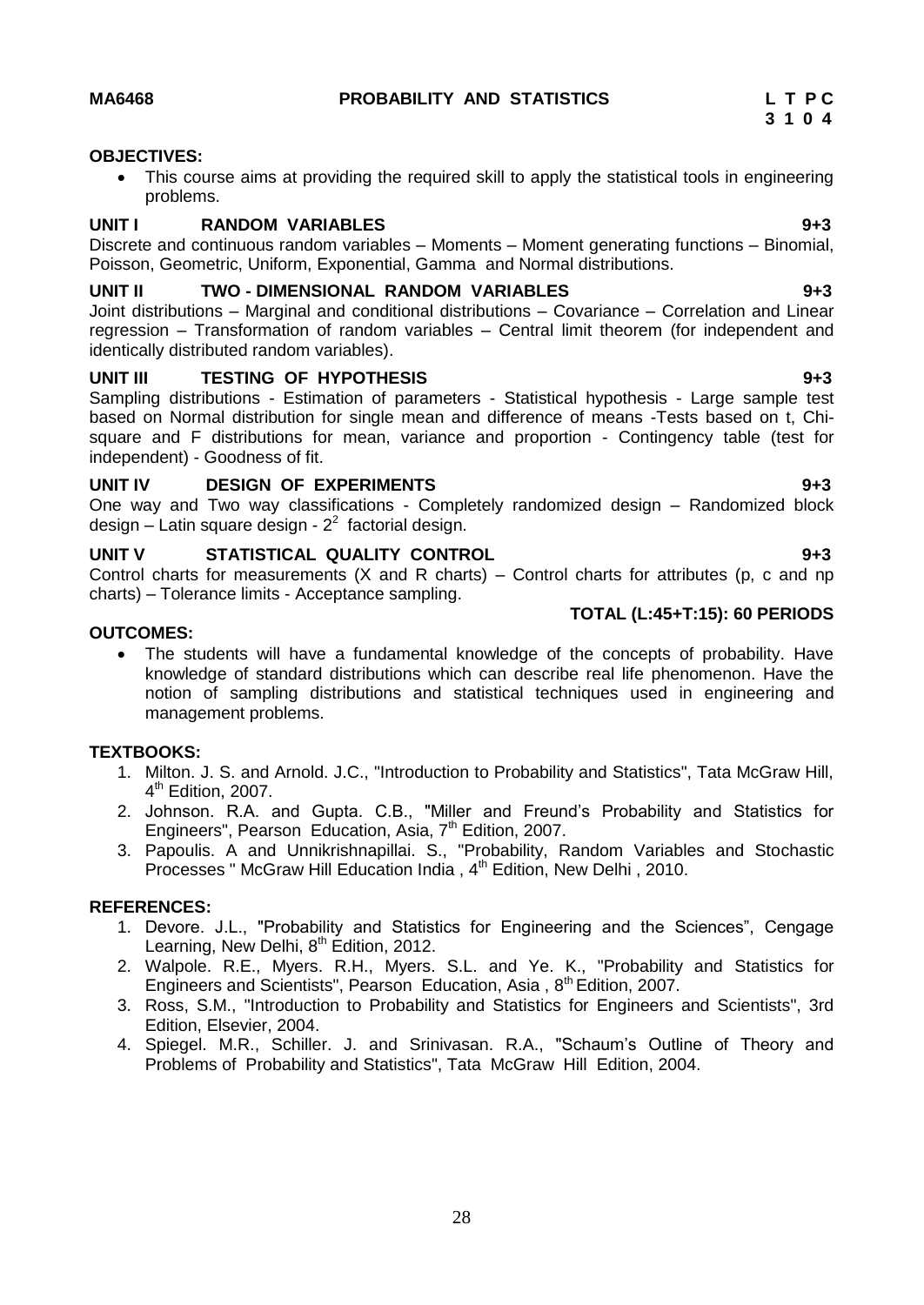#### **OBJECTIVES:**

<span id="page-27-0"></span> This course aims at providing the required skill to apply the statistical tools in engineering problems.

#### **UNIT I RANDOM VARIABLES 9+3**

Discrete and continuous random variables – Moments – Moment generating functions – Binomial, Poisson, Geometric, Uniform, Exponential, Gamma and Normal distributions.

#### **UNIT II TWO - DIMENSIONAL RANDOM VARIABLES 9+3**

Joint distributions – Marginal and conditional distributions – Covariance – Correlation and Linear regression – Transformation of random variables – Central limit theorem (for independent and identically distributed random variables).

#### **UNIT III TESTING OF HYPOTHESIS 9+3**

Sampling distributions - Estimation of parameters - Statistical hypothesis - Large sample test based on Normal distribution for single mean and difference of means -Tests based on t, Chisquare and F distributions for mean, variance and proportion - Contingency table (test for independent) - Goodness of fit.

#### **UNIT IV DESIGN OF EXPERIMENTS 9+3**

One way and Two way classifications - Completely randomized design – Randomized block design – Latin square design -  $2^2$  factorial design.

#### **UNIT V STATISTICAL QUALITY CONTROL 9+3**

Control charts for measurements  $(X \text{ and } R \text{ charts}) - \text{Control charts}$  for attributes  $(p, c \text{ and } np$ charts) – Tolerance limits - Acceptance sampling.  **TOTAL (L:45+T:15): 60 PERIODS** 

#### **OUTCOMES:**

 The students will have a fundamental knowledge of the concepts of probability. Have knowledge of standard distributions which can describe real life phenomenon. Have the notion of sampling distributions and statistical techniques used in engineering and management problems.

#### **TEXTBOOKS:**

- 1. Milton. J. S. and Arnold. J.C., "Introduction to Probability and Statistics", Tata McGraw Hill, 4<sup>th</sup> Edition, 2007.
- 2. Johnson. R.A. and Gupta. C.B., "Miller and Freund"s Probability and Statistics for Engineers", Pearson Education, Asia, 7<sup>th</sup> Edition, 2007.
- 3. Papoulis. A and Unnikrishnapillai. S., "Probability, Random Variables and Stochastic Processes " McGraw Hill Education India , 4<sup>th</sup> Edition, New Delhi , 2010.

#### **REFERENCES:**

- 1. Devore. J.L., "Probability and Statistics for Engineering and the Sciences", Cengage Learning, New Delhi,  $8<sup>th</sup>$  Edition, 2012.
- 2. Walpole. R.E., Myers. R.H., Myers. S.L. and Ye. K., "Probability and Statistics for Engineers and Scientists", Pearson Education, Asia, 8<sup>th</sup> Edition, 2007.
- 3. Ross, S.M., "Introduction to Probability and Statistics for Engineers and Scientists", 3rd Edition, Elsevier, 2004.
- 4. Spiegel. M.R., Schiller. J. and Srinivasan. R.A., "Schaum"s Outline of Theory and Problems of Probability and Statistics", Tata McGraw Hill Edition, 2004.

## **3 1 0 4**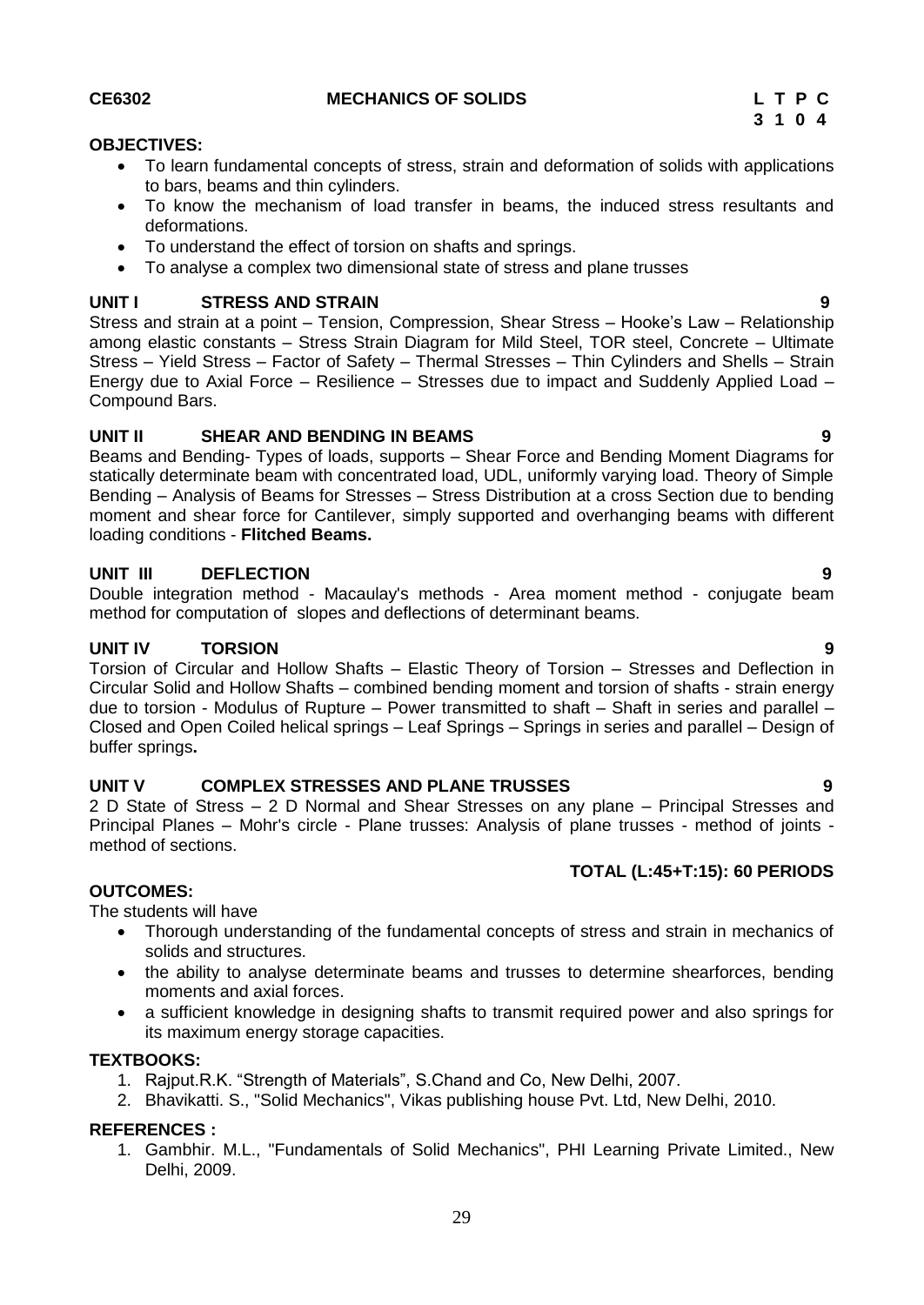## **UNIT I STRESS AND STRAIN 9**

Stress and strain at a point – Tension, Compression, Shear Stress – Hooke's Law – Relationship among elastic constants – Stress Strain Diagram for Mild Steel, TOR steel, Concrete – Ultimate Stress – Yield Stress – Factor of Safety – Thermal Stresses – Thin Cylinders and Shells – Strain Energy due to Axial Force – Resilience – Stresses due to impact and Suddenly Applied Load – Compound Bars.

To learn fundamental concepts of stress, strain and deformation of solids with applications

To know the mechanism of load transfer in beams, the induced stress resultants and

#### **UNIT II SHEAR AND BENDING IN BEAMS 9**

<span id="page-28-0"></span>to bars, beams and thin cylinders.

To understand the effect of torsion on shafts and springs.

Beams and Bending- Types of loads, supports – Shear Force and Bending Moment Diagrams for statically determinate beam with concentrated load, UDL, uniformly varying load. Theory of Simple Bending – Analysis of Beams for Stresses – Stress Distribution at a cross Section due to bending moment and shear force for Cantilever, simply supported and overhanging beams with different loading conditions - **Flitched Beams.**

#### **UNIT III DEFLECTION 9**

Double integration method - Macaulay's methods - Area moment method - conjugate beam method for computation of slopes and deflections of determinant beams.

### **UNIT IV TORSION 9**

Torsion of Circular and Hollow Shafts – Elastic Theory of Torsion – Stresses and Deflection in Circular Solid and Hollow Shafts – combined bending moment and torsion of shafts - strain energy due to torsion - Modulus of Rupture – Power transmitted to shaft – Shaft in series and parallel – Closed and Open Coiled helical springs – Leaf Springs – Springs in series and parallel – Design of buffer springs**.**

### **UNIT V COMPLEX STRESSES AND PLANE TRUSSES 9**

2 D State of Stress – 2 D Normal and Shear Stresses on any plane – Principal Stresses and Principal Planes – Mohr's circle - Plane trusses: Analysis of plane trusses - method of joints method of sections.

### **TOTAL (L:45+T:15): 60 PERIODS**

### **OUTCOMES:**

The students will have

- Thorough understanding of the fundamental concepts of stress and strain in mechanics of solids and structures.
- the ability to analyse determinate beams and trusses to determine shearforces, bending moments and axial forces.
- a sufficient knowledge in designing shafts to transmit required power and also springs for its maximum energy storage capacities.

### **TEXTBOOKS:**

- 1. Rajput.R.K. "Strength of Materials", S.Chand and Co, New Delhi, 2007.
- 2. Bhavikatti. S., "Solid Mechanics", Vikas publishing house Pvt. Ltd, New Delhi, 2010.

### **REFERENCES :**

1. Gambhir. M.L., "Fundamentals of Solid Mechanics", PHI Learning Private Limited., New Delhi, 2009.

#### **CE6302 MECHANICS OF SOLIDS L T P C**

To analyse a complex two dimensional state of stress and plane trusses

**OBJECTIVES:**

deformations.

**3 1 0 4**

- 
-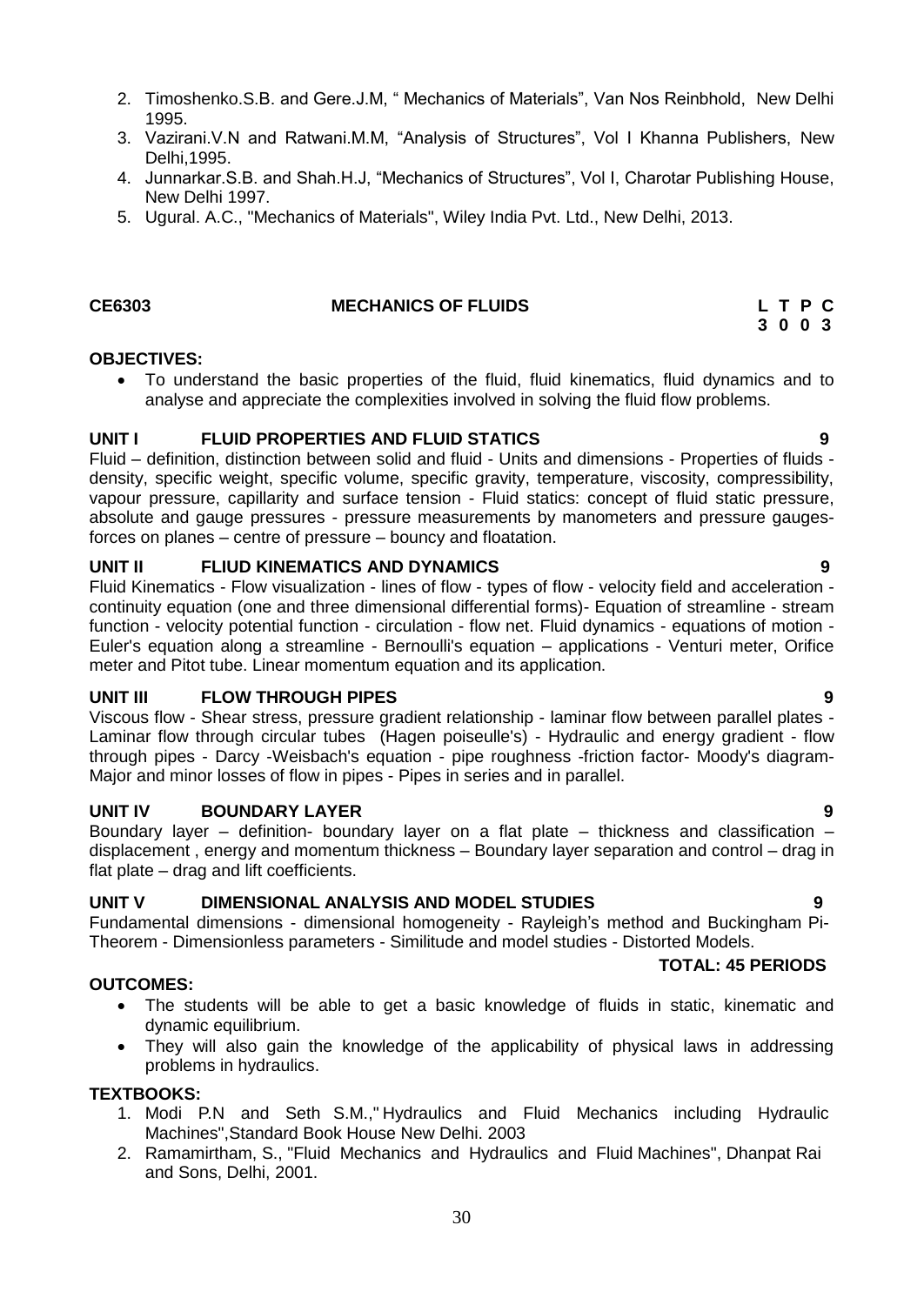- 2. Timoshenko.S.B. and Gere.J.M, " Mechanics of Materials", Van Nos Reinbhold, New Delhi 1995.
- 3. Vazirani.V.N and Ratwani.M.M, "Analysis of Structures", Vol I Khanna Publishers, New Delhi,1995.
- 4. Junnarkar.S.B. and Shah.H.J, "Mechanics of Structures", Vol I, Charotar Publishing House, New Delhi 1997.
- 5. Ugural. A.C., "Mechanics of Materials", Wiley India Pvt. Ltd., New Delhi, 2013.

#### **CE6303 MECHANICS OF FLUIDS L T P C**

#### **OBJECTIVES:**

<span id="page-29-0"></span> To understand the basic properties of the fluid, fluid kinematics, fluid dynamics and to analyse and appreciate the complexities involved in solving the fluid flow problems.

#### **UNIT I FLUID PROPERTIES AND FLUID STATICS 9**

Fluid – definition, distinction between solid and fluid - Units and dimensions - Properties of fluids density, specific weight, specific volume, specific gravity, temperature, viscosity, compressibility, vapour pressure, capillarity and surface tension - Fluid statics: concept of fluid static pressure, absolute and gauge pressures - pressure measurements by manometers and pressure gaugesforces on planes – centre of pressure – bouncy and floatation.

#### **UNIT II FLIUD KINEMATICS AND DYNAMICS 9**

Fluid Kinematics - Flow visualization - lines of flow - types of flow - velocity field and acceleration continuity equation (one and three dimensional differential forms)- Equation of streamline - stream function - velocity potential function - circulation - flow net. Fluid dynamics - equations of motion - Euler's equation along a streamline - Bernoulli's equation – applications - Venturi meter, Orifice meter and Pitot tube. Linear momentum equation and its application.

#### **UNIT III FLOW THROUGH PIPES 9**

Viscous flow - Shear stress, pressure gradient relationship - laminar flow between parallel plates - Laminar flow through circular tubes (Hagen poiseulle's) - Hydraulic and energy gradient - flow through pipes - Darcy -Weisbach's equation - pipe roughness -friction factor- Moody's diagram-Major and minor losses of flow in pipes - Pipes in series and in parallel.

#### **UNIT IV BOUNDARY LAYER 9**

Boundary layer – definition- boundary layer on a flat plate – thickness and classification – displacement , energy and momentum thickness – Boundary layer separation and control – drag in flat plate – drag and lift coefficients.

#### **UNIT V DIMENSIONAL ANALYSIS AND MODEL STUDIES 9**

Fundamental dimensions - dimensional homogeneity - Rayleigh"s method and Buckingham Pi-Theorem - Dimensionless parameters - Similitude and model studies - Distorted Models.

#### **TOTAL: 45 PERIODS**

#### **OUTCOMES:**

- The students will be able to get a basic knowledge of fluids in static, kinematic and dynamic equilibrium.
- They will also gain the knowledge of the applicability of physical laws in addressing problems in hydraulics.

#### **TEXTBOOKS:**

- 1. Modi P.N and Seth S.M.," Hydraulics and Fluid Mechanics including Hydraulic Machines",Standard Book House New Delhi. 2003
- 2. Ramamirtham, S., "Fluid Mechanics and Hydraulics and Fluid Machines", Dhanpat Rai and Sons, Delhi, 2001.

## **3 0 0 3**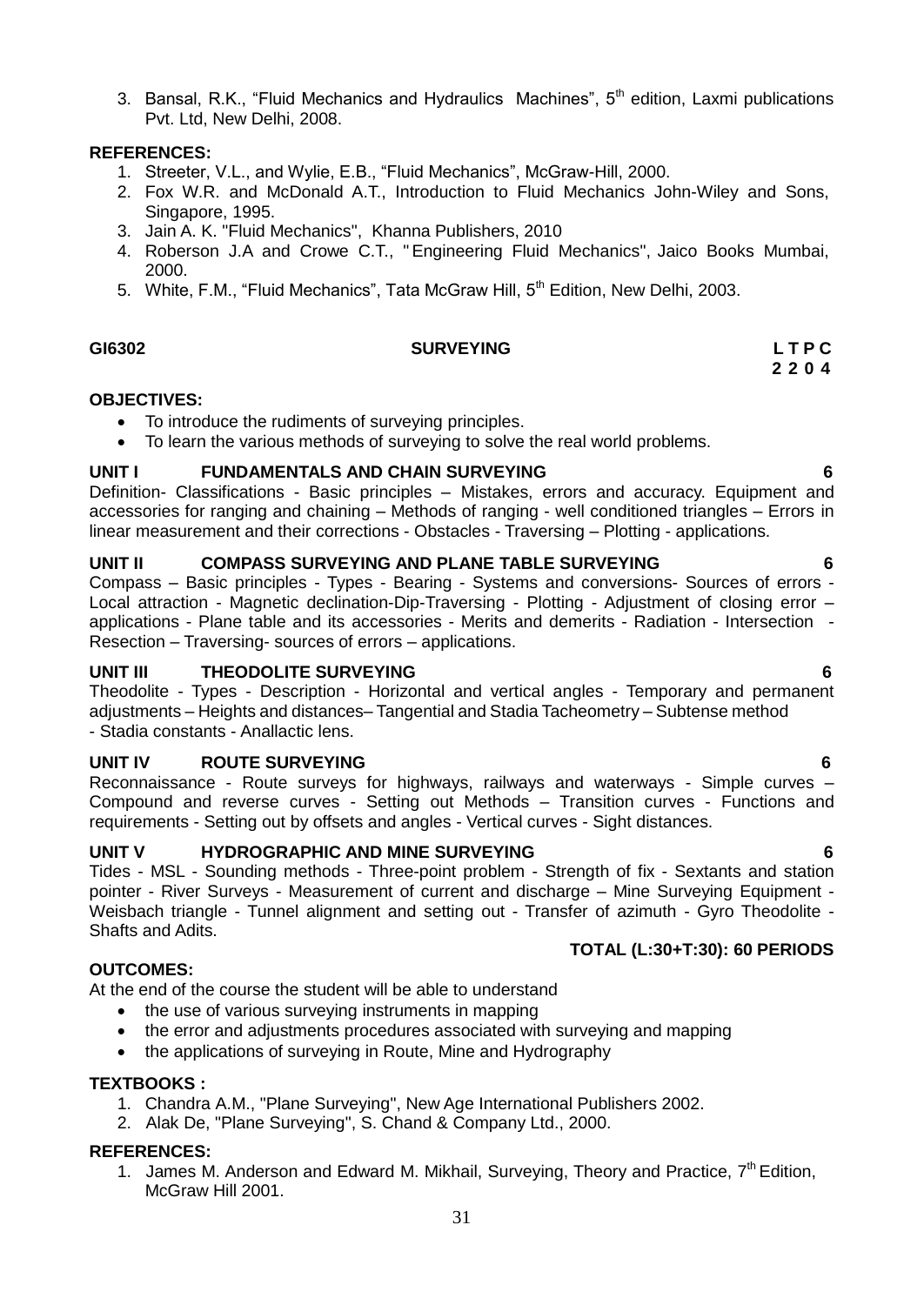3. Bansal, R.K., "Fluid Mechanics and Hydraulics Machines", 5<sup>th</sup> edition, Laxmi publications Pvt. Ltd, New Delhi, 2008.

#### **REFERENCES:**

- 1. Streeter, V.L., and Wylie, E.B., "Fluid Mechanics", McGraw-Hill, 2000.
- 2. Fox W.R. and McDonald A.T., Introduction to Fluid Mechanics John-Wiley and Sons, Singapore, 1995.
- 3. Jain A. K. "Fluid Mechanics", Khanna Publishers, 2010
- 4. Roberson J.A and Crowe C.T., "Engineering Fluid Mechanics", Jaico Books Mumbai, 2000.
- <span id="page-30-0"></span>5. White, F.M., "Fluid Mechanics", Tata McGraw Hill, 5<sup>th</sup> Edition, New Delhi, 2003.

#### **GI6302 SURVEYING L T P C 2 2 0 4**

#### **OBJECTIVES:**

- To introduce the rudiments of surveying principles.
- To learn the various methods of surveying to solve the real world problems.

#### **UNIT I FUNDAMENTALS AND CHAIN SURVEYING 6**

Definition- Classifications - Basic principles – Mistakes, errors and accuracy. Equipment and accessories for ranging and chaining – Methods of ranging - well conditioned triangles – Errors in linear measurement and their corrections - Obstacles - Traversing – Plotting - applications.

#### **UNIT II COMPASS SURVEYING AND PLANE TABLE SURVEYING 6**

Compass – Basic principles - Types - Bearing - Systems and conversions- Sources of errors - Local attraction - Magnetic declination-Dip-Traversing - Plotting - Adjustment of closing error – applications - Plane table and its accessories - Merits and demerits - Radiation - Intersection - Resection – Traversing- sources of errors – applications.

#### **UNIT III THEODOLITE SURVEYING 6**

Theodolite - Types - Description - Horizontal and vertical angles - Temporary and permanent adjustments – Heights and distances– Tangential and Stadia Tacheometry – Subtense method - Stadia constants - Anallactic lens.

#### **UNIT IV ROUTE SURVEYING 6**

Reconnaissance - Route surveys for highways, railways and waterways - Simple curves – Compound and reverse curves - Setting out Methods – Transition curves - Functions and requirements - Setting out by offsets and angles - Vertical curves - Sight distances.

#### **UNIT V HYDROGRAPHIC AND MINE SURVEYING 6**

Tides - MSL - Sounding methods - Three-point problem - Strength of fix - Sextants and station pointer - River Surveys - Measurement of current and discharge – Mine Surveying Equipment - Weisbach triangle - Tunnel alignment and setting out - Transfer of azimuth - Gyro Theodolite - Shafts and Adits.

#### **OUTCOMES:**

At the end of the course the student will be able to understand

- the use of various surveying instruments in mapping
- the error and adjustments procedures associated with surveying and mapping
- the applications of surveying in Route, Mine and Hydrography

#### **TEXTBOOKS :**

- 1. Chandra A.M., "Plane Surveying", New Age International Publishers 2002.
- 2. Alak De, "Plane Surveying", S. Chand & Company Ltd., 2000.

#### **REFERENCES:**

1. James M. Anderson and Edward M. Mikhail, Surveying, Theory and Practice, 7<sup>th</sup> Edition, McGraw Hill 2001.

**TOTAL (L:30+T:30): 60 PERIODS**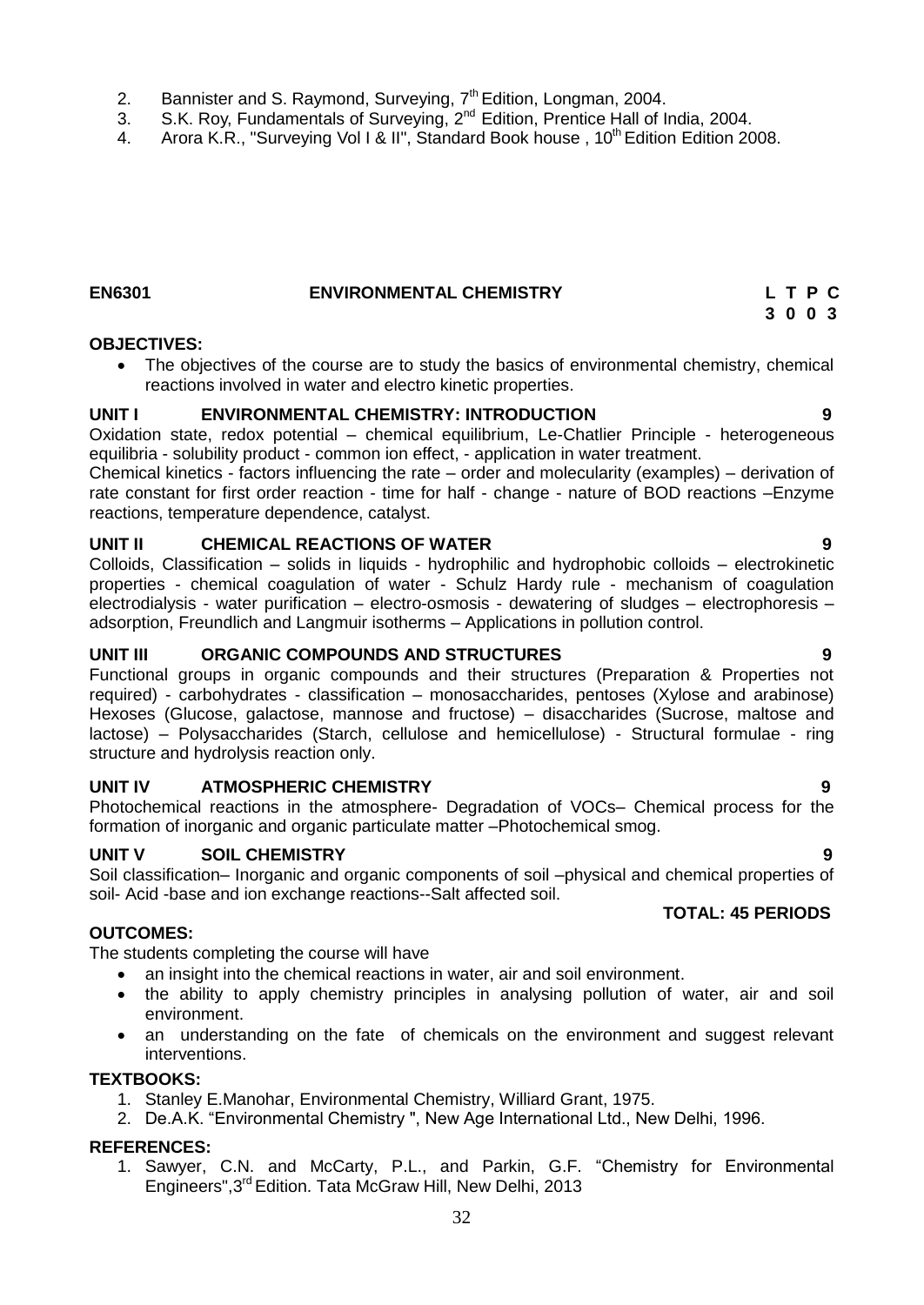- 2. Bannister and S. Raymond, Surveying,  $7<sup>th</sup>$  Edition, Longman, 2004.
- 3. S.K. Roy, Fundamentals of Surveying, 2<sup>nd</sup> Edition, Prentice Hall of India, 2004.
- 4. Arora K.R., "Surveying Vol I & II", Standard Book house, 10<sup>th</sup> Edition Edition 2008.

### **EN6301 ENVIRONMENTAL CHEMISTRY L T P C**

#### **OBJECTIVES:**

<span id="page-31-0"></span> The objectives of the course are to study the basics of environmental chemistry, chemical reactions involved in water and electro kinetic properties.

#### **UNIT I ENVIRONMENTAL CHEMISTRY: INTRODUCTION 9**

Oxidation state, redox potential – chemical equilibrium, Le-Chatlier Principle - heterogeneous equilibria - solubility product - common ion effect, - application in water treatment.

Chemical kinetics - factors influencing the rate – order and molecularity (examples) – derivation of rate constant for first order reaction - time for half - change - nature of BOD reactions –Enzyme reactions, temperature dependence, catalyst.

#### **UNIT II CHEMICAL REACTIONS OF WATER 9**

Colloids, Classification – solids in liquids - hydrophilic and hydrophobic colloids – electrokinetic properties - chemical coagulation of water - Schulz Hardy rule - mechanism of coagulation electrodialysis - water purification – electro-osmosis - dewatering of sludges – electrophoresis – adsorption, Freundlich and Langmuir isotherms – Applications in pollution control.

#### **UNIT III ORGANIC COMPOUNDS AND STRUCTURES 9**

Functional groups in organic compounds and their structures (Preparation & Properties not required) - carbohydrates - classification – monosaccharides, pentoses (Xylose and arabinose) Hexoses (Glucose, galactose, mannose and fructose) – disaccharides (Sucrose, maltose and lactose) – Polysaccharides (Starch, cellulose and hemicellulose) - Structural formulae - ring structure and hydrolysis reaction only.

#### **UNIT IV ATMOSPHERIC CHEMISTRY 9**

Photochemical reactions in the atmosphere- Degradation of VOCs– Chemical process for the formation of inorganic and organic particulate matter –Photochemical smog.

#### **UNIT V SOIL CHEMISTRY 9**

Soil classification– Inorganic and organic components of soil –physical and chemical properties of soil- Acid -base and ion exchange reactions--Salt affected soil.

#### **OUTCOMES:**

The students completing the course will have

- an insight into the chemical reactions in water, air and soil environment.
- the ability to apply chemistry principles in analysing pollution of water, air and soil environment.
- an understanding on the fate of chemicals on the environment and suggest relevant interventions.

#### **TEXTBOOKS:**

- 1. Stanley E.Manohar, Environmental Chemistry, Williard Grant, 1975.
- 2. De.A.K. "Environmental Chemistry ", New Age International Ltd., New Delhi, 1996.

#### **REFERENCES:**

1. Sawyer, C.N. and McCarty, P.L., and Parkin, G.F. "Chemistry for Environmental Engineers",3 rd Edition. Tata McGraw Hill, New Delhi, 2013

#### **TOTAL: 45 PERIODS**

## **3 0 0 3**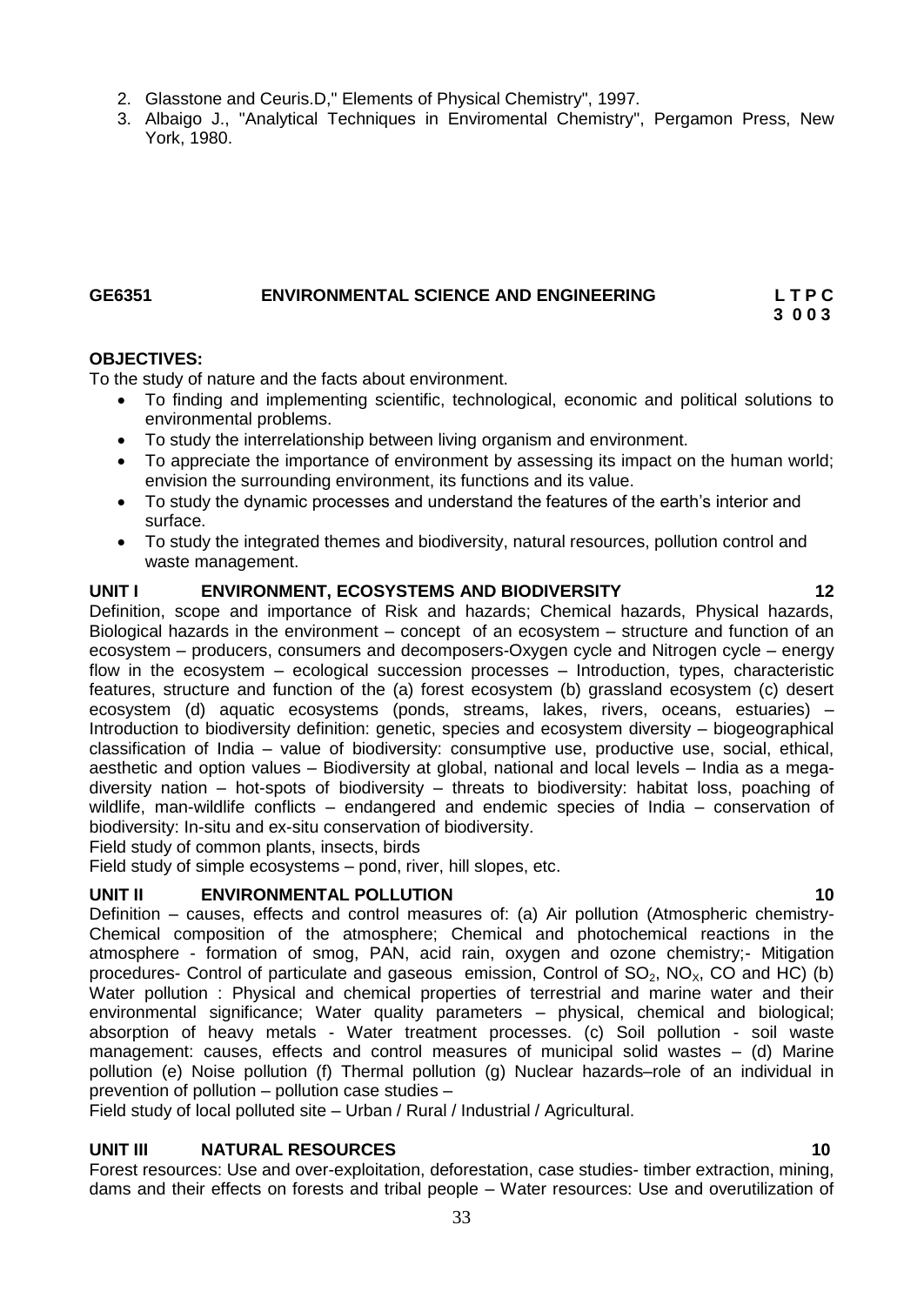- 2. Glasstone and Ceuris.D," Elements of Physical Chemistry", 1997.
- 3. Albaigo J., "Analytical Techniques in Enviromental Chemistry", Pergamon Press, New York, 1980.

#### <span id="page-32-0"></span>**GE6351 ENVIRONMENTAL SCIENCE AND ENGINEERING L T P C 3 0 0 3**

#### **OBJECTIVES:**

To the study of nature and the facts about environment.

- To finding and implementing scientific, technological, economic and political solutions to environmental problems.
- To study the interrelationship between living organism and environment.
- To appreciate the importance of environment by assessing its impact on the human world; envision the surrounding environment, its functions and its value.
- To study the dynamic processes and understand the features of the earth's interior and surface.
- To study the integrated themes and biodiversity, natural resources, pollution control and waste management.

#### **UNIT I ENVIRONMENT, ECOSYSTEMS AND BIODIVERSITY 12**

Definition, scope and importance of Risk and hazards; Chemical hazards, Physical hazards, Biological hazards in the environment – concept of an ecosystem – structure and function of an ecosystem – producers, consumers and decomposers-Oxygen cycle and Nitrogen cycle – energy flow in the ecosystem – ecological succession processes – Introduction, types, characteristic features, structure and function of the (a) forest ecosystem (b) grassland ecosystem (c) desert ecosystem (d) aquatic ecosystems (ponds, streams, lakes, rivers, oceans, estuaries) – Introduction to biodiversity definition: genetic, species and ecosystem diversity – biogeographical classification of India – value of biodiversity: consumptive use, productive use, social, ethical, aesthetic and option values – Biodiversity at global, national and local levels – India as a megadiversity nation – hot-spots of biodiversity – threats to biodiversity: habitat loss, poaching of wildlife, man-wildlife conflicts – endangered and endemic species of India – conservation of biodiversity: In-situ and ex-situ conservation of biodiversity.

Field study of common plants, insects, birds

Field study of simple ecosystems – pond, river, hill slopes, etc.

#### **UNIT II ENVIRONMENTAL POLLUTION 10**

Definition – causes, effects and control measures of: (a) Air pollution (Atmospheric chemistry-Chemical composition of the atmosphere; Chemical and photochemical reactions in the atmosphere - formation of smog, PAN, acid rain, oxygen and ozone chemistry;- Mitigation procedures- Control of particulate and gaseous emission, Control of  $SO_2$ ,  $NO_{X}$ , CO and HC) (b) Water pollution : Physical and chemical properties of terrestrial and marine water and their environmental significance; Water quality parameters – physical, chemical and biological; absorption of heavy metals - Water treatment processes. (c) Soil pollution - soil waste management: causes, effects and control measures of municipal solid wastes – (d) Marine pollution (e) Noise pollution (f) Thermal pollution (g) Nuclear hazards–role of an individual in prevention of pollution – pollution case studies –

Field study of local polluted site – Urban / Rural / Industrial / Agricultural.

#### **UNIT III NATURAL RESOURCES 10**

Forest resources: Use and over-exploitation, deforestation, case studies- timber extraction, mining, dams and their effects on forests and tribal people – Water resources: Use and overutilization of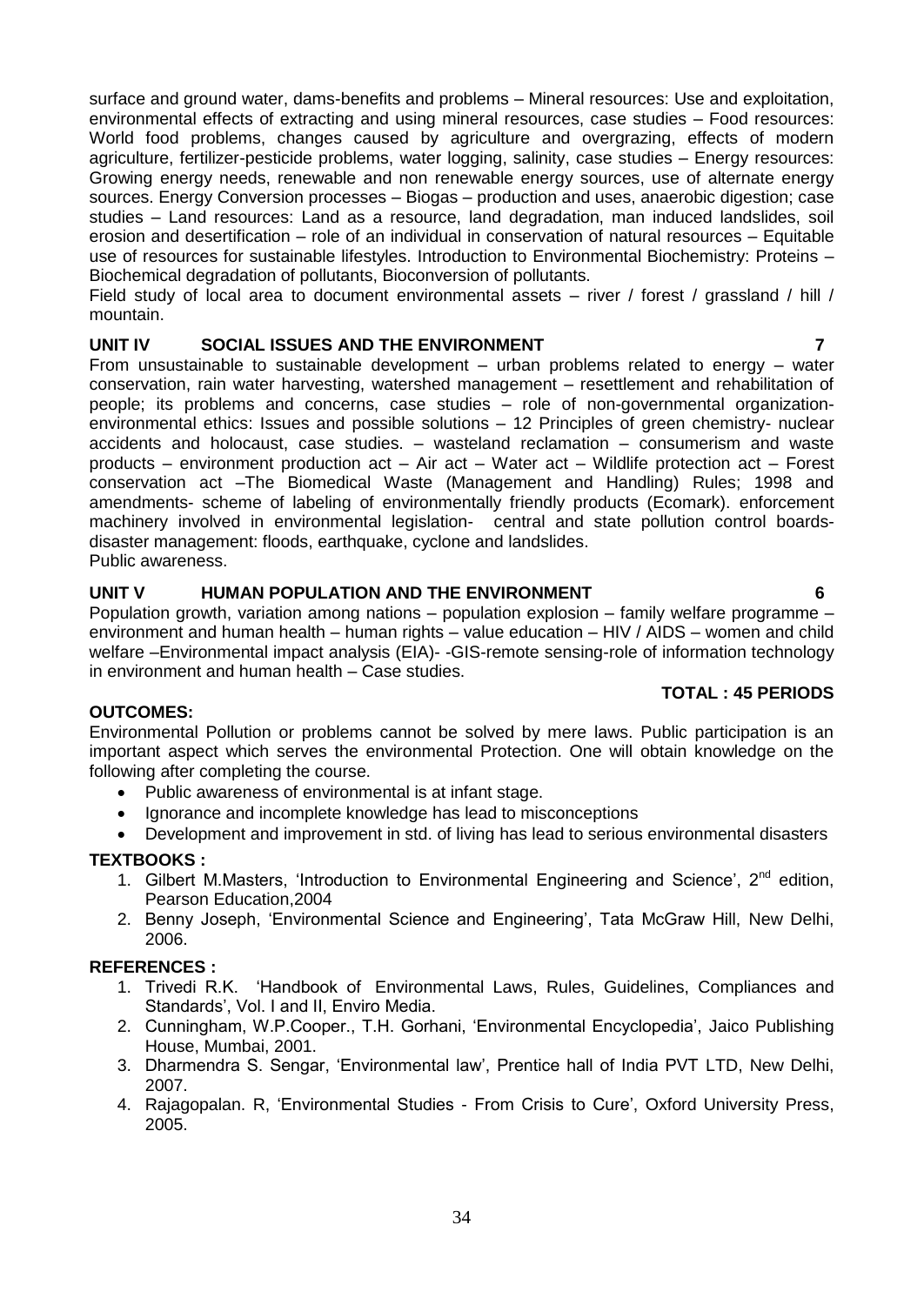surface and ground water, dams-benefits and problems – Mineral resources: Use and exploitation, environmental effects of extracting and using mineral resources, case studies – Food resources: World food problems, changes caused by agriculture and overgrazing, effects of modern agriculture, fertilizer-pesticide problems, water logging, salinity, case studies – Energy resources: Growing energy needs, renewable and non renewable energy sources, use of alternate energy sources. Energy Conversion processes – Biogas – production and uses, anaerobic digestion; case studies – Land resources: Land as a resource, land degradation, man induced landslides, soil erosion and desertification – role of an individual in conservation of natural resources – Equitable use of resources for sustainable lifestyles. Introduction to Environmental Biochemistry: Proteins – Biochemical degradation of pollutants, Bioconversion of pollutants.

Field study of local area to document environmental assets – river / forest / grassland / hill / mountain.

#### **UNIT IV SOCIAL ISSUES AND THE ENVIRONMENT 7**

From unsustainable to sustainable development – urban problems related to energy – water conservation, rain water harvesting, watershed management – resettlement and rehabilitation of people; its problems and concerns, case studies – role of non-governmental organizationenvironmental ethics: Issues and possible solutions – 12 Principles of green chemistry- nuclear accidents and holocaust, case studies. – wasteland reclamation – consumerism and waste products – environment production act – Air act – Water act – Wildlife protection act – Forest conservation act –The Biomedical Waste (Management and Handling) Rules; 1998 and amendments- scheme of labeling of environmentally friendly products (Ecomark). enforcement machinery involved in environmental legislation- central and state pollution control boardsdisaster management: floods, earthquake, cyclone and landslides. Public awareness.

#### **UNIT V HUMAN POPULATION AND THE ENVIRONMENT 6**

Population growth, variation among nations – population explosion – family welfare programme – environment and human health – human rights – value education – HIV / AIDS – women and child welfare –Environmental impact analysis (EIA)- -GIS-remote sensing-role of information technology in environment and human health – Case studies.

#### **TOTAL : 45 PERIODS**

### **OUTCOMES:**

Environmental Pollution or problems cannot be solved by mere laws. Public participation is an important aspect which serves the environmental Protection. One will obtain knowledge on the following after completing the course.

- Public awareness of environmental is at infant stage.
- Ignorance and incomplete knowledge has lead to misconceptions
- Development and improvement in std. of living has lead to serious environmental disasters

#### **TEXTBOOKS :**

- 1. Gilbert M.Masters, 'Introduction to Environmental Engineering and Science',  $2^{nd}$  edition, Pearson Education,2004
- 2. Benny Joseph, 'Environmental Science and Engineering', Tata McGraw Hill, New Delhi, 2006.

#### **REFERENCES :**

- 1. Trivedi R.K. "Handbook of Environmental Laws, Rules, Guidelines, Compliances and Standards", Vol. I and II, Enviro Media.
- 2. Cunningham, W.P.Cooper., T.H. Gorhani, "Environmental Encyclopedia", Jaico Publishing House, Mumbai, 2001.
- 3. Dharmendra S. Sengar, "Environmental law", Prentice hall of India PVT LTD, New Delhi, 2007.
- 4. Rajagopalan. R, "Environmental Studies From Crisis to Cure", Oxford University Press, 2005.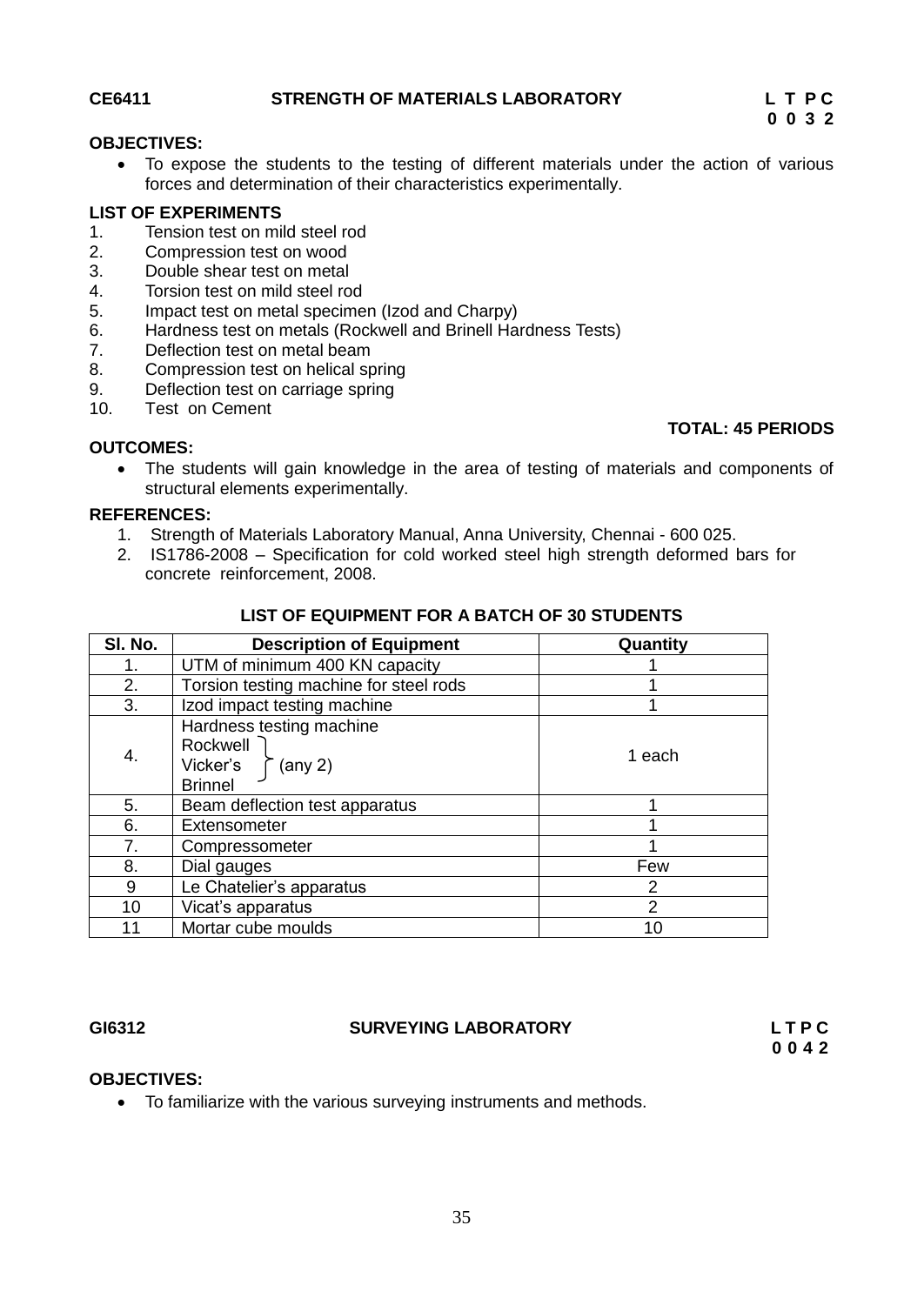#### **CE6411 STRENGTH OF MATERIALS LABORATORY L T P C**

**TOTAL: 45 PERIODS**

#### **OBJECTIVES:**

<span id="page-34-0"></span> To expose the students to the testing of different materials under the action of various forces and determination of their characteristics experimentally.

#### **LIST OF EXPERIMENTS**

- 1. Tension test on mild steel rod<br>2. Compression test on wood
- 2. Compression test on wood
- 3. Double shear test on metal
- 4. Torsion test on mild steel rod
- 5. Impact test on metal specimen (Izod and Charpy)
- 6. Hardness test on metals (Rockwell and Brinell Hardness Tests)
- 7. Deflection test on metal beam
- 8. Compression test on helical spring
- 9. Deflection test on carriage spring
- 10. Test on Cement

#### **OUTCOMES:**

 The students will gain knowledge in the area of testing of materials and components of structural elements experimentally.

#### **REFERENCES:**

- 1. Strength of Materials Laboratory Manual, Anna University, Chennai 600 025.
- 2. IS1786-2008 Specification for cold worked steel high strength deformed bars for concrete reinforcement, 2008.

| SI. No. | <b>Description of Equipment</b>                                                         | Quantity       |
|---------|-----------------------------------------------------------------------------------------|----------------|
|         | UTM of minimum 400 KN capacity                                                          |                |
| 2.      | Torsion testing machine for steel rods                                                  |                |
| 3.      | Izod impact testing machine                                                             |                |
| 4.      | Hardness testing machine<br>Rockwell<br>Vicker's<br>$(\text{any } 2)$<br><b>Brinnel</b> | 1 each         |
| 5.      | Beam deflection test apparatus                                                          |                |
| 6.      | Extensometer                                                                            |                |
| 7.      | Compressometer                                                                          |                |
| 8.      | Dial gauges                                                                             | Few            |
| 9       | Le Chatelier's apparatus                                                                | 2              |
| 10      | Vicat's apparatus                                                                       | $\overline{2}$ |
| 11      | Mortar cube moulds                                                                      | 10             |

#### **LIST OF EQUIPMENT FOR A BATCH OF 30 STUDENTS**

#### GI6312

#### <span id="page-34-1"></span>**GI6312 SURVEYING LABORATORY L T P C**

 **0 0 4 2**

#### **OBJECTIVES:**

To familiarize with the various surveying instruments and methods.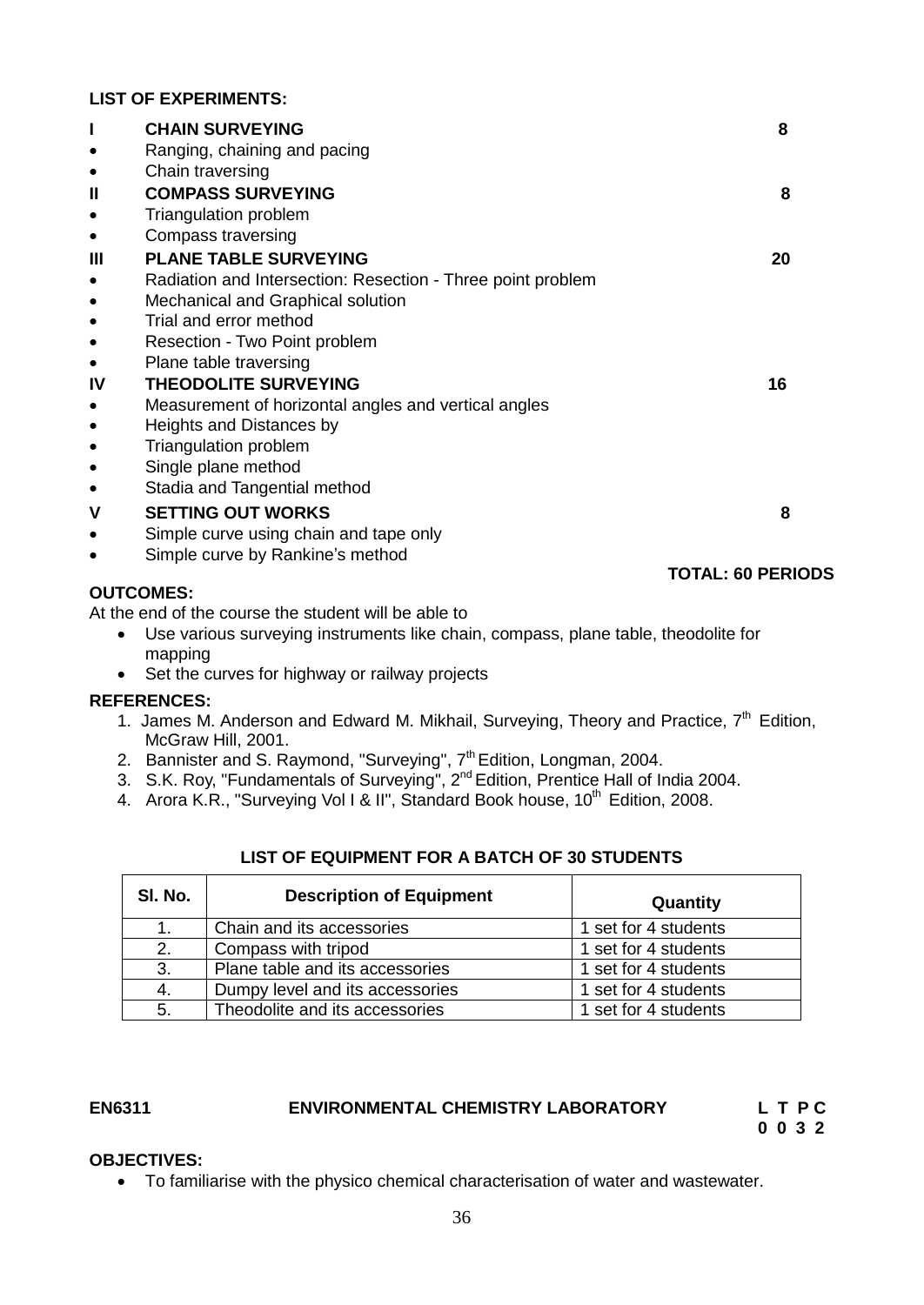#### **LIST OF EXPERIMENTS:**

|                | <b>CHAIN SURVEYING</b>                                      | 8                        |
|----------------|-------------------------------------------------------------|--------------------------|
|                | Ranging, chaining and pacing                                |                          |
| $\bullet$      | Chain traversing                                            |                          |
| $\mathbf{I}$   | <b>COMPASS SURVEYING</b>                                    | 8                        |
|                | Triangulation problem                                       |                          |
| $\bullet$      | Compass traversing                                          |                          |
| $\mathbf{III}$ | <b>PLANE TABLE SURVEYING</b>                                | 20                       |
|                | Radiation and Intersection: Resection - Three point problem |                          |
| $\bullet$      | Mechanical and Graphical solution                           |                          |
|                | Trial and error method                                      |                          |
| $\bullet$      | Resection - Two Point problem                               |                          |
| $\bullet$      | Plane table traversing                                      |                          |
| IV             | <b>THEODOLITE SURVEYING</b>                                 | 16                       |
| $\bullet$      | Measurement of horizontal angles and vertical angles        |                          |
| $\bullet$      | Heights and Distances by                                    |                          |
|                | <b>Triangulation problem</b>                                |                          |
| $\bullet$      | Single plane method                                         |                          |
| $\bullet$      | Stadia and Tangential method                                |                          |
| $\mathsf{V}$   | <b>SETTING OUT WORKS</b>                                    | 8                        |
| $\bullet$      | Simple curve using chain and tape only                      |                          |
|                | Simple curve by Rankine's method                            |                          |
|                |                                                             | <b>TOTAL: 60 PERIODS</b> |
|                | <b>OUTCOMES:</b>                                            |                          |
|                |                                                             |                          |

At the end of the course the student will be able to

- Use various surveying instruments like chain, compass, plane table, theodolite for mapping
- Set the curves for highway or railway projects

#### **REFERENCES:**

- 1. James M. Anderson and Edward M. Mikhail, Surveying, Theory and Practice, 7<sup>th</sup> Edition, McGraw Hill, 2001.
- 2. Bannister and S. Raymond, "Surveying", 7<sup>th</sup> Edition, Longman, 2004.
- 3. S.K. Roy, "Fundamentals of Surveying", 2<sup>nd</sup> Edition, Prentice Hall of India 2004.
- 4. Arora K.R., "Surveying Vol I & II", Standard Book house, 10<sup>th</sup> Edition, 2008.

| SI. No. | <b>Description of Equipment</b> | Quantity             |
|---------|---------------------------------|----------------------|
| 1.      | Chain and its accessories       | 1 set for 4 students |
| 2.      | Compass with tripod             | 1 set for 4 students |
| 3.      | Plane table and its accessories | 1 set for 4 students |
| 4.      | Dumpy level and its accessories | 1 set for 4 students |
| 5.      | Theodolite and its accessories  | 1 set for 4 students |

## **LIST OF EQUIPMENT FOR A BATCH OF 30 STUDENTS**

### EN6311 ENVIRONMENTAL CHEMISTRY LABORATORY LTPC

 **0 0 3 2** 

#### **OBJECTIVES:**

<span id="page-35-0"></span>To familiarise with the physico chemical characterisation of water and wastewater.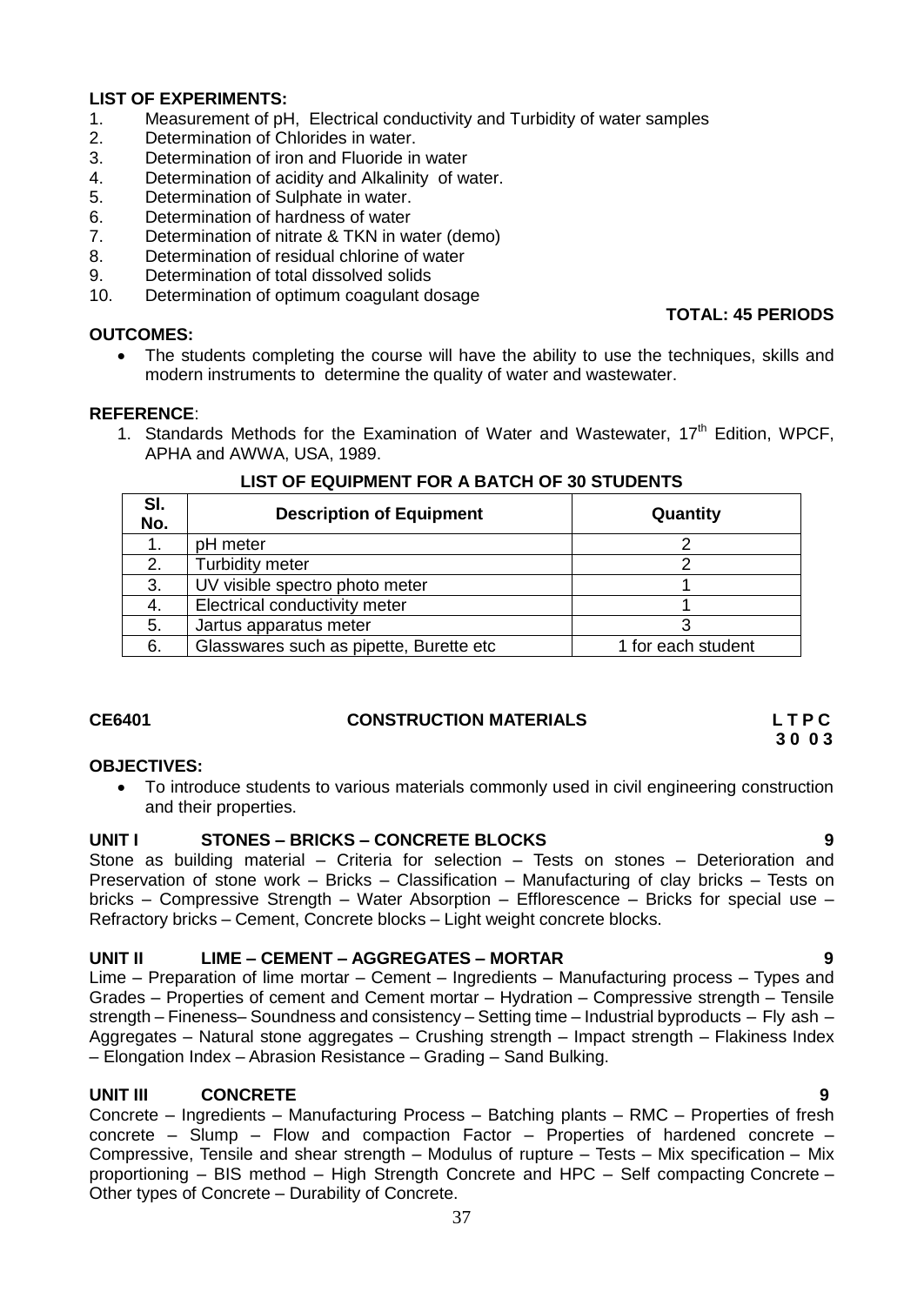#### **LIST OF EXPERIMENTS:**

- 1. Measurement of pH, Electrical conductivity and Turbidity of water samples
- 2. Determination of Chlorides in water.
- 3. Determination of iron and Fluoride in water
- 4. Determination of acidity and Alkalinity of water.
- 5. Determination of Sulphate in water.
- 6. Determination of hardness of water
- 7. Determination of nitrate & TKN in water (demo)
- 8. Determination of residual chlorine of water
- 9. Determination of total dissolved solids
- 10. Determination of optimum coagulant dosage

#### **OUTCOMES:**

#### **TOTAL: 45 PERIODS**

• The students completing the course will have the ability to use the techniques, skills and modern instruments to determine the quality of water and wastewater.

#### **REFERENCE**:

1. Standards Methods for the Examination of Water and Wastewater,  $17<sup>th</sup>$  Edition, WPCF, APHA and AWWA, USA, 1989.

| SI.<br>No. | <b>Description of Equipment</b>         | Quantity           |
|------------|-----------------------------------------|--------------------|
|            | pH meter                                |                    |
|            | <b>Turbidity meter</b>                  |                    |
| 3.         | UV visible spectro photo meter          |                    |
|            | Electrical conductivity meter           |                    |
| 5.         | Jartus apparatus meter                  |                    |
| 6.         | Glasswares such as pipette, Burette etc | 1 for each student |

#### **LIST OF EQUIPMENT FOR A BATCH OF 30 STUDENTS**

# **CE6401 CONSTRUCTION MATERIALS L T P C**

# **3 0 0 3**

#### **OBJECTIVES:**

 To introduce students to various materials commonly used in civil engineering construction and their properties.

## **UNIT I STONES – BRICKS – CONCRETE BLOCKS 9**

Stone as building material – Criteria for selection – Tests on stones – Deterioration and Preservation of stone work – Bricks – Classification – Manufacturing of clay bricks – Tests on bricks – Compressive Strength – Water Absorption – Efflorescence – Bricks for special use – Refractory bricks – Cement, Concrete blocks – Light weight concrete blocks.

#### **UNIT II LIME – CEMENT – AGGREGATES – MORTAR 9**

Lime – Preparation of lime mortar – Cement – Ingredients – Manufacturing process – Types and Grades – Properties of cement and Cement mortar – Hydration – Compressive strength – Tensile strength – Fineness– Soundness and consistency – Setting time – Industrial byproducts – Fly ash – Aggregates – Natural stone aggregates – Crushing strength – Impact strength – Flakiness Index – Elongation Index – Abrasion Resistance – Grading – Sand Bulking.

### **UNIT III CONCRETE 9**

Concrete – Ingredients – Manufacturing Process – Batching plants – RMC – Properties of fresh concrete – Slump – Flow and compaction Factor – Properties of hardened concrete – Compressive, Tensile and shear strength – Modulus of rupture – Tests – Mix specification – Mix proportioning – BIS method – High Strength Concrete and HPC – Self compacting Concrete – Other types of Concrete – Durability of Concrete.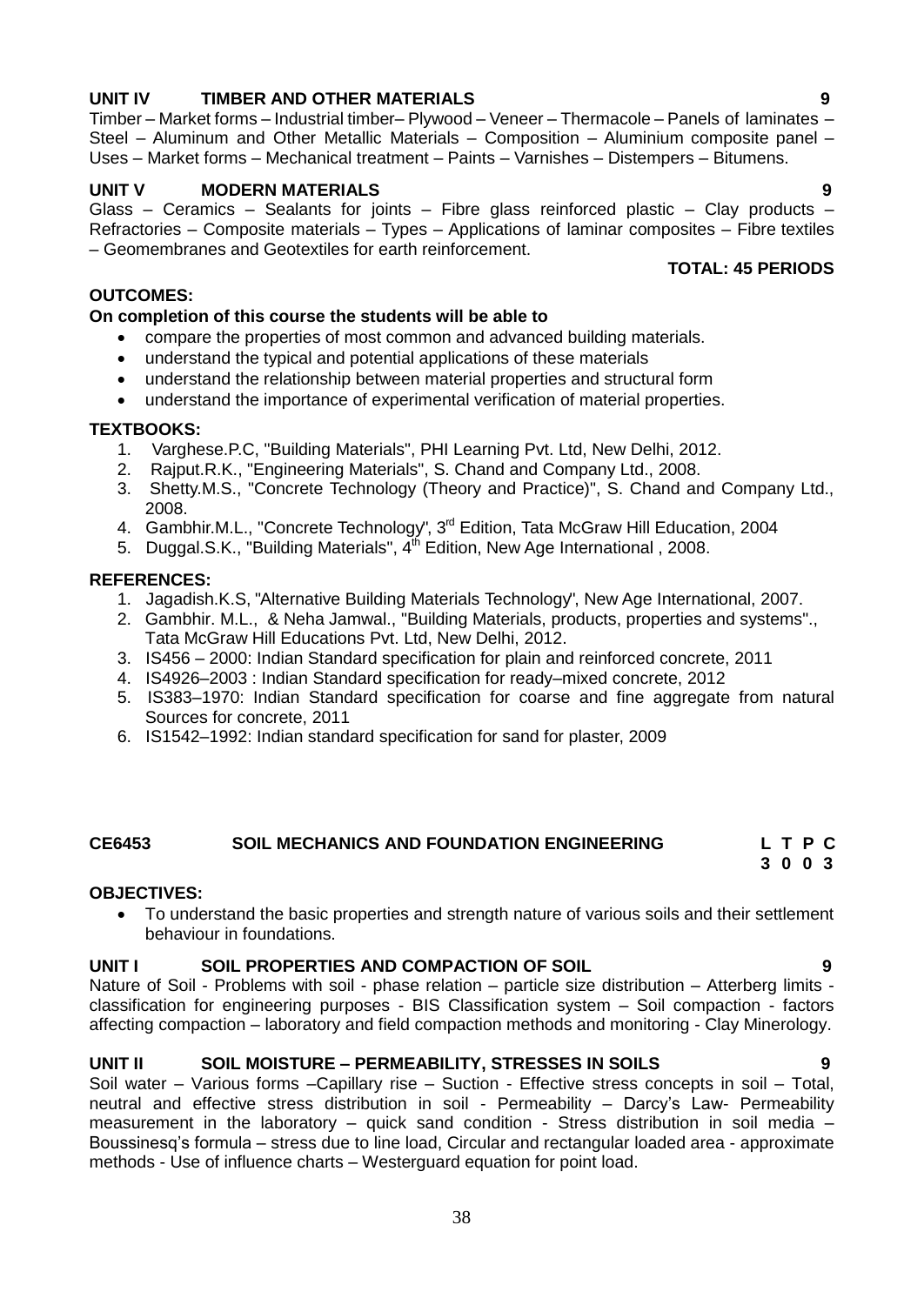#### **UNIT IV TIMBER AND OTHER MATERIALS 9** Timber – Market forms – Industrial timber– Plywood – Veneer – Thermacole – Panels of laminates –

## **UNIT V MODERN MATERIALS 9**

Glass – Ceramics – Sealants for joints – Fibre glass reinforced plastic – Clay products – Refractories – Composite materials – Types – Applications of laminar composites – Fibre textiles – Geomembranes and Geotextiles for earth reinforcement. **TOTAL: 45 PERIODS**

Steel – Aluminum and Other Metallic Materials – Composition – Aluminium composite panel – Uses – Market forms – Mechanical treatment – Paints – Varnishes – Distempers – Bitumens.

#### **OUTCOMES:**

#### **On completion of this course the students will be able to**

- compare the properties of most common and advanced building materials.
- understand the typical and potential applications of these materials
- understand the relationship between material properties and structural form
- understand the importance of experimental verification of material properties.

#### **TEXTBOOKS:**

- 1. Varghese.P.C, "Building Materials", PHI Learning Pvt. Ltd, New Delhi, 2012.
- 2. Rajput.R.K., "Engineering Materials", S. Chand and Company Ltd., 2008.
- 3. Shetty.M.S., "Concrete Technology (Theory and Practice)", S. Chand and Company Ltd., 2008.
- 4. Gambhir.M.L., "Concrete Technology", 3<sup>rd</sup> Edition, Tata McGraw Hill Education, 2004
- 5. Duggal.S.K., "Building Materials", 4<sup>th</sup> Edition, New Age International , 2008.

#### **REFERENCES:**

- 1. Jagadish.K.S, "Alternative Building Materials Technology", New Age International, 2007.
- 2. Gambhir. M.L., & Neha Jamwal., "Building Materials, products, properties and systems"., Tata McGraw Hill Educations Pvt. Ltd, New Delhi, 2012.
- 3. IS456 2000: Indian Standard specification for plain and reinforced concrete, 2011
- 4. IS4926–2003 : Indian Standard specification for ready–mixed concrete, 2012
- 5. IS383–1970: Indian Standard specification for coarse and fine aggregate from natural Sources for concrete, 2011
- 6. IS1542–1992: Indian standard specification for sand for plaster, 2009

#### **CE6453 SOIL MECHANICS AND FOUNDATION ENGINEERING L T P C**

#### **OBJECTIVES:**

 To understand the basic properties and strength nature of various soils and their settlement behaviour in foundations.

#### **UNIT I SOIL PROPERTIES AND COMPACTION OF SOIL 9**

Nature of Soil - Problems with soil - phase relation – particle size distribution – Atterberg limits classification for engineering purposes - BIS Classification system – Soil compaction - factors affecting compaction – laboratory and field compaction methods and monitoring - Clay Minerology.

#### **UNIT II** SOIL MOISTURE – PERMEABILITY, STRESSES IN SOILS

Soil water – Various forms –Capillary rise – Suction - Effective stress concepts in soil – Total, neutral and effective stress distribution in soil - Permeability – Darcy"s Law- Permeability measurement in the laboratory – quick sand condition - Stress distribution in soil media – Boussinesq"s formula – stress due to line load, Circular and rectangular loaded area - approximate methods - Use of influence charts – Westerguard equation for point load.

**3 0 0 3**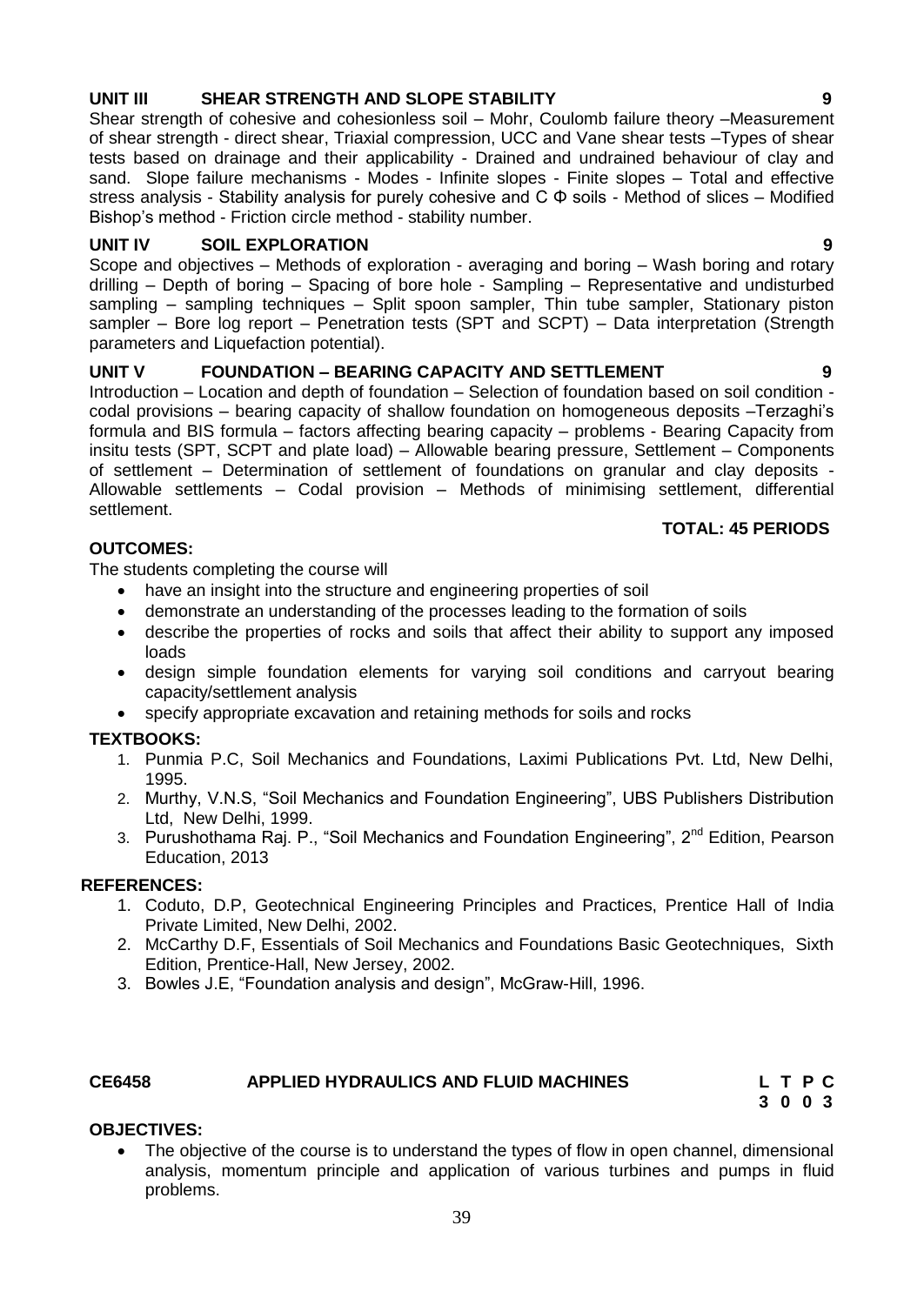#### 39

## **UNIT III SHEAR STRENGTH AND SLOPE STABILITY 9**

Shear strength of cohesive and cohesionless soil – Mohr, Coulomb failure theory –Measurement of shear strength - direct shear, Triaxial compression, UCC and Vane shear tests –Types of shear tests based on drainage and their applicability - Drained and undrained behaviour of clay and sand. Slope failure mechanisms - Modes - Infinite slopes - Finite slopes - Total and effective stress analysis - Stability analysis for purely cohesive and C Φ soils - Method of slices – Modified Bishop"s method - Friction circle method - stability number.

## **UNIT IV SOIL EXPLORATION 9**

Scope and objectives – Methods of exploration - averaging and boring – Wash boring and rotary drilling – Depth of boring – Spacing of bore hole - Sampling – Representative and undisturbed sampling – sampling techniques – Split spoon sampler, Thin tube sampler, Stationary piston sampler – Bore log report – Penetration tests (SPT and SCPT) – Data interpretation (Strength parameters and Liquefaction potential).

## **UNIT V FOUNDATION – BEARING CAPACITY AND SETTLEMENT 9**

Introduction – Location and depth of foundation – Selection of foundation based on soil condition codal provisions – bearing capacity of shallow foundation on homogeneous deposits –Terzaghi"s formula and BIS formula – factors affecting bearing capacity – problems - Bearing Capacity from insitu tests (SPT, SCPT and plate load) – Allowable bearing pressure, Settlement – Components of settlement – Determination of settlement of foundations on granular and clay deposits - Allowable settlements – Codal provision – Methods of minimising settlement, differential settlement.

## **TOTAL: 45 PERIODS**

## **OUTCOMES:**

The students completing the course will

- have an insight into the structure and engineering properties of soil
- demonstrate an understanding of the processes leading to the formation of soils
- describe the properties of rocks and soils that affect their ability to support any imposed loads
- design simple foundation elements for varying soil conditions and carryout bearing capacity/settlement analysis
- specify appropriate excavation and retaining methods for soils and rocks

## **TEXTBOOKS:**

- 1. Punmia P.C, Soil Mechanics and Foundations, Laximi Publications Pvt. Ltd, New Delhi, 1995.
- 2. Murthy, V.N.S, "Soil Mechanics and Foundation Engineering", UBS Publishers Distribution Ltd, New Delhi, 1999.
- 3. Purushothama Raj. P., "Soil Mechanics and Foundation Engineering", 2<sup>nd</sup> Edition, Pearson Education, 2013

### **REFERENCES:**

- 1. Coduto, D.P, Geotechnical Engineering Principles and Practices, Prentice Hall of India Private Limited, New Delhi, 2002.
- 2. McCarthy D.F, Essentials of Soil Mechanics and Foundations Basic Geotechniques, Sixth Edition, Prentice-Hall, New Jersey, 2002.
- 3. Bowles J.E, "Foundation analysis and design", McGraw-Hill, 1996.

#### **CE6458 APPLIED HYDRAULICS AND FLUID MACHINES L T P C**

**3 0 0 3**

## **OBJECTIVES:**

 The objective of the course is to understand the types of flow in open channel, dimensional analysis, momentum principle and application of various turbines and pumps in fluid problems.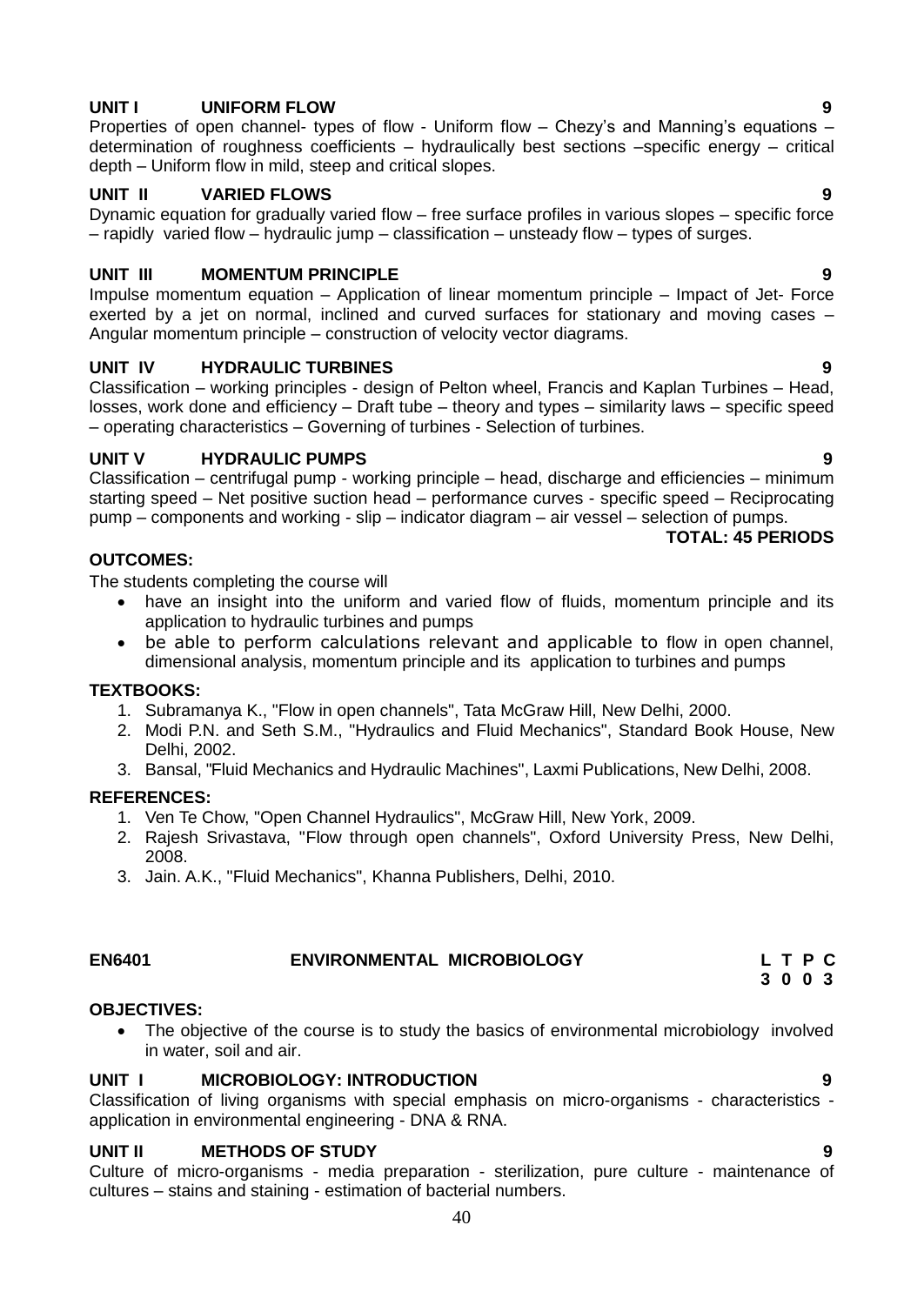#### **UNIT I UNIFORM FLOW 9**

Properties of open channel- types of flow - Uniform flow – Chezy's and Manning's equations – determination of roughness coefficients – hydraulically best sections –specific energy – critical depth – Uniform flow in mild, steep and critical slopes.

#### **UNIT II VARIED FLOWS 9**

Dynamic equation for gradually varied flow – free surface profiles in various slopes – specific force – rapidly varied flow – hydraulic jump – classification – unsteady flow – types of surges.

## **UNIT III MOMENTUM PRINCIPLE 9**

Impulse momentum equation – Application of linear momentum principle – Impact of Jet- Force exerted by a jet on normal, inclined and curved surfaces for stationary and moving cases – Angular momentum principle – construction of velocity vector diagrams.

## **UNIT IV HYDRAULIC TURBINES 9**

Classification – working principles - design of Pelton wheel, Francis and Kaplan Turbines – Head, losses, work done and efficiency – Draft tube – theory and types – similarity laws – specific speed – operating characteristics – Governing of turbines - Selection of turbines.

## **UNIT V HYDRAULIC PUMPS 9**

Classification – centrifugal pump - working principle – head, discharge and efficiencies – minimum starting speed – Net positive suction head – performance curves - specific speed – Reciprocating pump – components and working - slip – indicator diagram – air vessel – selection of pumps.

## **TOTAL: 45 PERIODS**

#### **OUTCOMES:**

The students completing the course will

- have an insight into the uniform and varied flow of fluids, momentum principle and its application to hydraulic turbines and pumps
- be able to perform calculations relevant and applicable to flow in open channel, dimensional analysis, momentum principle and its application to turbines and pumps

#### **TEXTBOOKS:**

- 1. Subramanya K., "Flow in open channels", Tata McGraw Hill, New Delhi, 2000.
- 2. Modi P.N. and Seth S.M., "Hydraulics and Fluid Mechanics", Standard Book House, New Delhi, 2002.
- 3. Bansal, "Fluid Mechanics and Hydraulic Machines", Laxmi Publications, New Delhi, 2008.

#### **REFERENCES:**

- 1. Ven Te Chow, "Open Channel Hydraulics", McGraw Hill, New York, 2009.
- 2. Rajesh Srivastava, "Flow through open channels", Oxford University Press, New Delhi, 2008.
- 3. Jain. A.K., "Fluid Mechanics", Khanna Publishers, Delhi, 2010.

## **EN6401 ENVIRONMENTAL MICROBIOLOGY L T P C**

#### **OBJECTIVES:**

 The objective of the course is to study the basics of environmental microbiology involved in water, soil and air.

#### **UNIT I MICROBIOLOGY: INTRODUCTION 9**

Classification of living organisms with special emphasis on micro-organisms - characteristics application in environmental engineering - DNA & RNA.

#### **UNIT II METHODS OF STUDY 9**

Culture of micro-organisms - media preparation - sterilization, pure culture - maintenance of cultures – stains and staining - estimation of bacterial numbers.

- **3 0 0 3**
	-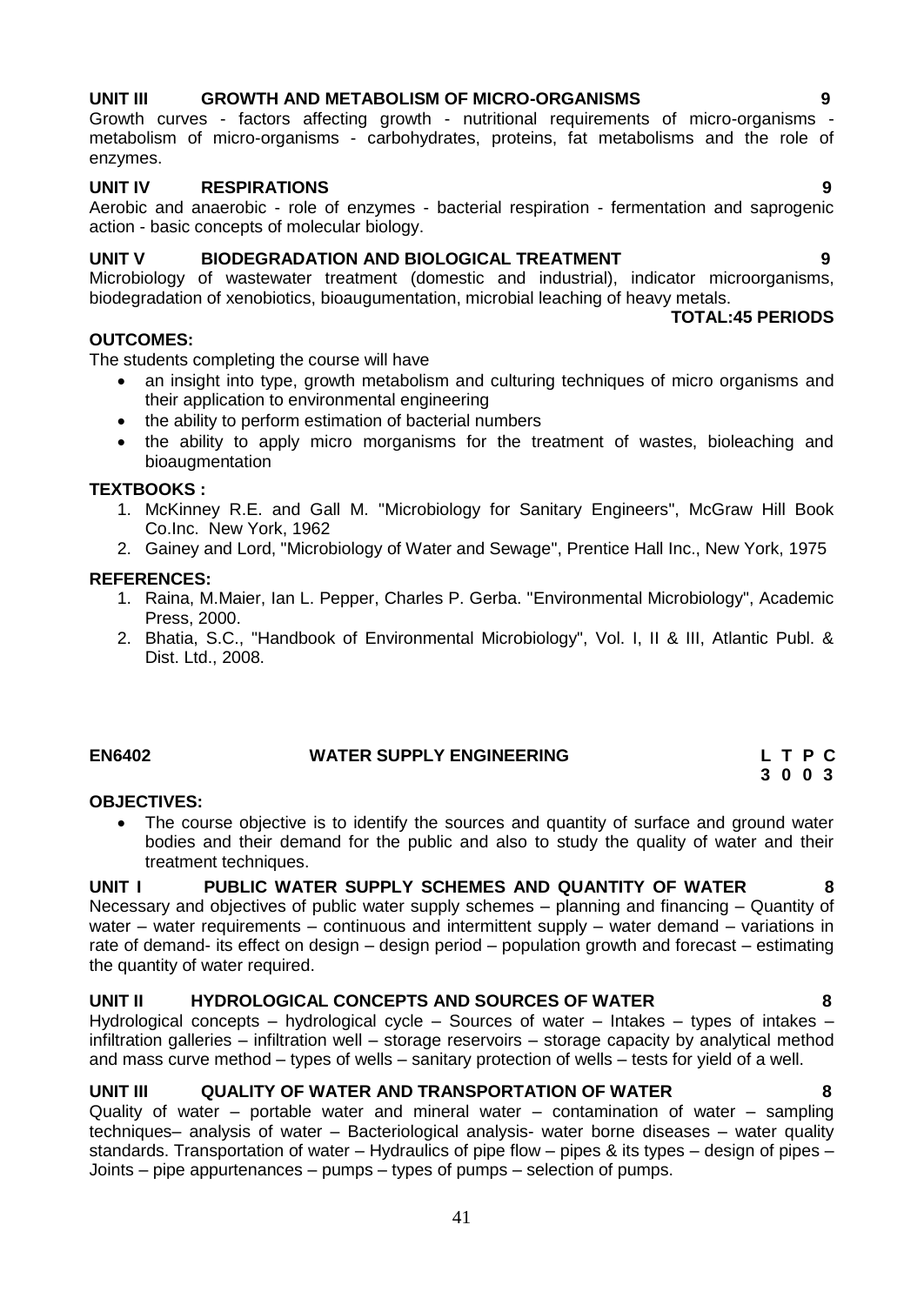- 1. McKinney R.E. and Gall M. "Microbiology for Sanitary Engineers", McGraw Hill Book Co.Inc. New York, 1962
- 2. Gainey and Lord, "Microbiology of Water and Sewage", Prentice Hall Inc., New York, 1975

#### **REFERENCES:**

- 1. Raina, M.Maier, Ian L. Pepper, Charles P. Gerba. "Environmental Microbiology", Academic Press, 2000.
- 2. Bhatia, S.C., "Handbook of Environmental Microbiology", Vol. I, II & III, Atlantic Publ. & Dist. Ltd., 2008.

#### **EN6402 WATER SUPPLY ENGINEERING L T P C**

**OBJECTIVES:**

• The course objective is to identify the sources and quantity of surface and ground water bodies and their demand for the public and also to study the quality of water and their treatment techniques.

#### **UNIT I PUBLIC WATER SUPPLY SCHEMES AND QUANTITY OF WATER 8**

Necessary and objectives of public water supply schemes – planning and financing – Quantity of water – water requirements – continuous and intermittent supply – water demand – variations in rate of demand- its effect on design – design period – population growth and forecast – estimating the quantity of water required.

#### **UNIT II HYDROLOGICAL CONCEPTS AND SOURCES OF WATER 8**

Hydrological concepts – hydrological cycle – Sources of water – Intakes – types of intakes – infiltration galleries – infiltration well – storage reservoirs – storage capacity by analytical method and mass curve method – types of wells – sanitary protection of wells – tests for yield of a well.

#### **UNIT III QUALITY OF WATER AND TRANSPORTATION OF WATER 8**

Quality of water – portable water and mineral water – contamination of water – sampling techniques– analysis of water – Bacteriological analysis- water borne diseases – water quality standards. Transportation of water – Hydraulics of pipe flow – pipes & its types – design of pipes – Joints – pipe appurtenances – pumps – types of pumps – selection of pumps.

41

#### **UNIT III GROWTH AND METABOLISM OF MICRO-ORGANISMS 9**

Growth curves - factors affecting growth - nutritional requirements of micro-organisms metabolism of micro-organisms - carbohydrates, proteins, fat metabolisms and the role of enzymes.

#### **UNIT IV RESPIRATIONS 9**

Aerobic and anaerobic - role of enzymes - bacterial respiration - fermentation and saprogenic action - basic concepts of molecular biology.

#### **UNIT V BIODEGRADATION AND BIOLOGICAL TREATMENT 9**

Microbiology of wastewater treatment (domestic and industrial), indicator microorganisms, biodegradation of xenobiotics, bioaugumentation, microbial leaching of heavy metals.

#### **OUTCOMES:**

The students completing the course will have

- an insight into type, growth metabolism and culturing techniques of micro organisms and their application to environmental engineering
- the ability to perform estimation of bacterial numbers
- the ability to apply micro morganisms for the treatment of wastes, bioleaching and bioaugmentation

#### **TEXTBOOKS :**

- 
- 

**TOTAL:45 PERIODS**

**3 0 0 3**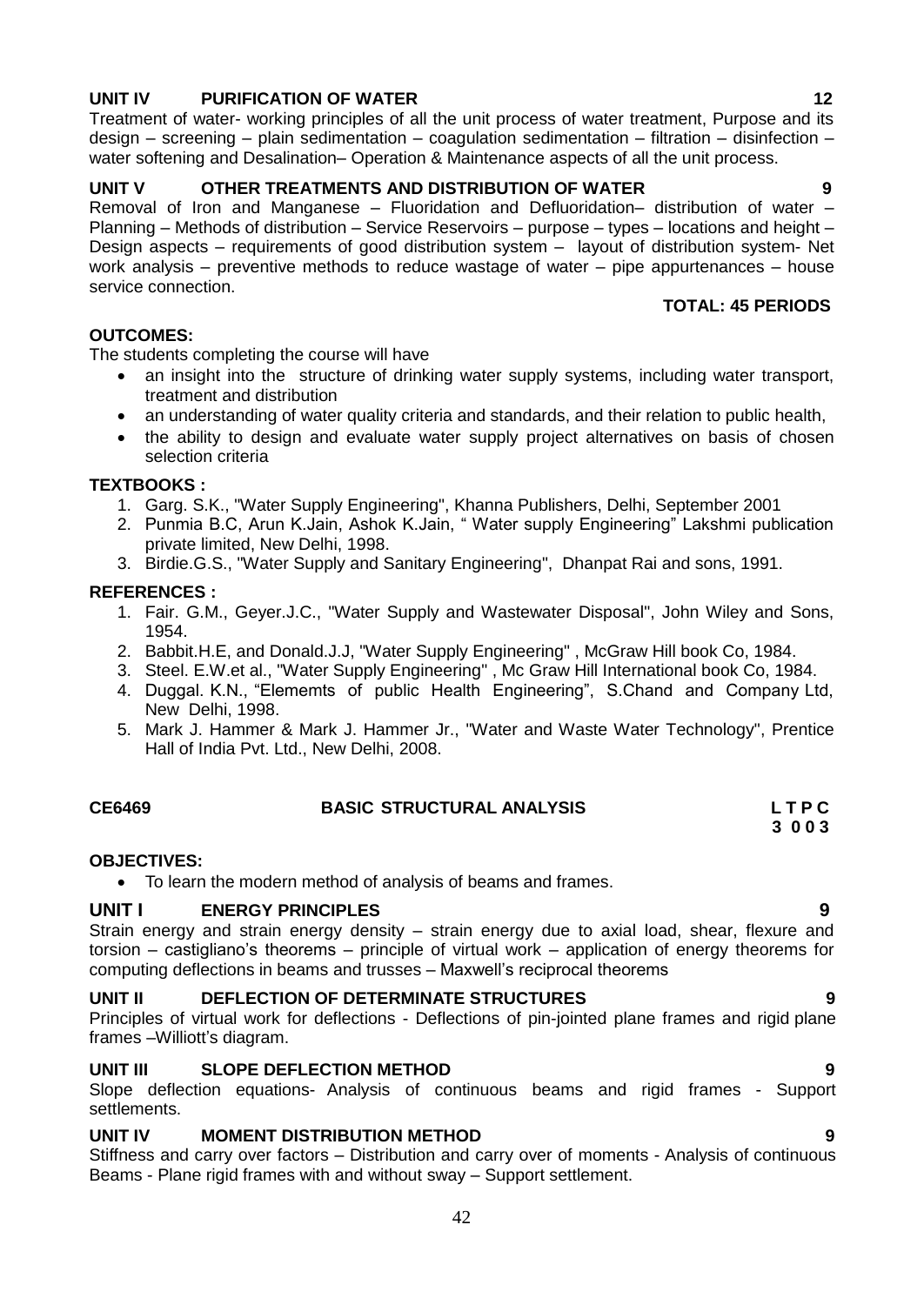## **UNIT IV PURIFICATION OF WATER 12** 12

Treatment of water- working principles of all the unit process of water treatment, Purpose and its design – screening – plain sedimentation – coagulation sedimentation – filtration – disinfection – water softening and Desalination– Operation & Maintenance aspects of all the unit process.

## **UNIT V OTHER TREATMENTS AND DISTRIBUTION OF WATER 9**

Removal of Iron and Manganese – Fluoridation and Defluoridation– distribution of water – Planning – Methods of distribution – Service Reservoirs – purpose – types – locations and height – Design aspects – requirements of good distribution system – layout of distribution system- Net work analysis – preventive methods to reduce wastage of water – pipe appurtenances – house service connection.

## **TOTAL: 45 PERIODS**

### **OUTCOMES:**

The students completing the course will have

- an insight into the structure of drinking water supply systems, including water transport, treatment and distribution
- an understanding of water quality criteria and standards, and their relation to public health,
- the ability to design and evaluate water supply project alternatives on basis of chosen selection criteria

#### **TEXTBOOKS :**

- 1. Garg. S.K., "Water Supply Engineering", Khanna Publishers, Delhi, September 2001
- 2. Punmia B.C, Arun K.Jain, Ashok K.Jain, " Water supply Engineering" Lakshmi publication private limited, New Delhi, 1998.
- 3. Birdie.G.S., "Water Supply and Sanitary Engineering", Dhanpat Rai and sons, 1991.

## **REFERENCES :**

- 1. Fair. G.M., Geyer.J.C., "Water Supply and Wastewater Disposal", John Wiley and Sons, 1954.
- 2. Babbit.H.E, and Donald.J.J, "Water Supply Engineering" , McGraw Hill book Co, 1984.
- 3. Steel. E.W.et al., "Water Supply Engineering" , Mc Graw Hill International book Co, 1984.
- 4. Duggal. K.N., "Elememts of public Health Engineering", S.Chand and Company Ltd, New Delhi, 1998.
- 5. Mark J. Hammer & Mark J. Hammer Jr., "Water and Waste Water Technology", Prentice Hall of India Pvt. Ltd., New Delhi, 2008.

| CE6469 | <b>BASIC STRUCTURAL ANALYSIS</b> | <b>LTPC</b> |
|--------|----------------------------------|-------------|
|        |                                  | 3 0 0 3     |

## **OBJECTIVES:**

To learn the modern method of analysis of beams and frames.

## **UNIT I ENERGY PRINCIPLES 9**

Strain energy and strain energy density – strain energy due to axial load, shear, flexure and torsion – castigliano"s theorems – principle of virtual work – application of energy theorems for computing deflections in beams and trusses – Maxwell"s reciprocal theorems

## **UNIT II DEFLECTION OF DETERMINATE STRUCTURES 9**

Principles of virtual work for deflections - Deflections of pin-jointed plane frames and rigid plane frames -Williott's diagram.

## **UNIT III SLOPE DEFLECTION METHOD 9**

Slope deflection equations- Analysis of continuous beams and rigid frames - Support settlements.

## **UNIT IV MOMENT DISTRIBUTION METHOD 9**

Stiffness and carry over factors – Distribution and carry over of moments - Analysis of continuous Beams - Plane rigid frames with and without sway – Support settlement.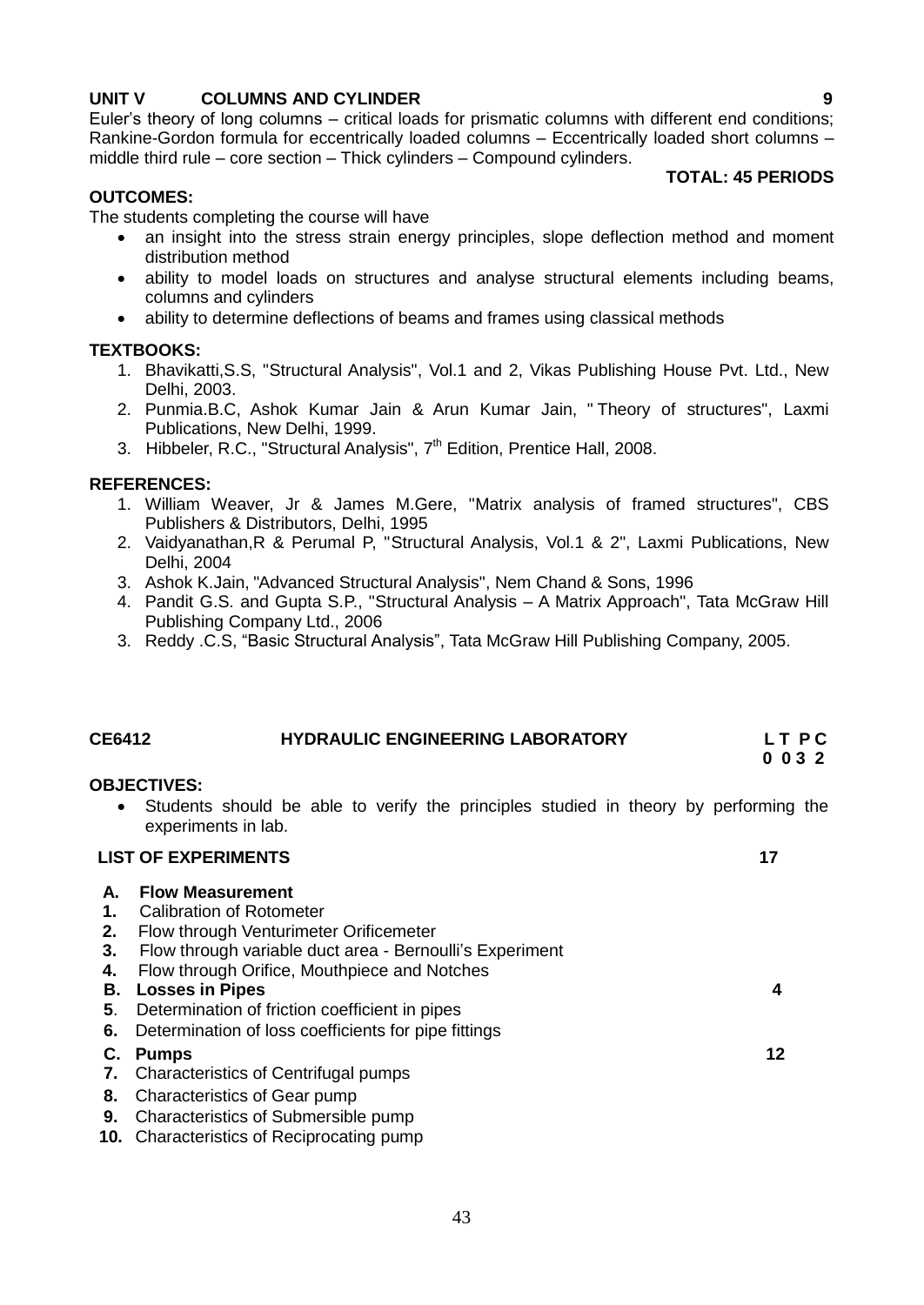## **UNIT V COLUMNS AND CYLINDER 9**

Euler"s theory of long columns – critical loads for prismatic columns with different end conditions; Rankine-Gordon formula for eccentrically loaded columns – Eccentrically loaded short columns – middle third rule – core section – Thick cylinders – Compound cylinders.

#### **TOTAL: 45 PERIODS**

#### **OUTCOMES:**

The students completing the course will have

- an insight into the stress strain energy principles, slope deflection method and moment distribution method
- ability to model loads on structures and analyse structural elements including beams, columns and cylinders
- ability to determine deflections of beams and frames using classical methods

#### **TEXTBOOKS:**

- 1. Bhavikatti,S.S, "Structural Analysis", Vol.1 and 2, Vikas Publishing House Pvt. Ltd., New Delhi, 2003.
- 2. Punmia.B.C, Ashok Kumar Jain & Arun Kumar Jain, " Theory of structures", Laxmi Publications, New Delhi, 1999.
- 3. Hibbeler, R.C., "Structural Analysis", 7<sup>th</sup> Edition, Prentice Hall, 2008.

#### **REFERENCES:**

- 1. William Weaver, Jr & James M.Gere, "Matrix analysis of framed structures", CBS Publishers & Distributors, Delhi, 1995
- 2. Vaidyanathan,R & Perumal P, "Structural Analysis, Vol.1 & 2", Laxmi Publications, New Delhi, 2004
- 3. Ashok K.Jain, "Advanced Structural Analysis", Nem Chand & Sons, 1996
- 4. Pandit G.S. and Gupta S.P., "Structural Analysis A Matrix Approach", Tata McGraw Hill Publishing Company Ltd., 2006
- 3. Reddy .C.S, "Basic Structural Analysis", Tata McGraw Hill Publishing Company, 2005.

## **CE6412 HYDRAULIC ENGINEERING LABORATORY L T P C 0 0 3 2**

#### **OBJECTIVES:**

 Students should be able to verify the principles studied in theory by performing the experiments in lab.

#### **LIST OF EXPERIMENTS** 17

- **A. Flow Measurement 1.** Calibration of Rotometer **2.** Flow through Venturimeter Orificemeter **3.** Flow through variable duct area - Bernoulli"s Experiment **4.** Flow through Orifice, Mouthpiece and Notches  **B. Losses in Pipes 4 5**. Determination of friction coefficient in pipes  **6.** Determination of loss coefficients for pipe fittings **4 C. 7.** Characteristics of Centrifugal pumps **Pumps 12 8.** Characteristics of Gear pump  **9.** Characteristics of Submersible pump
- **10.** Characteristics of Reciprocating pump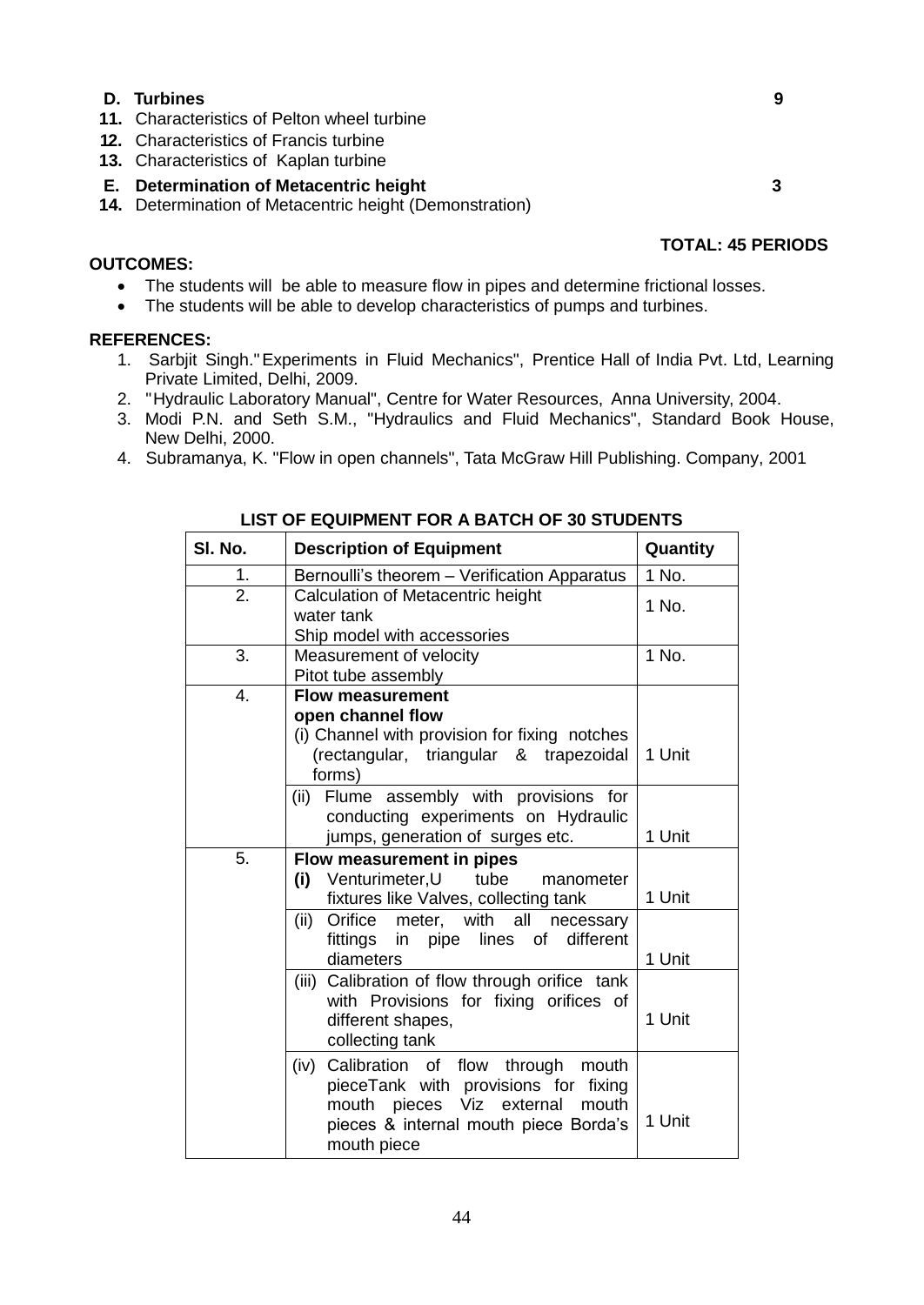#### **D. Turbines 9**

- **11.** Characteristics of Pelton wheel turbine
- **12.** Characteristics of Francis turbine
- **13.** Characteristics of Kaplan turbine

## **E. Determination of Metacentric height 3**

 **14.** Determination of Metacentric height (Demonstration)

## **OUTCOMES:**

- The students will be able to measure flow in pipes and determine frictional losses.
- The students will be able to develop characteristics of pumps and turbines.

## **REFERENCES:**

- 1. Sarbjit Singh."Experiments in Fluid Mechanics", Prentice Hall of India Pvt. Ltd, Learning Private Limited, Delhi, 2009.
- 2. "Hydraulic Laboratory Manual", Centre for Water Resources, Anna University, 2004.
- 3. Modi P.N. and Seth S.M., "Hydraulics and Fluid Mechanics", Standard Book House, New Delhi, 2000.
- 4. Subramanya, K. "Flow in open channels", Tata McGraw Hill Publishing. Company, 2001

| SI. No. | <b>Description of Equipment</b>                                                                                                                                                       | Quantity |
|---------|---------------------------------------------------------------------------------------------------------------------------------------------------------------------------------------|----------|
| 1.      | Bernoulli's theorem - Verification Apparatus                                                                                                                                          | 1 No.    |
| 2.      | Calculation of Metacentric height<br>water tank<br>Ship model with accessories                                                                                                        | 1 No.    |
| 3.      | Measurement of velocity<br>Pitot tube assembly                                                                                                                                        | 1 No.    |
| 4.      | <b>Flow measurement</b><br>open channel flow<br>(i) Channel with provision for fixing notches<br>(rectangular, triangular & trapezoidal<br>forms)                                     | 1 Unit   |
|         | Flume assembly with provisions for<br>(ii)<br>conducting experiments on Hydraulic<br>jumps, generation of surges etc.                                                                 | 1 Unit   |
| 5.      | Flow measurement in pipes<br>Venturimeter, U<br>tube<br>(i)<br>manometer<br>fixtures like Valves, collecting tank                                                                     | 1 Unit   |
|         | Orifice<br>(ii)<br>meter, with all<br>necessary<br>fittings in pipe lines of<br>different<br>diameters                                                                                | 1 Unit   |
|         | Calibration of flow through orifice tank<br>(iii)<br>with Provisions for fixing orifices of<br>different shapes,<br>collecting tank                                                   | 1 Unit   |
|         | Calibration of flow through mouth<br>(iv)<br>pieceTank with provisions for fixing<br>pieces Viz<br>external<br>mouth<br>mouth<br>pieces & internal mouth piece Borda's<br>mouth piece | 1 Unit   |

## **LIST OF EQUIPMENT FOR A BATCH OF 30 STUDENTS**

 **TOTAL: 45 PERIODS**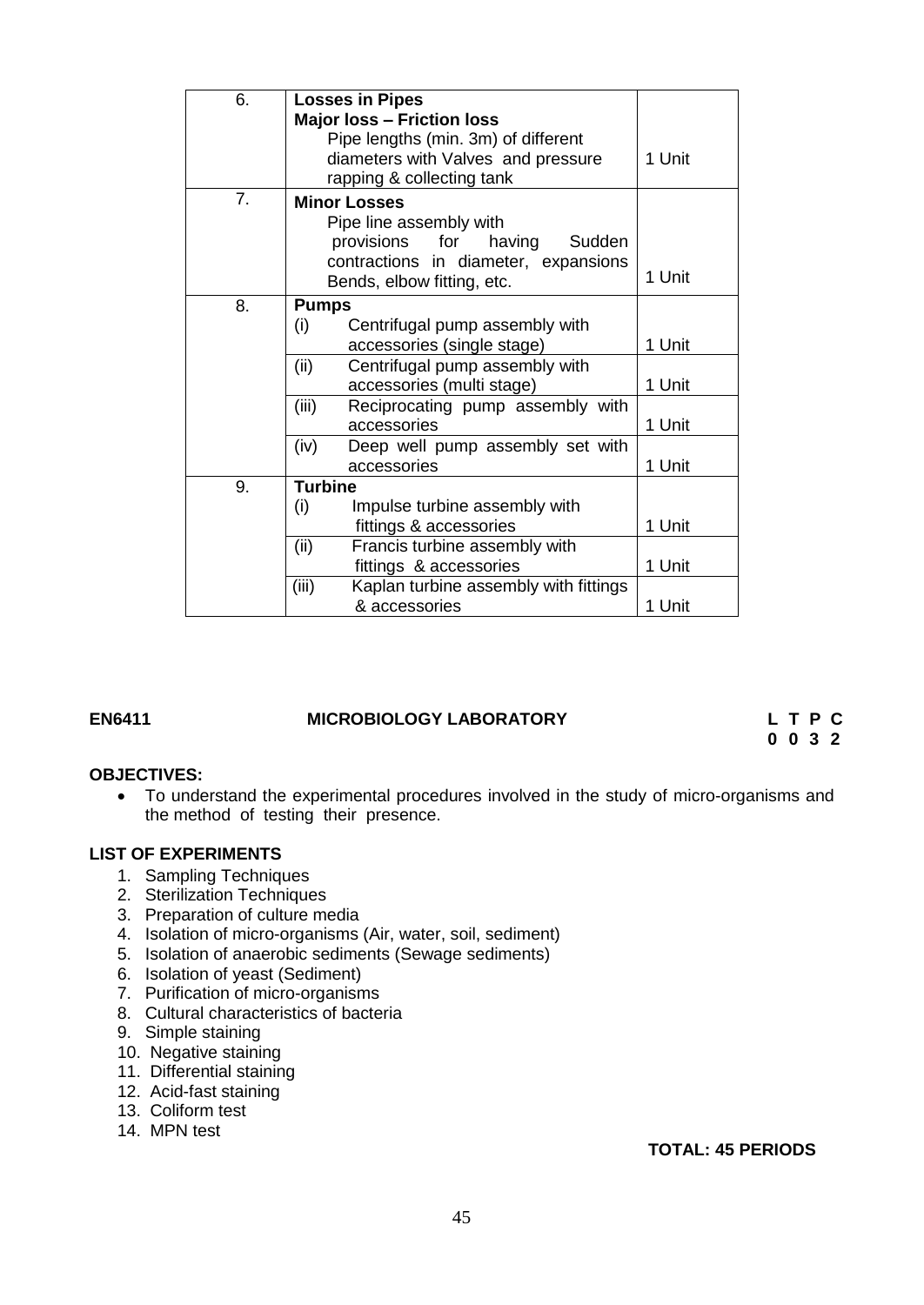| 6. | <b>Losses in Pipes</b>                         |        |
|----|------------------------------------------------|--------|
|    | <b>Major loss - Friction loss</b>              |        |
|    | Pipe lengths (min. 3m) of different            |        |
|    | diameters with Valves and pressure             | 1 Unit |
|    | rapping & collecting tank                      |        |
| 7. | <b>Minor Losses</b>                            |        |
|    | Pipe line assembly with                        |        |
|    | provisions for<br>having<br>Sudden             |        |
|    | contractions in diameter, expansions           |        |
|    | Bends, elbow fitting, etc.                     | 1 Unit |
| 8. | <b>Pumps</b>                                   |        |
|    | (i)<br>Centrifugal pump assembly with          |        |
|    | accessories (single stage)                     | 1 Unit |
|    | (ii)<br>Centrifugal pump assembly with         |        |
|    | accessories (multi stage)                      | 1 Unit |
|    | (iii)<br>Reciprocating pump assembly with      |        |
|    | accessories                                    | 1 Unit |
|    | (iv)<br>Deep well pump assembly set with       |        |
|    | accessories                                    | 1 Unit |
| 9. | <b>Turbine</b>                                 |        |
|    | (i)<br>Impulse turbine assembly with           |        |
|    | fittings & accessories                         | 1 Unit |
|    | (ii)<br>Francis turbine assembly with          |        |
|    | fittings & accessories                         | 1 Unit |
|    | (iii)<br>Kaplan turbine assembly with fittings |        |
|    | & accessories                                  | 1 Unit |

#### **EN6411 MICROBIOLOGY LABORATORY L T P C**

**0 0 3 2**

#### **OBJECTIVES:**

 To understand the experimental procedures involved in the study of micro-organisms and the method of testing their presence.

#### **LIST OF EXPERIMENTS**

- 1. Sampling Techniques
- 2. Sterilization Techniques
- 3. Preparation of culture media
- 4. Isolation of micro-organisms (Air, water, soil, sediment)
- 5. Isolation of anaerobic sediments (Sewage sediments)
- 6. Isolation of yeast (Sediment)
- 7. Purification of micro-organisms
- 8. Cultural characteristics of bacteria
- 9. Simple staining
- 10. Negative staining
- 11. Differential staining
- 12. Acid-fast staining
- 13. Coliform test
- 14. MPN test

#### **TOTAL: 45 PERIODS**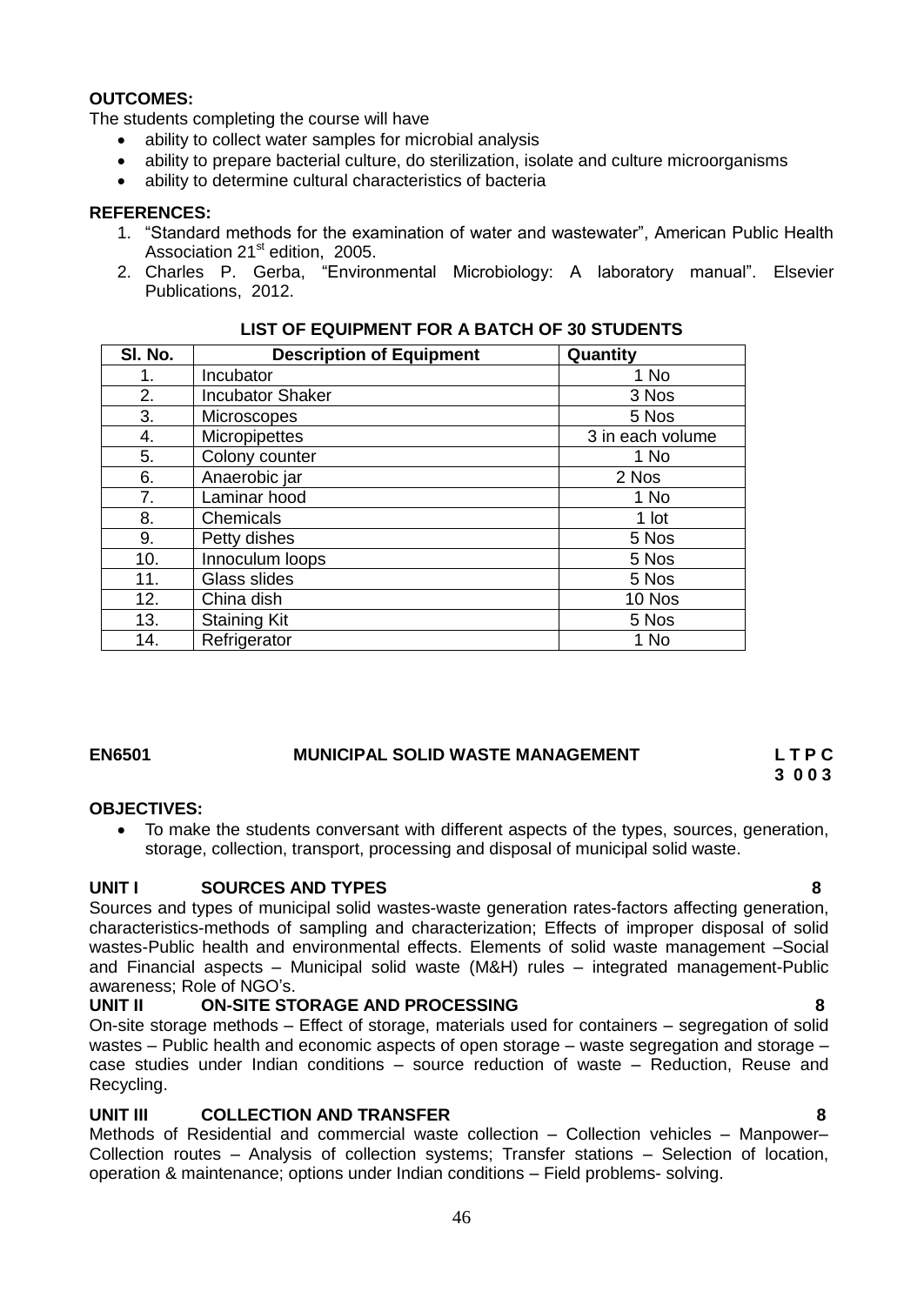#### **OUTCOMES:**

The students completing the course will have

- ability to collect water samples for microbial analysis
- ability to prepare bacterial culture, do sterilization, isolate and culture microorganisms
- ability to determine cultural characteristics of bacteria

#### **REFERENCES:**

- 1. "Standard methods for the examination of water and wastewater", American Public Health Association 21<sup>st</sup> edition, 2005.
- 2. Charles P. Gerba, "Environmental Microbiology: A laboratory manual". Elsevier Publications, 2012.

| SI. No. | <b>Description of Equipment</b> | Quantity         |
|---------|---------------------------------|------------------|
| 1.      | Incubator                       | 1 No             |
| 2.      | <b>Incubator Shaker</b>         | 3 Nos            |
| 3.      | <b>Microscopes</b>              | 5 Nos            |
| 4.      | Micropipettes                   | 3 in each volume |
| 5.      | Colony counter                  | 1 No             |
| 6.      | Anaerobic jar                   | 2 Nos            |
| 7.      | Laminar hood                    | 1 No             |
| 8.      | Chemicals                       | 1 lot            |
| 9.      | Petty dishes                    | 5 Nos            |
| 10.     | Innoculum loops                 | 5 Nos            |
| 11.     | Glass slides                    | 5 Nos            |
| 12.     | China dish                      | 10 Nos           |
| 13.     | <b>Staining Kit</b>             | 5 Nos            |
| 14.     | Refrigerator                    | 1 No             |

#### **LIST OF EQUIPMENT FOR A BATCH OF 30 STUDENTS**

#### **EN6501 MUNICIPAL SOLID WASTE MANAGEMENT L T P C**

# **3 0 0 3**

#### **OBJECTIVES:**

 To make the students conversant with different aspects of the types, sources, generation, storage, collection, transport, processing and disposal of municipal solid waste.

#### **UNIT I SOURCES AND TYPES 8**

Sources and types of municipal solid wastes-waste generation rates-factors affecting generation, characteristics-methods of sampling and characterization; Effects of improper disposal of solid wastes-Public health and environmental effects. Elements of solid waste management –Social and Financial aspects – Municipal solid waste (M&H) rules – integrated management-Public awareness; Role of NGO"s.

#### **UNIT II ON-SITE STORAGE AND PROCESSING 8**

On-site storage methods – Effect of storage, materials used for containers – segregation of solid wastes – Public health and economic aspects of open storage – waste segregation and storage – case studies under Indian conditions – source reduction of waste – Reduction, Reuse and Recycling.

#### **UNIT III COLLECTION AND TRANSFER 8**

Methods of Residential and commercial waste collection – Collection vehicles – Manpower– Collection routes – Analysis of collection systems; Transfer stations – Selection of location, operation & maintenance; options under Indian conditions – Field problems- solving.

#### 46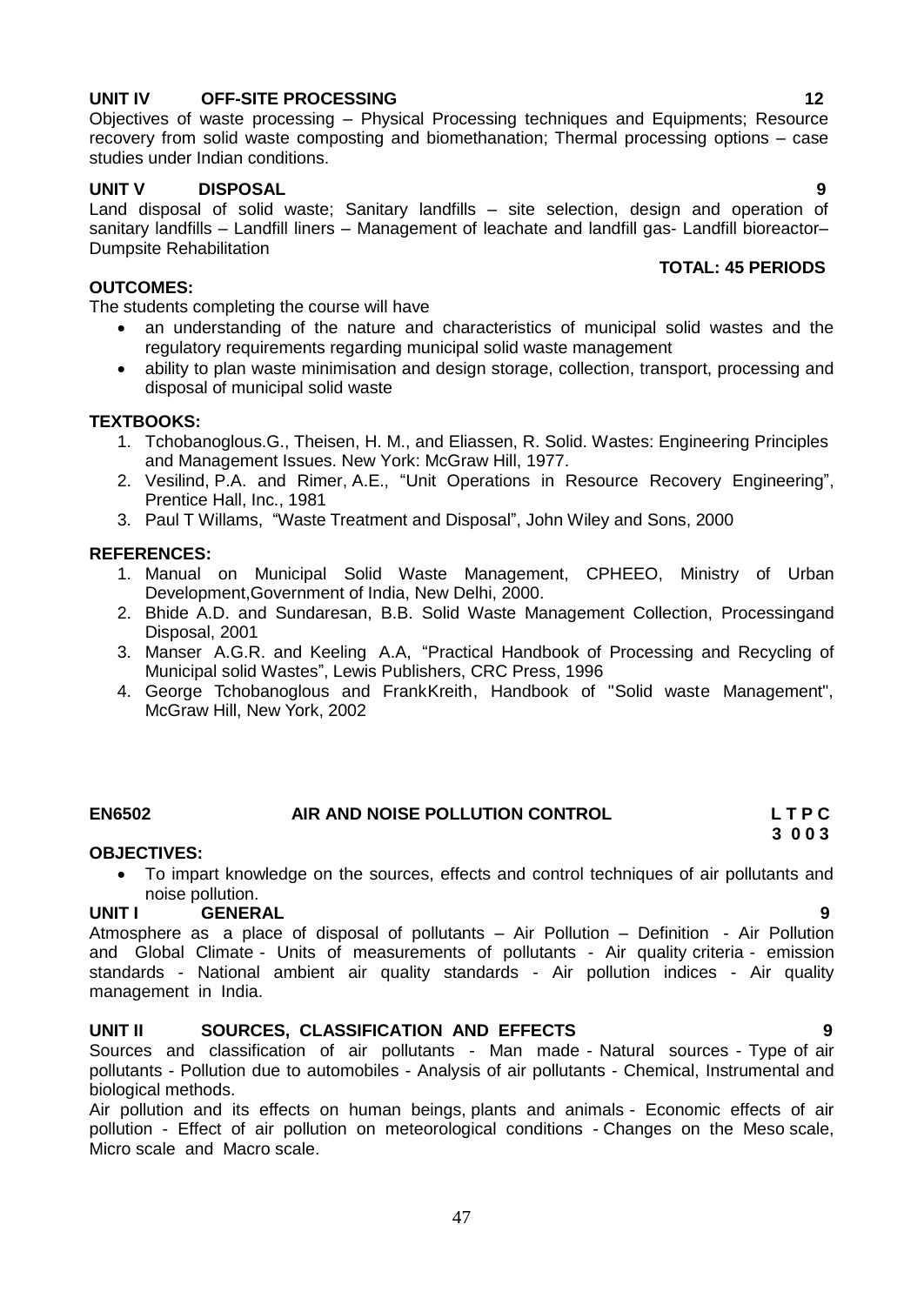# disposal of municipal solid waste

The students completing the course will have

1. Tchobanoglous.G., Theisen, H. M., and Eliassen, R. Solid. Wastes: Engineering Principles and Management Issues. New York: McGraw Hill, 1977.

an understanding of the nature and characteristics of municipal solid wastes and the

• ability to plan waste minimisation and design storage, collection, transport, processing and

- 2. Vesilind, P.A. and Rimer, A.E., "Unit Operations in Resource Recovery Engineering", Prentice Hall, Inc., 1981
- 3. Paul T Willams, "Waste Treatment and Disposal", John Wiley and Sons, 2000

regulatory requirements regarding municipal solid waste management

#### **REFERENCES:**

**TEXTBOOKS:**

**OUTCOMES:**

- 1. Manual on Municipal Solid Waste Management, CPHEEO, Ministry of Urban Development,Government of India, New Delhi, 2000.
- 2. Bhide A.D. and Sundaresan, B.B. Solid Waste Management Collection, Processingand Disposal, 2001
- 3. Manser A.G.R. and Keeling A.A, "Practical Handbook of Processing and Recycling of Municipal solid Wastes", Lewis Publishers, CRC Press, 1996
- 4. George Tchobanoglous and FrankKreith, Handbook of "Solid waste Management", McGraw Hill, New York, 2002

#### **EN6502 AIR AND NOISE POLLUTION CONTROL L T P C 3 0 0 3**

#### **OBJECTIVES:**

 To impart knowledge on the sources, effects and control techniques of air pollutants and noise pollution.

#### **UNIT I GENERAL 9**

Atmosphere as a place of disposal of pollutants – Air Pollution – Definition - Air Pollution and Global Climate - Units of measurements of pollutants - Air quality criteria - emission standards - National ambient air quality standards - Air pollution indices - Air quality management in India.

#### **UNIT II SOURCES, CLASSIFICATION AND EFFECTS 9**

Sources and classification of air pollutants - Man made - Natural sources - Type of air pollutants - Pollution due to automobiles - Analysis of air pollutants - Chemical, Instrumental and biological methods.

Air pollution and its effects on human beings, plants and animals - Economic effects of air pollution - Effect of air pollution on meteorological conditions - Changes on the Meso scale, Micro scale and Macro scale.

#### **UNIT IV OFF-SITE PROCESSING 12**

Objectives of waste processing – Physical Processing techniques and Equipments; Resource recovery from solid waste composting and biomethanation; Thermal processing options – case studies under Indian conditions.

#### **UNIT V DISPOSAL 9**

Land disposal of solid waste; Sanitary landfills – site selection, design and operation of sanitary landfills – Landfill liners – Management of leachate and landfill gas- Landfill bioreactor– Dumpsite Rehabilitation

#### **TOTAL: 45 PERIODS**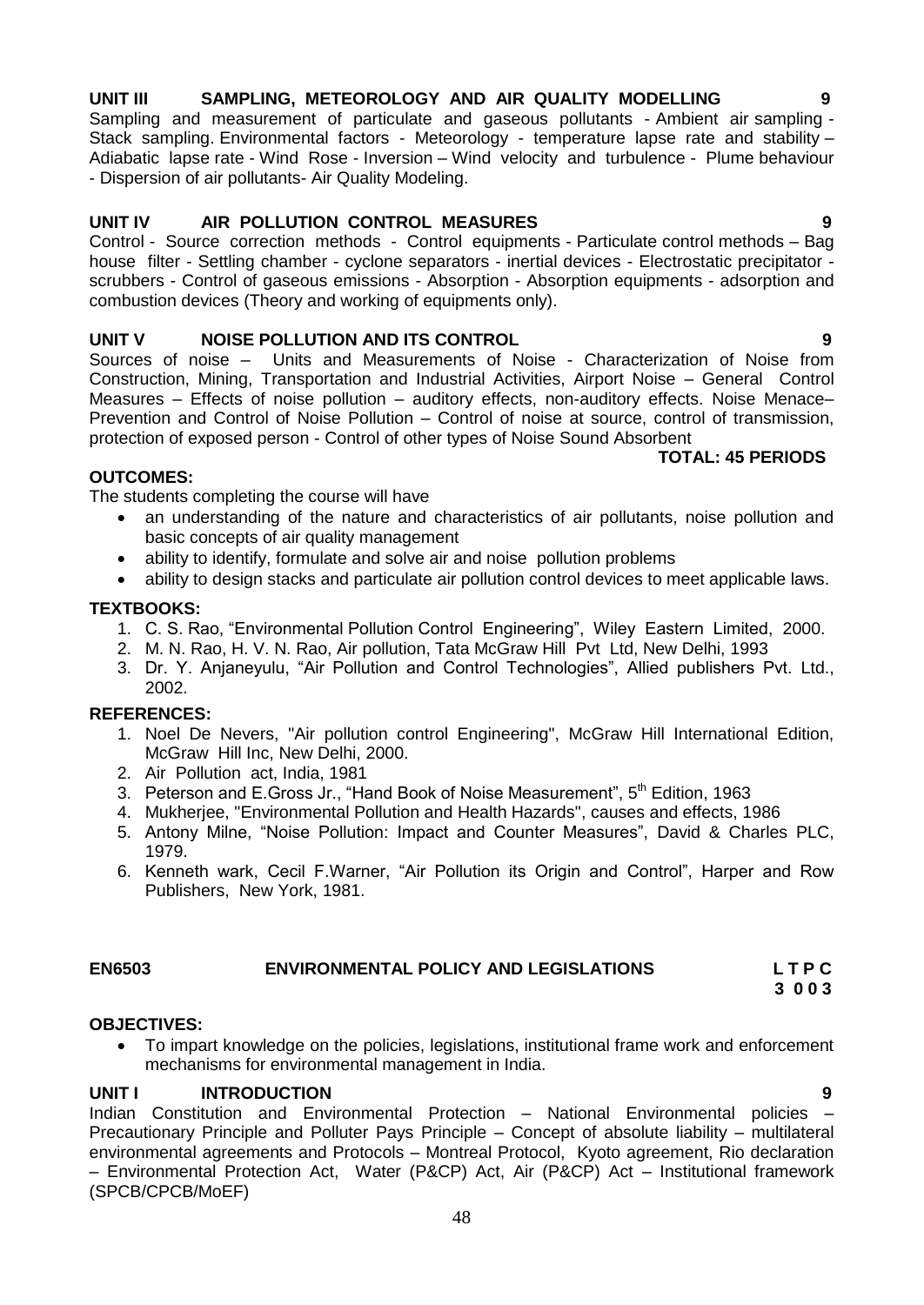#### 48

## **UNIT III SAMPLING, METEOROLOGY AND AIR QUALITY MODELLING 9**

Sampling and measurement of particulate and gaseous pollutants - Ambient air sampling - Stack sampling. Environmental factors - Meteorology - temperature lapse rate and stability -Adiabatic lapse rate - Wind Rose - Inversion – Wind velocity and turbulence - Plume behaviour - Dispersion of air pollutants- Air Quality Modeling.

## **UNIT IV AIR POLLUTION CONTROL MEASURES 9**

Control - Source correction methods - Control equipments - Particulate control methods – Bag house filter - Settling chamber - cyclone separators - inertial devices - Electrostatic precipitator scrubbers - Control of gaseous emissions - Absorption - Absorption equipments - adsorption and combustion devices (Theory and working of equipments only).

## **UNIT V NOISE POLLUTION AND ITS CONTROL 9**

Sources of noise – Units and Measurements of Noise - Characterization of Noise from Construction, Mining, Transportation and Industrial Activities, Airport Noise – General Control Measures – Effects of noise pollution – auditory effects, non-auditory effects. Noise Menace– Prevention and Control of Noise Pollution – Control of noise at source, control of transmission, protection of exposed person - Control of other types of Noise Sound Absorbent

## **TOTAL: 45 PERIODS**

**OUTCOMES:** The students completing the course will have

- an understanding of the nature and characteristics of air pollutants, noise pollution and basic concepts of air quality management
- ability to identify, formulate and solve air and noise pollution problems
- ability to design stacks and particulate air pollution control devices to meet applicable laws.

## **TEXTBOOKS:**

- 1. C. S. Rao, "Environmental Pollution Control Engineering", Wiley Eastern Limited, 2000.
- 2. M. N. Rao, H. V. N. Rao, Air pollution, Tata McGraw Hill Pvt Ltd, New Delhi, 1993
- 3. Dr. Y. Anjaneyulu, "Air Pollution and Control Technologies", Allied publishers Pvt. Ltd., 2002.

#### **REFERENCES:**

- 1. Noel De Nevers, "Air pollution control Engineering", McGraw Hill International Edition, McGraw Hill Inc, New Delhi, 2000.
- 2. Air Pollution act, India, 1981
- 3. Peterson and E.Gross Jr., "Hand Book of Noise Measurement", 5<sup>th</sup> Edition, 1963
- 4. Mukherjee, "Environmental Pollution and Health Hazards", causes and effects, 1986
- 5. Antony Milne, "Noise Pollution: Impact and Counter Measures", [David & Charles PLC,](http://www.infibeam.com/Books/david-charles-plc-publisher/) 1979.
- 6. Kenneth wark, Cecil F.Warner, "Air Pollution its Origin and Control", Harper and Row Publishers, New York, 1981.

## **EN6503 ENVIRONMENTAL POLICY AND LEGISLATIONS L T P C**

## **OBJECTIVES:**

 To impart knowledge on the policies, legislations, institutional frame work and enforcement mechanisms for environmental management in India.

## **UNIT I INTRODUCTION 9**

Indian Constitution and Environmental Protection – National Environmental policies – Precautionary Principle and Polluter Pays Principle – Concept of absolute liability – multilateral environmental agreements and Protocols – Montreal Protocol, Kyoto agreement, Rio declaration – Environmental Protection Act, Water (P&CP) Act, Air (P&CP) Act – Institutional framework (SPCB/CPCB/MoEF)

 **3 0 0 3**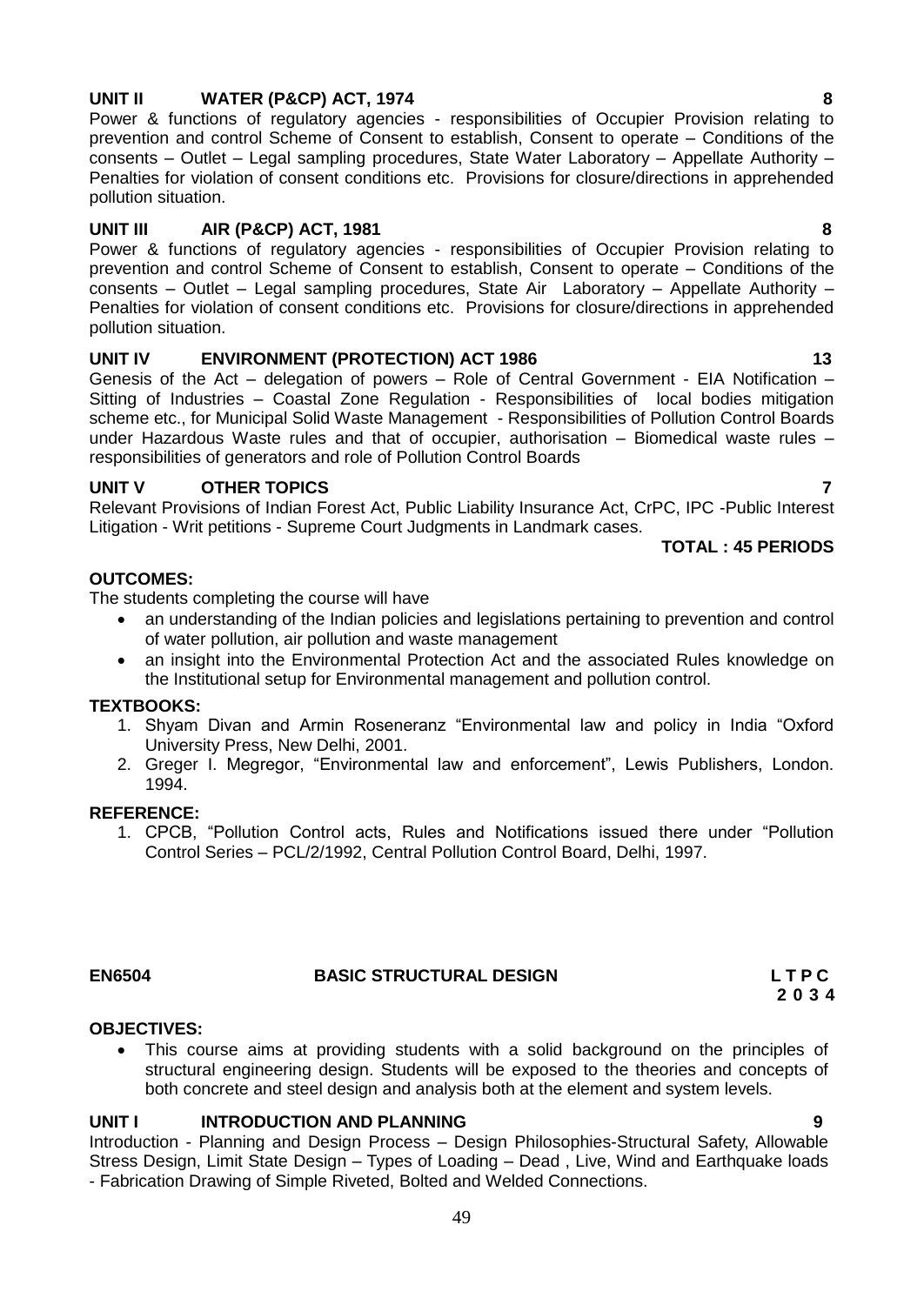### **UNIT II WATER (P&CP) ACT, 1974 8**

Power & functions of regulatory agencies - responsibilities of Occupier Provision relating to prevention and control Scheme of Consent to establish, Consent to operate – Conditions of the consents – Outlet – Legal sampling procedures, State Water Laboratory – Appellate Authority – Penalties for violation of consent conditions etc. Provisions for closure/directions in apprehended pollution situation.

## **UNIT III AIR (P&CP) ACT, 1981 8**

Power & functions of regulatory agencies - responsibilities of Occupier Provision relating to prevention and control Scheme of Consent to establish, Consent to operate – Conditions of the consents – Outlet – Legal sampling procedures, State Air Laboratory – Appellate Authority – Penalties for violation of consent conditions etc. Provisions for closure/directions in apprehended pollution situation.

## UNIT IV **ENVIRONMENT (PROTECTION) ACT 1986** 13

Genesis of the Act – delegation of powers – Role of Central Government - EIA Notification – Sitting of Industries – Coastal Zone Regulation - Responsibilities of local bodies mitigation scheme etc., for Municipal Solid Waste Management - Responsibilities of Pollution Control Boards under Hazardous Waste rules and that of occupier, authorisation – Biomedical waste rules – responsibilities of generators and role of Pollution Control Boards

#### **UNIT V OTHER TOPICS 7**

Relevant Provisions of Indian Forest Act, Public Liability Insurance Act, CrPC, IPC -Public Interest Litigation - Writ petitions - Supreme Court Judgments in Landmark cases.

**TOTAL : 45 PERIODS**

#### **OUTCOMES:**

The students completing the course will have

- an understanding of the Indian policies and legislations pertaining to prevention and control of water pollution, air pollution and waste management
- an insight into the Environmental Protection Act and the associated Rules knowledge on the Institutional setup for Environmental management and pollution control.

#### **TEXTBOOKS:**

- 1. Shyam Divan and Armin Roseneranz "Environmental law and policy in India "Oxford University Press, New Delhi, 2001.
- 2. Greger I. Megregor, "Environmental law and enforcement", Lewis Publishers, London. 1994.

#### **REFERENCE:**

1. CPCB, "Pollution Control acts, Rules and Notifications issued there under "Pollution Control Series – PCL/2/1992, Central Pollution Control Board, Delhi, 1997.

#### **EN6504 BASIC STRUCTURAL DESIGN L T P C**

#### **OBJECTIVES:**

 This course aims at providing students with a solid background on the principles of structural engineering design. Students will be exposed to the theories and concepts of both concrete and steel design and analysis both at the element and system levels.

#### **UNIT I INTRODUCTION AND PLANNING 9**

Introduction - Planning and Design Process – Design Philosophies-Structural Safety, Allowable Stress Design, Limit State Design – Types of Loading – Dead , Live, Wind and Earthquake loads - Fabrication Drawing of Simple Riveted, Bolted and Welded Connections.

 **2 0 3 4**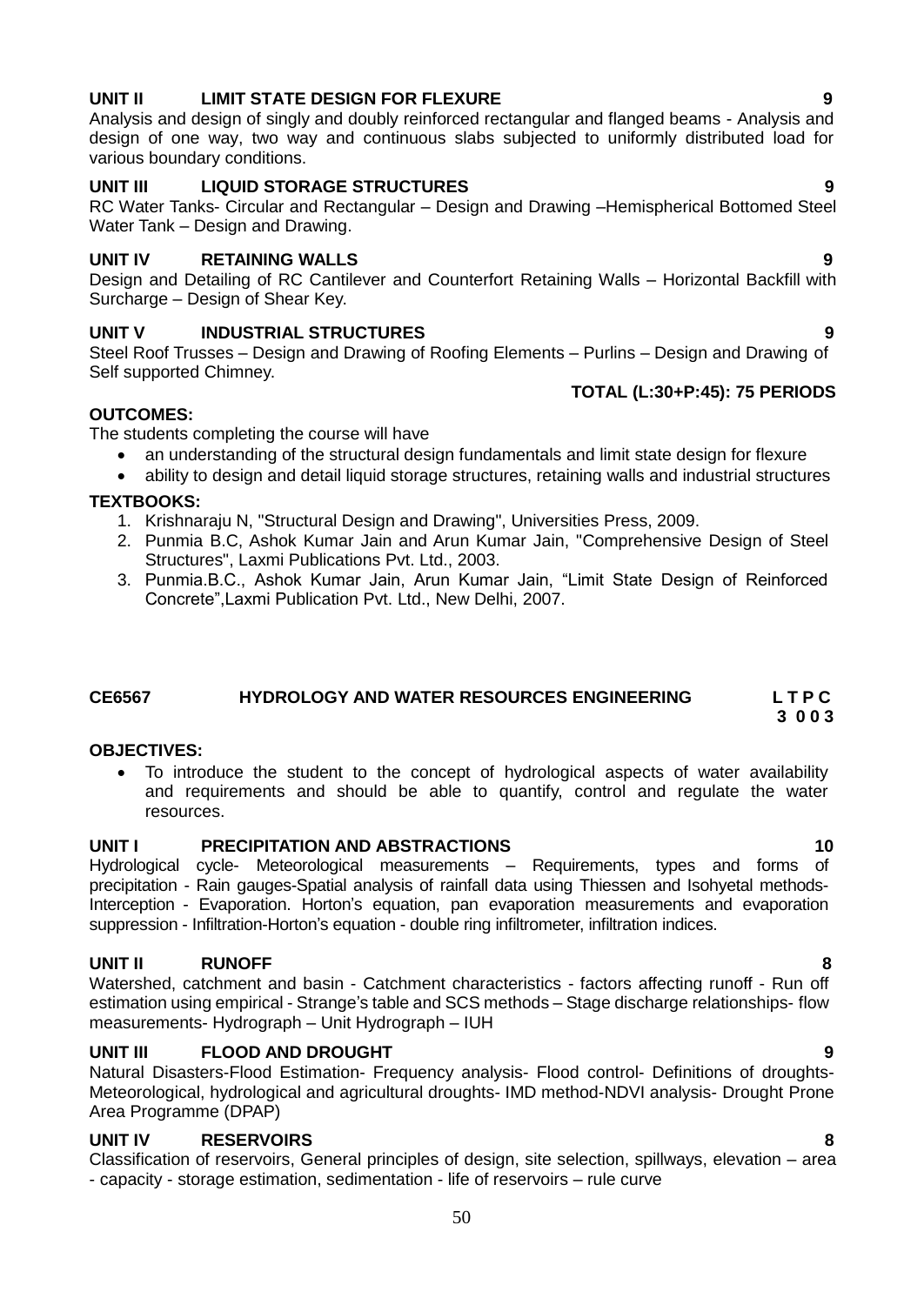## **UNIT II LIMIT STATE DESIGN FOR FLEXURE 9**

Analysis and design of singly and doubly reinforced rectangular and flanged beams - Analysis and design of one way, two way and continuous slabs subjected to uniformly distributed load for various boundary conditions.

## **UNIT III LIQUID STORAGE STRUCTURES 9**

RC Water Tanks- Circular and Rectangular – Design and Drawing –Hemispherical Bottomed Steel Water Tank – Design and Drawing.

#### **UNIT IV RETAINING WALLS 9**

Design and Detailing of RC Cantilever and Counterfort Retaining Walls – Horizontal Backfill with Surcharge – Design of Shear Key.

## **UNIT V INDUSTRIAL STRUCTURES 9**

Steel Roof Trusses – Design and Drawing of Roofing Elements – Purlins – Design and Drawing of Self supported Chimney.

#### **TOTAL (L:30+P:45): 75 PERIODS**

#### **OUTCOMES:**

The students completing the course will have

- an understanding of the structural design fundamentals and limit state design for flexure
- ability to design and detail liquid storage structures, retaining walls and industrial structures **TEXTBOOKS:**
	- 1. Krishnaraju N, "Structural Design and Drawing", Universities Press, 2009.
	- 2. Punmia B.C, Ashok Kumar Jain and Arun Kumar Jain, "Comprehensive Design of Steel Structures", Laxmi Publications Pvt. Ltd., 2003.
	- 3. Punmia.B.C., Ashok Kumar Jain, Arun Kumar Jain, "Limit State Design of Reinforced Concrete",Laxmi Publication Pvt. Ltd., New Delhi, 2007.

#### **CE6567 HYDROLOGY AND WATER RESOURCES ENGINEERING L T P C 3 0 0 3**

#### **OBJECTIVES:**

 To introduce the student to the concept of hydrological aspects of water availability and requirements and should be able to quantify, control and regulate the water resources.

### **UNIT I PRECIPITATION AND ABSTRACTIONS 10**

Hydrological cycle- Meteorological measurements – Requirements, types and forms of precipitation - Rain gauges-Spatial analysis of rainfall data using Thiessen and Isohyetal methods-Interception - Evaporation. Horton"s equation, pan evaporation measurements and evaporation suppression - Infiltration-Horton's equation - double ring infiltrometer, infiltration indices.

#### **UNIT II RUNOFF 8**

Watershed, catchment and basin - Catchment characteristics - factors affecting runoff - Run off estimation using empirical - Strange"s table and SCS methods – Stage discharge relationships- flow measurements- Hydrograph – Unit Hydrograph – IUH

#### **UNIT III FLOOD AND DROUGHT 9**

Natural Disasters-Flood Estimation- Frequency analysis- Flood control- Definitions of droughts-Meteorological, hydrological and agricultural droughts- IMD method-NDVI analysis- Drought Prone Area Programme (DPAP)

#### **UNIT IV RESERVOIRS 8**

Classification of reservoirs, General principles of design, site selection, spillways, elevation – area - capacity - storage estimation, sedimentation - life of reservoirs – rule curve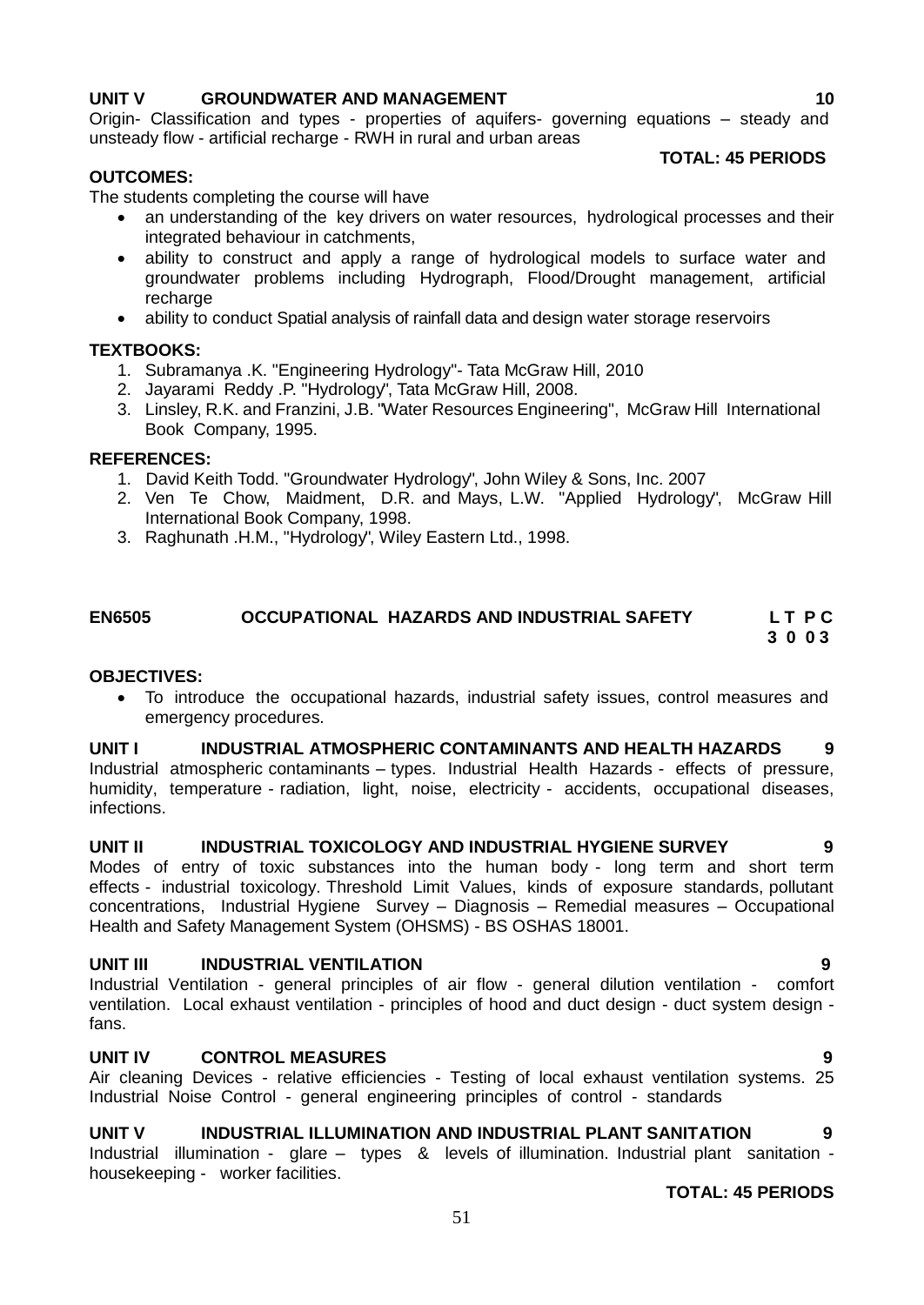#### **UNIT V GROUNDWATER AND MANAGEMENT 10** 10

Origin- Classification and types - properties of aquifers- governing equations – steady and unsteady flow - artificial recharge - RWH in rural and urban areas

## **OUTCOMES:**

### **TOTAL: 45 PERIODS**

The students completing the course will have

- an understanding of the key drivers on water resources, hydrological processes and their integrated behaviour in catchments,
- ability to construct and apply a range of hydrological models to surface water and groundwater problems including Hydrograph, Flood/Drought management, artificial recharge
- ability to conduct Spatial analysis of rainfall data and design water storage reservoirs

## **TEXTBOOKS:**

- 1. Subramanya .K. "Engineering Hydrology"- Tata McGraw Hill, 2010
- 2. Jayarami Reddy .P. "Hydrology", Tata McGraw Hill, 2008.
- 3. Linsley, R.K. and Franzini, J.B. "Water Resources Engineering", McGraw Hill International Book Company, 1995.

#### **REFERENCES:**

- 1. David Keith Todd. "Groundwater Hydrology", John Wiley & Sons, Inc. 2007
- 2. Ven Te Chow, Maidment, D.R. and Mays, L.W. "Applied Hydrology", McGraw Hill International Book Company, 1998.
- 3. Raghunath .H.M., "Hydrology", Wiley Eastern Ltd., 1998.

#### **EN6505 OCCUPATIONAL HAZARDS AND INDUSTRIAL SAFETY L T P C 3 0 0 3**

#### **OBJECTIVES:**

 To introduce the occupational hazards, industrial safety issues, control measures and emergency procedures.

#### **UNIT I INDUSTRIAL ATMOSPHERIC CONTAMINANTS AND HEALTH HAZARDS 9**

Industrial atmospheric contaminants – types. Industrial Health Hazards - effects of pressure, humidity, temperature - radiation, light, noise, electricity - accidents, occupational diseases, infections.

#### **UNIT II INDUSTRIAL TOXICOLOGY AND INDUSTRIAL HYGIENE SURVEY 9**

Modes of entry of toxic substances into the human body - long term and short term effects - industrial toxicology. Threshold Limit Values, kinds of exposure standards, pollutant concentrations, Industrial Hygiene Survey – Diagnosis – Remedial measures – Occupational Health and Safety Management System (OHSMS) - BS OSHAS 18001.

#### **UNIT III INDUSTRIAL VENTILATION 9**

Industrial Ventilation - general principles of air flow - general dilution ventilation - comfort ventilation. Local exhaust ventilation - principles of hood and duct design - duct system design fans.

## **UNIT IV CONTROL MEASURES 9**

Air cleaning Devices - relative efficiencies - Testing of local exhaust ventilation systems. 25 Industrial Noise Control - general engineering principles of control - standards

#### **UNIT V INDUSTRIAL ILLUMINATION AND INDUSTRIAL PLANT SANITATION 9**

Industrial illumination - glare – types & levels of illumination. Industrial plant sanitation housekeeping - worker facilities.

**TOTAL: 45 PERIODS**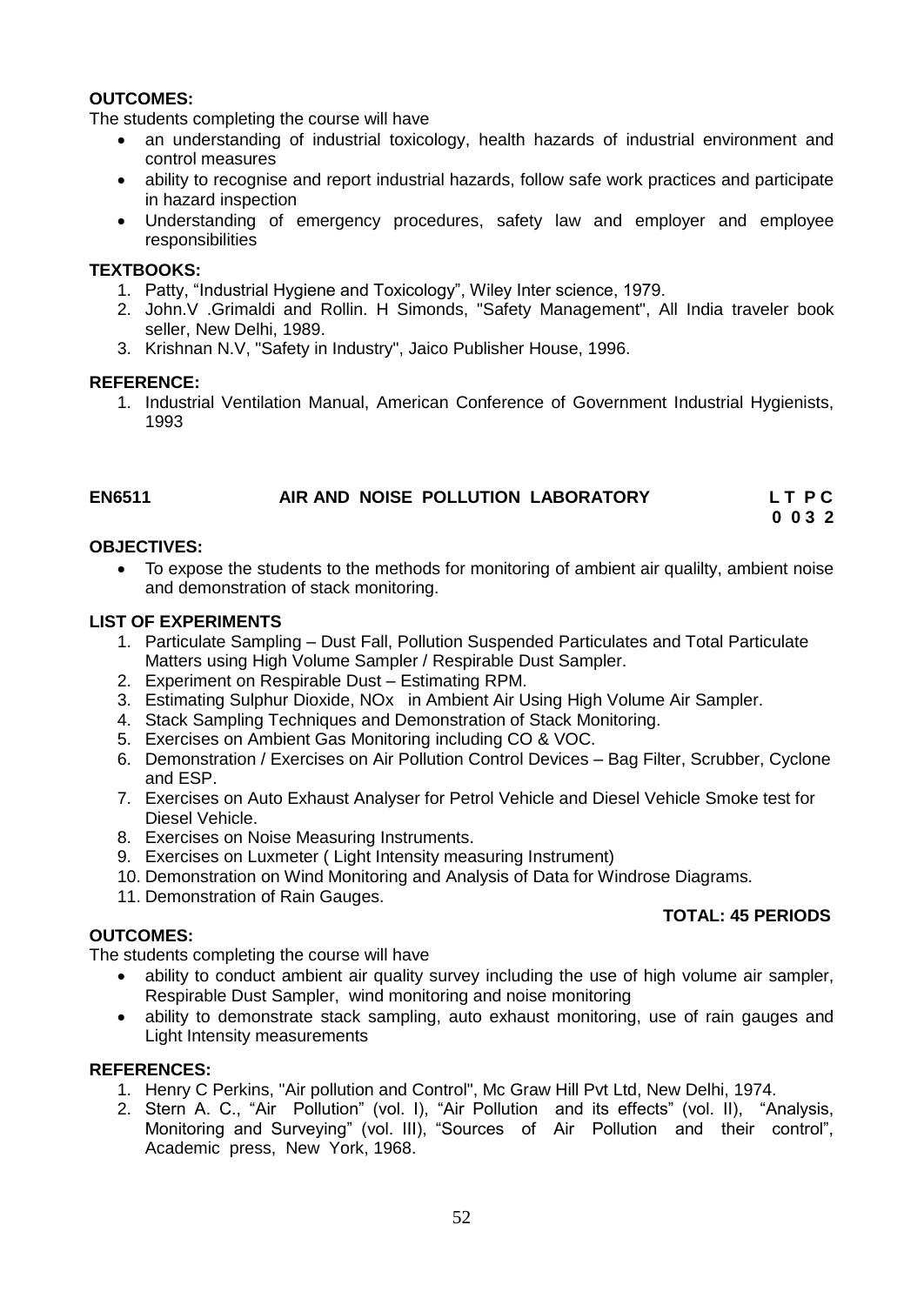#### **OUTCOMES:**

The students completing the course will have

- an understanding of industrial toxicology, health hazards of industrial environment and control measures
- ability to recognise and report industrial hazards, follow safe work practices and participate in hazard inspection
- Understanding of emergency procedures, safety law and employer and employee responsibilities

#### **TEXTBOOKS:**

- 1. Patty, "Industrial Hygiene and Toxicology", Wiley Inter science, 1979.
- 2. John.V .Grimaldi and Rollin. H Simonds, "Safety Management", All India traveler book seller, New Delhi, 1989.
- 3. Krishnan N.V, "Safety in Industry", Jaico Publisher House, 1996.

#### **REFERENCE:**

1. Industrial Ventilation Manual, American Conference of Government Industrial Hygienists, 1993

#### **EN6511 AIR AND NOISE POLLUTION LABORATORY L T P C 0 0 3 2**

#### **OBJECTIVES:**

 To expose the students to the methods for monitoring of ambient air qualilty, ambient noise and demonstration of stack monitoring.

#### **LIST OF EXPERIMENTS**

- 1. Particulate Sampling Dust Fall, Pollution Suspended Particulates and Total Particulate Matters using High Volume Sampler / Respirable Dust Sampler.
- 2. Experiment on Respirable Dust Estimating RPM.
- 3. Estimating Sulphur Dioxide, NOx in Ambient Air Using High Volume Air Sampler.
- 4. Stack Sampling Techniques and Demonstration of Stack Monitoring.
- 5. Exercises on Ambient Gas Monitoring including CO & VOC.
- 6. Demonstration / Exercises on Air Pollution Control Devices Bag Filter, Scrubber, Cyclone and ESP.
- 7. Exercises on Auto Exhaust Analyser for Petrol Vehicle and Diesel Vehicle Smoke test for Diesel Vehicle.
- 8. Exercises on Noise Measuring Instruments.
- 9. Exercises on Luxmeter ( Light Intensity measuring Instrument)
- 10. Demonstration on Wind Monitoring and Analysis of Data for Windrose Diagrams.
- 11. Demonstration of Rain Gauges.

#### **OUTCOMES:**

The students completing the course will have

• ability to conduct ambient air quality survey including the use of high volume air sampler, Respirable Dust Sampler, wind monitoring and noise monitoring

 **TOTAL: 45 PERIODS** 

• ability to demonstrate stack sampling, auto exhaust monitoring, use of rain gauges and Light Intensity measurements

#### **REFERENCES:**

- 1. Henry C Perkins, "Air pollution and Control", Mc Graw Hill Pvt Ltd, New Delhi, 1974.
- 2. Stern A. C., "Air Pollution" (vol. I), "Air Pollution and its effects" (vol. II), "Analysis, Monitoring and Surveying" (vol. III), "Sources of Air Pollution and their control", Academic press, New York, 1968.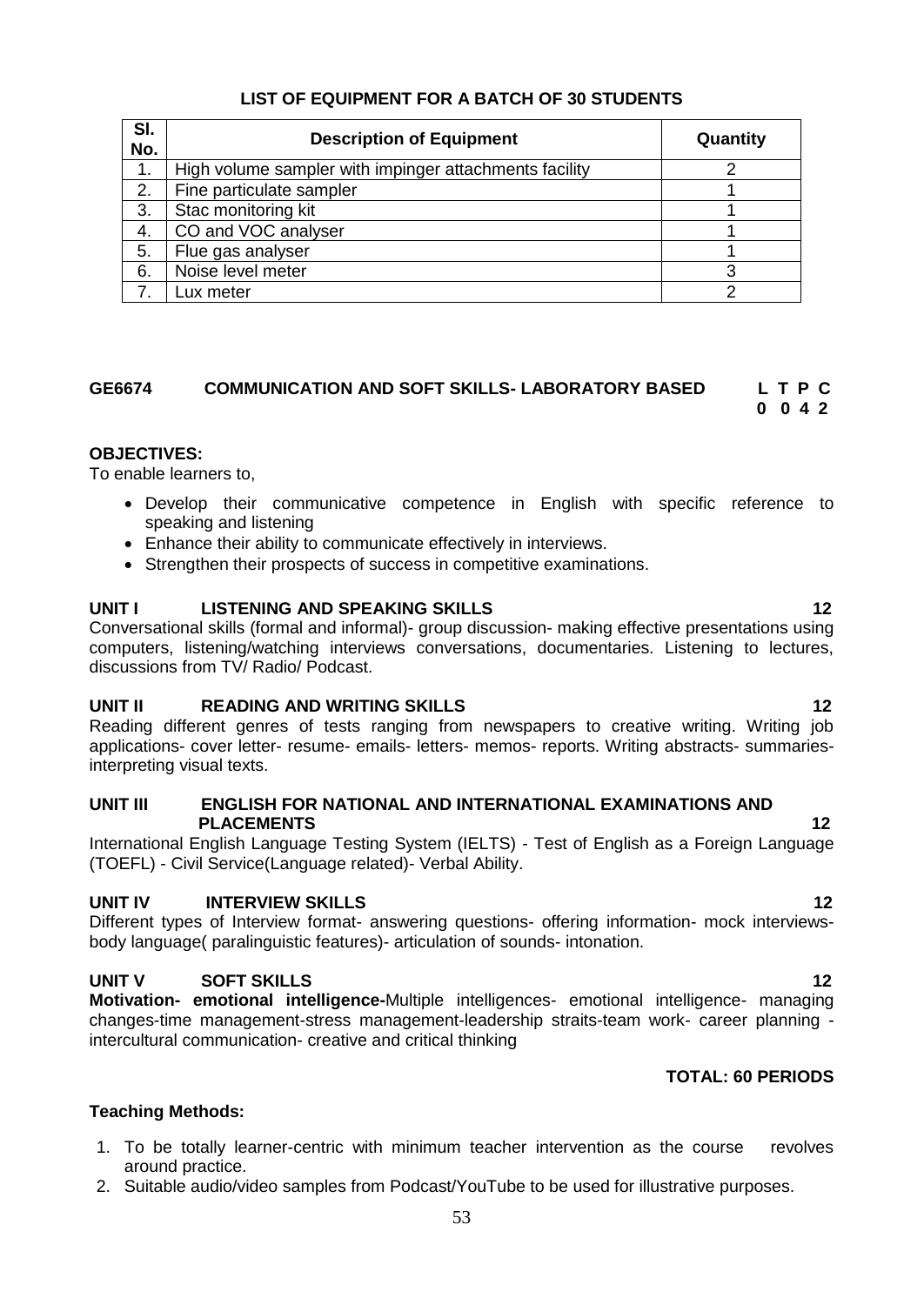## **LIST OF EQUIPMENT FOR A BATCH OF 30 STUDENTS**

| SI.<br>No. | <b>Description of Equipment</b>                        | Quantity |
|------------|--------------------------------------------------------|----------|
| 1.         | High volume sampler with impinger attachments facility |          |
| 2.         | Fine particulate sampler                               |          |
| 3.         | Stac monitoring kit                                    |          |
| 4.         | CO and VOC analyser                                    |          |
| 5.         | Flue gas analyser                                      |          |
| 6.         | Noise level meter                                      |          |
|            | Lux meter                                              |          |

## **GE6674 COMMUNICATION AND SOFT SKILLS- LABORATORY BASED L T P C**

## **0 0 4 2**

## **OBJECTIVES:**

To enable learners to,

- Develop their communicative competence in English with specific reference to speaking and listening
- Enhance their ability to communicate effectively in interviews.
- Strengthen their prospects of success in competitive examinations.

## **UNIT I LISTENING AND SPEAKING SKILLS 12**

Conversational skills (formal and informal)- group discussion- making effective presentations using computers, listening/watching interviews conversations, documentaries. Listening to lectures, discussions from TV/ Radio/ Podcast.

## **UNIT II READING AND WRITING SKILLS 12**

Reading different genres of tests ranging from newspapers to creative writing. Writing job applications- cover letter- resume- emails- letters- memos- reports. Writing abstracts- summariesinterpreting visual texts.

#### **UNIT III ENGLISH FOR NATIONAL AND INTERNATIONAL EXAMINATIONS AND PLACEMENTS 12**

International English Language Testing System (IELTS) - Test of English as a Foreign Language (TOEFL) - Civil Service(Language related)- Verbal Ability.

## **UNIT IV INTERVIEW SKILLS 12**

Different types of Interview format- answering questions- offering information- mock interviewsbody language( paralinguistic features)- articulation of sounds- intonation.

## **UNIT V SOFT SKILLS 12**

**Motivation- emotional intelligence-**Multiple intelligences- emotional intelligence- managing changes-time management-stress management-leadership straits-team work- career planning intercultural communication- creative and critical thinking

## **TOTAL: 60 PERIODS**

## **Teaching Methods:**

- 1. To be totally learner-centric with minimum teacher intervention as the course revolves around practice.
- 2. Suitable audio/video samples from Podcast/YouTube to be used for illustrative purposes.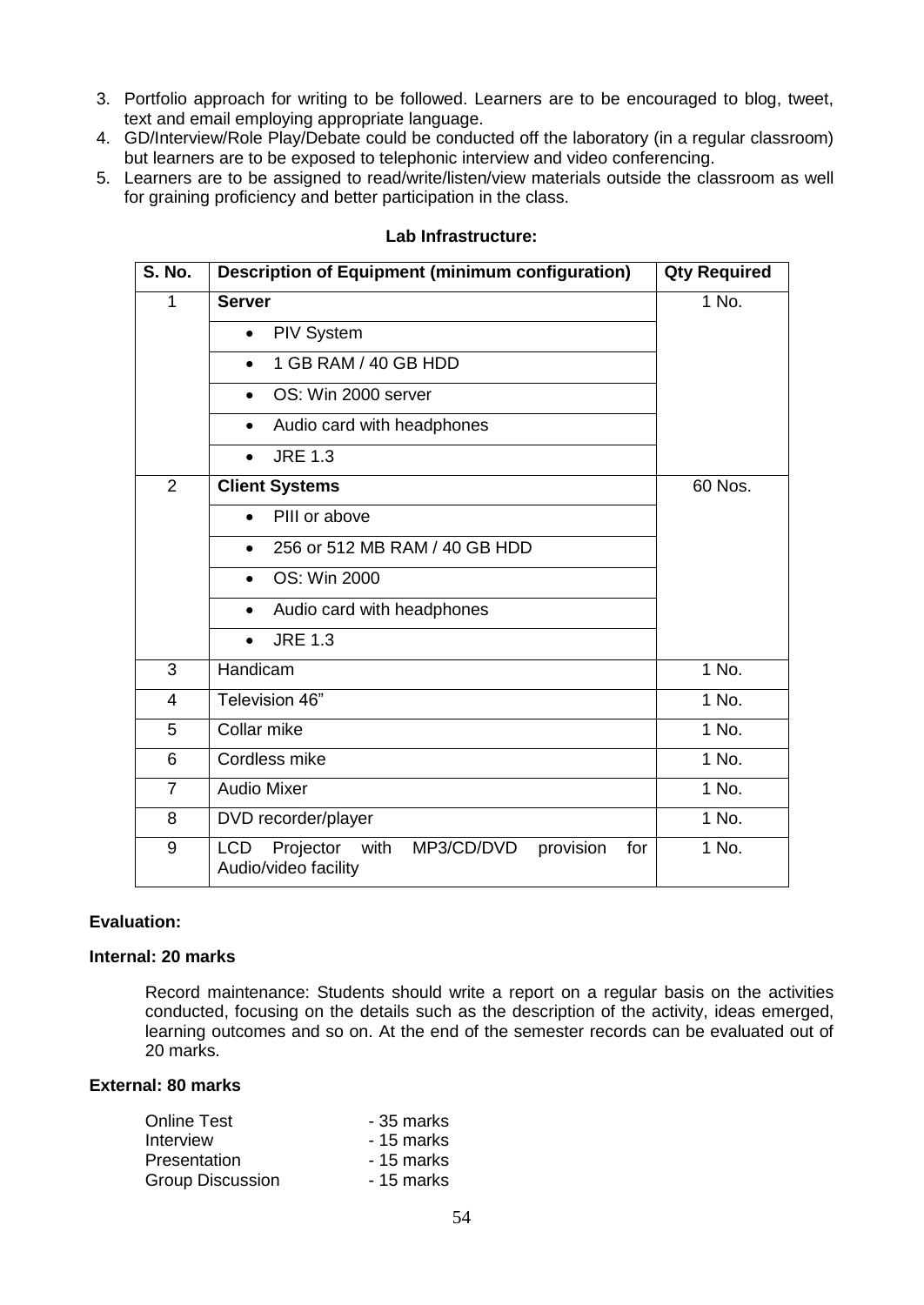- 3. Portfolio approach for writing to be followed. Learners are to be encouraged to blog, tweet, text and email employing appropriate language.
- 4. GD/Interview/Role Play/Debate could be conducted off the laboratory (in a regular classroom) but learners are to be exposed to telephonic interview and video conferencing.
- 5. Learners are to be assigned to read/write/listen/view materials outside the classroom as well for graining proficiency and better participation in the class.

| <b>S. No.</b>  | <b>Description of Equipment (minimum configuration)</b>                                   | <b>Qty Required</b> |
|----------------|-------------------------------------------------------------------------------------------|---------------------|
| 1              | <b>Server</b>                                                                             | 1 No.               |
|                | <b>PIV System</b><br>$\bullet$                                                            |                     |
|                | 1 GB RAM / 40 GB HDD<br>$\bullet$                                                         |                     |
|                | OS: Win 2000 server<br>$\bullet$                                                          |                     |
|                | Audio card with headphones<br>$\bullet$                                                   |                     |
|                | <b>JRE 1.3</b><br>$\bullet$                                                               |                     |
| $\overline{2}$ | <b>Client Systems</b>                                                                     | 60 Nos.             |
|                | PIII or above<br>$\bullet$                                                                |                     |
|                | 256 or 512 MB RAM / 40 GB HDD<br>$\bullet$                                                |                     |
|                | OS: Win 2000<br>$\bullet$                                                                 |                     |
|                | Audio card with headphones<br>$\bullet$                                                   |                     |
|                | <b>JRE 1.3</b><br>$\bullet$                                                               |                     |
| 3              | Handicam                                                                                  | 1 No.               |
| 4              | Television 46"                                                                            | 1 No.               |
| 5              | Collar mike                                                                               | 1 No.               |
| 6              | Cordless mike                                                                             | 1 No.               |
| $\overline{7}$ | <b>Audio Mixer</b>                                                                        | 1 No.               |
| 8              | DVD recorder/player                                                                       | 1 No.               |
| 9              | <b>LCD</b><br>Projector<br>with<br>MP3/CD/DVD<br>provision<br>for<br>Audio/video facility | 1 No.               |

#### **Lab Infrastructure:**

#### **Evaluation:**

#### **Internal: 20 marks**

Record maintenance: Students should write a report on a regular basis on the activities conducted, focusing on the details such as the description of the activity, ideas emerged, learning outcomes and so on. At the end of the semester records can be evaluated out of 20 marks.

#### **External: 80 marks**

| - 35 marks |
|------------|
| - 15 marks |
| - 15 marks |
| - 15 marks |
|            |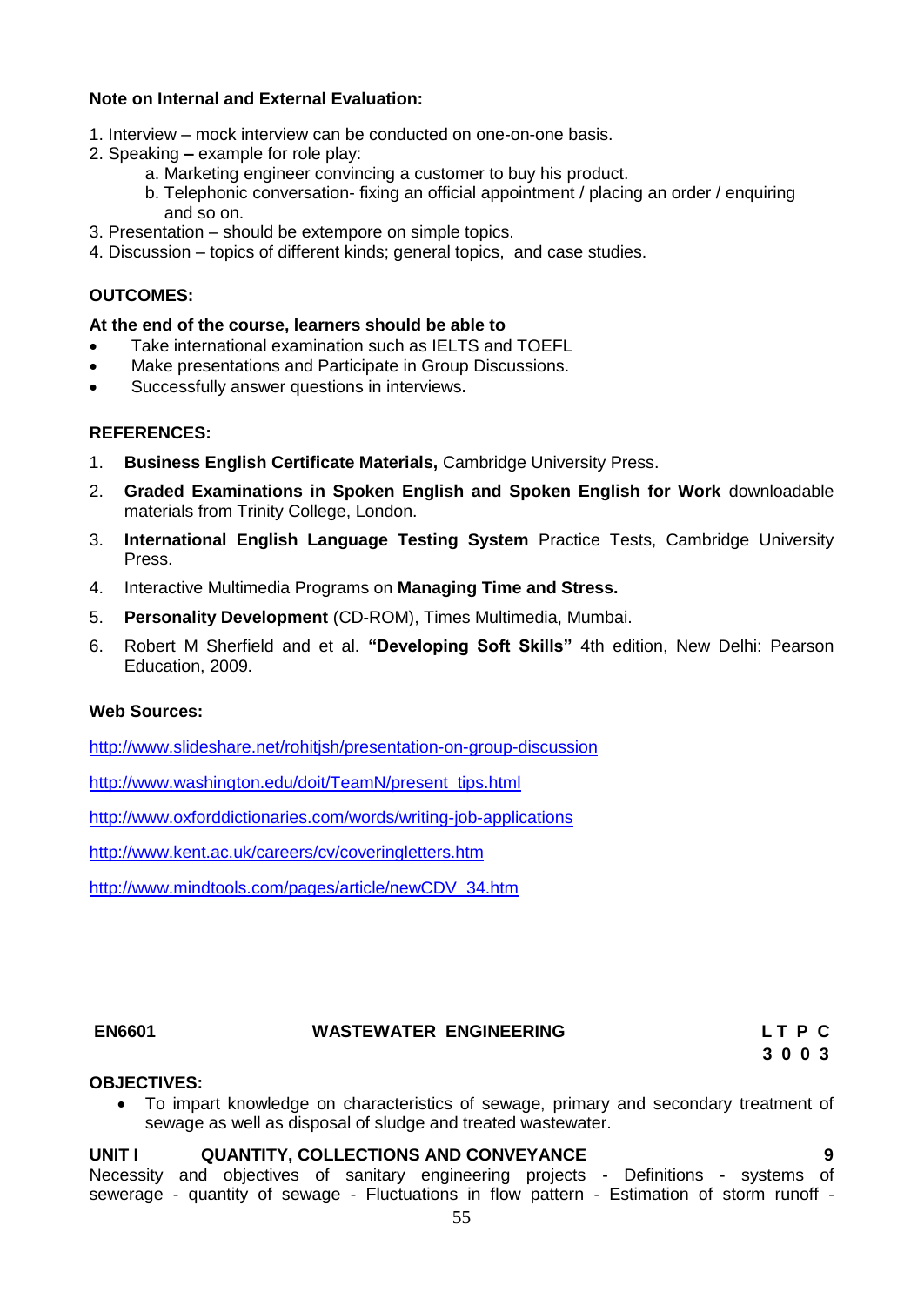## **Note on Internal and External Evaluation:**

- 1. Interview mock interview can be conducted on one-on-one basis.
- 2. Speaking **–** example for role play:
	- a. Marketing engineer convincing a customer to buy his product.
	- b. Telephonic conversation- fixing an official appointment / placing an order / enquiring and so on.
- 3. Presentation should be extempore on simple topics.
- 4. Discussion topics of different kinds; general topics, and case studies.

### **OUTCOMES:**

#### **At the end of the course, learners should be able to**

- Take international examination such as IELTS and TOEFL
- Make presentations and Participate in Group Discussions.
- Successfully answer questions in interviews**.**

#### **REFERENCES:**

- 1. **Business English Certificate Materials,** Cambridge University Press.
- 2. **Graded Examinations in Spoken English and Spoken English for Work** downloadable materials from Trinity College, London.
- 3. **International English Language Testing System** Practice Tests, Cambridge University Press.
- 4. Interactive Multimedia Programs on **Managing Time and Stress.**
- 5. **Personality Development** (CD-ROM), Times Multimedia, Mumbai.
- 6. Robert M Sherfield and et al. **"Developing Soft Skills"** 4th edition, New Delhi: Pearson Education, 2009.

## **Web Sources:**

<http://www.slideshare.net/rohitjsh/presentation-on-group-discussion>

[http://www.washington.edu/doit/TeamN/present\\_tips.html](http://www.washington.edu/doit/TeamN/present_tips.html)

<http://www.oxforddictionaries.com/words/writing-job-applications>

<http://www.kent.ac.uk/careers/cv/coveringletters.htm>

[http://www.mindtools.com/pages/article/newCDV\\_34.htm](http://www.mindtools.com/pages/article/newCDV_34.htm)

## **EN6601 WASTEWATER ENGINEERING L T P C**

 **3 0 0 3**

#### **OBJECTIVES:**

 To impart knowledge on characteristics of sewage, primary and secondary treatment of sewage as well as disposal of sludge and treated wastewater.

#### **UNIT I QUANTITY, COLLECTIONS AND CONVEYANCE 9**

Necessity and objectives of sanitary engineering projects - Definitions - systems of sewerage - quantity of sewage - Fluctuations in flow pattern - Estimation of storm runoff -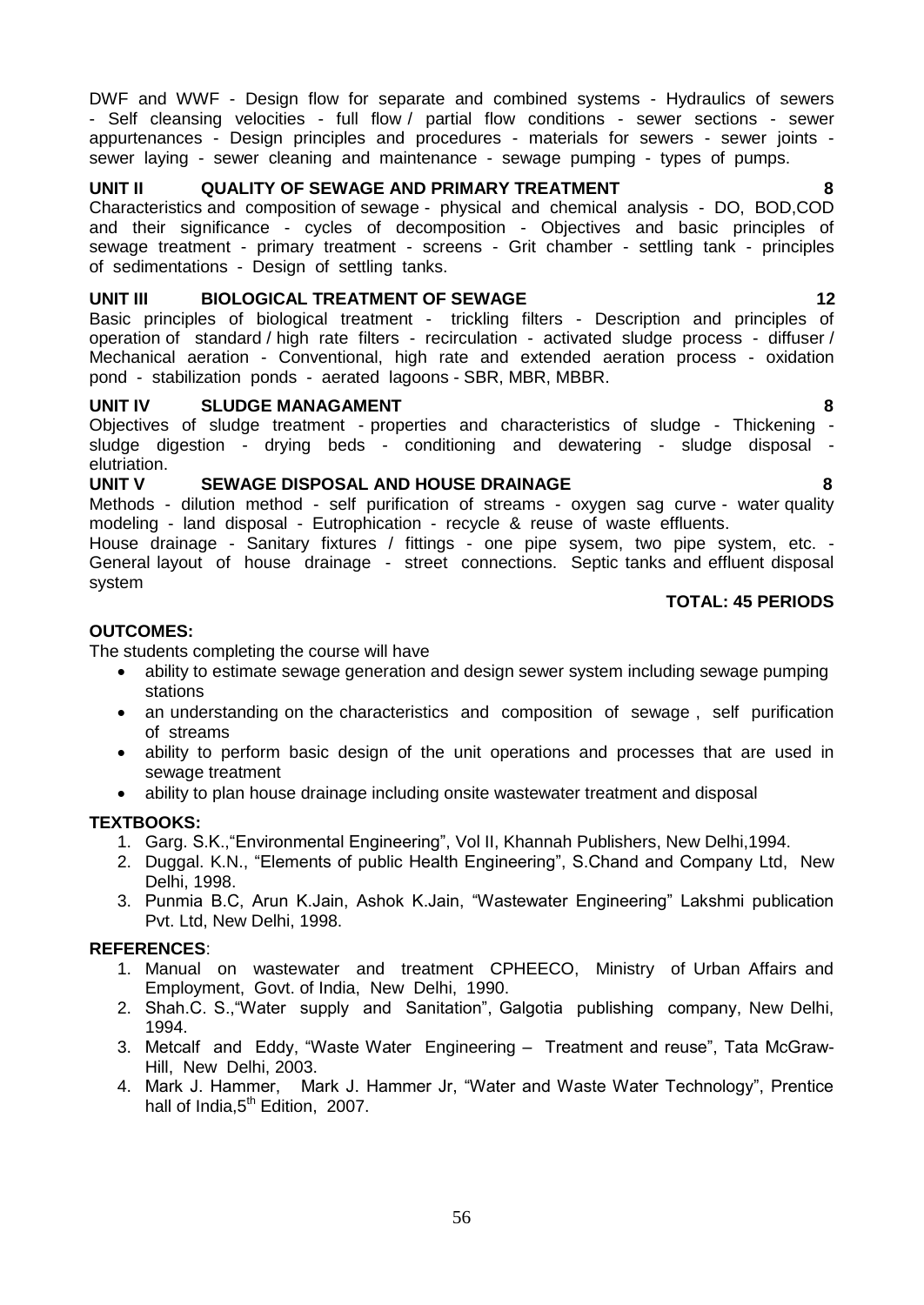56

DWF and WWF - Design flow for separate and combined systems - Hydraulics of sewers - Self cleansing velocities - full flow / partial flow conditions - sewer sections - sewer appurtenances - Design principles and procedures - materials for sewers - sewer joints sewer laying - sewer cleaning and maintenance - sewage pumping - types of pumps.

## **UNIT II QUALITY OF SEWAGE AND PRIMARY TREATMENT 8**

Characteristics and composition of sewage - physical and chemical analysis - DO, BOD,COD and their significance - cycles of decomposition - Objectives and basic principles of sewage treatment - primary treatment - screens - Grit chamber - settling tank - principles of sedimentations - Design of settling tanks.

## **UNIT III BIOLOGICAL TREATMENT OF SEWAGE 12**

Basic principles of biological treatment - trickling filters - Description and principles of operation of standard / high rate filters - recirculation - activated sludge process - diffuser / Mechanical aeration - Conventional, high rate and extended aeration process - oxidation pond - stabilization ponds - aerated lagoons - SBR, MBR, MBBR.

#### **UNIT IV SLUDGE MANAGAMENT 8 8**

Objectives of sludge treatment - properties and characteristics of sludge - Thickening sludge digestion - drying beds - conditioning and dewatering - sludge disposal elutriation.

#### **UNIT V SEWAGE DISPOSAL AND HOUSE DRAINAGE 8**

Methods - dilution method - self purification of streams - oxygen sag curve - water quality modeling - land disposal - Eutrophication - recycle & reuse of waste effluents.

House drainage - Sanitary fixtures / fittings - one pipe sysem, two pipe system, etc. - General layout of house drainage - street connections. Septic tanks and effluent disposal system

#### **TOTAL: 45 PERIODS**

#### **OUTCOMES:**

The students completing the course will have

- ability to estimate sewage generation and design sewer system including sewage pumping stations
- an understanding on the characteristics and composition of sewage, self purification of streams
- ability to perform basic design of the unit operations and processes that are used in sewage treatment
- ability to plan house drainage including onsite wastewater treatment and disposal

#### **TEXTBOOKS:**

- 1. Garg. S.K.,"Environmental Engineering", Vol II, Khannah Publishers, New Delhi,1994.
- 2. Duggal. K.N., "Elements of public Health Engineering", S.Chand and Company Ltd, New Delhi, 1998.
- 3. Punmia B.C, Arun K.Jain, Ashok K.Jain, "Wastewater Engineering" Lakshmi publication Pvt. Ltd, New Delhi, 1998.

#### **REFERENCES**:

- 1. Manual on wastewater and treatment CPHEECO, Ministry of Urban Affairs and Employment, Govt. of India, New Delhi, 1990.
- 2. Shah.C. S.,"Water supply and Sanitation", Galgotia publishing company, New Delhi, 1994.
- 3. Metcalf and Eddy, "Waste Water Engineering Treatment and reuse", Tata McGraw-Hill, New Delhi, 2003.
- 4. Mark J. Hammer, Mark J. Hammer Jr, "Water and Waste Water Technology", Prentice hall of India,5<sup>th</sup> Edition, 2007.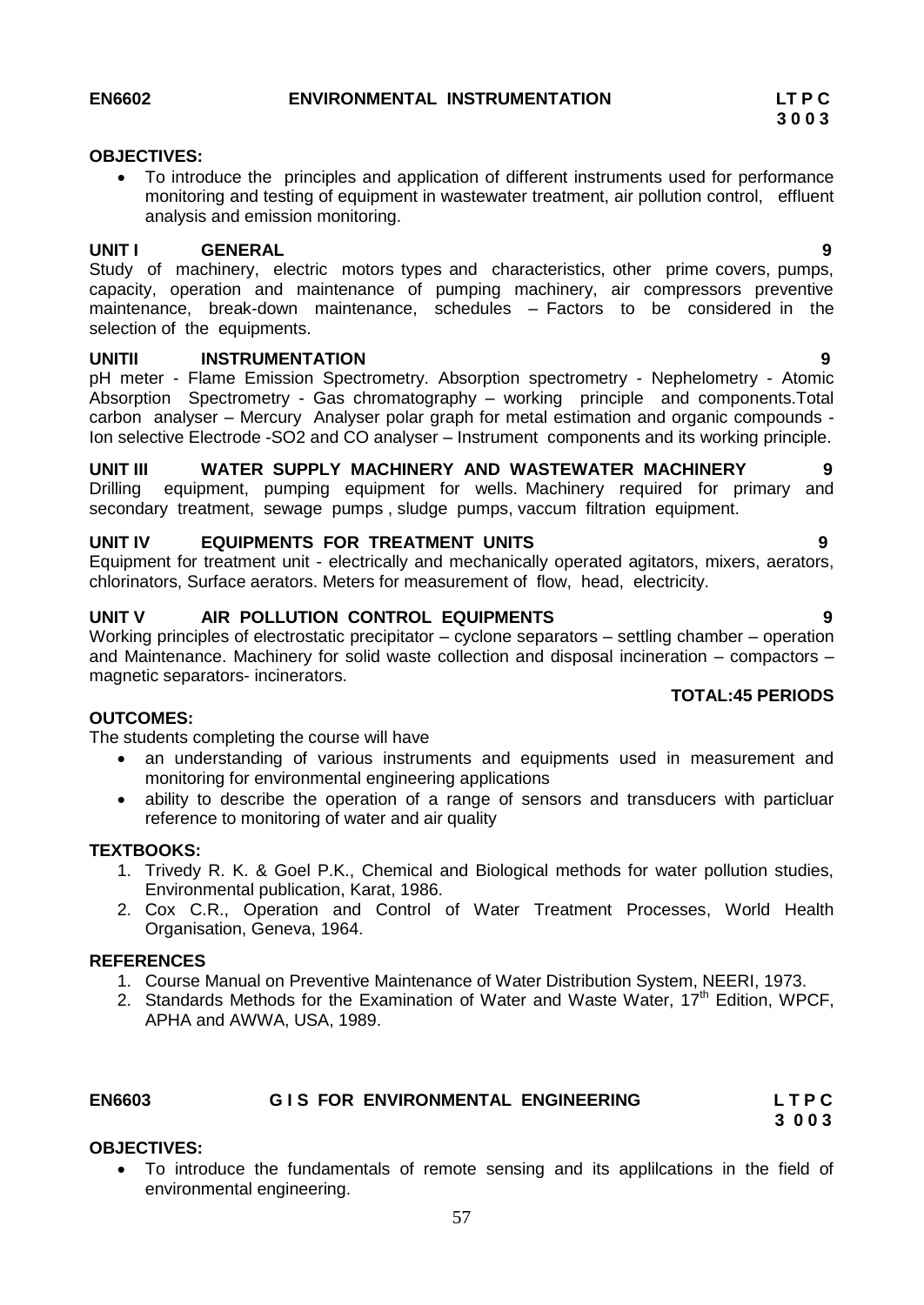#### **OBJECTIVES:**

 To introduce the principles and application of different instruments used for performance monitoring and testing of equipment in wastewater treatment, air pollution control, effluent analysis and emission monitoring.

#### **UNIT I GENERAL 9**

Study of machinery, electric motors types and characteristics, other prime covers, pumps, capacity, operation and maintenance of pumping machinery, air compressors preventive maintenance, break-down maintenance, schedules – Factors to be considered in the selection of the equipments.

#### **UNITII INSTRUMENTATION 9**

pH meter - Flame Emission Spectrometry. Absorption spectrometry - Nephelometry - Atomic Absorption Spectrometry - Gas chromatography – working principle and components.Total carbon analyser – Mercury Analyser polar graph for metal estimation and organic compounds - Ion selective Electrode -SO2 and CO analyser – Instrument components and its working principle.

#### **UNIT III WATER SUPPLY MACHINERY AND WASTEWATER MACHINERY 9**  Drilling equipment, pumping equipment for wells. Machinery required for primary and secondary treatment, sewage pumps , sludge pumps, vaccum filtration equipment.

#### **UNIT IV EQUIPMENTS FOR TREATMENT UNITS 9**

Equipment for treatment unit - electrically and mechanically operated agitators, mixers, aerators, chlorinators, Surface aerators. Meters for measurement of flow, head, electricity.

#### **UNIT V AIR POLLUTION CONTROL EQUIPMENTS 9**

Working principles of electrostatic precipitator – cyclone separators – settling chamber – operation and Maintenance. Machinery for solid waste collection and disposal incineration – compactors – magnetic separators- incinerators.

#### **OUTCOMES:**

The students completing the course will have

- an understanding of various instruments and equipments used in measurement and monitoring for environmental engineering applications
- ability to describe the operation of a range of sensors and transducers with particluar reference to monitoring of water and air quality

#### **TEXTBOOKS:**

- 1. Trivedy R. K. & Goel P.K., Chemical and Biological methods for water pollution studies, Environmental publication, Karat, 1986.
- 2. Cox C.R., Operation and Control of Water Treatment Processes, World Health Organisation, Geneva, 1964.

#### **REFERENCES**

- 1. Course Manual on Preventive Maintenance of Water Distribution System, NEERI, 1973.
- 2. Standards Methods for the Examination of Water and Waste Water,  $17<sup>th</sup>$  Edition, WPCF, APHA and AWWA, USA, 1989.

#### **EN6603 G I S FOR ENVIRONMENTAL ENGINEERING L T P C**

 **3 0 0 3**

#### **OBJECTIVES:**

 To introduce the fundamentals of remote sensing and its applilcations in the field of environmental engineering.

**TOTAL:45 PERIODS**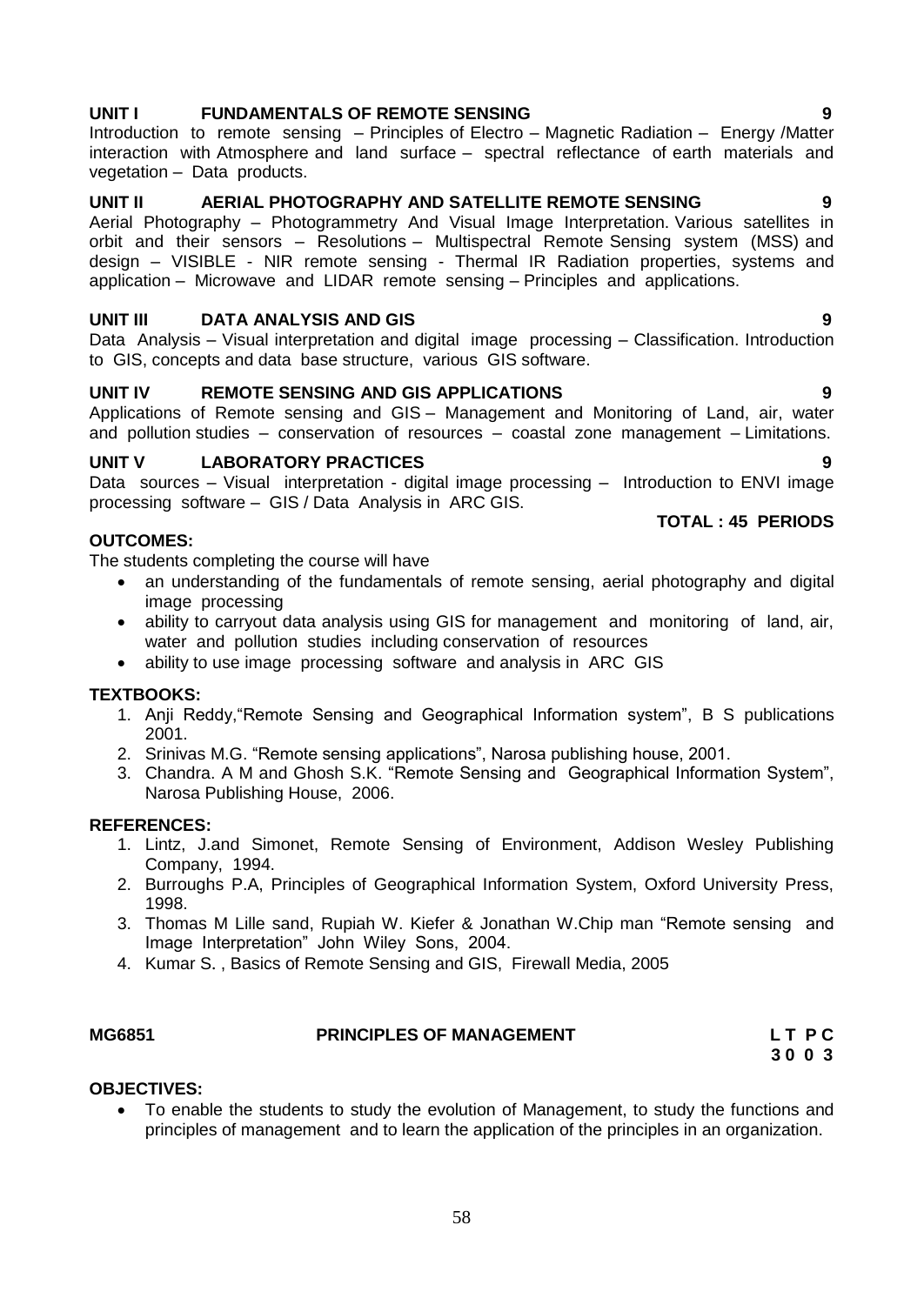#### Applications of Remote sensing and GIS – Management and Monitoring of Land, air, water

**UNIT V LABORATORY PRACTICES** Data sources – Visual interpretation - digital image processing – Introduction to ENVI image processing software – GIS / Data Analysis in ARC GIS.

#### **OUTCOMES:**

The students completing the course will have

- an understanding of the fundamentals of remote sensing, aerial photography and digital image processing
- ability to carryout data analysis using GIS for management and monitoring of land, air, water and pollution studies including conservation of resources
- ability to use image processing software and analysis in ARC GIS

#### **TEXTBOOKS:**

- 1. Anji Reddy,"Remote Sensing and Geographical Information system", B S publications 2001.
- 2. Srinivas M.G. "Remote sensing applications", Narosa publishing house, 2001.
- 3. Chandra. A M and Ghosh S.K. "Remote Sensing and Geographical Information System", Narosa Publishing House, 2006.

#### **REFERENCES:**

- 1. Lintz, J.and Simonet, Remote Sensing of Environment, Addison Wesley Publishing Company, 1994.
- 2. Burroughs P.A, Principles of Geographical Information System, Oxford University Press, 1998.
- 3. Thomas M Lille sand, Rupiah W. Kiefer & Jonathan W.Chip man "Remote sensing and Image Interpretation" John Wiley Sons, 2004.
- 4. [Kumar](http://www.google.co.in/search?tbo=p&tbm=bks&q=inauthor:%22S.+Kumar%22&source=gbs_metadata_r&cad=6) S. , Basics of Remote Sensing and GIS, Firewall Media, 2005

# **OBJECTIVES:**

 To enable the students to study the evolution of Management, to study the functions and principles of management and to learn the application of the principles in an organization.

#### **UNIT I FUNDAMENTALS OF REMOTE SENSING**

Introduction to remote sensing – Principles of Electro – Magnetic Radiation – Energy /Matter interaction with Atmosphere and land surface – spectral reflectance of earth materials and vegetation – Data products.

#### **UNIT II** AERIAL PHOTOGRAPHY AND SATELLITE REMOTE SENSING

Aerial Photography – Photogrammetry And Visual Image Interpretation. Various satellites in orbit and their sensors – Resolutions – Multispectral Remote Sensing system (MSS) and design – VISIBLE - NIR remote sensing - Thermal IR Radiation properties, systems and application – Microwave and LIDAR remote sensing – Principles and applications.

#### **UNIT III DATA ANALYSIS AND GIS 9**

Data Analysis – Visual interpretation and digital image processing – Classification. Introduction to GIS, concepts and data base structure, various GIS software.

#### **UNIT IV REMOTE SENSING AND GIS APPLICATIONS 9**

and pollution studies – conservation of resources – coastal zone management – Limitations.

## **TOTAL : 45 PERIODS**

## **MG6851 PRINCIPLES OF MANAGEMENT L T P C 3 0 0 3**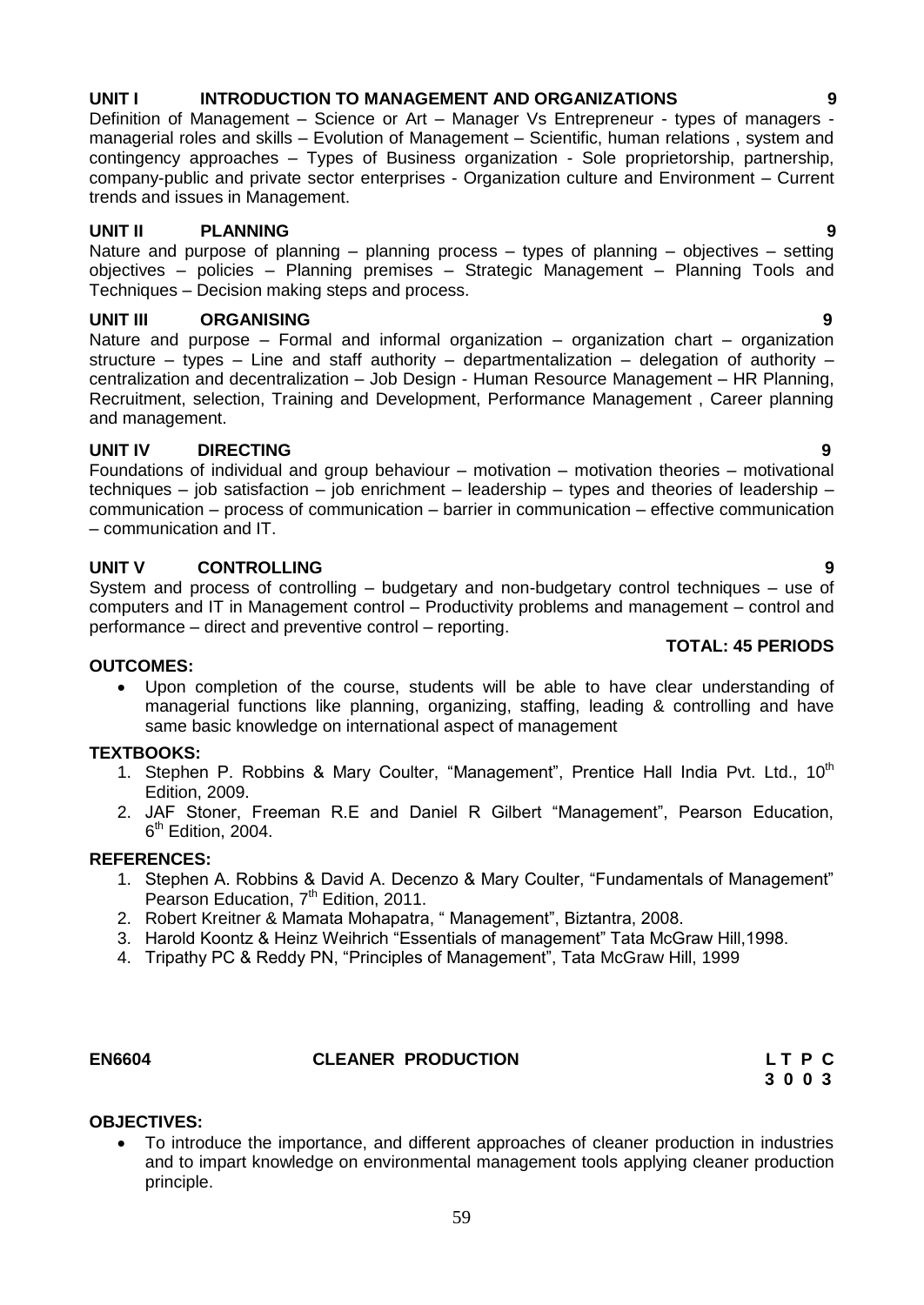## **UNIT I INTRODUCTION TO MANAGEMENT AND ORGANIZATIONS 9**

Definition of Management – Science or Art – Manager Vs Entrepreneur - types of managers managerial roles and skills – Evolution of Management – Scientific, human relations , system and contingency approaches – Types of Business organization - Sole proprietorship, partnership, company-public and private sector enterprises - Organization culture and Environment – Current trends and issues in Management.

#### **UNIT II PLANNING 9**

Nature and purpose of planning – planning process – types of planning – objectives – setting objectives – policies – Planning premises – Strategic Management – Planning Tools and Techniques – Decision making steps and process.

#### **UNIT III ORGANISING 9**

Nature and purpose – Formal and informal organization – organization chart – organization structure – types – Line and staff authority – departmentalization – delegation of authority – centralization and decentralization – Job Design - Human Resource Management – HR Planning, Recruitment, selection, Training and Development, Performance Management , Career planning and management.

#### **UNIT IV DIRECTING 9**

Foundations of individual and group behaviour – motivation – motivation theories – motivational techniques – job satisfaction – job enrichment – leadership – types and theories of leadership – communication – process of communication – barrier in communication – effective communication – communication and IT.

#### **UNIT V CONTROLLING 9**

System and process of controlling – budgetary and non-budgetary control techniques – use of computers and IT in Management control – Productivity problems and management – control and performance – direct and preventive control – reporting.

#### **OUTCOMES:**

 Upon completion of the course, students will be able to have clear understanding of managerial functions like planning, organizing, staffing, leading & controlling and have same basic knowledge on international aspect of management

#### **TEXTBOOKS:**

- 1. Stephen P. Robbins & Mary Coulter, "Management", Prentice Hall India Pvt. Ltd., 10<sup>th</sup> Edition, 2009.
- 2. JAF Stoner, Freeman R.E and Daniel R Gilbert "Management", Pearson Education, 6<sup>th</sup> Edition, 2004.

#### **REFERENCES:**

- 1. Stephen A. Robbins & David A. Decenzo & Mary Coulter, "Fundamentals of Management" Pearson Education, 7<sup>th</sup> Edition, 2011.
- 2. Robert Kreitner & Mamata Mohapatra, " Management", Biztantra, 2008.
- 3. Harold Koontz & Heinz Weihrich "Essentials of management" Tata McGraw Hill,1998.
- 4. Tripathy PC & Reddy PN, "Principles of Management", Tata McGraw Hill, 1999

**OBJECTIVES:**

## **EN6604 CLEANER PRODUCTION L T P C**

 To introduce the importance, and different approaches of cleaner production in industries and to impart knowledge on environmental management tools applying cleaner production principle.

#### **TOTAL: 45 PERIODS**

# **3 0 0 3**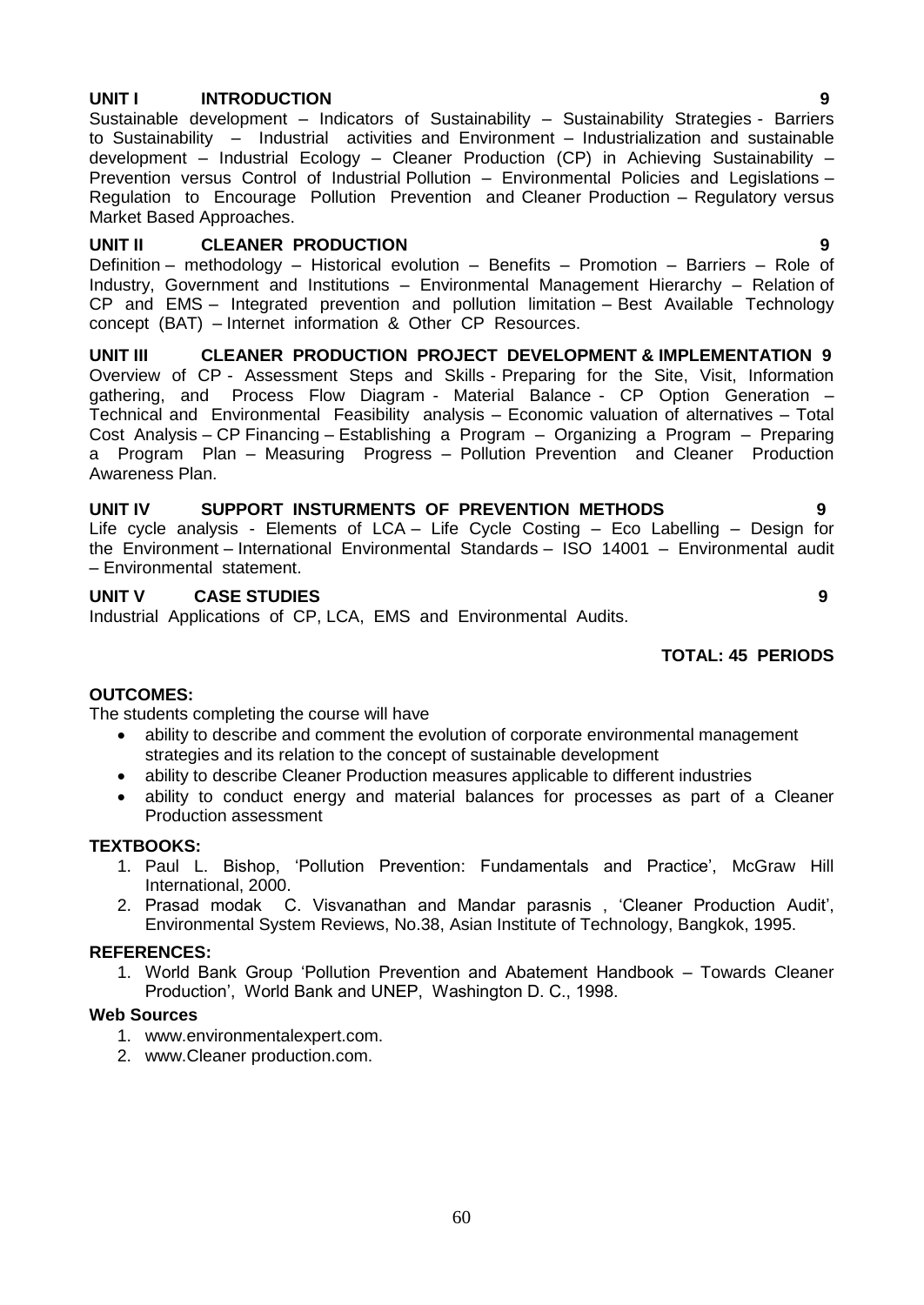#### **UNIT I INTRODUCTION 9**

Sustainable development – Indicators of Sustainability – Sustainability Strategies - Barriers to Sustainability – Industrial activities and Environment – Industrialization and sustainable development – Industrial Ecology – Cleaner Production (CP) in Achieving Sustainability – Prevention versus Control of Industrial Pollution – Environmental Policies and Legislations – Regulation to Encourage Pollution Prevention and Cleaner Production – Regulatory versus Market Based Approaches.

#### **UNIT II CLEANER PRODUCTION 9**

Definition – methodology – Historical evolution – Benefits – Promotion – Barriers – Role of Industry, Government and Institutions – Environmental Management Hierarchy – Relation of CP and EMS – Integrated prevention and pollution limitation – Best Available Technology concept (BAT) – Internet information & Other CP Resources.

**UNIT III CLEANER PRODUCTION PROJECT DEVELOPMENT & IMPLEMENTATION 9** Overview of CP - Assessment Steps and Skills - Preparing for the Site, Visit, Information gathering, and Process Flow Diagram - Material Balance - CP Option Generation – Technical and Environmental Feasibility analysis – Economic valuation of alternatives – Total Cost Analysis – CP Financing – Establishing a Program – Organizing a Program – Preparing a Program Plan – Measuring Progress – Pollution Prevention and Cleaner Production Awareness Plan.

#### **UNIT IV SUPPORT INSTURMENTS OF PREVENTION METHODS 9**

Life cycle analysis - Elements of LCA – Life Cycle Costing – Eco Labelling – Design for the Environment – International Environmental Standards – ISO 14001 – Environmental audit – Environmental statement.

#### **UNIT V CASE STUDIES 9**

Industrial Applications of CP, LCA, EMS and Environmental Audits.

#### **TOTAL: 45 PERIODS**

#### **OUTCOMES:**

The students completing the course will have

- ability to describe and comment the evolution of corporate environmental management strategies and its relation to the concept of sustainable development
- ability to describe Cleaner Production measures applicable to different industries
- ability to conduct energy and material balances for processes as part of a Cleaner Production assessment

#### **TEXTBOOKS:**

- 1. Paul L. Bishop, "Pollution Prevention: Fundamentals and Practice", McGraw Hill International, 2000.
- 2. Prasad modak C. Visvanathan and Mandar parasnis , "Cleaner Production Audit", Environmental System Reviews, No.38, Asian Institute of Technology, Bangkok, 1995.

#### **REFERENCES:**

1. World Bank Group "Pollution Prevention and Abatement Handbook – Towards Cleaner Production", World Bank and UNEP, Washington D. C., 1998.

#### **Web Sources**

- 1. www.environmentalexpert.com.
- 2. www.Cleaner production.com.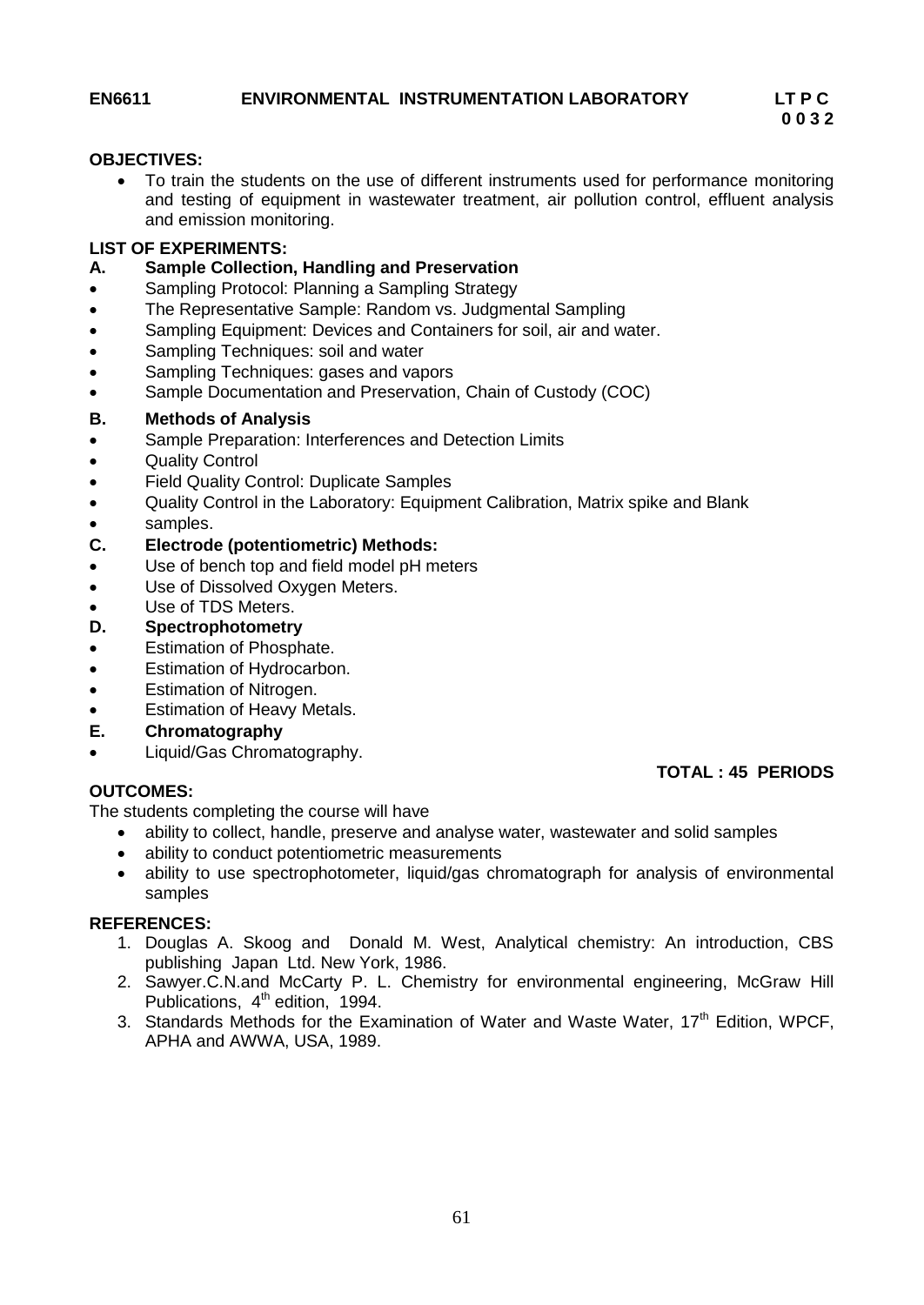**TOTAL : 45 PERIODS**

#### **OBJECTIVES:**

 To train the students on the use of different instruments used for performance monitoring and testing of equipment in wastewater treatment, air pollution control, effluent analysis and emission monitoring.

#### **LIST OF EXPERIMENTS:**

#### **A. Sample Collection, Handling and Preservation**

- Sampling Protocol: Planning a Sampling Strategy
- The Representative Sample: Random vs. Judgmental Sampling
- Sampling Equipment: Devices and Containers for soil, air and water.
- Sampling Techniques: soil and water
- Sampling Techniques: gases and vapors
- Sample Documentation and Preservation, Chain of Custody (COC)

#### **B. Methods of Analysis**

- Sample Preparation: Interferences and Detection Limits
- Quality Control
- Field Quality Control: Duplicate Samples
- Quality Control in the Laboratory: Equipment Calibration, Matrix spike and Blank
- samples.

#### **C. Electrode (potentiometric) Methods:**

- Use of bench top and field model pH meters
- Use of Dissolved Oxygen Meters.
- Use of TDS Meters.

#### **D. Spectrophotometry**

- Estimation of Phosphate.
- Estimation of Hydrocarbon.
- Estimation of Nitrogen.
- Estimation of Heavy Metals.
- **E. Chromatography**
- Liquid/Gas Chromatography.

## **OUTCOMES:**

The students completing the course will have

- ability to collect, handle, preserve and analyse water, wastewater and solid samples
- ability to conduct potentiometric measurements
- ability to use spectrophotometer, liquid/gas chromatograph for analysis of environmental samples

#### **REFERENCES:**

- 1. Douglas A. Skoog and Donald M. West, Analytical chemistry: An introduction, CBS publishing Japan Ltd. New York, 1986.
- 2. Sawyer.C.N.and McCarty P. L. Chemistry for environmental engineering, McGraw Hill Publications,  $4<sup>th</sup>$  edition, 1994.
- 3. Standards Methods for the Examination of Water and Waste Water,  $17<sup>th</sup>$  Edition, WPCF, APHA and AWWA, USA, 1989.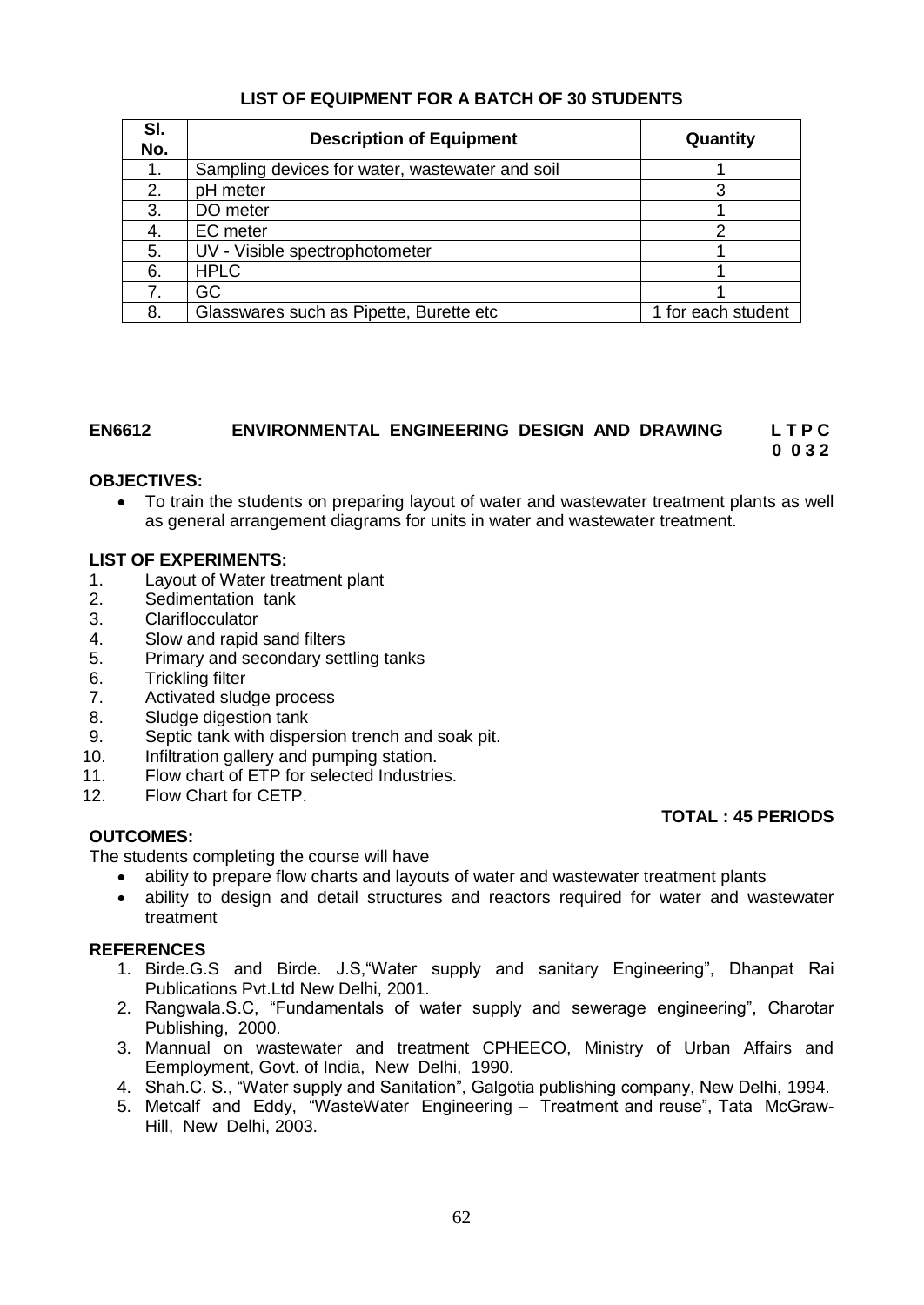## **LIST OF EQUIPMENT FOR A BATCH OF 30 STUDENTS**

| SI.<br>No. | <b>Description of Equipment</b>                 | Quantity           |
|------------|-------------------------------------------------|--------------------|
| 1.         | Sampling devices for water, wastewater and soil |                    |
| 2.         | pH meter                                        | З                  |
| 3.         | DO meter                                        |                    |
| 4.         | EC meter                                        |                    |
| 5.         | UV - Visible spectrophotometer                  |                    |
| 6.         | <b>HPLC</b>                                     |                    |
|            | GC                                              |                    |
| 8.         | Glasswares such as Pipette, Burette etc.        | 1 for each student |

#### **EN6612 ENVIRONMENTAL ENGINEERING DESIGN AND DRAWING L T P C 0 0 3 2**

## **OBJECTIVES:**

 To train the students on preparing layout of water and wastewater treatment plants as well as general arrangement diagrams for units in water and wastewater treatment.

## **LIST OF EXPERIMENTS:**

- 1. Layout of Water treatment plant
- 2. Sedimentation tank
- 3. Clariflocculator
- 4. Slow and rapid sand filters
- 5. Primary and secondary settling tanks
- 6. Trickling filter
- 7. Activated sludge process
- 8. Sludge digestion tank
- 9. Septic tank with dispersion trench and soak pit.
- 10. Infiltration gallery and pumping station.
- 11. Flow chart of ETP for selected Industries.
- 12. Flow Chart for CETP.

#### **OUTCOMES:**

#### **TOTAL : 45 PERIODS**

The students completing the course will have

- ability to prepare flow charts and layouts of water and wastewater treatment plants
- ability to design and detail structures and reactors required for water and wastewater treatment

#### **REFERENCES**

- 1. Birde.G.S and Birde. J.S,"Water supply and sanitary Engineering", Dhanpat Rai Publications Pvt.Ltd New Delhi, 2001.
- 2. Rangwala.S.C, "Fundamentals of water supply and sewerage engineering", Charotar Publishing, 2000.
- 3. Mannual on wastewater and treatment CPHEECO, Ministry of Urban Affairs and Eemployment, Govt. of India, New Delhi, 1990.
- 4. Shah.C. S., "Water supply and Sanitation", Galgotia publishing company, New Delhi, 1994.
- 5. Metcalf and Eddy, "WasteWater Engineering Treatment and reuse", Tata McGraw-Hill, New Delhi, 2003.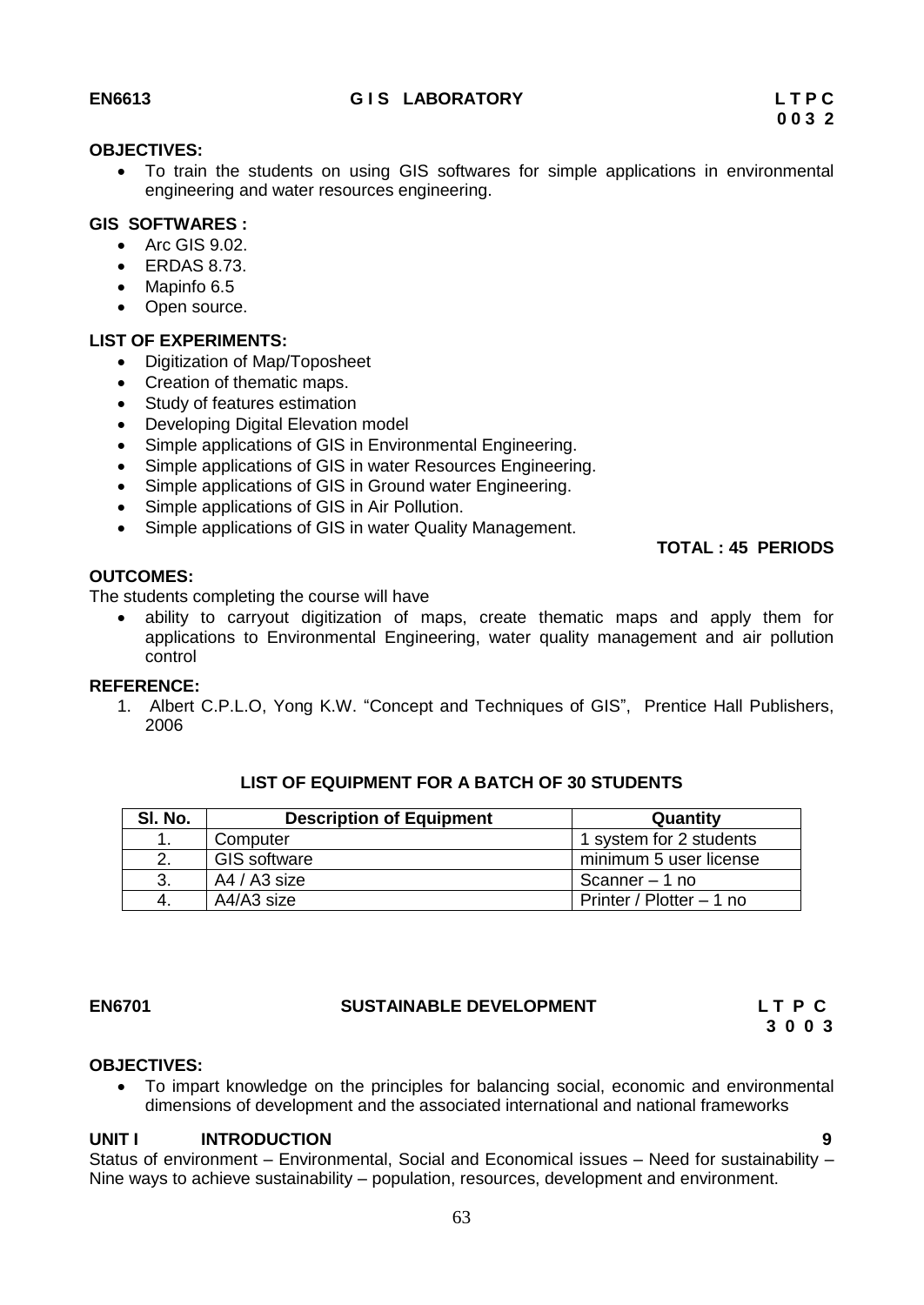#### **OBJECTIVES:**

 To train the students on using GIS softwares for simple applications in environmental engineering and water resources engineering.

## **GIS SOFTWARES :**

- Arc GIS 9.02.
- $\bullet$  ERDAS 8.73.
- Mapinfo 6.5
- Open source.

#### **LIST OF EXPERIMENTS:**

- Digitization of Map/Toposheet
- Creation of thematic maps.
- Study of features estimation
- Developing Digital Elevation model
- Simple applications of GIS in Environmental Engineering.
- Simple applications of GIS in water Resources Engineering.
- Simple applications of GIS in Ground water Engineering.
- Simple applications of GIS in Air Pollution.
- Simple applications of GIS in water Quality Management.

 **TOTAL : 45 PERIODS**

## **OUTCOMES:**

The students completing the course will have

 ability to carryout digitization of maps, create thematic maps and apply them for applications to Environmental Engineering, water quality management and air pollution control

#### **REFERENCE:**

1. Albert C.P.L.O, Yong K.W. "Concept and Techniques of GIS", Prentice Hall Publishers, 2006

| SI. No. | <b>Description of Equipment</b> | Quantity                 |
|---------|---------------------------------|--------------------------|
| 1       | Computer                        | 1 system for 2 students  |
| 2.      | <b>GIS software</b>             | minimum 5 user license   |
| 3.      | A4 / A3 size                    | Scanner – 1 no           |
| -4.     | A4/A3 size                      | Printer / Plotter - 1 no |

#### **LIST OF EQUIPMENT FOR A BATCH OF 30 STUDENTS**

#### **EN6701 SUSTAINABLE DEVELOPMENT L T P C**

 **3 0 0 3**

#### **OBJECTIVES:**

 To impart knowledge on the principles for balancing social, economic and environmental dimensions of development and the associated international and national frameworks

#### UNIT **INTRODUCTION**

Status of environment – Environmental, Social and Economical issues – Need for sustainability – Nine ways to achieve sustainability – population, resources, development and environment.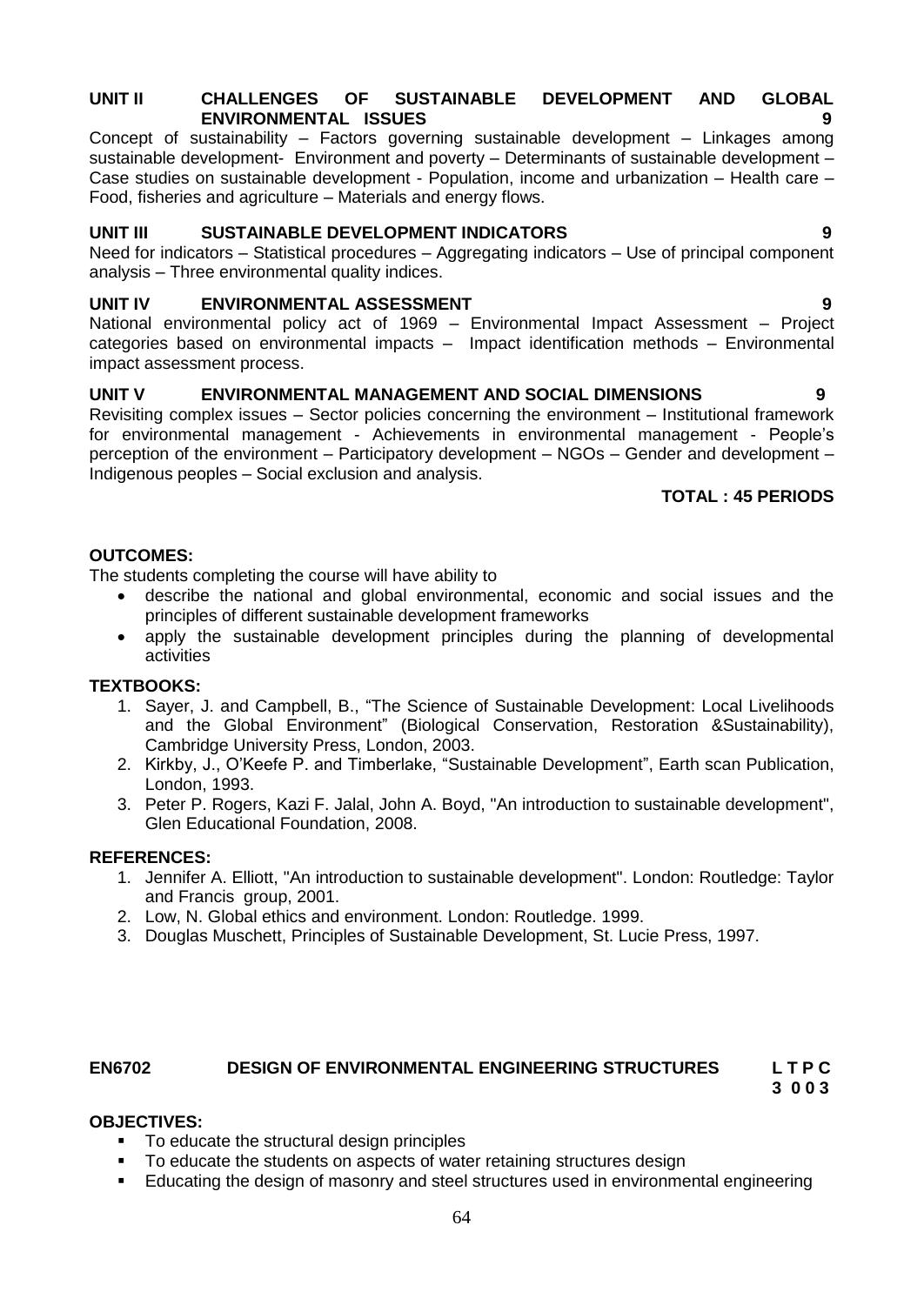#### **UNIT II CHALLENGES OF SUSTAINABLE DEVELOPMENT AND GLOBAL ENVIRONMENTAL ISSUES 9**

Concept of sustainability – Factors governing sustainable development – Linkages among sustainable development- Environment and poverty - Determinants of sustainable development -Case studies on sustainable development - Population, income and urbanization – Health care – Food, fisheries and agriculture – Materials and energy flows.

## **UNIT III SUSTAINABLE DEVELOPMENT INDICATORS 9**

Need for indicators – Statistical procedures – Aggregating indicators – Use of principal component analysis – Three environmental quality indices.

## **UNIT IV ENVIRONMENTAL ASSESSMENT 9**

National environmental policy act of 1969 – Environmental Impact Assessment – Project categories based on environmental impacts – Impact identification methods – Environmental impact assessment process.

## **UNIT V ENVIRONMENTAL MANAGEMENT AND SOCIAL DIMENSIONS 9**

Revisiting complex issues – Sector policies concerning the environment – Institutional framework for environmental management - Achievements in environmental management - People"s perception of the environment – Participatory development – NGOs – Gender and development – Indigenous peoples – Social exclusion and analysis.

#### **TOTAL : 45 PERIODS**

### **OUTCOMES:**

The students completing the course will have ability to

- describe the national and global environmental, economic and social issues and the principles of different sustainable development frameworks
- apply the sustainable development principles during the planning of developmental activities

#### **TEXTBOOKS:**

- 1. Sayer, J. and Campbell, B., "The Science of Sustainable Development: Local Livelihoods and the Global Environment" (Biological Conservation, Restoration &Sustainability), Cambridge University Press, London, 2003.
- 2. Kirkby, J., O"Keefe P. and Timberlake, "Sustainable Development", Earth scan Publication, London, 1993.
- 3. [Peter P. Rogers,](http://books.google.co.in/ebooks?output=ws2&as_brr=5&q=inauthor%3A%22Peter%20P.%20Rogers%22) [Kazi F. Jalal,](http://books.google.co.in/ebooks?output=ws2&as_brr=5&q=inauthor%3A%22Kazi%20F.%20Jalal%22) [John A. Boyd,](http://books.google.co.in/ebooks?output=ws2&as_brr=5&q=inauthor%3A%22John%20A.%20Boyd%22) "An introduction to sustainable development", Glen Educational Foundation, 2008.

#### **REFERENCES:**

- 1. Jennifer A. Elliott, "An introduction to sustainable development". London: Routledge: Taylor and Francis group, 2001.
- 2. Low, N. Global ethics and environment. London: Routledge. 1999.
- 3. [Douglas Muschett,](http://www.google.co.in/search?tbo=p&tbm=bks&q=inauthor:%22F.+Douglas+Muschett%22) Principles of Sustainable Development, St. Lucie Press, 1997.

# **EN6702 DESIGN OF ENVIRONMENTAL ENGINEERING STRUCTURES L T P C**

 **3 0 0 3** 

#### **OBJECTIVES:**

- To educate the structural design principles
- To educate the students on aspects of water retaining structures design
- **Educating the design of masonry and steel structures used in environmental engineering**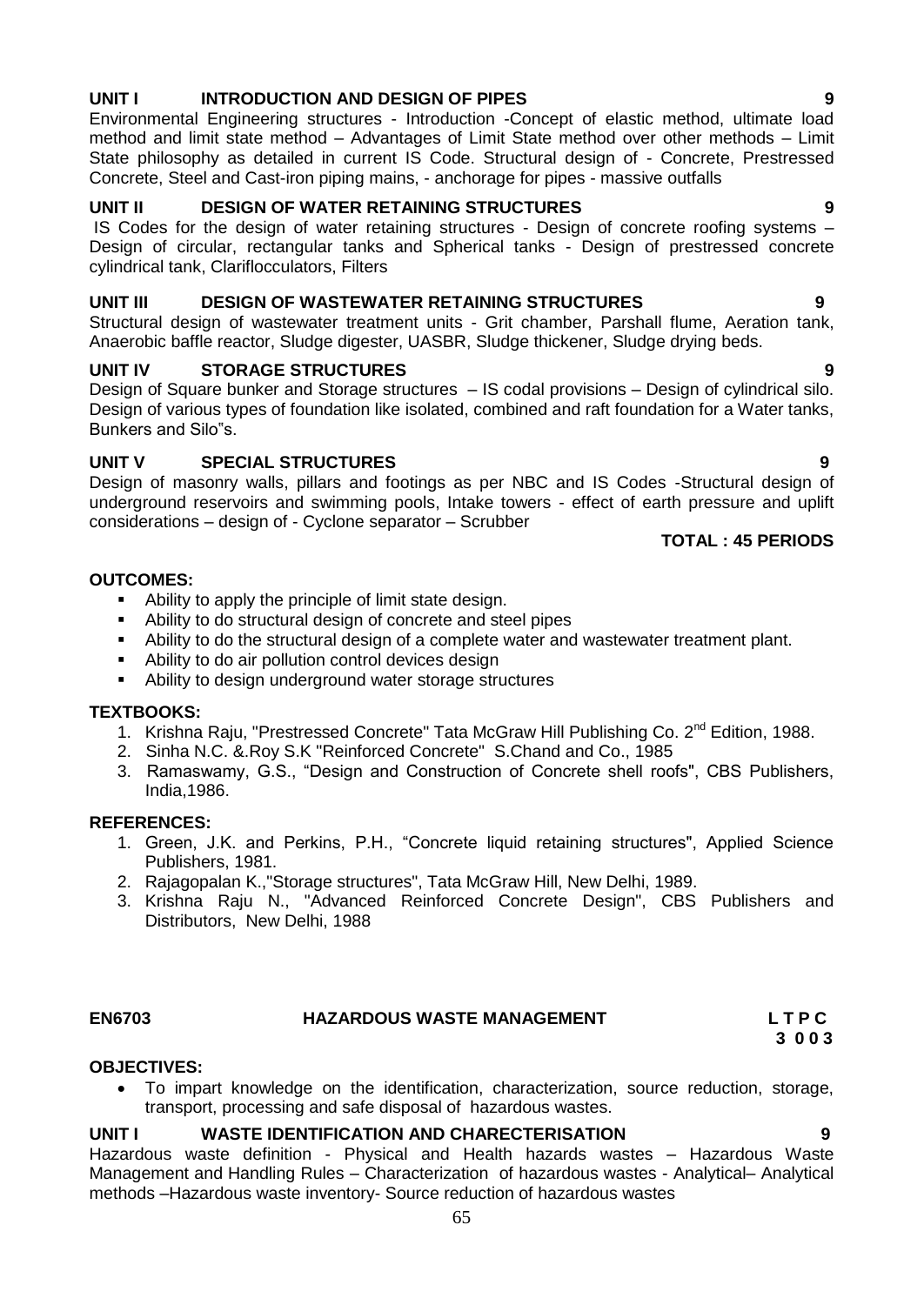## **UNIT I INTRODUCTION AND DESIGN OF PIPES 9**

Environmental Engineering structures - Introduction -Concept of elastic method, ultimate load method and limit state method – Advantages of Limit State method over other methods – Limit State philosophy as detailed in current IS Code. Structural design of - Concrete, Prestressed Concrete, Steel and Cast-iron piping mains, - anchorage for pipes - massive outfalls

## **UNIT II DESIGN OF WATER RETAINING STRUCTURES 9**

IS Codes for the design of water retaining structures - Design of concrete roofing systems – Design of circular, rectangular tanks and Spherical tanks - Design of prestressed concrete cylindrical tank, Clariflocculators, Filters

#### **UNIT III DESIGN OF WASTEWATER RETAINING STRUCTURES 9**

Structural design of wastewater treatment units - Grit chamber, Parshall flume, Aeration tank, Anaerobic baffle reactor, Sludge digester, UASBR, Sludge thickener, Sludge drying beds.

## **UNIT IV STORAGE STRUCTURES** 9

Design of Square bunker and Storage structures – IS codal provisions – Design of cylindrical silo. Design of various types of foundation like isolated, combined and raft foundation for a Water tanks, Bunkers and Silo"s.

## **UNIT V SPECIAL STRUCTURES 9**

Design of masonry walls, pillars and footings as per NBC and IS Codes -Structural design of underground reservoirs and swimming pools, Intake towers - effect of earth pressure and uplift considerations – design of - Cyclone separator – Scrubber

## **TOTAL : 45 PERIODS**

#### **OUTCOMES:**

- Ability to apply the principle of limit state design.
- Ability to do structural design of concrete and steel pipes
- Ability to do the structural design of a complete water and wastewater treatment plant.
- Ability to do air pollution control devices design
- Ability to design underground water storage structures

#### **TEXTBOOKS:**

- 1. Krishna Raju, "Prestressed Concrete" Tata McGraw Hill Publishing Co. 2<sup>nd</sup> Edition, 1988.
- 2. Sinha N.C. &.Roy S.K "Reinforced Concrete" S.Chand and Co., 1985
- 3. Ramaswamy, G.S., "Design and Construction of Concrete shell roofs", CBS Publishers, India,1986.

#### **REFERENCES:**

- 1. Green, J.K. and Perkins, P.H., "Concrete liquid retaining structures", Applied Science Publishers, 1981.
- 2. Rajagopalan K.,"Storage structures", Tata McGraw Hill, New Delhi, 1989.
- 3. Krishna Raju N., "Advanced Reinforced Concrete Design", CBS Publishers and Distributors, New Delhi, 1988

## **EN6703 HAZARDOUS WASTE MANAGEMENT L T P C**

#### **OBJECTIVES:**

 To impart knowledge on the identification, characterization, source reduction, storage, transport, processing and safe disposal of hazardous wastes.

## **UNIT I WASTE IDENTIFICATION AND CHARECTERISATION 9**

Hazardous waste definition - Physical and Health hazards wastes – Hazardous Waste Management and Handling Rules – Characterization of hazardous wastes - Analytical– Analytical methods –Hazardous waste inventory- Source reduction of hazardous wastes

 **3 0 0 3**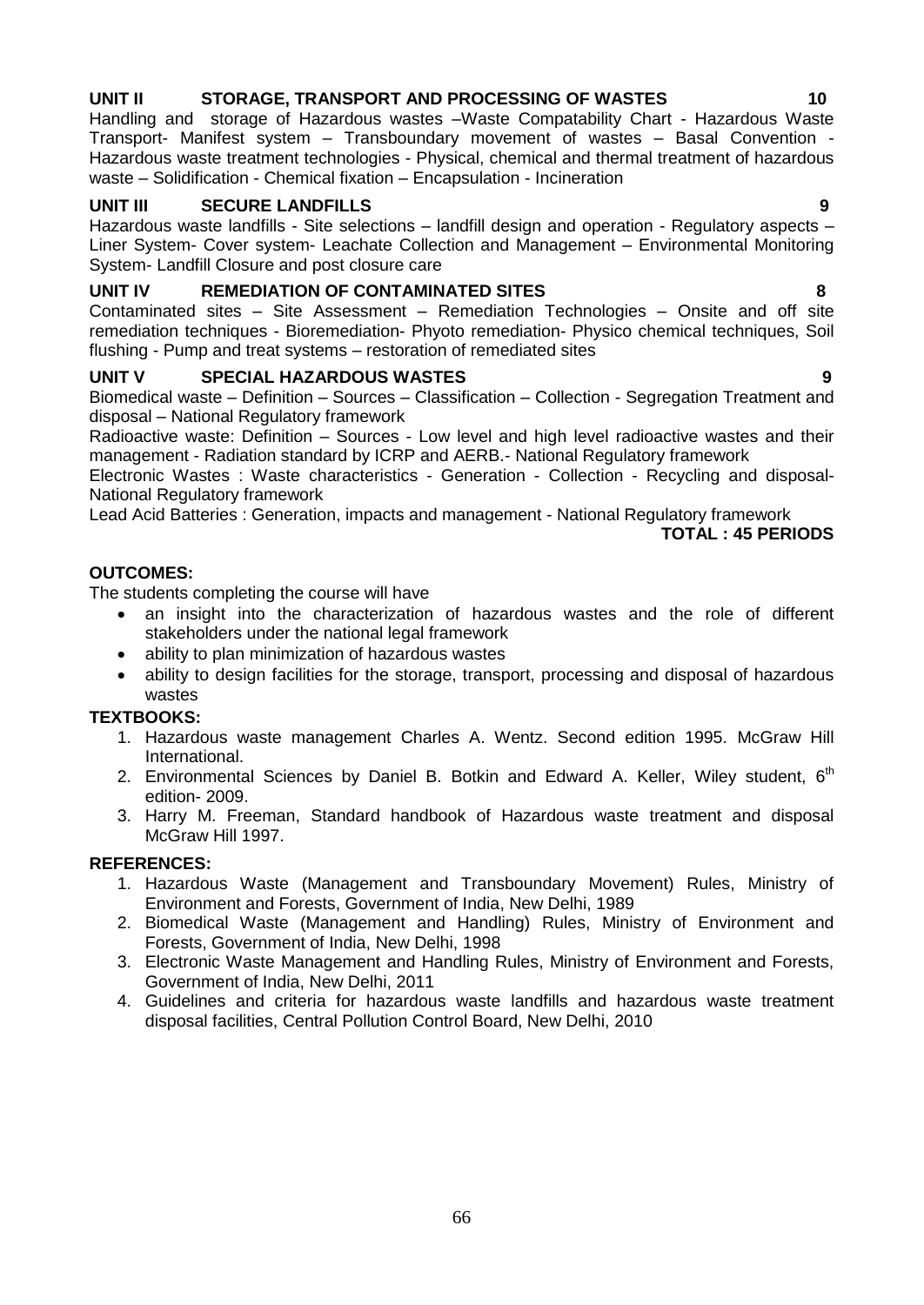## **UNIT II STORAGE, TRANSPORT AND PROCESSING OF WASTES 10**

Handling and storage of Hazardous wastes –Waste Compatability Chart - Hazardous Waste Transport- Manifest system – Transboundary movement of wastes – Basal Convention - Hazardous waste treatment technologies - Physical, chemical and thermal treatment of hazardous waste – Solidification - Chemical fixation – Encapsulation - Incineration

## **UNIT III SECURE LANDFILLS 9**

Hazardous waste landfills - Site selections – landfill design and operation - Regulatory aspects – Liner System- Cover system- Leachate Collection and Management – Environmental Monitoring System- Landfill Closure and post closure care

## **UNIT IV REMEDIATION OF CONTAMINATED SITES 8**

Contaminated sites – Site Assessment – Remediation Technologies – Onsite and off site remediation techniques - Bioremediation- Phyoto remediation- Physico chemical techniques, Soil flushing - Pump and treat systems – restoration of remediated sites

## **UNIT V SPECIAL HAZARDOUS WASTES 9**

Biomedical waste – Definition – Sources – Classification – Collection - Segregation Treatment and disposal – National Regulatory framework

Radioactive waste: Definition – Sources - Low level and high level radioactive wastes and their management - Radiation standard by ICRP and AERB.- National Regulatory framework

Electronic Wastes : Waste characteristics - Generation - Collection - Recycling and disposal-National Regulatory framework

Lead Acid Batteries : Generation, impacts and management - National Regulatory framework

#### **TOTAL : 45 PERIODS**

### **OUTCOMES:**

The students completing the course will have

- an insight into the characterization of hazardous wastes and the role of different stakeholders under the national legal framework
- ability to plan minimization of hazardous wastes
- ability to design facilities for the storage, transport, processing and disposal of hazardous wastes

#### **TEXTBOOKS:**

- 1. Hazardous waste management Charles A. Wentz. Second edition 1995. McGraw Hill International.
- 2. Environmental Sciences by Daniel B. Botkin and Edward A. Keller, Wiley student,  $6<sup>th</sup>$ edition- 2009.
- 3. Harry M. Freeman, Standard handbook of Hazardous waste treatment and disposal McGraw Hill 1997.

#### **REFERENCES:**

- 1. Hazardous Waste (Management and Transboundary Movement) Rules, Ministry of Environment and Forests, Government of India, New Delhi, 1989
- 2. Biomedical Waste (Management and Handling) Rules, Ministry of Environment and Forests, Government of India, New Delhi, 1998
- 3. Electronic Waste Management and Handling Rules, Ministry of Environment and Forests, Government of India, New Delhi, 2011
- 4. Guidelines and criteria for hazardous waste landfills and hazardous waste treatment disposal facilities, Central Pollution Control Board, New Delhi, 2010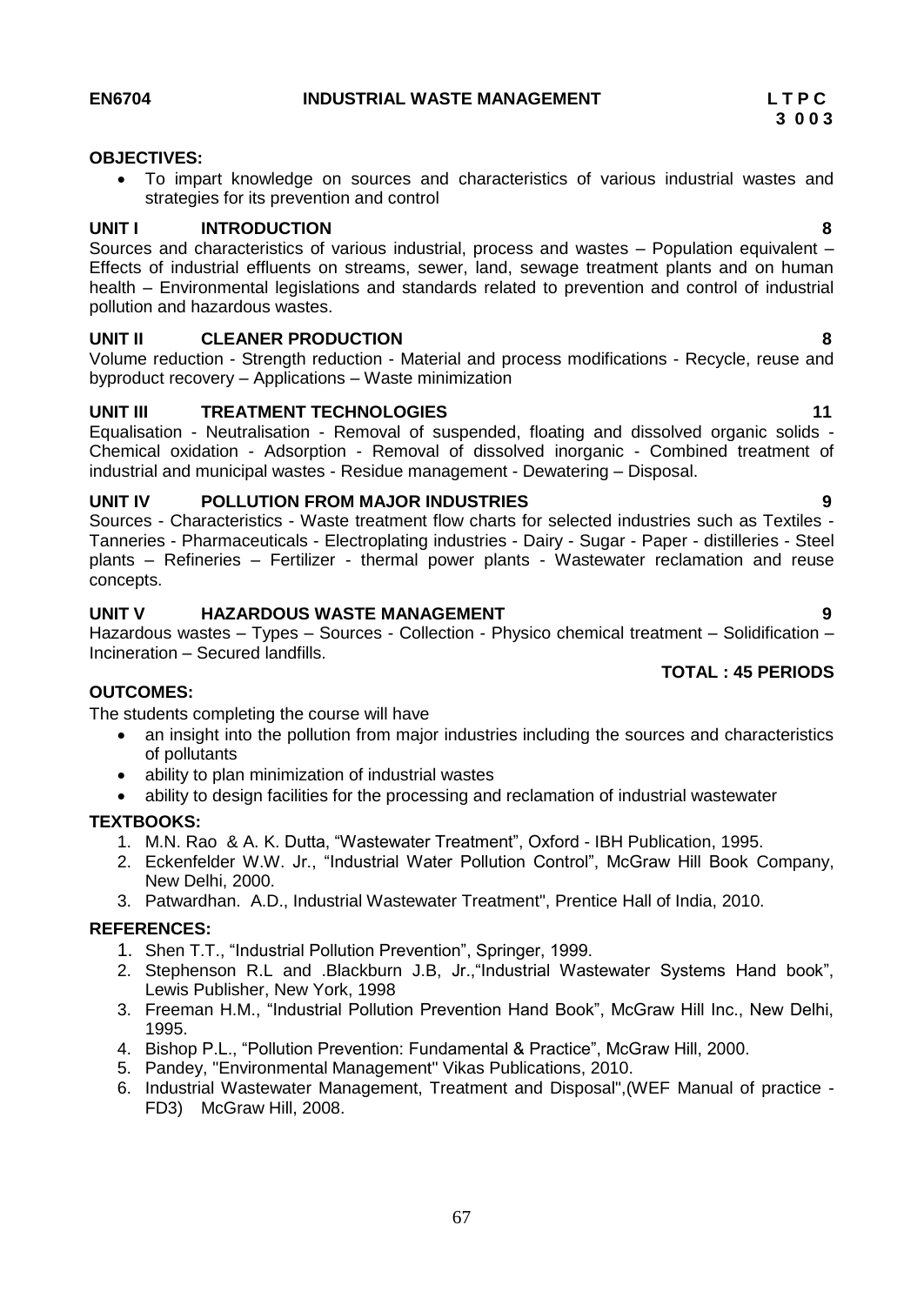#### **EN6704 INDUSTRIAL WASTE MANAGEMENT L T P C**

#### **OBJECTIVES:**

 To impart knowledge on sources and characteristics of various industrial wastes and strategies for its prevention and control

#### **UNIT I INTRODUCTION 8**

Sources and characteristics of various industrial, process and wastes – Population equivalent – Effects of industrial effluents on streams, sewer, land, sewage treatment plants and on human health – Environmental legislations and standards related to prevention and control of industrial pollution and hazardous wastes.

#### **UNIT II CLEANER PRODUCTION 8**

Volume reduction - Strength reduction - Material and process modifications - Recycle, reuse and byproduct recovery – Applications – Waste minimization

#### **UNIT III TREATMENT TECHNOLOGIES 11**

Equalisation - Neutralisation - Removal of suspended, floating and dissolved organic solids - Chemical oxidation - Adsorption - Removal of dissolved inorganic - Combined treatment of industrial and municipal wastes - Residue management - Dewatering – Disposal.

#### **UNIT IV POLLUTION FROM MAJOR INDUSTRIES 9**

Sources - Characteristics - Waste treatment flow charts for selected industries such as Textiles - Tanneries - Pharmaceuticals - Electroplating industries - Dairy - Sugar - Paper - distilleries - Steel plants – Refineries – Fertilizer - thermal power plants - Wastewater reclamation and reuse concepts.

#### **UNIT V HAZARDOUS WASTE MANAGEMENT 9**

Hazardous wastes – Types – Sources - Collection - Physico chemical treatment – Solidification – Incineration – Secured landfills.

#### **TOTAL : 45 PERIODS**

#### **OUTCOMES:**

The students completing the course will have

- an insight into the pollution from major industries including the sources and characteristics of pollutants
- ability to plan minimization of industrial wastes
- ability to design facilities for the processing and reclamation of industrial wastewater

#### **TEXTBOOKS:**

- 1. M.N. Rao & A. K. Dutta, "Wastewater Treatment", Oxford IBH Publication, 1995.
- 2. Eckenfelder W.W. Jr., "Industrial Water Pollution Control", McGraw Hill Book Company, New Delhi, 2000.
- 3. Patwardhan. A.D., Industrial Wastewater Treatment", Prentice Hall of India, 2010.

#### **REFERENCES:**

- 1. Shen T.T., "Industrial Pollution Prevention", Springer, 1999.
- 2. Stephenson R.L and .Blackburn J.B, Jr.,"Industrial Wastewater Systems Hand book", Lewis Publisher, New York, 1998
- 3. Freeman H.M., "Industrial Pollution Prevention Hand Book", McGraw Hill Inc., New Delhi, 1995.
- 4. Bishop P.L., "Pollution Prevention: Fundamental & Practice", McGraw Hill, 2000.
- 5. Pandey, "Environmental Management" Vikas Publications, 2010.
- 6. Industrial Wastewater Management, Treatment and Disposal",(WEF Manual of practice FD3) McGraw Hill, 2008.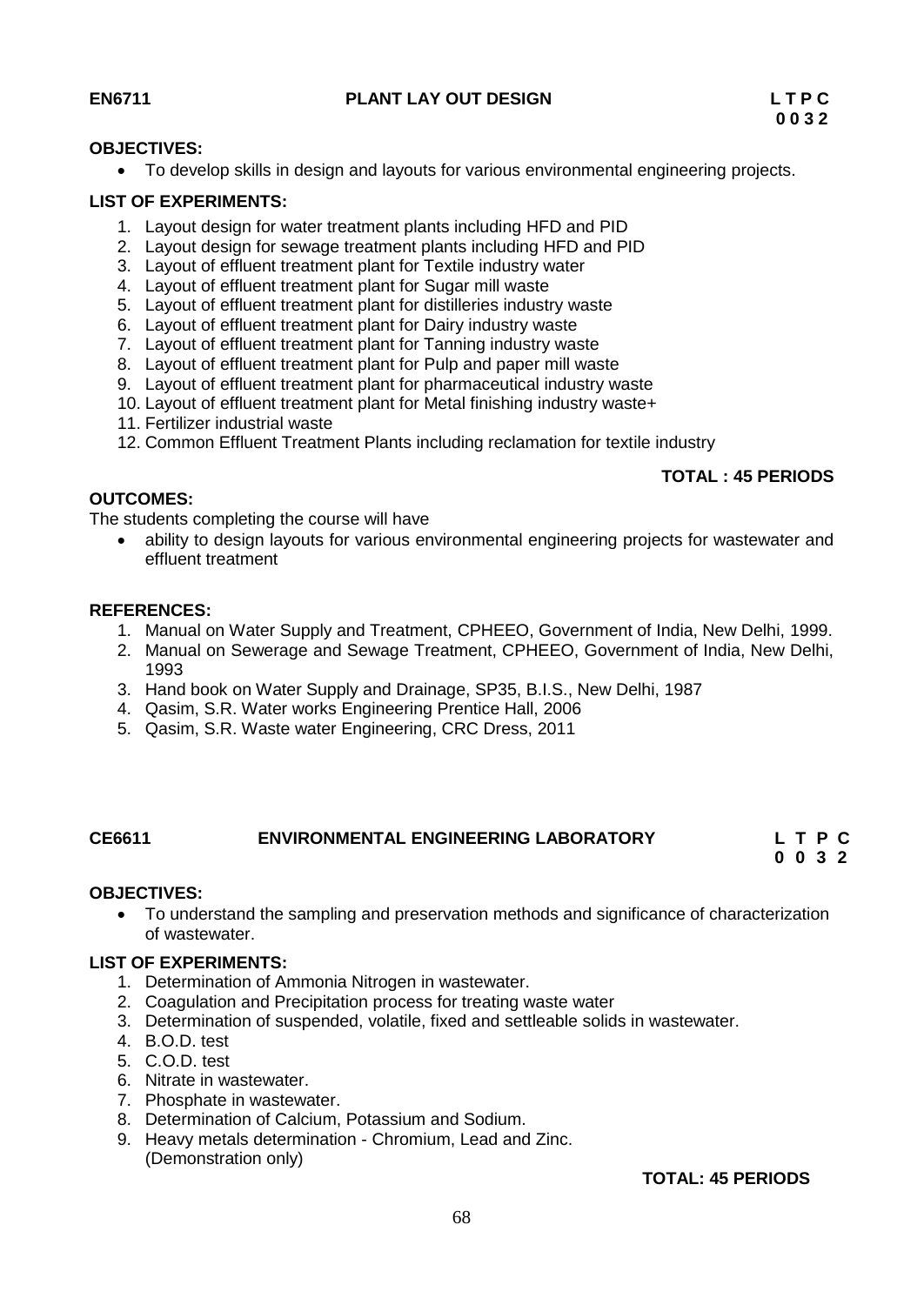### **EN6711 PLANT LAY OUT DESIGN L T P C**

#### **OBJECTIVES:**

To develop skills in design and layouts for various environmental engineering projects.

#### **LIST OF EXPERIMENTS:**

- 1. Layout design for water treatment plants including HFD and PID
- 2. Layout design for sewage treatment plants including HFD and PID
- 3. Layout of effluent treatment plant for Textile industry water
- 4. Layout of effluent treatment plant for Sugar mill waste
- 5. Layout of effluent treatment plant for distilleries industry waste
- 6. Layout of effluent treatment plant for Dairy industry waste
- 7. Layout of effluent treatment plant for Tanning industry waste
- 8. Layout of effluent treatment plant for Pulp and paper mill waste
- 9. Layout of effluent treatment plant for pharmaceutical industry waste
- 10. Layout of effluent treatment plant for Metal finishing industry waste+
- 11. Fertilizer industrial waste
- 12. Common Effluent Treatment Plants including reclamation for textile industry

#### **TOTAL : 45 PERIODS**

### **OUTCOMES:**

The students completing the course will have

 ability to design layouts for various environmental engineering projects for wastewater and effluent treatment

#### **REFERENCES:**

- 1. Manual on Water Supply and Treatment, CPHEEO, Government of India, New Delhi, 1999.
- 2. Manual on Sewerage and Sewage Treatment, CPHEEO, Government of India, New Delhi, 1993
- 3. Hand book on Water Supply and Drainage, SP35, B.I.S., New Delhi, 1987
- 4. Qasim, S.R. Water works Engineering Prentice Hall, 2006
- 5. Qasim, S.R. Waste water Engineering, CRC Dress, 2011

#### **CE6611 ENVIRONMENTAL ENGINEERING LABORATORY L T P C 0 0 3 2**

#### **OBJECTIVES:**

 To understand the sampling and preservation methods and significance of characterization of wastewater.

#### **LIST OF EXPERIMENTS:**

- 1. Determination of Ammonia Nitrogen in wastewater.
- 2. Coagulation and Precipitation process for treating waste water
- 3. Determination of suspended, volatile, fixed and settleable solids in wastewater.
- 4. B.O.D. test
- 5. C.O.D. test
- 6. Nitrate in wastewater.
- 7. Phosphate in wastewater.
- 8. Determination of Calcium, Potassium and Sodium.
- 9. Heavy metals determination Chromium, Lead and Zinc. (Demonstration only)

#### **TOTAL: 45 PERIODS**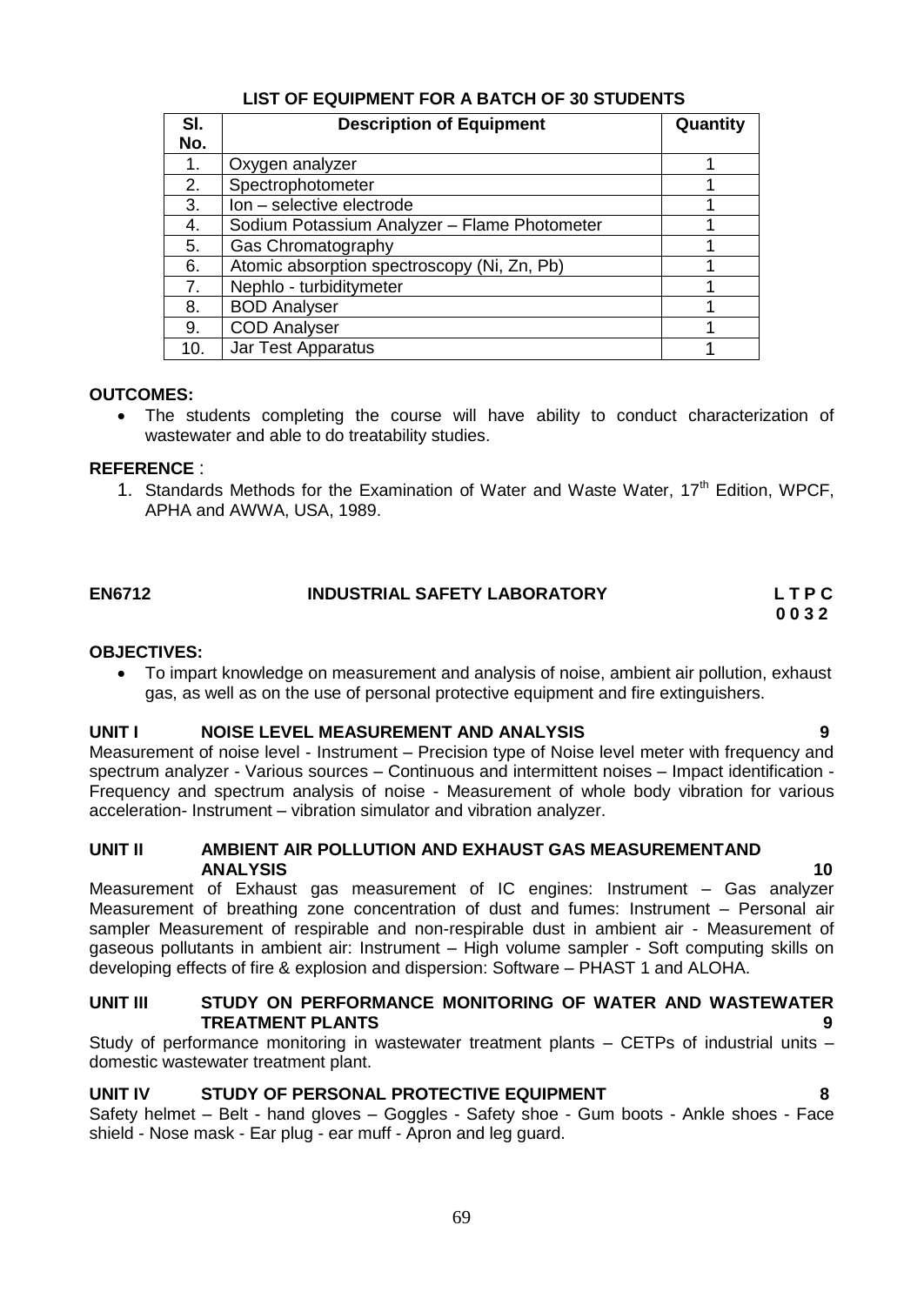## **LIST OF EQUIPMENT FOR A BATCH OF 30 STUDENTS**

| SI. | <b>Description of Equipment</b>              | Quantity |
|-----|----------------------------------------------|----------|
| No. |                                              |          |
| 1.  | Oxygen analyzer                              |          |
| 2.  | Spectrophotometer                            |          |
| 3.  | Ion - selective electrode                    |          |
| 4.  | Sodium Potassium Analyzer - Flame Photometer |          |
| 5.  | Gas Chromatography                           |          |
| 6.  | Atomic absorption spectroscopy (Ni, Zn, Pb)  |          |
| 7.  | Nephlo - turbiditymeter                      |          |
| 8.  | <b>BOD Analyser</b>                          |          |
| 9.  | <b>COD Analyser</b>                          |          |
| 10. | Jar Test Apparatus                           |          |

## **OUTCOMES:**

 The students completing the course will have ability to conduct characterization of wastewater and able to do treatability studies.

#### **REFERENCE** :

1. Standards Methods for the Examination of Water and Waste Water, 17<sup>th</sup> Edition, WPCF, APHA and AWWA, USA, 1989.

## **EN6712 INDUSTRIAL SAFETY LABORATORY L T P C 0 0 3 2**

#### **OBJECTIVES:**

 To impart knowledge on measurement and analysis of noise, ambient air pollution, exhaust gas, as well as on the use of personal protective equipment and fire extinguishers.

#### **UNIT I NOISE LEVEL MEASUREMENT AND ANALYSIS 9**

Measurement of noise level - Instrument – Precision type of Noise level meter with frequency and spectrum analyzer - Various sources – Continuous and intermittent noises – Impact identification - Frequency and spectrum analysis of noise - Measurement of whole body vibration for various acceleration- Instrument – vibration simulator and vibration analyzer.

#### **UNIT II AMBIENT AIR POLLUTION AND EXHAUST GAS MEASUREMENTAND ANALYSIS 10**

Measurement of Exhaust gas measurement of IC engines: Instrument – Gas analyzer Measurement of breathing zone concentration of dust and fumes: Instrument – Personal air sampler Measurement of respirable and non-respirable dust in ambient air - Measurement of gaseous pollutants in ambient air: Instrument – High volume sampler - Soft computing skills on developing effects of fire & explosion and dispersion: Software – PHAST 1 and ALOHA.

#### **UNIT III STUDY ON PERFORMANCE MONITORING OF WATER AND WASTEWATER TREATMENT PLANTS 9**

Study of performance monitoring in wastewater treatment plants – CETPs of industrial units – domestic wastewater treatment plant.

#### **UNIT IV STUDY OF PERSONAL PROTECTIVE EQUIPMENT 8**

Safety helmet – Belt - hand gloves – Goggles - Safety shoe - Gum boots - Ankle shoes - Face shield - Nose mask - Ear plug - ear muff - Apron and leg guard.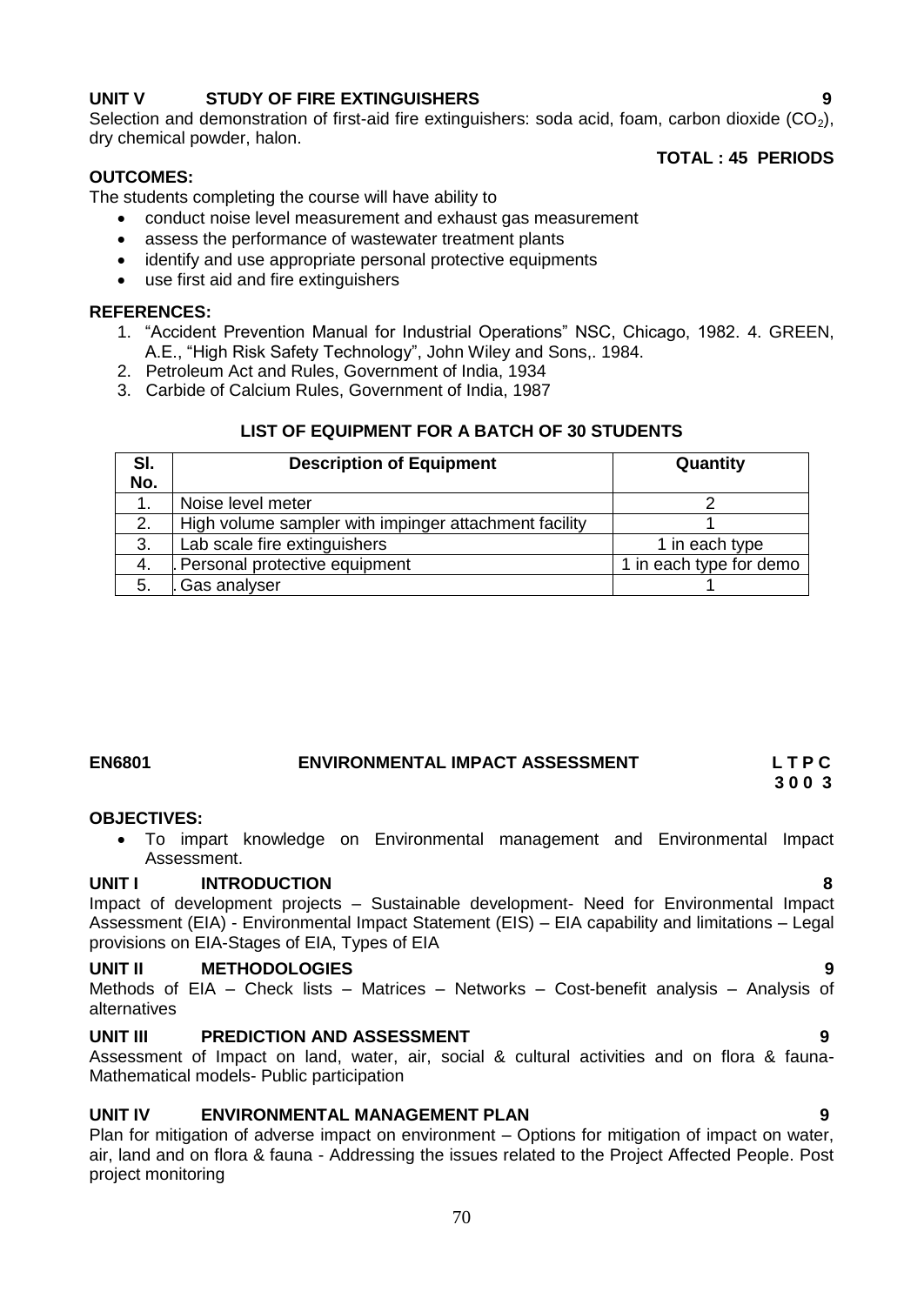## **UNIT V STUDY OF FIRE EXTINGUISHERS 9**

Selection and demonstration of first-aid fire extinguishers: soda acid, foam, carbon dioxide  $(CO<sub>2</sub>)$ , dry chemical powder, halon.

#### **OUTCOMES:**

**TOTAL : 45 PERIODS**

The students completing the course will have ability to

- conduct noise level measurement and exhaust gas measurement
- assess the performance of wastewater treatment plants
- identify and use appropriate personal protective equipments
- use first aid and fire extinguishers

#### **REFERENCES:**

- 1. "Accident Prevention Manual for Industrial Operations" NSC, Chicago, 1982. 4. GREEN, A.E., "High Risk Safety Technology", John Wiley and Sons,. 1984.
- 2. Petroleum Act and Rules, Government of India, 1934
- 3. Carbide of Calcium Rules, Government of India, 1987

## **LIST OF EQUIPMENT FOR A BATCH OF 30 STUDENTS**

| SI. | <b>Description of Equipment</b>                       | Quantity                |
|-----|-------------------------------------------------------|-------------------------|
| No. |                                                       |                         |
|     | Noise level meter                                     |                         |
| 2.  | High volume sampler with impinger attachment facility |                         |
| 3.  | Lab scale fire extinguishers                          | 1 in each type          |
| 4.  | Personal protective equipment                         | 1 in each type for demo |
| 5.  | Gas analyser                                          |                         |

#### **EN6801 ENVIRONMENTAL IMPACT ASSESSMENT L T P C 3 0 0 3**

## **OBJECTIVES:**

 To impart knowledge on Environmental management and Environmental Impact Assessment.

#### **UNIT I INTRODUCTION 8**

Impact of development projects – Sustainable development- Need for Environmental Impact Assessment (EIA) - Environmental Impact Statement (EIS) – EIA capability and limitations – Legal provisions on EIA-Stages of EIA, Types of EIA

#### **UNIT II METHODOLOGIES 9**

Methods of EIA – Check lists – Matrices – Networks – Cost-benefit analysis – Analysis of alternatives

#### **UNIT III PREDICTION AND ASSESSMENT 9**

Assessment of Impact on land, water, air, social & cultural activities and on flora & fauna-Mathematical models- Public participation

## **UNIT IV ENVIRONMENTAL MANAGEMENT PLAN 9**

Plan for mitigation of adverse impact on environment – Options for mitigation of impact on water, air, land and on flora & fauna - Addressing the issues related to the Project Affected People. Post project monitoring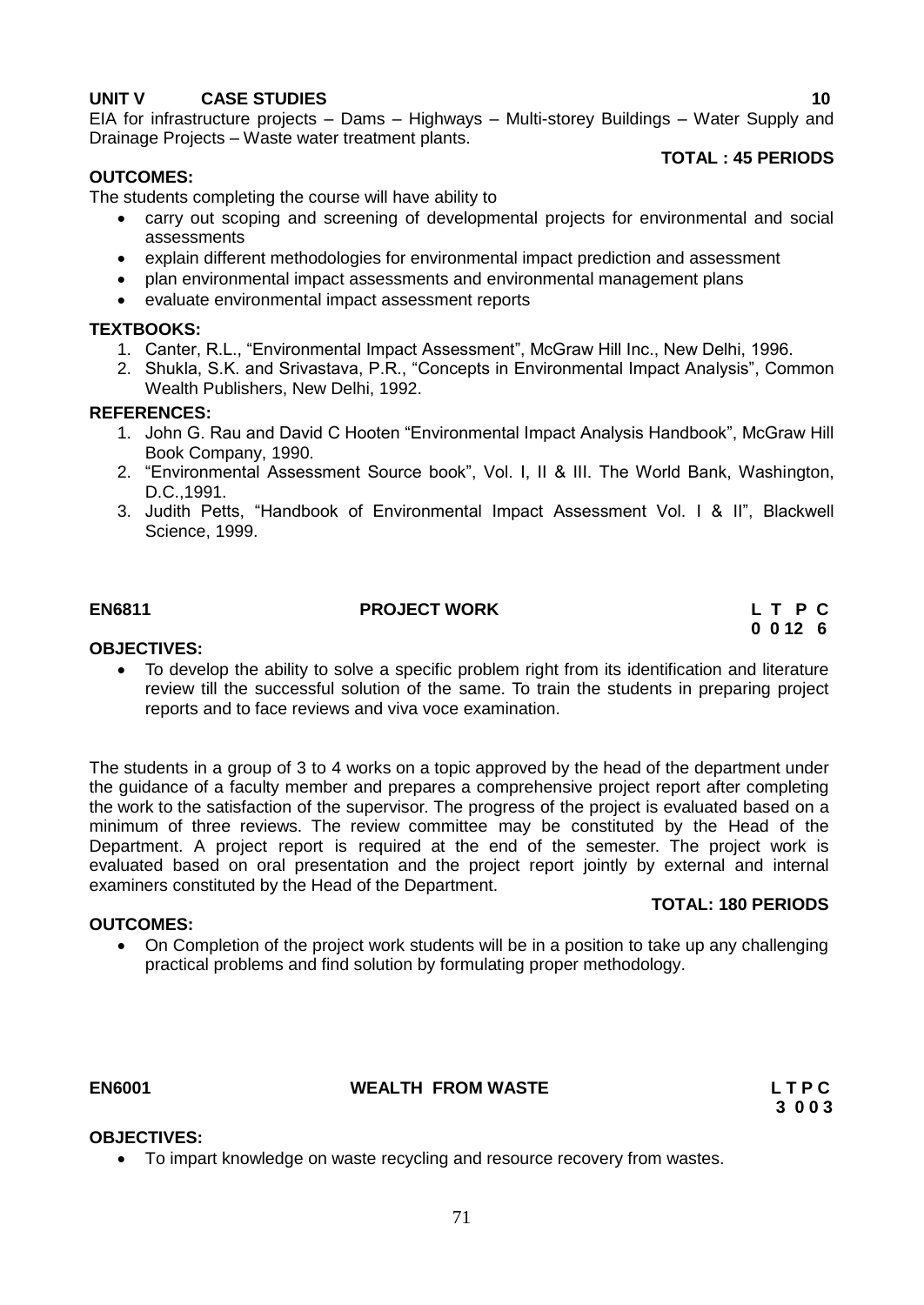## **UNIT V CASE STUDIES 10**

EIA for infrastructure projects – Dams – Highways – Multi-storey Buildings – Water Supply and Drainage Projects – Waste water treatment plants.

## **OUTCOMES:**

## **TOTAL : 45 PERIODS**

The students completing the course will have ability to

- carry out scoping and screening of developmental projects for environmental and social assessments
- explain different methodologies for environmental impact prediction and assessment
- plan environmental impact assessments and environmental management plans
- evaluate environmental impact assessment reports

#### **TEXTBOOKS:**

- 1. Canter, R.L., "Environmental Impact Assessment", McGraw Hill Inc., New Delhi, 1996.
- 2. Shukla, S.K. and Srivastava, P.R., "Concepts in Environmental Impact Analysis", Common Wealth Publishers, New Delhi, 1992.

#### **REFERENCES:**

- 1. John G. Rau and David C Hooten "Environmental Impact Analysis Handbook", McGraw Hill Book Company, 1990.
- 2. "Environmental Assessment Source book", Vol. I, II & III. The World Bank, Washington, D.C.,1991.
- 3. Judith Petts, "Handbook of Environmental Impact Assessment Vol. I & II", Blackwell Science, 1999.

## **EN6811 PROJECT WORK L T P C**

# **0 0 12 6**

#### **OBJECTIVES:**

• To develop the ability to solve a specific problem right from its identification and literature review till the successful solution of the same. To train the students in preparing project reports and to face reviews and viva voce examination.

The students in a group of 3 to 4 works on a topic approved by the head of the department under the guidance of a faculty member and prepares a comprehensive project report after completing the work to the satisfaction of the supervisor. The progress of the project is evaluated based on a minimum of three reviews. The review committee may be constituted by the Head of the Department. A project report is required at the end of the semester. The project work is evaluated based on oral presentation and the project report jointly by external and internal examiners constituted by the Head of the Department.

#### **TOTAL: 180 PERIODS**

• On Completion of the project work students will be in a position to take up any challenging practical problems and find solution by formulating proper methodology.

#### **EN6001 WEALTH FROM WASTE L T P C**

 **3 0 0 3**

#### **OBJECTIVES:**

**OUTCOMES:**

To impart knowledge on waste recycling and resource recovery from wastes.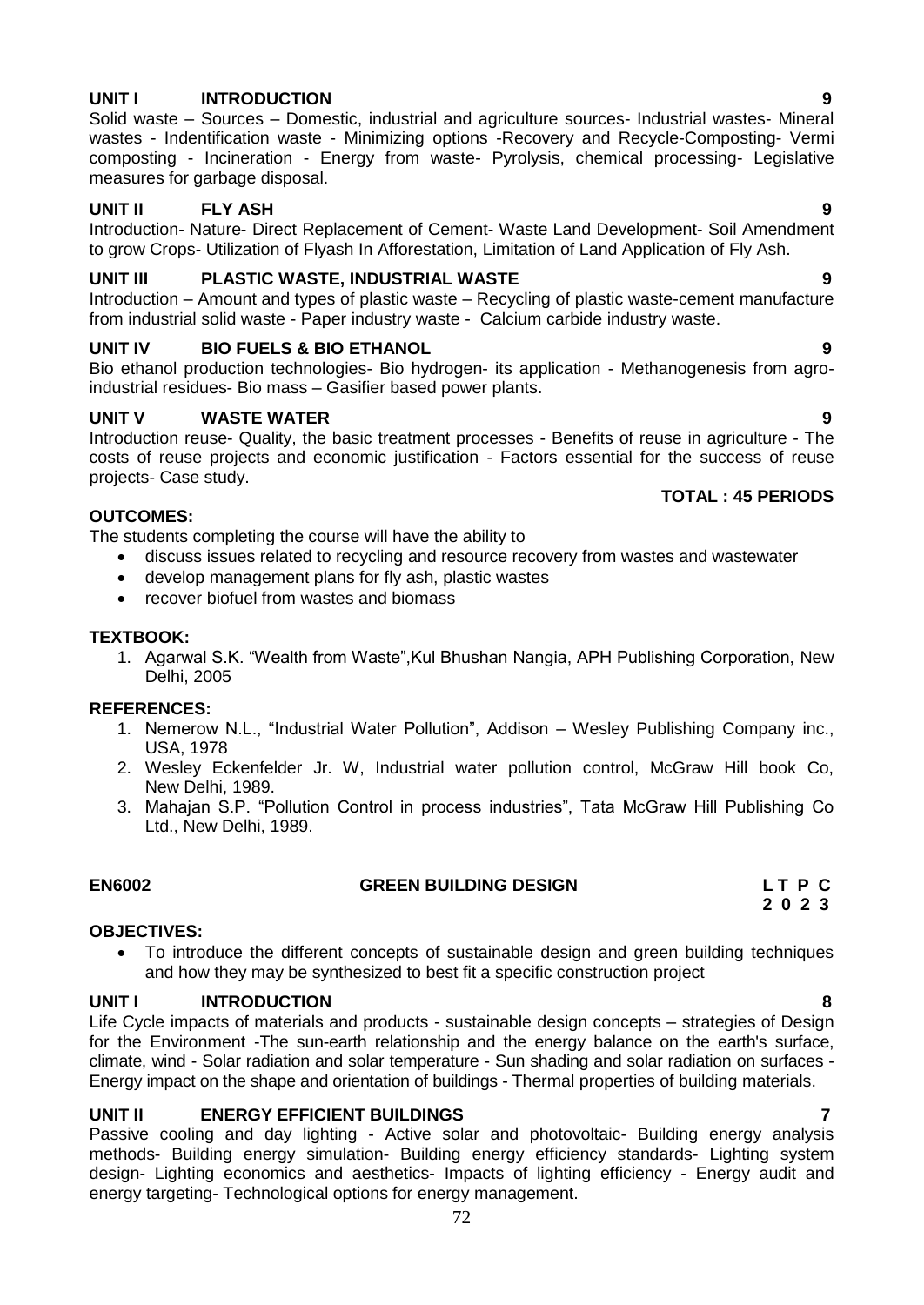## **UNIT I INTRODUCTION 9**

Solid waste – Sources – Domestic, industrial and agriculture sources- Industrial wastes- Mineral wastes - Indentification waste - Minimizing options -Recovery and Recycle-Composting- Vermi composting - Incineration - Energy from waste- Pyrolysis, chemical processing- Legislative measures for garbage disposal.

## **UNIT II FLY ASH 9**

Introduction- Nature- Direct Replacement of Cement- Waste Land Development- Soil Amendment to grow Crops- Utilization of Flyash In Afforestation, Limitation of Land Application of Fly Ash.

## **UNIT III PLASTIC WASTE, INDUSTRIAL WASTE 9**

Introduction – Amount and types of plastic waste – Recycling of plastic waste-cement manufacture from industrial solid waste - Paper industry waste - Calcium carbide industry waste.

## **UNIT IV BIO FUELS & BIO ETHANOL 9**

Bio ethanol production technologies- Bio hydrogen- its application - Methanogenesis from agroindustrial residues- Bio mass – Gasifier based power plants.

## **UNIT V WASTE WATER 9**

Introduction reuse- Quality, the basic treatment processes - Benefits of reuse in agriculture - The costs of reuse projects and economic justification - Factors essential for the success of reuse projects- Case study.

#### **TOTAL : 45 PERIODS**

#### **OUTCOMES:**

The students completing the course will have the ability to

- discuss issues related to recycling and resource recovery from wastes and wastewater
- develop management plans for fly ash, plastic wastes
- recover biofuel from wastes and biomass

## **TEXTBOOK:**

1. Agarwal S.K. "Wealth from Waste",Kul Bhushan Nangia, APH Publishing Corporation, New Delhi, 2005

#### **REFERENCES:**

- 1. Nemerow N.L., "Industrial Water Pollution", Addison Wesley Publishing Company inc., USA, 1978
- 2. Wesley Eckenfelder Jr. W, Industrial water pollution control, McGraw Hill book Co, New Delhi, 1989.
- 3. Mahajan S.P. "Pollution Control in process industries", Tata McGraw Hill Publishing Co Ltd., New Delhi, 1989.

|  | <b>EN6002</b> |  |
|--|---------------|--|
|  |               |  |

## **EN6002 GREEN BUILDING DESIGN L T P C**

#### **OBJECTIVES:**

 To introduce the different concepts of sustainable design and green building techniques and how they may be synthesized to best fit a specific construction project

#### **UNIT I INTRODUCTION 8**

Life Cycle impacts of materials and products - sustainable design concepts – strategies of Design for the Environment -The sun-earth relationship and the energy balance on the earth's surface, climate, wind - Solar radiation and solar temperature - Sun shading and solar radiation on surfaces - Energy impact on the shape and orientation of buildings - Thermal properties of building materials.

## **UNIT II ENERGY EFFICIENT BUILDINGS 7**

Passive cooling and day lighting - Active solar and photovoltaic- Building energy analysis methods- Building energy simulation- Building energy efficiency standards- Lighting system design- Lighting economics and aesthetics- Impacts of lighting efficiency - Energy audit and energy targeting- Technological options for energy management.

 **2 0 2 3**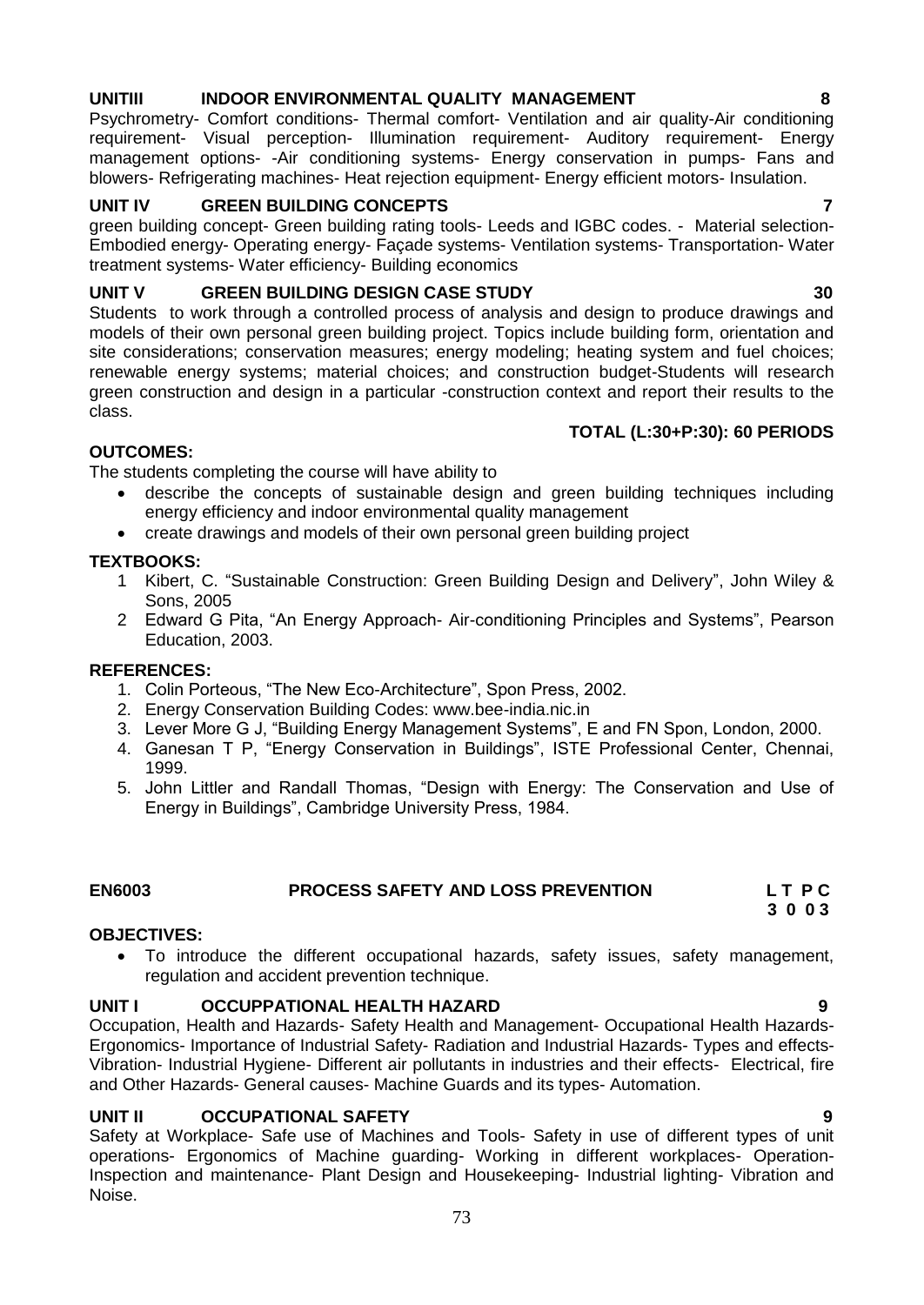# **UNITIII INDOOR ENVIRONMENTAL QUALITY MANAGEMENT 8**

Psychrometry- Comfort conditions- Thermal comfort- Ventilation and air quality-Air conditioning requirement- Visual perception- Illumination requirement- Auditory requirement- Energy management options- -Air conditioning systems- Energy conservation in pumps- Fans and blowers- Refrigerating machines- Heat rejection equipment- Energy efficient motors- Insulation.

# **UNIT IV GREEN BUILDING CONCEPTS 7**

green building concept- Green building rating tools- Leeds and IGBC codes. - Material selection-Embodied energy- Operating energy- Façade systems- Ventilation systems- Transportation- Water treatment systems- Water efficiency- Building economics

# **UNIT V GREEN BUILDING DESIGN CASE STUDY 30**

Students to work through a controlled process of analysis and design to produce drawings and models of their own personal green building project. Topics include building form, orientation and site considerations; conservation measures; energy modeling; heating system and fuel choices; renewable energy systems; material choices; and construction budget-Students will research green construction and design in a particular -construction context and report their results to the class.

# **TOTAL (L:30+P:30): 60 PERIODS**

# **OUTCOMES:**

The students completing the course will have ability to

- describe the concepts of sustainable design and green building techniques including energy efficiency and indoor environmental quality management
- create drawings and models of their own personal green building project

# **TEXTBOOKS:**

- 1 Kibert, C. "Sustainable Construction: Green Building Design and Delivery", John Wiley & Sons, 2005
- 2 Edward G Pita, "An Energy Approach- Air-conditioning Principles and Systems", Pearson Education, 2003.

# **REFERENCES:**

- 1. Colin Porteous, "The New Eco-Architecture", Spon Press, 2002.
- 2. Energy Conservation Building Codes: www.bee-india.nic.in
- 3. Lever More G J, "Building Energy Management Systems", E and FN Spon, London, 2000.
- 4. Ganesan T P, "Energy Conservation in Buildings", ISTE Professional Center, Chennai, 1999.
- 5. John Littler and Randall Thomas, "Design with Energy: The Conservation and Use of Energy in Buildings", Cambridge University Press, 1984.

# **EN6003 PROCESS SAFETY AND LOSS PREVENTION L T P C**

#### **OBJECTIVES:**

 To introduce the different occupational hazards, safety issues, safety management, regulation and accident prevention technique.

# **UNIT I OCCUPPATIONAL HEALTH HAZARD 9**

Occupation, Health and Hazards- Safety Health and Management- Occupational Health Hazards-Ergonomics- Importance of Industrial Safety- Radiation and Industrial Hazards- Types and effects-Vibration- Industrial Hygiene- Different air pollutants in industries and their effects- Electrical, fire and Other Hazards- General causes- Machine Guards and its types- Automation.

# **UNIT II OCCUPATIONAL SAFETY 9**

Safety at Workplace- Safe use of Machines and Tools- Safety in use of different types of unit operations- Ergonomics of Machine guarding- Working in different workplaces- Operation-Inspection and maintenance- Plant Design and Housekeeping- Industrial lighting- Vibration and Noise.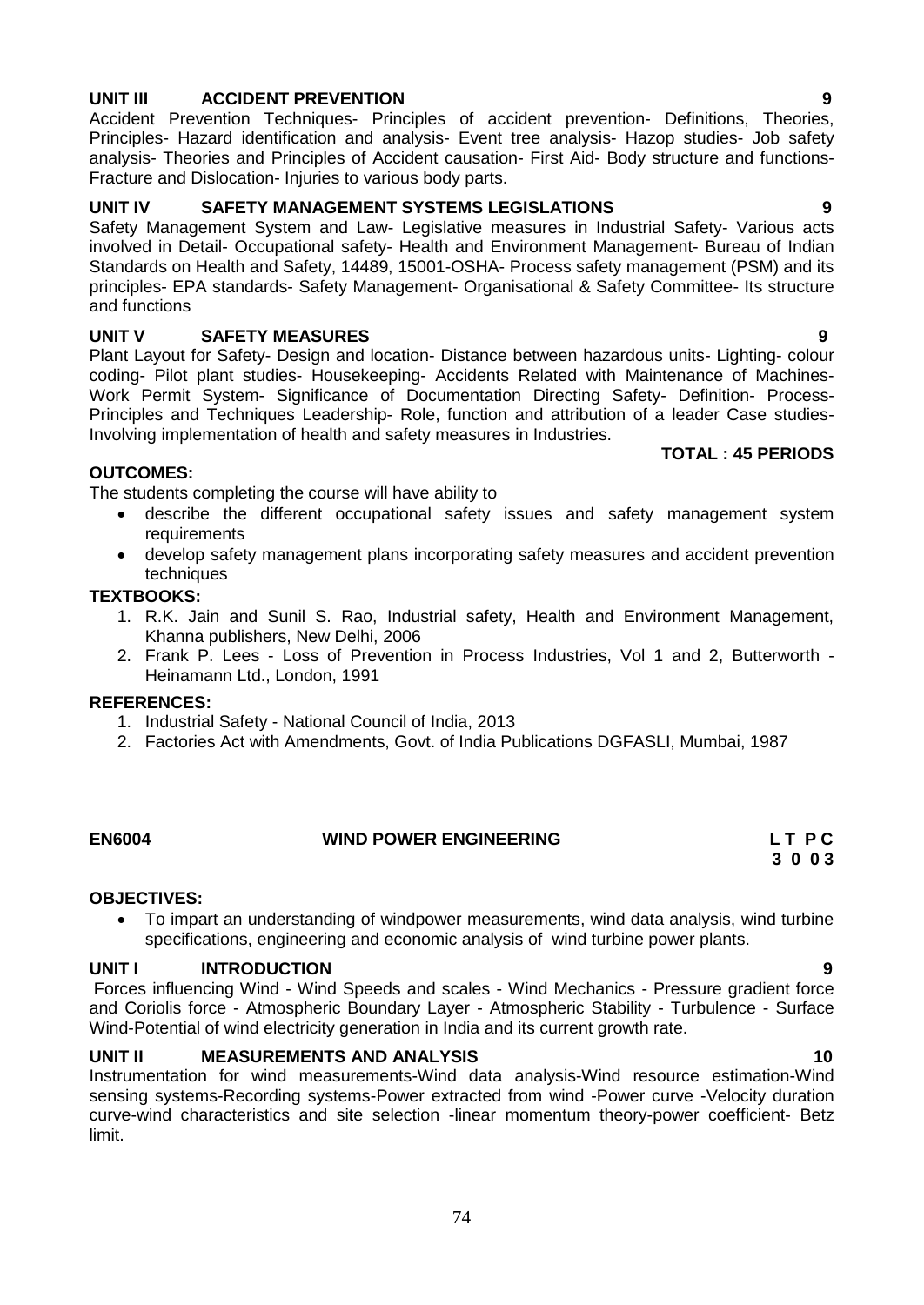**OUTCOMES:**

- The students completing the course will have ability to
	- describe the different occupational safety issues and safety management system requirements
	- develop safety management plans incorporating safety measures and accident prevention techniques

# **TEXTBOOKS:**

- 1. R.K. Jain and Sunil S. Rao, Industrial safety, Health and Environment Management, Khanna publishers, New Delhi, 2006
- 2. Frank P. Lees Loss of Prevention in Process Industries, Vol 1 and 2, Butterworth Heinamann Ltd., London, 1991

#### **REFERENCES:**

- 1. Industrial Safety National Council of India, 2013
- 2. Factories Act with Amendments, Govt. of India Publications DGFASLI, Mumbai, 1987

#### **EN6004 WIND POWER ENGINEERING L T P C**

# **OBJECTIVES:**

 To impart an understanding of windpower measurements, wind data analysis, wind turbine specifications, engineering and economic analysis of wind turbine power plants.

 **3 0 0 3**

#### **UNIT I INTRODUCTION 9**

Forces influencing Wind - Wind Speeds and scales - Wind Mechanics - Pressure gradient force and Coriolis force - Atmospheric Boundary Layer - Atmospheric Stability - Turbulence - Surface Wind-Potential of wind electricity generation in India and its current growth rate.

#### **UNIT II MEASUREMENTS AND ANALYSIS 10** 10

Instrumentation for wind measurements-Wind data analysis-Wind resource estimation-Wind sensing systems-Recording systems-Power extracted from wind -Power curve -Velocity duration curve-wind characteristics and site selection -linear momentum theory-power coefficient- Betz limit.

74

# **UNIT III ACCIDENT PREVENTION 9**

Accident Prevention Techniques- Principles of accident prevention- Definitions, Theories, Principles- Hazard identification and analysis- Event tree analysis- Hazop studies- Job safety analysis- Theories and Principles of Accident causation- First Aid- Body structure and functions-Fracture and Dislocation- Injuries to various body parts.

#### **UNIT IV SAFETY MANAGEMENT SYSTEMS LEGISLATIONS 9**

Safety Management System and Law- Legislative measures in Industrial Safety- Various acts involved in Detail- Occupational safety- Health and Environment Management- Bureau of Indian Standards on Health and Safety, 14489, 15001-OSHA- Process safety management (PSM) and its principles- EPA standards- Safety Management- Organisational & Safety Committee- Its structure and functions

#### **UNIT V SAFETY MEASURES 9**

Plant Layout for Safety- Design and location- Distance between hazardous units- Lighting- colour coding- Pilot plant studies- Housekeeping- Accidents Related with Maintenance of Machines-Work Permit System- Significance of Documentation Directing Safety- Definition- Process-Principles and Techniques Leadership- Role, function and attribution of a leader Case studies-Involving implementation of health and safety measures in Industries.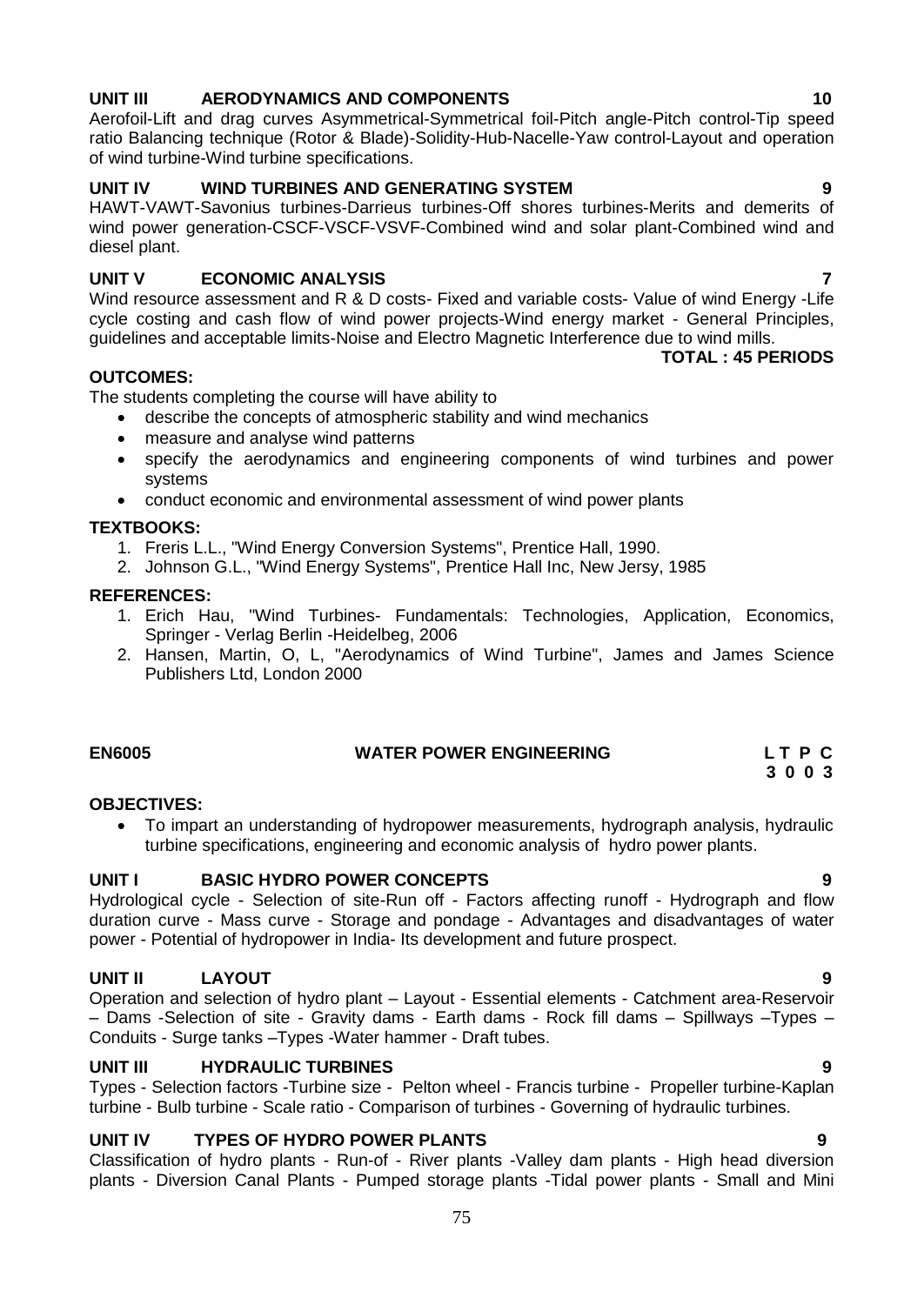# **UNIT III AERODYNAMICS AND COMPONENTS 10**

Aerofoil-Lift and drag curves Asymmetrical-Symmetrical foil-Pitch angle-Pitch control-Tip speed ratio Balancing technique (Rotor & Blade)-Solidity-Hub-Nacelle-Yaw control-Layout and operation of wind turbine-Wind turbine specifications.

# **UNIT IV WIND TURBINES AND GENERATING SYSTEM 9**

HAWT-VAWT-Savonius turbines-Darrieus turbines-Off shores turbines-Merits and demerits of wind power generation-CSCF-VSCF-VSVF-Combined wind and solar plant-Combined wind and diesel plant.

# **UNIT V ECONOMIC ANALYSIS 7**

Wind resource assessment and R & D costs- Fixed and variable costs- Value of wind Energy -Life cycle costing and cash flow of wind power projects-Wind energy market - General Principles, guidelines and acceptable limits-Noise and Electro Magnetic Interference due to wind mills.

# **OUTCOMES:**

The students completing the course will have ability to

- describe the concepts of atmospheric stability and wind mechanics
- measure and analyse wind patterns
- specify the aerodynamics and engineering components of wind turbines and power systems
- conduct economic and environmental assessment of wind power plants

# **TEXTBOOKS:**

- 1. Freris L.L., "Wind Energy Conversion Systems", Prentice Hall, 1990.
- 2. Johnson G.L., "Wind Energy Systems", Prentice Hall Inc, New Jersy, 1985

# **REFERENCES:**

- 1. Erich Hau, "Wind Turbines- Fundamentals: Technologies, Application, Economics, Springer - Verlag Berlin -Heidelbeg, 2006
- 2. Hansen, Martin, O, L, "Aerodynamics of Wind Turbine", James and James Science Publishers Ltd, London 2000

# **EN6005 WATER POWER ENGINEERING L T P C**

# **OBJECTIVES:**

 To impart an understanding of hydropower measurements, hydrograph analysis, hydraulic turbine specifications, engineering and economic analysis of hydro power plants.

# **UNIT I BASIC HYDRO POWER CONCEPTS 9**

Hydrological cycle - Selection of site-Run off - Factors affecting runoff - Hydrograph and flow duration curve - Mass curve - Storage and pondage - Advantages and disadvantages of water power - Potential of hydropower in India- Its development and future prospect.

# **UNIT II LAYOUT 9**

Operation and selection of hydro plant – Layout - Essential elements - Catchment area-Reservoir – Dams -Selection of site - Gravity dams - Earth dams - Rock fill dams – Spillways –Types – Conduits - Surge tanks –Types -Water hammer - Draft tubes.

# **UNIT III HYDRAULIC TURBINES 9**

Types - Selection factors -Turbine size - Pelton wheel - Francis turbine - Propeller turbine-Kaplan turbine - Bulb turbine - Scale ratio - Comparison of turbines - Governing of hydraulic turbines.

# **UNIT IV TYPES OF HYDRO POWER PLANTS 9**

Classification of hydro plants - Run-of - River plants -Valley dam plants - High head diversion plants - Diversion Canal Plants - Pumped storage plants -Tidal power plants - Small and Mini

**TOTAL : 45 PERIODS**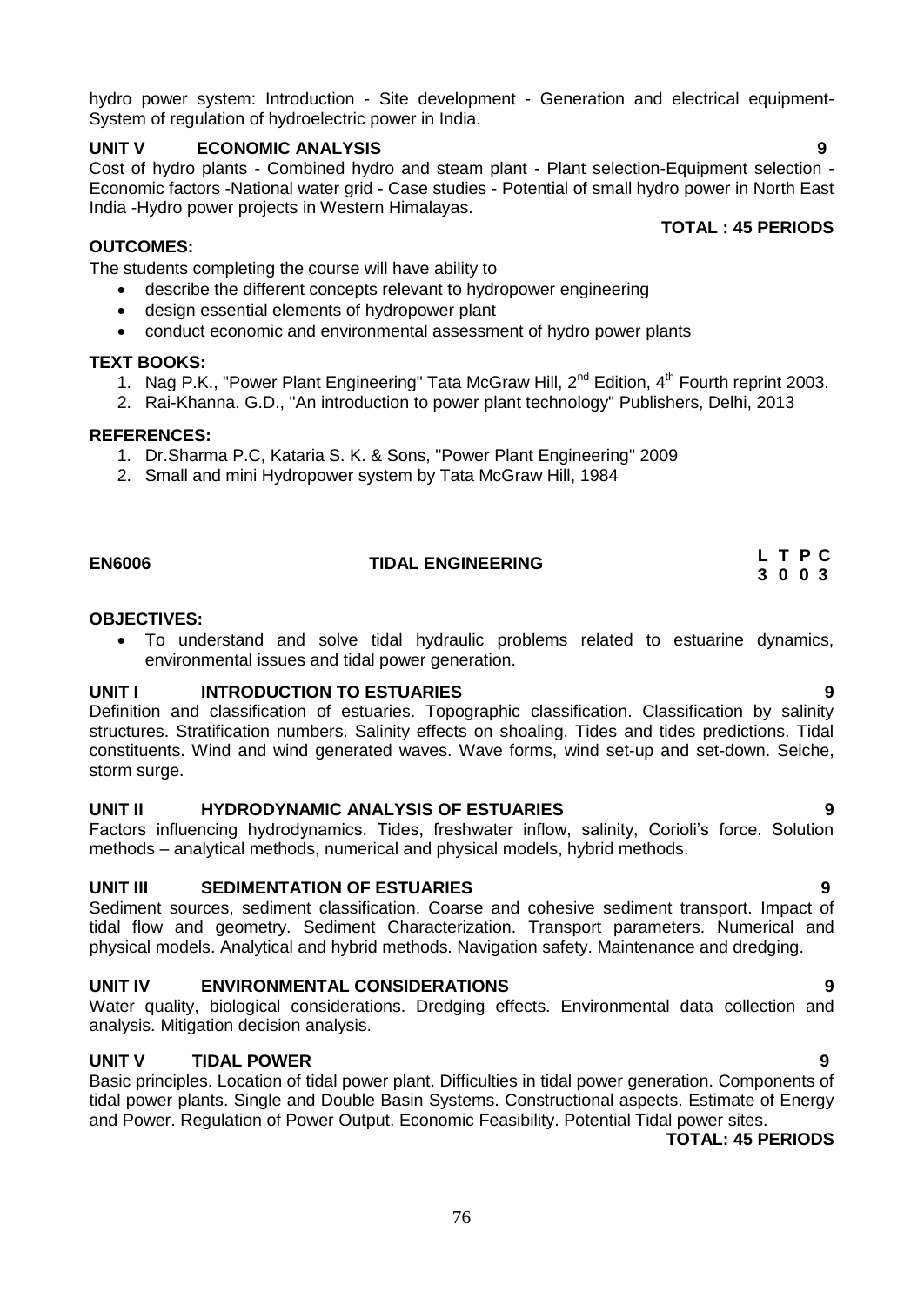hydro power system: Introduction - Site development - Generation and electrical equipment-System of regulation of hydroelectric power in India.

# **UNIT V ECONOMIC ANALYSIS 9**

Cost of hydro plants - Combined hydro and steam plant - Plant selection-Equipment selection - Economic factors -National water grid - Case studies - Potential of small hydro power in North East India -Hydro power projects in Western Himalayas.

# **OUTCOMES:**

The students completing the course will have ability to

- describe the different concepts relevant to hydropower engineering
- design essential elements of hydropower plant
- conduct economic and environmental assessment of hydro power plants

# **TEXT BOOKS:**

- 1. Nag P.K., "Power Plant Engineering" Tata McGraw Hill, 2<sup>nd</sup> Edition, 4<sup>th</sup> Fourth reprint 2003.
- 2. Rai-Khanna. G.D., "An introduction to power plant technology" Publishers, Delhi, 2013

# **REFERENCES:**

- 1. Dr.Sharma P.C, Kataria S. K. & Sons, "Power Plant Engineering" 2009
- 2. Small and mini Hydropower system by Tata McGraw Hill, 1984

# **EN6006 TIDAL ENGINEERING**

# **OBJECTIVES:**

 To understand and solve tidal hydraulic problems related to estuarine dynamics, environmental issues and tidal power generation.

# **UNIT I INTRODUCTION TO ESTUARIES 9**

Definition and classification of estuaries. Topographic classification. Classification by salinity structures. Stratification numbers. Salinity effects on shoaling. Tides and tides predictions. Tidal constituents. Wind and wind generated waves. Wave forms, wind set-up and set-down. Seiche, storm surge.

# **UNIT II HYDRODYNAMIC ANALYSIS OF ESTUARIES 9**

Factors influencing hydrodynamics. Tides, freshwater inflow, salinity, Corioli's force. Solution methods – analytical methods, numerical and physical models, hybrid methods.

# **UNIT III SEDIMENTATION OF ESTUARIES 9**

Sediment sources, sediment classification. Coarse and cohesive sediment transport. Impact of tidal flow and geometry. Sediment Characterization. Transport parameters. Numerical and physical models. Analytical and hybrid methods. Navigation safety. Maintenance and dredging.

# **UNIT IV ENVIRONMENTAL CONSIDERATIONS 9**

Water quality, biological considerations. Dredging effects. Environmental data collection and analysis. Mitigation decision analysis.

# **UNIT V TIDAL POWER 9**

Basic principles. Location of tidal power plant. Difficulties in tidal power generation. Components of tidal power plants. Single and Double Basin Systems. Constructional aspects. Estimate of Energy and Power. Regulation of Power Output. Economic Feasibility. Potential Tidal power sites.

 **TOTAL: 45 PERIODS**

**TOTAL : 45 PERIODS** 

**L T P C 3 0 0 3**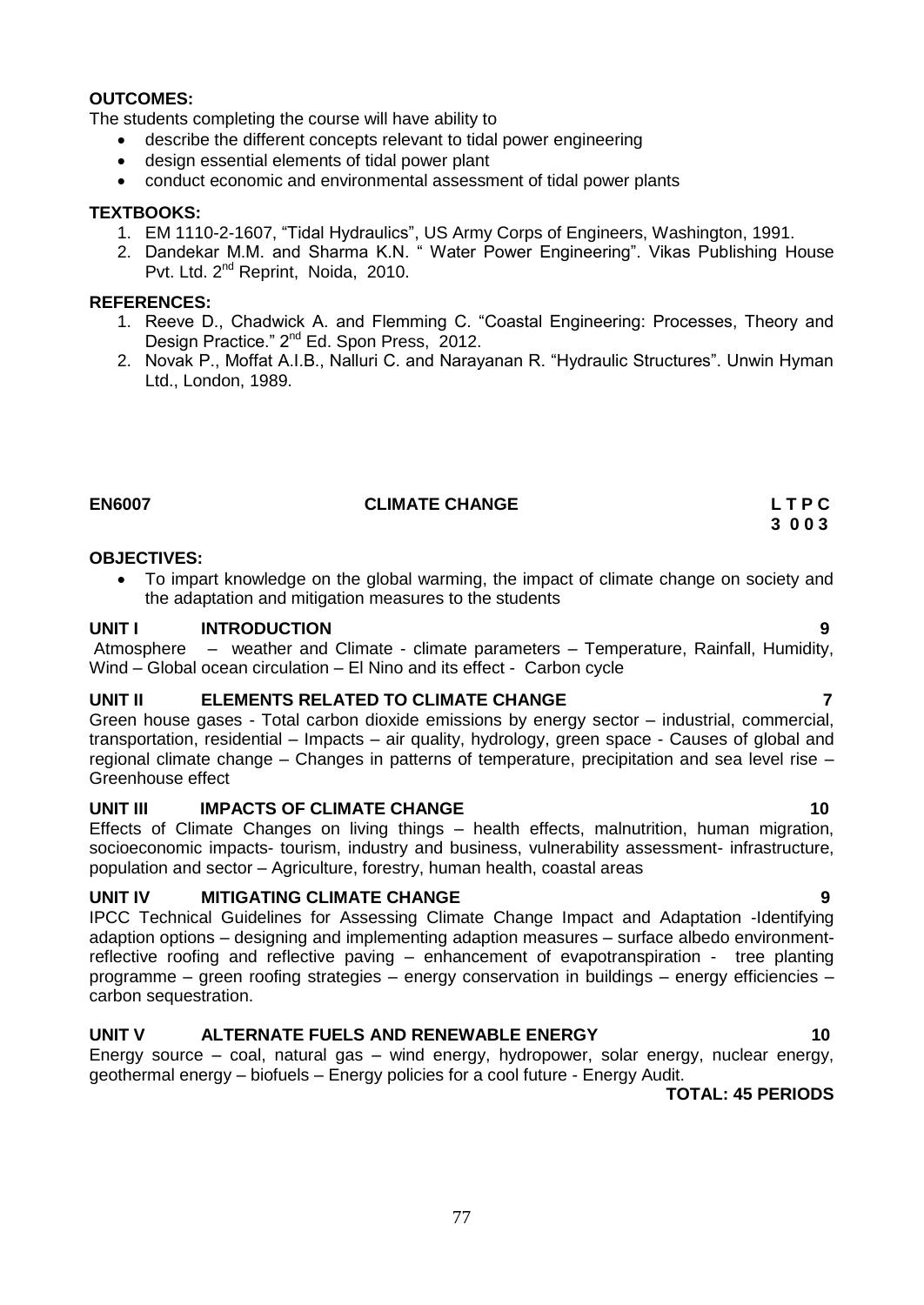### **OUTCOMES:**

The students completing the course will have ability to

- describe the different concepts relevant to tidal power engineering
- design essential elements of tidal power plant
- conduct economic and environmental assessment of tidal power plants

#### **TEXTBOOKS:**

- 1. EM 1110-2-1607, "Tidal Hydraulics", US Army Corps of Engineers, Washington, 1991.
- 2. Dandekar M.M. and Sharma K.N. " Water Power Engineering". Vikas Publishing House Pvt. Ltd. 2<sup>nd</sup> Reprint, Noida, 2010.

#### **REFERENCES:**

- 1. Reeve D., Chadwick A. and Flemming C. "Coastal Engineering: Processes, Theory and Design Practice." 2<sup>nd</sup> Ed. Spon Press, 2012.
- 2. Novak P., Moffat A.I.B., Nalluri C. and Narayanan R. "Hydraulic Structures". Unwin Hyman Ltd., London, 1989.

# **EN6007 CLIMATE CHANGE L T P C**

### **OBJECTIVES:**

• To impart knowledge on the global warming, the impact of climate change on society and the adaptation and mitigation measures to the students

#### **UNIT I INTRODUCTION 9**

Atmosphere – weather and Climate - climate parameters – Temperature, Rainfall, Humidity, Wind – Global ocean circulation – El Nino and its effect - Carbon cycle

# **UNIT II ELEMENTS RELATED TO CLIMATE CHANGE 7**

Green house gases - Total carbon dioxide emissions by energy sector – industrial, commercial, transportation, residential – Impacts – air quality, hydrology, green space - Causes of global and regional climate change – Changes in patterns of temperature, precipitation and sea level rise – Greenhouse effect

# **UNIT III IMPACTS OF CLIMATE CHANGE 10** 10

Effects of Climate Changes on living things – health effects, malnutrition, human migration, socioeconomic impacts- tourism, industry and business, vulnerability assessment- infrastructure, population and sector – Agriculture, forestry, human health, coastal areas

# **UNIT IV MITIGATING CLIMATE CHANGE**

IPCC Technical Guidelines for Assessing Climate Change Impact and Adaptation -Identifying adaption options – designing and implementing adaption measures – surface albedo environmentreflective roofing and reflective paving – enhancement of evapotranspiration - tree planting programme – green roofing strategies – energy conservation in buildings – energy efficiencies – carbon sequestration.

# **UNIT V ALTERNATE FUELS AND RENEWABLE ENERGY 10**

Energy source – coal, natural gas – wind energy, hydropower, solar energy, nuclear energy, geothermal energy – biofuels – Energy policies for a cool future - Energy Audit.

# **TOTAL: 45 PERIODS**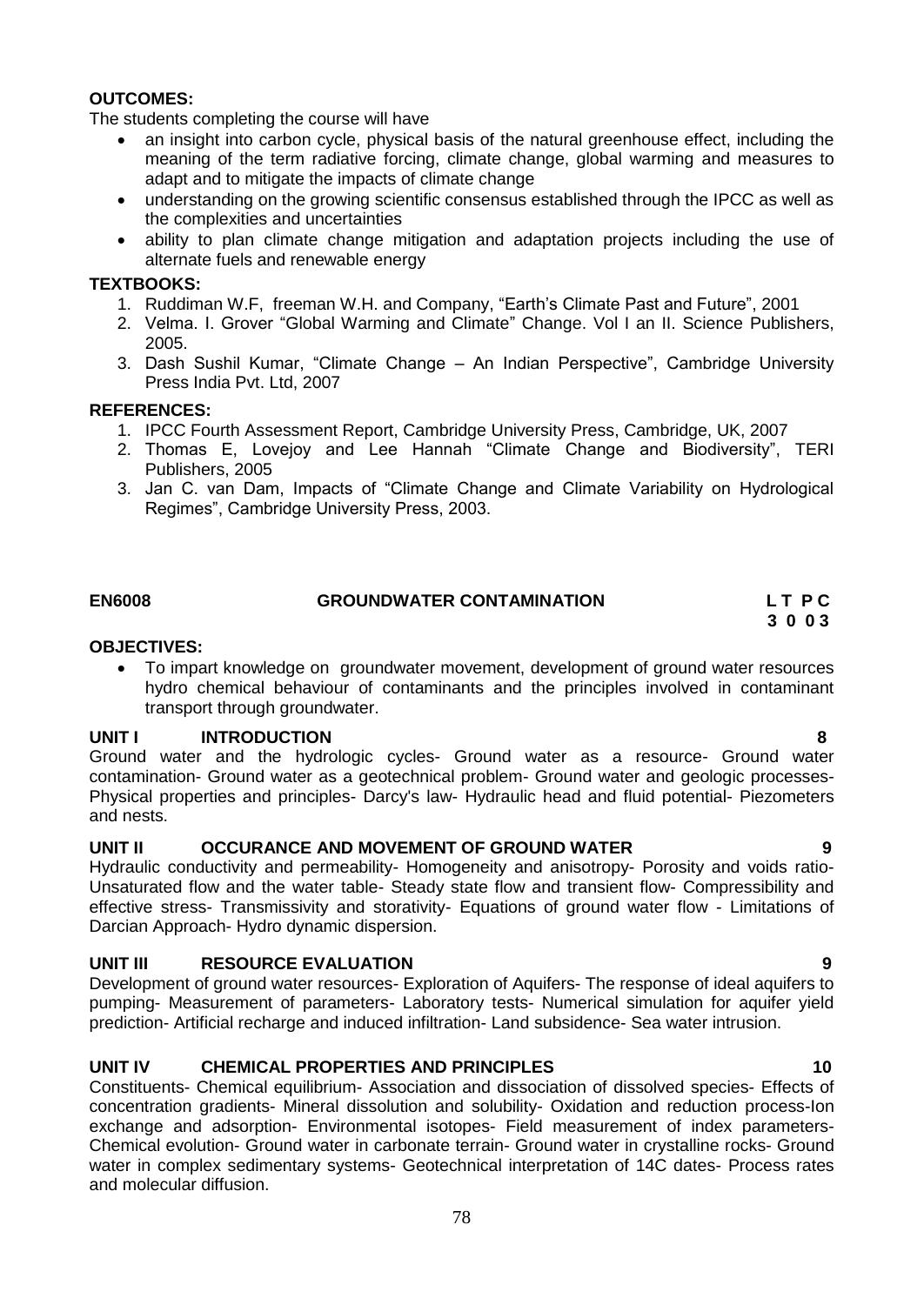# **OUTCOMES:**

The students completing the course will have

- an insight into carbon cycle, physical basis of the natural greenhouse effect, including the meaning of the term radiative forcing, climate change, global warming and measures to adapt and to mitigate the impacts of climate change
- understanding on the growing scientific consensus established through the IPCC as well as the complexities and uncertainties
- ability to plan climate change mitigation and adaptation projects including the use of alternate fuels and renewable energy

### **TEXTBOOKS:**

- 1. Ruddiman W.F, freeman W.H. and Company, "Earth"s Climate Past and Future", 2001
- 2. Velma. I. Grover "Global Warming and Climate" Change. Vol I an II. Science Publishers, 2005.
- 3. Dash Sushil Kumar, "Climate Change An Indian Perspective", Cambridge University Press India Pvt. Ltd, 2007

# **REFERENCES:**

- 1. IPCC Fourth Assessment Report, Cambridge University Press, Cambridge, UK, 2007
- 2. Thomas E, Lovejoy and Lee Hannah "Climate Change and Biodiversity", TERI Publishers, 2005
- 3. Jan C. van Dam, Impacts of "Climate Change and Climate Variability on Hydrological Regimes", Cambridge University Press, 2003.

# EN6008 GROUNDWATER CONTAMINATION L T P C<br>3 0 0 3

# **3 0 0 3**

# **OBJECTIVES:**

 To impart knowledge on groundwater movement, development of ground water resources hydro chemical behaviour of contaminants and the principles involved in contaminant transport through groundwater.

# **UNIT I INTRODUCTION 8**

Ground water and the hydrologic cycles- Ground water as a resource- Ground water contamination- Ground water as a geotechnical problem- Ground water and geologic processes-Physical properties and principles- Darcy's law- Hydraulic head and fluid potential- Piezometers and nests.

# **UNIT II OCCURANCE AND MOVEMENT OF GROUND WATER 9**

Hydraulic conductivity and permeability- Homogeneity and anisotropy- Porosity and voids ratio-Unsaturated flow and the water table- Steady state flow and transient flow- Compressibility and effective stress- Transmissivity and storativity- Equations of ground water flow - Limitations of Darcian Approach- Hydro dynamic dispersion.

# **UNIT III RESOURCE EVALUATION 9**

Development of ground water resources- Exploration of Aquifers- The response of ideal aquifers to pumping- Measurement of parameters- Laboratory tests- Numerical simulation for aquifer yield prediction- Artificial recharge and induced infiltration- Land subsidence- Sea water intrusion.

# **UNIT IV CHEMICAL PROPERTIES AND PRINCIPLES 10**

Constituents- Chemical equilibrium- Association and dissociation of dissolved species- Effects of concentration gradients- Mineral dissolution and solubility- Oxidation and reduction process-Ion exchange and adsorption- Environmental isotopes- Field measurement of index parameters-Chemical evolution- Ground water in carbonate terrain- Ground water in crystalline rocks- Ground water in complex sedimentary systems- Geotechnical interpretation of 14C dates- Process rates and molecular diffusion.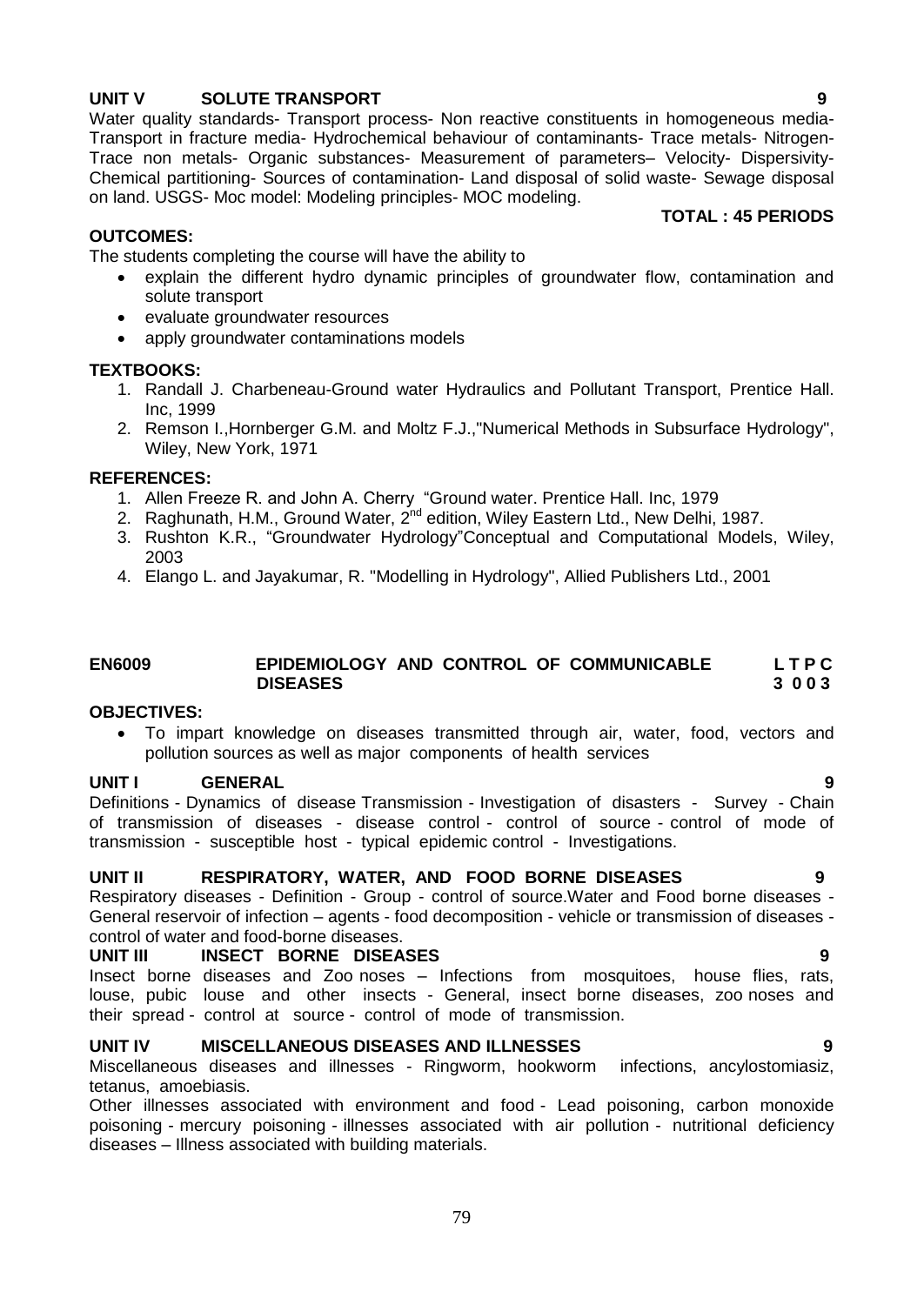apply groundwater contaminations models

evaluate groundwater resources

1. Randall J. Charbeneau-Ground water Hydraulics and Pollutant Transport, Prentice Hall. Inc, 1999

explain the different hydro dynamic principles of groundwater flow, contamination and

2. Remson I.,Hornberger G.M. and Moltz F.J.,"Numerical Methods in Subsurface Hydrology", Wiley, New York, 1971

#### **REFERENCES:**

**TEXTBOOKS:**

**OUTCOMES:**

solute transport

- 1. Allen Freeze R. and John A. Cherry "Ground water. Prentice Hall. Inc, 1979
- 2. Raghunath, H.M., Ground Water, 2<sup>nd</sup> edition, Wiley Eastern Ltd., New Delhi, 1987.
- 3. Rushton K.R., "Groundwater Hydrology"Conceptual and Computational Models, Wiley, 2003
- 4. Elango L. and Jayakumar, R. "Modelling in Hydrology", Allied Publishers Ltd., 2001

# **EN6009 EPIDEMIOLOGY AND CONTROL OF COMMUNICABLE L T P C DISEASES 3 0 0 3**

### **OBJECTIVES:**

 To impart knowledge on diseases transmitted through air, water, food, vectors and pollution sources as well as major components of health services

#### **UNIT I GENERAL 9**

Definitions - Dynamics of disease Transmission - Investigation of disasters - Survey - Chain of transmission of diseases - disease control - control of source - control of mode of transmission - susceptible host - typical epidemic control - Investigations.

#### **UNIT II RESPIRATORY, WATER, AND FOOD BORNE DISEASES 9**

Respiratory diseases - Definition - Group - control of source.Water and Food borne diseases - General reservoir of infection – agents - food decomposition - vehicle or transmission of diseases control of water and food-borne diseases.

#### **UNIT III INSECT BORNE DISEASES 9**

Insect borne diseases and Zoo noses – Infections from mosquitoes, house flies, rats, louse, pubic louse and other insects - General, insect borne diseases, zoo noses and their spread - control at source - control of mode of transmission.

#### **UNIT IV MISCELLANEOUS DISEASES AND ILLNESSES 9**

Miscellaneous diseases and illnesses - Ringworm, hookworm infections, ancylostomiasiz, tetanus, amoebiasis.

Other illnesses associated with environment and food - Lead poisoning, carbon monoxide poisoning - mercury poisoning - illnesses associated with air pollution - nutritional deficiency diseases – Illness associated with building materials.

#### The students completing the course will have the ability to

**UNIT V SOLUTE TRANSPORT 9**

Water quality standards- Transport process- Non reactive constituents in homogeneous media-Transport in fracture media- Hydrochemical behaviour of contaminants- Trace metals- Nitrogen-Trace non metals- Organic substances- Measurement of parameters– Velocity- Dispersivity-Chemical partitioning- Sources of contamination- Land disposal of solid waste- Sewage disposal on land. USGS- Moc model: Modeling principles- MOC modeling.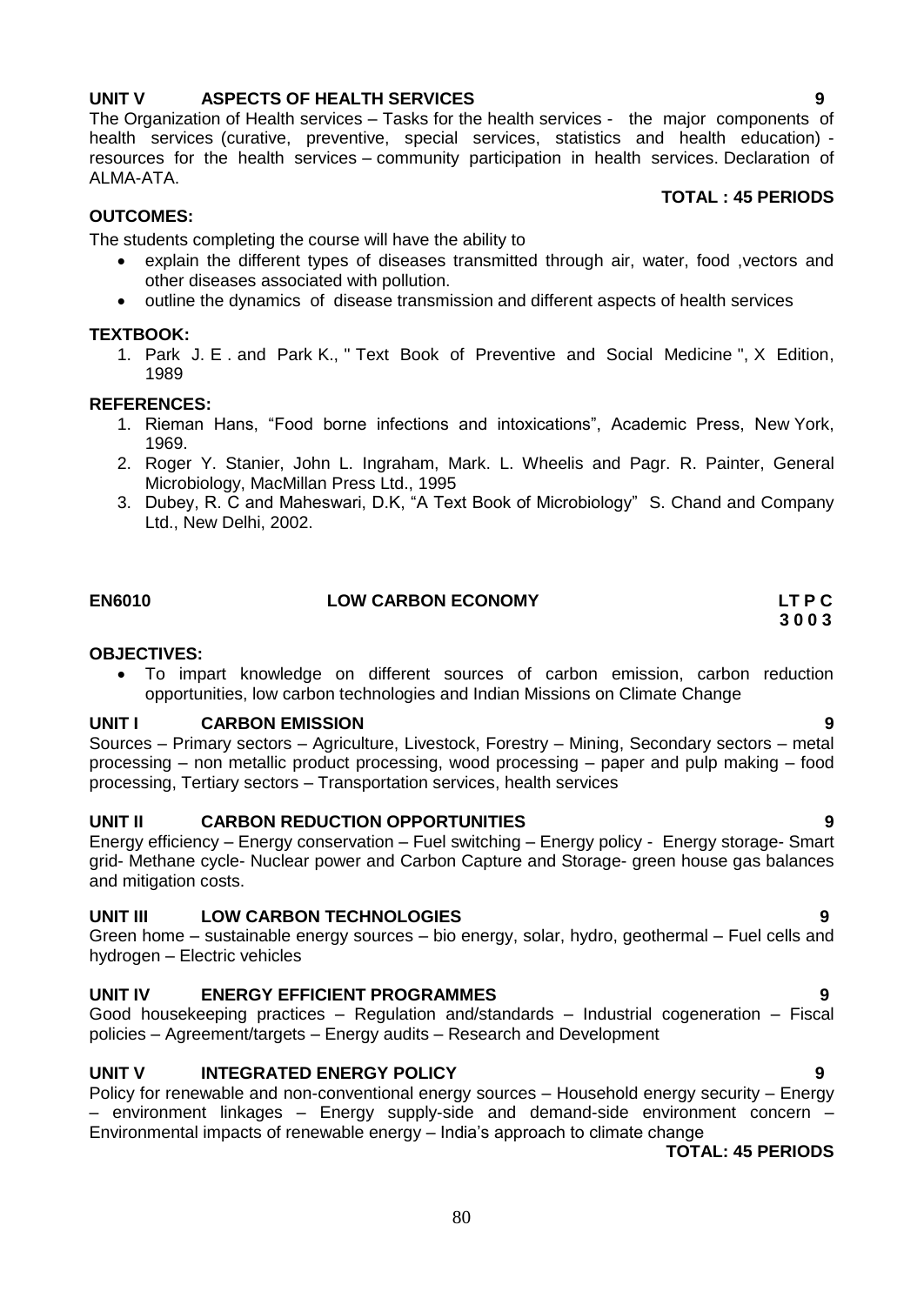# **UNIT V ASPECTS OF HEALTH SERVICES 9**

The Organization of Health services – Tasks for the health services - the major components of health services (curative, preventive, special services, statistics and health education) resources for the health services – community participation in health services. Declaration of ALMA-ATA.

# **TOTAL : 45 PERIODS**

# **OUTCOMES:**

The students completing the course will have the ability to

- explain the different types of diseases transmitted through air, water, food ,vectors and other diseases associated with pollution.
- outline the dynamics of disease transmission and different aspects of health services

#### **TEXTBOOK:**

1. Park J. E . and Park K., " Text Book of Preventive and Social Medicine ", X Edition, 1989

#### **REFERENCES:**

- 1. Rieman Hans, "Food borne infections and intoxications", Academic Press, New York, 1969.
- 2. Roger Y. Stanier, John L. Ingraham, Mark. L. Wheelis and Pagr. R. Painter, General Microbiology, MacMillan Press Ltd., 1995
- 3. Dubey, R. C and Maheswari, D.K, "A Text Book of Microbiology" S. Chand and Company Ltd., New Delhi, 2002.

# **EN6010 LOW CARBON ECONOMY LT P C**

#### **OBJECTIVES:**

 To impart knowledge on different sources of carbon emission, carbon reduction opportunities, low carbon technologies and Indian Missions on Climate Change

#### **UNIT I CARBON EMISSION 9**

Sources – Primary sectors – Agriculture, Livestock, Forestry – Mining, Secondary sectors – metal processing – non metallic product processing, wood processing – paper and pulp making – food processing, Tertiary sectors – Transportation services, health services

# **UNIT II CARBON REDUCTION OPPORTUNITIES 9**

Energy efficiency – Energy conservation – Fuel switching – [Energy policy](http://en.wikipedia.org/wiki/Low-carbon_economy#Energy_policy#Energy_policy) - [Energy storage-](http://en.wikipedia.org/wiki/Low-carbon_economy#Energy_storage#Energy_storage) Smart grid- Methane cycle- Nuclear power and Carbon Capture and Storage- green house gas balances and mitigation costs.

# **UNIT III LOW CARBON TECHNOLOGIES 9**

Green home – sustainable energy sources – bio energy, solar, hydro, geothermal – Fuel cells and hydrogen – Electric vehicles

# **UNIT IV ENERGY EFFICIENT PROGRAMMES 9**

Good housekeeping practices – Regulation and/standards – Industrial cogeneration – Fiscal policies – Agreement/targets – Energy audits – Research and Development

# **UNIT V INTEGRATED ENERGY POLICY 9**

Policy for renewable and non-conventional energy sources – Household energy security – Energy – environment linkages – Energy supply-side and demand-side environment concern – Environmental impacts of renewable energy – India"s approach to climate change

#### **TOTAL: 45 PERIODS**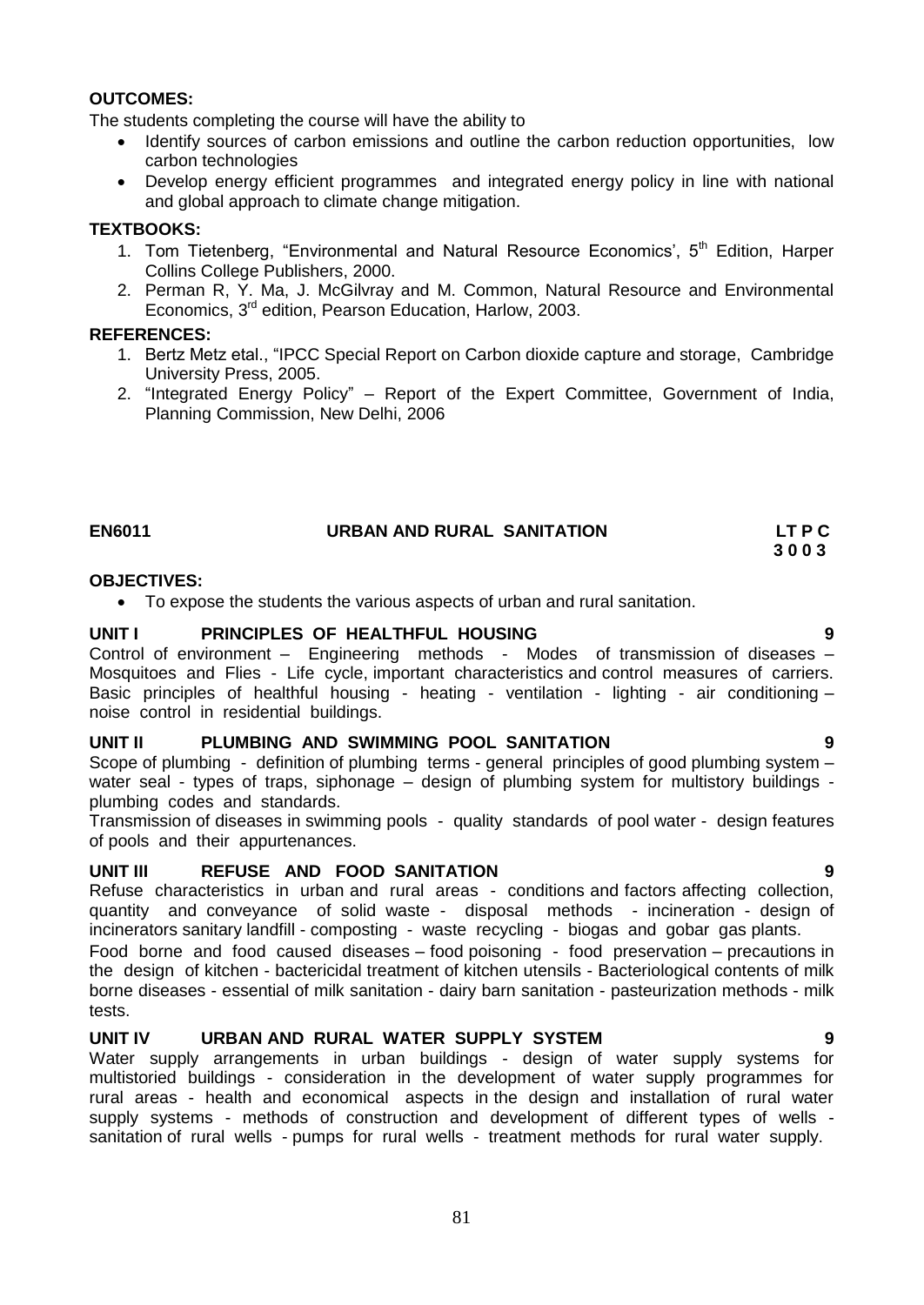# **OUTCOMES:**

The students completing the course will have the ability to

- Identify sources of carbon emissions and outline the carbon reduction opportunities, low carbon technologies
- Develop energy efficient programmes and integrated energy policy in line with national and global approach to climate change mitigation.

#### **TEXTBOOKS:**

- 1. Tom Tietenberg, "Environmental and Natural Resource Economics',  $5<sup>th</sup>$  Edition, Harper Collins College Publishers, 2000.
- 2. Perman R, Y. Ma, J. McGilvray and M. Common, Natural Resource and Environmental Economics, 3rd edition, Pearson Education, Harlow, 2003.

### **REFERENCES:**

- 1. Bertz Metz etal., "IPCC Special Report on Carbon dioxide capture and storage, Cambridge University Press, 2005.
- 2. "Integrated Energy Policy" Report of the Expert Committee, Government of India, Planning Commission, New Delhi, 2006

# **EN6011 URBAN AND RURAL SANITATION LT P C**

#### **OBJECTIVES:**

To expose the students the various aspects of urban and rural sanitation.

#### **UNIT I PRINCIPLES OF HEALTHFUL HOUSING 9**

Control of environment – Engineering methods - Modes of transmission of diseases – Mosquitoes and Flies - Life cycle, important characteristics and control measures of carriers. Basic principles of healthful housing - heating - ventilation - lighting - air conditioning noise control in residential buildings.

# **UNIT II PLUMBING AND SWIMMING POOL SANITATION 9**

Scope of plumbing - definition of plumbing terms - general principles of good plumbing system – water seal - types of traps, siphonage – design of plumbing system for multistory buildings plumbing codes and standards.

Transmission of diseases in swimming pools - quality standards of pool water - design features of pools and their appurtenances.

# **UNIT III REFUSE AND FOOD SANITATION 9**

Refuse characteristics in urban and rural areas - conditions and factors affecting collection, quantity and conveyance of solid waste - disposal methods - incineration - design of incinerators sanitary landfill - composting - waste recycling - biogas and gobar gas plants.

Food borne and food caused diseases – food poisoning - food preservation – precautions in the design of kitchen - bactericidal treatment of kitchen utensils - Bacteriological contents of milk borne diseases - essential of milk sanitation - dairy barn sanitation - pasteurization methods - milk tests.

# **UNIT IV URBAN AND RURAL WATER SUPPLY SYSTEM 9**

Water supply arrangements in urban buildings - design of water supply systems for multistoried buildings - consideration in the development of water supply programmes for rural areas - health and economical aspects in the design and installation of rural water supply systems - methods of construction and development of different types of wells sanitation of rural wells - pumps for rural wells - treatment methods for rural water supply.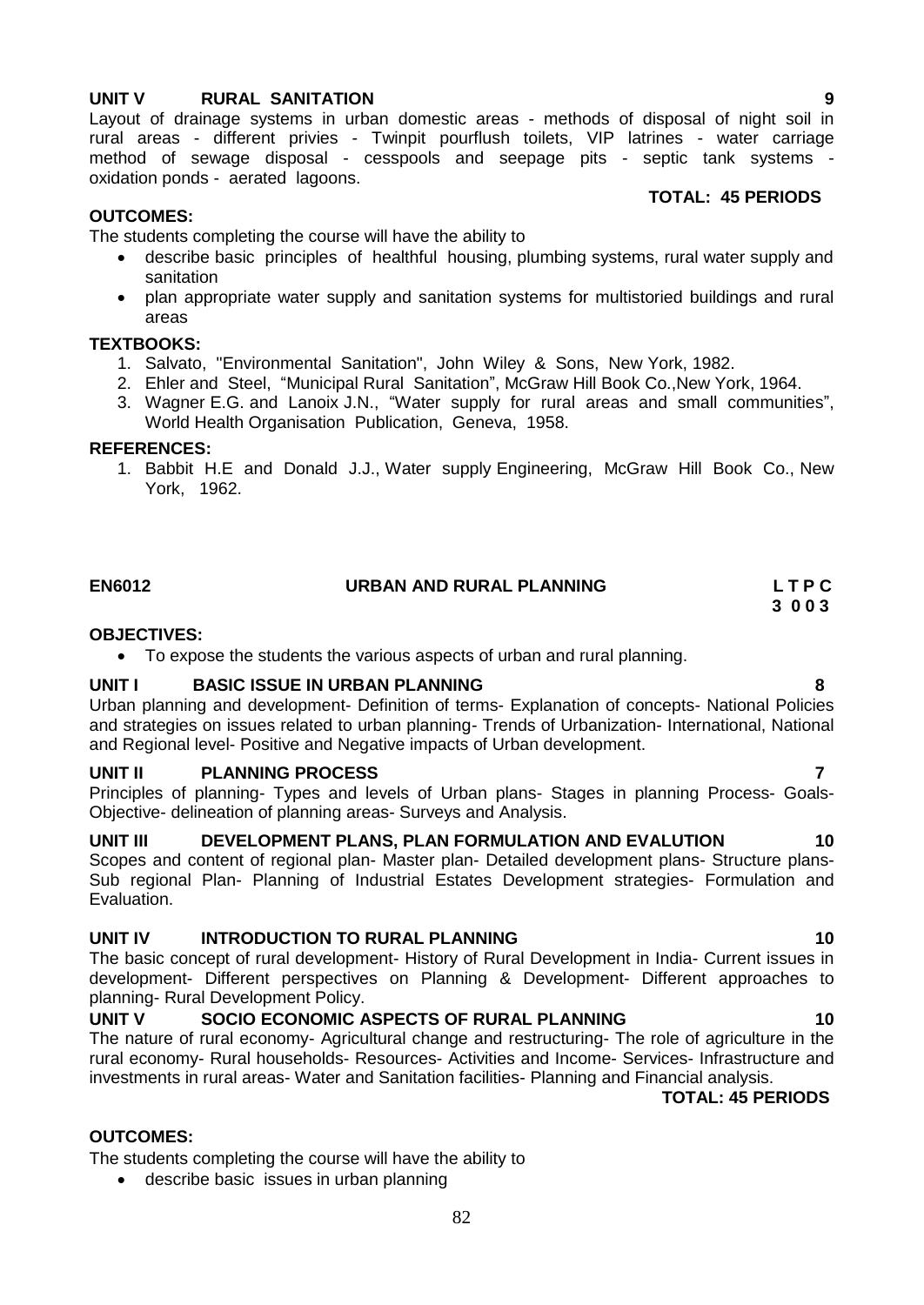# **UNIT V RURAL SANITATION 9**

Layout of drainage systems in urban domestic areas - methods of disposal of night soil in rural areas - different privies - Twinpit pourflush toilets, VIP latrines - water carriage method of sewage disposal - cesspools and seepage pits - septic tank systems oxidation ponds - aerated lagoons.

# **TOTAL: 45 PERIODS**

### **OUTCOMES:**

The students completing the course will have the ability to

- describe basic principles of healthful housing, plumbing systems, rural water supply and sanitation
- plan appropriate water supply and sanitation systems for multistoried buildings and rural areas

#### **TEXTBOOKS:**

- 1. Salvato, "Environmental Sanitation", John Wiley & Sons, New York, 1982.
- 2. Ehler and Steel, "Municipal Rural Sanitation", McGraw Hill Book Co.,New York, 1964.
- 3. Wagner E.G. and Lanoix J.N., "Water supply for rural areas and small communities", World Health Organisation Publication, Geneva, 1958.

#### **REFERENCES:**

1. Babbit H.E and Donald J.J., Water supply Engineering, McGraw Hill Book Co., New York, 1962.

# **EN6012 URBAN AND RURAL PLANNING L T P C**

 **3 0 0 3**

#### **OBJECTIVES:**

To expose the students the various aspects of urban and rural planning.

# **UNIT I BASIC ISSUE IN URBAN PLANNING 8**

Urban planning and development- Definition of terms- Explanation of concepts- National Policies and strategies on issues related to urban planning- Trends of Urbanization- International, National and Regional level- Positive and Negative impacts of Urban development.

#### **UNIT II PLANNING PROCESS 7**

Principles of planning- Types and levels of Urban plans- Stages in planning Process- Goals-Objective- delineation of planning areas- Surveys and Analysis.

# **UNIT III DEVELOPMENT PLANS, PLAN FORMULATION AND EVALUTION 10**

Scopes and content of regional plan- Master plan- Detailed development plans- Structure plans-Sub regional Plan- Planning of Industrial Estates Development strategies- Formulation and Evaluation.

# **UNIT IV INTRODUCTION TO RURAL PLANNING 10**

The basic concept of rural development- History of Rural Development in India- Current issues in development- Different perspectives on Planning & Development- Different approaches to planning- Rural Development Policy.

# **UNIT V SOCIO ECONOMIC ASPECTS OF RURAL PLANNING 40 10**

The nature of rural economy- Agricultural change and restructuring- The role of agriculture in the rural economy- Rural households- Resources- Activities and Income- Services- Infrastructure and investments in rural areas- Water and Sanitation facilities- Planning and Financial analysis.

# **TOTAL: 45 PERIODS**

# **OUTCOMES:**

The students completing the course will have the ability to

describe basic issues in urban planning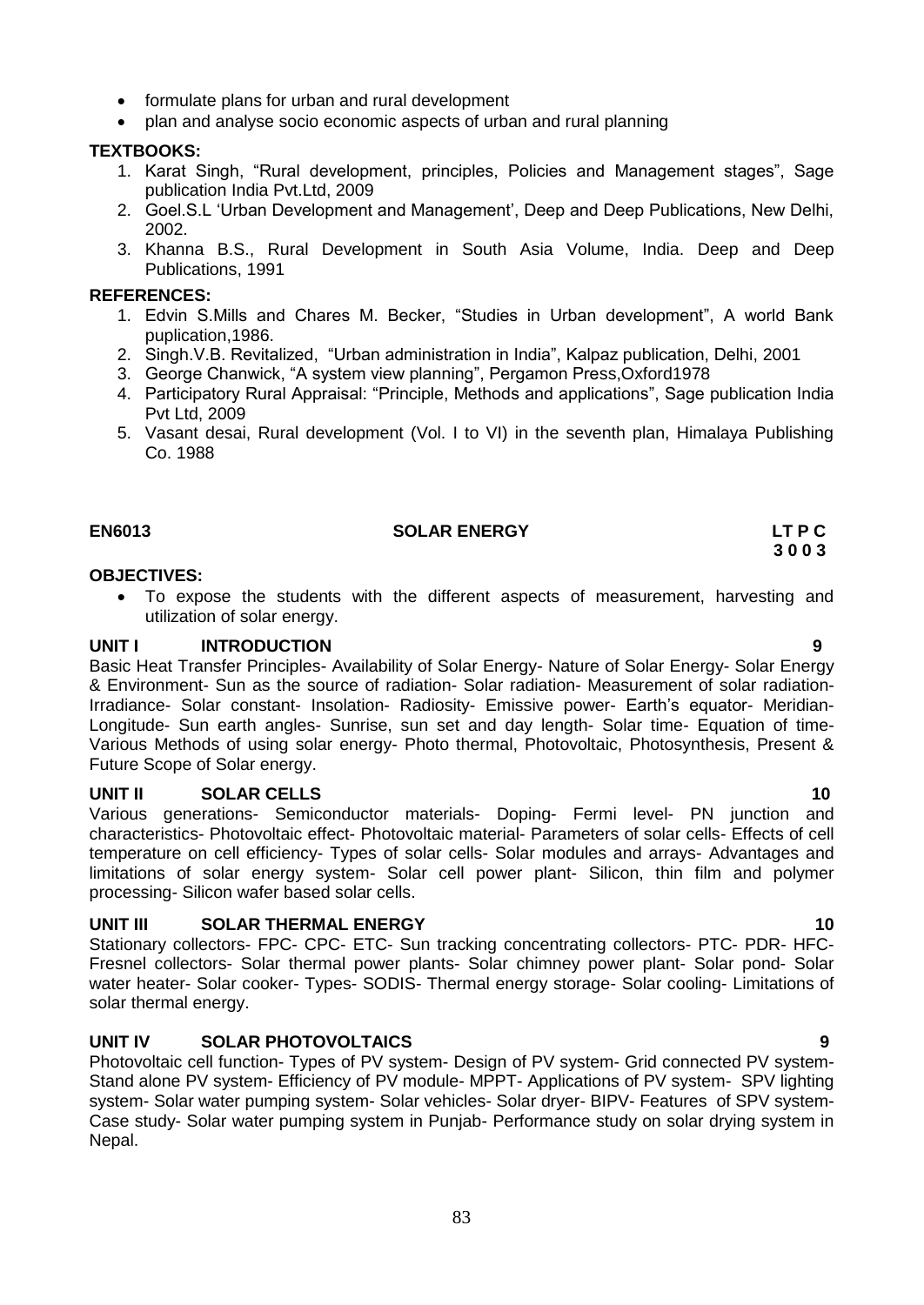- formulate plans for urban and rural development
- plan and analyse socio economic aspects of urban and rural planning

#### **TEXTBOOKS:**

- 1. Karat Singh, "Rural development, principles, Policies and Management stages", Sage publication India Pvt.Ltd, 2009
- 2. Goel.S.L 'Urban Development and Management', Deep and Deep Publications, New Delhi, 2002.
- 3. Khanna B.S., Rural Development in South Asia Volume, India. Deep and Deep Publications, 1991

#### **REFERENCES:**

- 1. Edvin S.Mills and Chares M. Becker, "Studies in Urban development", A world Bank puplication,1986.
- 2. Singh.V.B. Revitalized, "Urban administration in India", Kalpaz publication, Delhi, 2001
- 3. George Chanwick, "A system view planning", Pergamon Press,Oxford1978
- 4. Participatory Rural Appraisal: "Principle, Methods and applications", Sage publication India Pvt Ltd, 2009
- 5. Vasant desai, Rural development (Vol. I to VI) in the seventh plan, Himalaya Publishing Co. 1988

# EN6013 **SOLAR ENERGY LT P C** 3 0 0 3  **3 0 0 3**

#### **OBJECTIVES:**

 To expose the students with the different aspects of measurement, harvesting and utilization of solar energy.

#### **UNIT I INTRODUCTION 9**

Basic Heat Transfer Principles- Availability of Solar Energy- Nature of Solar Energy- Solar Energy & Environment- Sun as the source of radiation- Solar radiation- Measurement of solar radiation-Irradiance- Solar constant- Insolation- Radiosity- Emissive power- Earth"s equator- Meridian-Longitude- Sun earth angles- Sunrise, sun set and day length- Solar time- Equation of time-Various Methods of using solar energy- Photo thermal, Photovoltaic, Photosynthesis, Present & Future Scope of Solar energy.

#### **UNIT II SOLAR CELLS 10**

Various generations- Semiconductor materials- Doping- Fermi level- PN junction and characteristics- Photovoltaic effect- Photovoltaic material- Parameters of solar cells- Effects of cell temperature on cell efficiency- Types of solar cells- Solar modules and arrays- Advantages and limitations of solar energy system- Solar cell power plant- Silicon, thin film and polymer processing- Silicon wafer based solar cells.

# **UNIT III** SOLAR THERMAL ENERGY 10

Stationary collectors- FPC- CPC- ETC- Sun tracking concentrating collectors- PTC- PDR- HFC-Fresnel collectors- Solar thermal power plants- Solar chimney power plant- Solar pond- Solar water heater- Solar cooker- Types- SODIS- Thermal energy storage- Solar cooling- Limitations of solar thermal energy.

# **UNIT IV SOLAR PHOTOVOLTAICS 9**

Photovoltaic cell function- Types of PV system- Design of PV system- Grid connected PV system-Stand alone PV system- Efficiency of PV module- MPPT- Applications of PV system- SPV lighting system- Solar water pumping system- Solar vehicles- Solar dryer- BIPV- Features of SPV system-Case study- Solar water pumping system in Punjab- Performance study on solar drying system in Nepal.

83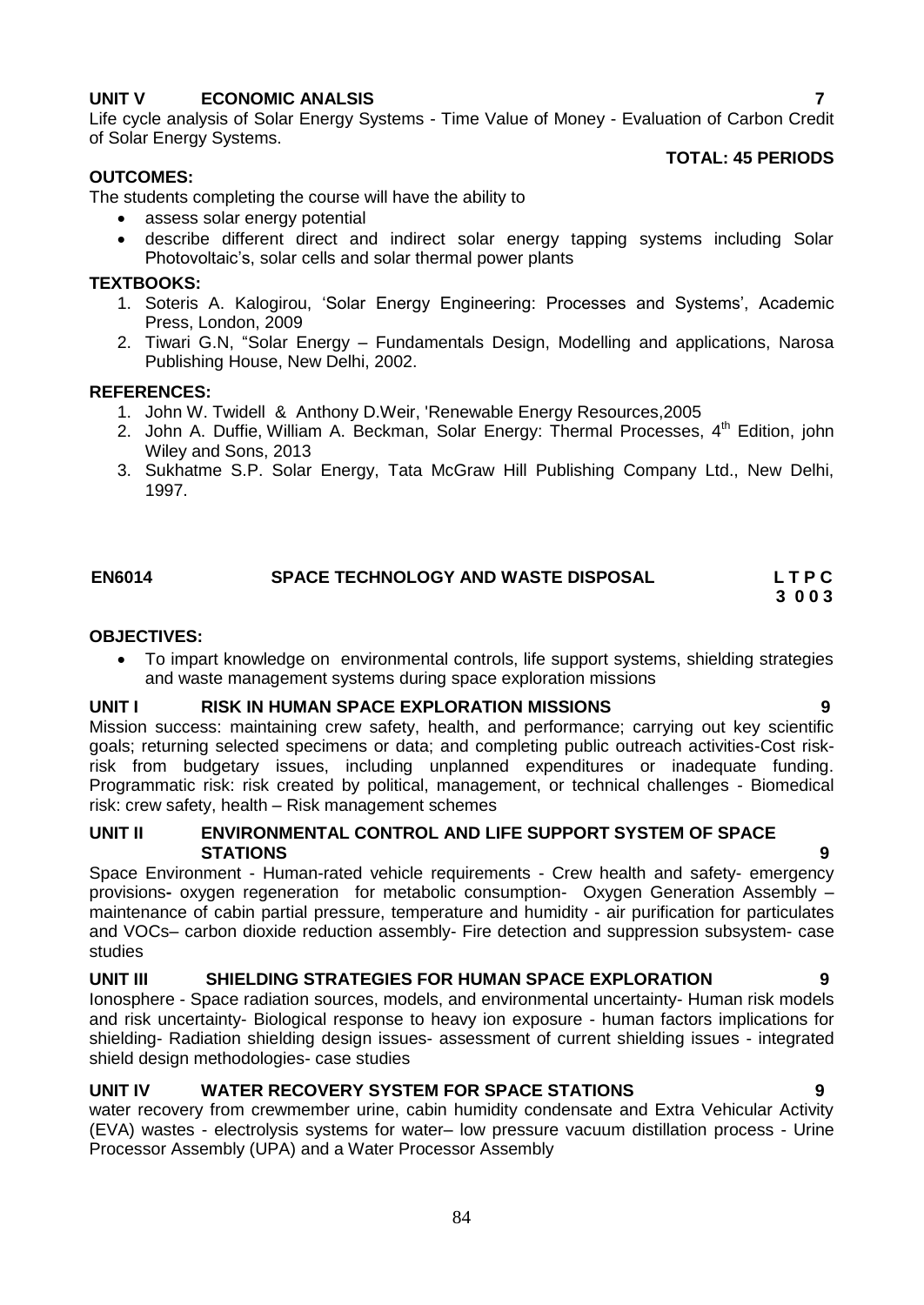# **UNIT V ECONOMIC ANALSIS 7**

Life cycle analysis of Solar Energy Systems - Time Value of Money - Evaluation of Carbon Credit of Solar Energy Systems.

# **OUTCOMES:**

The students completing the course will have the ability to

- assess solar energy potential
- describe different direct and indirect solar energy tapping systems including Solar Photovoltaic"s, solar cells and solar thermal power plants

# **TEXTBOOKS:**

- 1. Soteris A. Kalogirou, 'Solar Energy Engineering: Processes and Systems', Academic Press, London, 2009
- 2. Tiwari G.N, "Solar Energy Fundamentals Design, Modelling and applications, Narosa Publishing House, New Delhi, 2002.

# **REFERENCES:**

- 1. John W. Twidell & Anthony D.Weir, 'Renewable Energy Resources,2005
- 2. [John A. Duffie,](http://as.wiley.com/WileyCDA/Section/id-302477.html?query=John+A.+Duffie) [William A. Beckman,](http://as.wiley.com/WileyCDA/Section/id-302477.html?query=William+A.+Beckman) Solar Energy: Thermal Processes, 4<sup>th</sup> Edition, john Wiley and Sons, 2013
- 3. Sukhatme S.P. Solar Energy, Tata McGraw Hill Publishing Company Ltd., New Delhi, 1997.

# **EN6014 SPACE TECHNOLOGY AND WASTE DISPOSAL L T P C**

#### **3 0 0 3**

# **OBJECTIVES:**

 To impart knowledge on environmental controls, life support systems, shielding strategies and waste management systems during space exploration missions

# **UNIT I RISK IN HUMAN SPACE EXPLORATION MISSIONS 9**

Mission success: maintaining crew safety, health, and performance; carrying out key scientific goals; returning selected specimens or data; and completing public outreach activities-Cost riskrisk from budgetary issues, including unplanned expenditures or inadequate funding. Programmatic risk: risk created by political, management, or technical challenges - Biomedical risk: crew safety, health – Risk management schemes

# **UNIT II ENVIRONMENTAL CONTROL AND LIFE SUPPORT SYSTEM OF SPACE STATIONS 9**

Space Environment - Human-rated vehicle requirements - Crew health and safety- emergency provisions**-** oxygen regeneration for metabolic consumption- Oxygen Generation Assembly – maintenance of cabin partial pressure, temperature and humidity - air purification for particulates and VOCs– carbon dioxide reduction assembly- Fire detection and suppression subsystem- case studies

# **UNIT III SHIELDING STRATEGIES FOR HUMAN SPACE EXPLORATION 9**

Ionosphere - Space radiation sources, models, and environmental uncertainty- Human risk models and risk uncertainty- Biological response to heavy ion exposure - human factors implications for shielding- Radiation shielding design issues- assessment of current shielding issues - integrated shield design methodologies- case studies

# **UNIT IV WATER RECOVERY SYSTEM FOR SPACE STATIONS 9**

water recovery from crewmember urine, cabin humidity condensate and Extra Vehicular Activity (EVA) wastes - electrolysis systems for water– low pressure vacuum distillation process - Urine Processor Assembly (UPA) and a Water Processor Assembly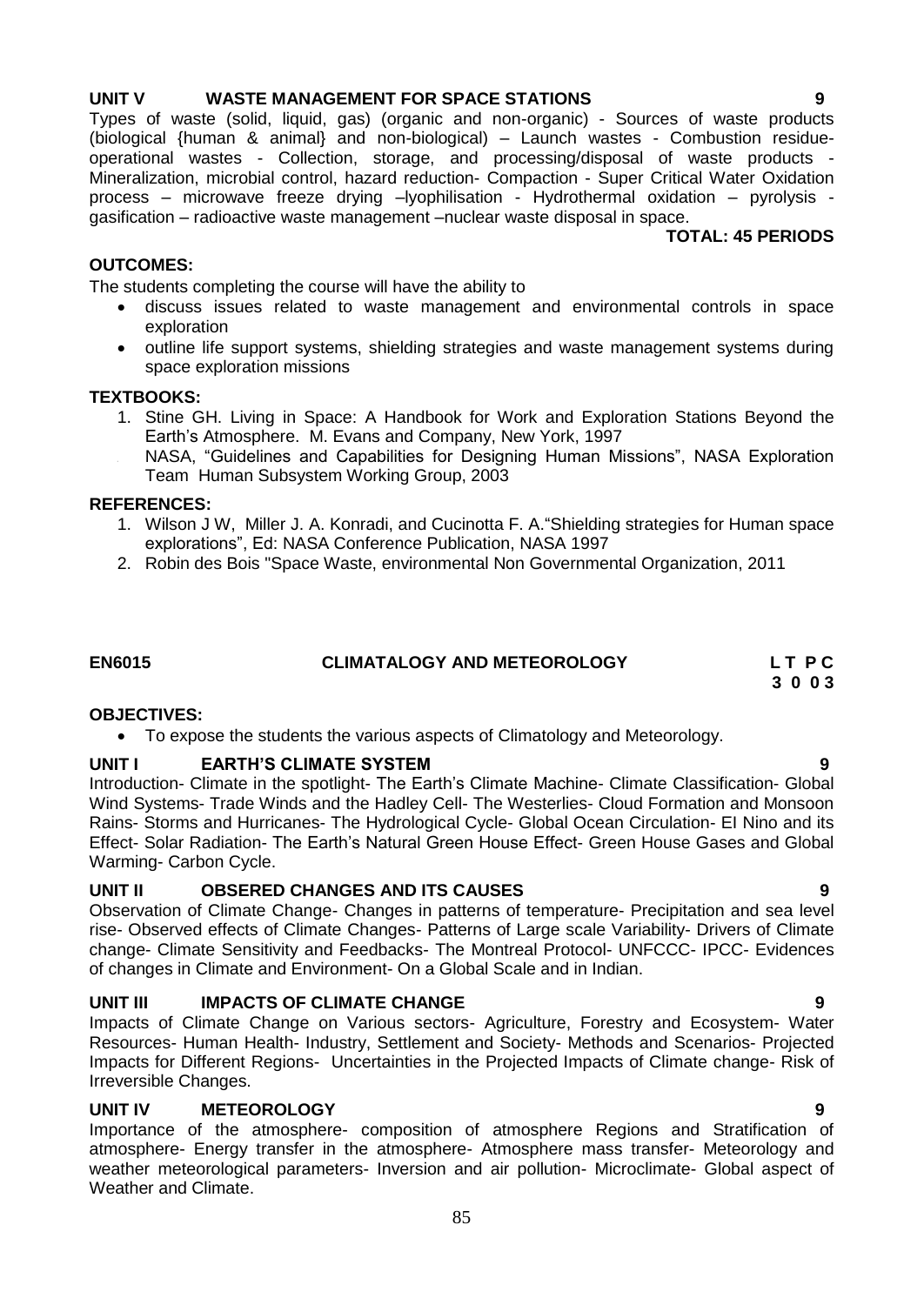# **UNIT V WASTE MANAGEMENT FOR SPACE STATIONS 9**

Types of waste (solid, liquid, gas) (organic and non-organic) - Sources of waste products (biological {human & animal} and non-biological) – Launch wastes - Combustion residueoperational wastes - Collection, storage, and processing/disposal of waste products - Mineralization, microbial control, hazard reduction- Compaction - Super Critical Water Oxidation process – microwave freeze drying –lyophilisation - Hydrothermal oxidation – pyrolysis gasification – radioactive waste management –nuclear waste disposal in space. **TOTAL: 45 PERIODS**

### **OUTCOMES:**

The students completing the course will have the ability to

- discuss issues related to waste management and environmental controls in space exploration
- outline life support systems, shielding strategies and waste management systems during space exploration missions

#### **TEXTBOOKS:**

- 1. Stine GH. Living in Space: A Handbook for Work and Exploration Stations Beyond the Earth"s Atmosphere. M. Evans and Company, New York, 1997
- 2. NASA, "Guidelines and Capabilities for Designing Human Missions", NASA Exploration Team Human Subsystem Working Group, 2003

#### **REFERENCES:**

- 1. Wilson J W, Miller J. A. Konradi, and Cucinotta F. A."Shielding strategies for Human space explorations", Ed: NASA Conference Publication, NASA 1997
- 2. Robin des Bois "Space Waste, environmental Non Governmental Organization, 2011

**EN6015 CLIMATALOGY AND METEOROLOGY L T P C** 

# **3 0 0 3**

# **OBJECTIVES:**

To expose the students the various aspects of Climatology and Meteorology.

# **UNIT I EARTH'S CLIMATE SYSTEM 9**

Introduction- Climate in the spotlight- The Earth"s Climate Machine- Climate Classification- Global Wind Systems- Trade Winds and the Hadley Cell- The Westerlies- Cloud Formation and Monsoon Rains- Storms and Hurricanes- The Hydrological Cycle- Global Ocean Circulation- EI Nino and its Effect- Solar Radiation- The Earth"s Natural Green House Effect- Green House Gases and Global Warming- Carbon Cycle.

# **UNIT II OBSERED CHANGES AND ITS CAUSES 9**

Observation of Climate Change- Changes in patterns of temperature- Precipitation and sea level rise- Observed effects of Climate Changes- Patterns of Large scale Variability- Drivers of Climate change- Climate Sensitivity and Feedbacks- The Montreal Protocol- UNFCCC- IPCC- Evidences of changes in Climate and Environment- On a Global Scale and in Indian.

# **UNIT III** IMPACTS OF CLIMATE CHANGE **19 10 10 10 10 9**

Impacts of Climate Change on Various sectors- Agriculture, Forestry and Ecosystem- Water Resources- Human Health- Industry, Settlement and Society- Methods and Scenarios- Projected Impacts for Different Regions- Uncertainties in the Projected Impacts of Climate change- Risk of Irreversible Changes.

# **UNIT IV METEOROLOGY 9**

Importance of the atmosphere- composition of atmosphere Regions and Stratification of atmosphere- Energy transfer in the atmosphere- Atmosphere mass transfer- Meteorology and weather meteorological parameters- Inversion and air pollution- Microclimate- Global aspect of Weather and Climate.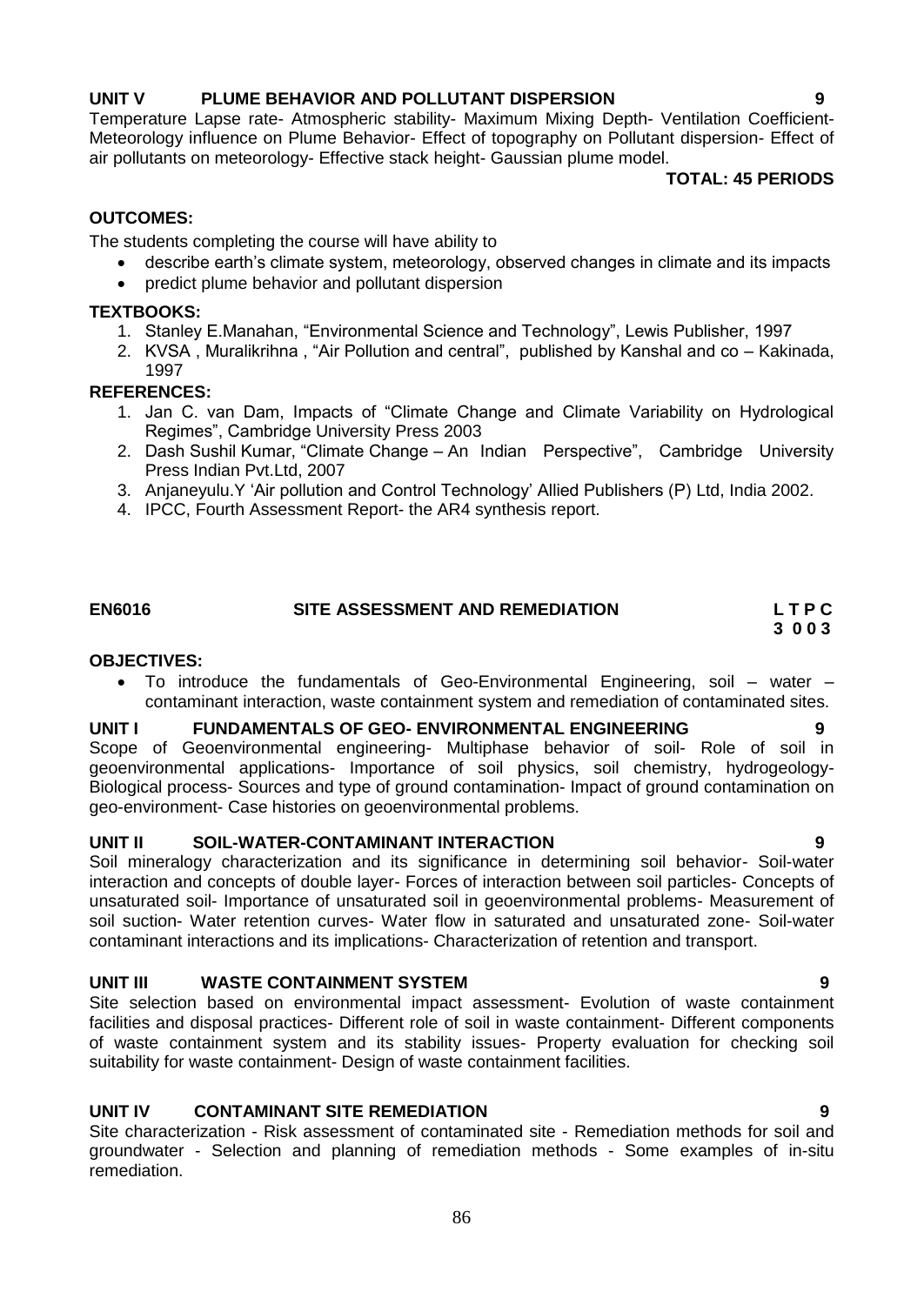# **UNIT V PLUME BEHAVIOR AND POLLUTANT DISPERSION 9**

Temperature Lapse rate- Atmospheric stability- Maximum Mixing Depth- Ventilation Coefficient-Meteorology influence on Plume Behavior- Effect of topography on Pollutant dispersion- Effect of air pollutants on meteorology- Effective stack height- Gaussian plume model.

**TOTAL: 45 PERIODS**

# **OUTCOMES:**

The students completing the course will have ability to

- describe earth"s climate system, meteorology, observed changes in climate and its impacts
- predict plume behavior and pollutant dispersion

# **TEXTBOOKS:**

- 1. Stanley E.Manahan, "Environmental Science and Technology", Lewis Publisher, 1997
- 2. KVSA , Muralikrihna , "Air Pollution and central", published by Kanshal and co Kakinada, 1997

# **REFERENCES:**

- 1. Jan C. van Dam, Impacts of "Climate Change and Climate Variability on Hydrological Regimes", Cambridge University Press 2003
- 2. Dash Sushil Kumar, "Climate Change An Indian Perspective", Cambridge University Press Indian Pvt.Ltd, 2007
- 3. Anjaneyulu.Y "Air pollution and Control Technology" Allied Publishers (P) Ltd, India 2002.
- 4. IPCC, Fourth Assessment Report- the AR4 synthesis report.

# **EN6016 SITE ASSESSMENT AND REMEDIATION L T P C**

 **3 0 0 3**

# **OBJECTIVES:**

 To introduce the fundamentals of Geo-Environmental Engineering, soil – water – contaminant interaction, waste containment system and remediation of contaminated sites.

# **UNIT I FUNDAMENTALS OF GEO- ENVIRONMENTAL ENGINEERING 9**

Scope of Geoenvironmental engineering- Multiphase behavior of soil- Role of soil in geoenvironmental applications- Importance of soil physics, soil chemistry, hydrogeology-Biological process- Sources and type of ground contamination- Impact of ground contamination on geo-environment- Case histories on geoenvironmental problems.

# **UNIT II SOIL-WATER-CONTAMINANT INTERACTION 9**

Soil mineralogy characterization and its significance in determining soil behavior- Soil-water interaction and concepts of double layer- Forces of interaction between soil particles- Concepts of unsaturated soil- Importance of unsaturated soil in geoenvironmental problems- Measurement of soil suction- Water retention curves- Water flow in saturated and unsaturated zone- Soil-water contaminant interactions and its implications- Characterization of retention and transport.

# **UNIT III WASTE CONTAINMENT SYSTEM 9**

Site selection based on environmental impact assessment- Evolution of waste containment facilities and disposal practices- Different role of soil in waste containment- Different components of waste containment system and its stability issues- Property evaluation for checking soil suitability for waste containment- Design of waste containment facilities.

# **UNIT IV CONTAMINANT SITE REMEDIATION 9**

Site characterization - Risk assessment of contaminated site - Remediation methods for soil and groundwater - Selection and planning of remediation methods - Some examples of in-situ remediation.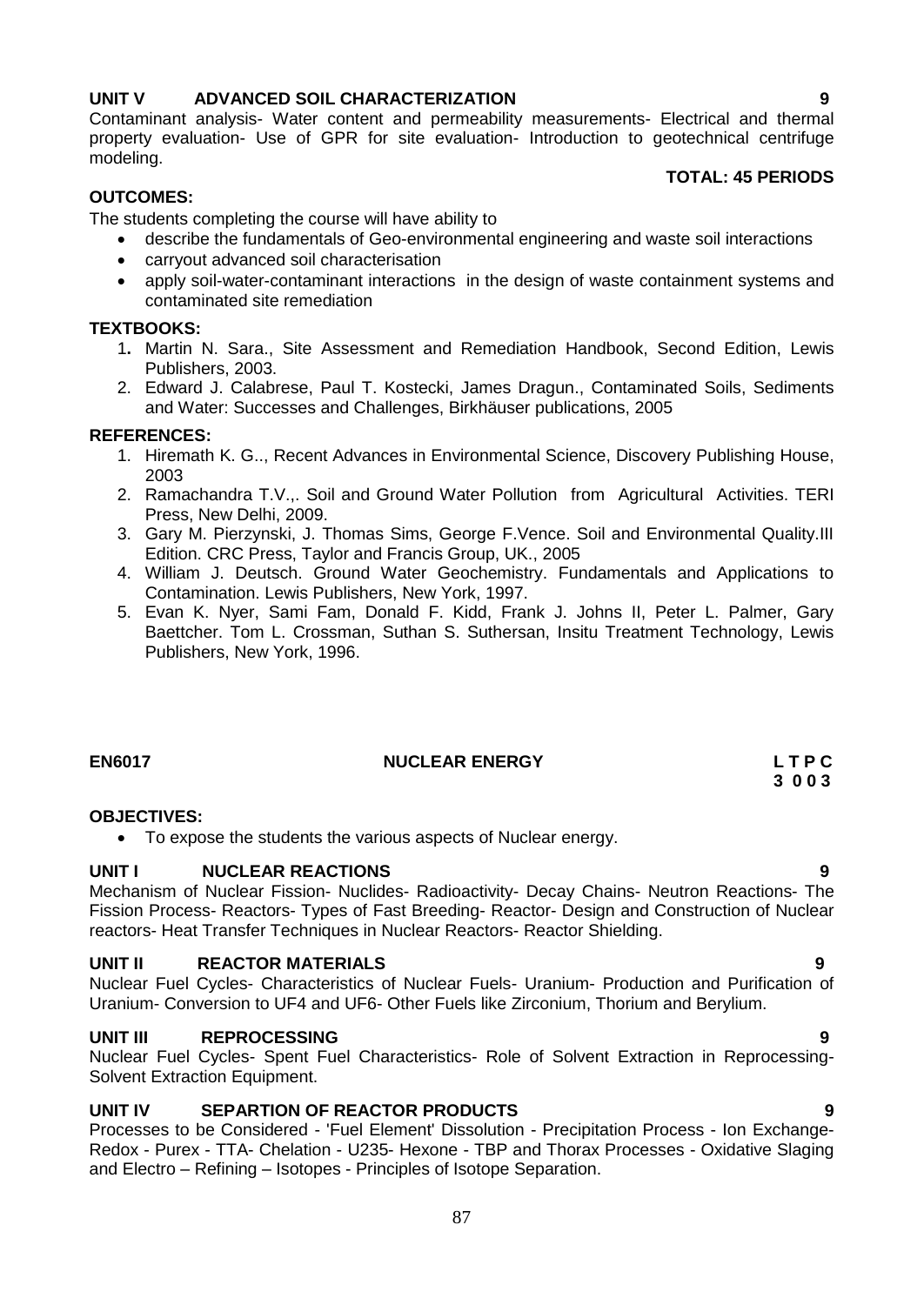# **UNIT V ADVANCED SOIL CHARACTERIZATION 9**

Contaminant analysis- Water content and permeability measurements- Electrical and thermal property evaluation- Use of GPR for site evaluation- Introduction to geotechnical centrifuge modeling.

### **TOTAL: 45 PERIODS**

# **OUTCOMES:**

The students completing the course will have ability to

- describe the fundamentals of Geo-environmental engineering and waste soil interactions
- carryout advanced soil characterisation
- apply soil-water-contaminant interactions in the design of waste containment systems and contaminated site remediation

#### **TEXTBOOKS:**

- 1**.** [Martin N. Sara.](http://www.amazon.com/Martin-N.-Sara/e/B001K8PJWK/ref=ntt_athr_dp_pel_1), Site Assessment and Remediation Handbook, Second Edition, Lewis Publishers, 2003.
- 2. Edward J. Calabrese, Paul T. Kostecki, James Dragun., Contaminated Soils, Sediments and Water: Successes and Challenges, Birkhäuser publications, 2005

# **REFERENCES:**

- 1. Hiremath K. G.., Recent Advances in Environmental Science, Discovery Publishing House, 2003
- 2. Ramachandra T.V.,. Soil and Ground Water Pollution from Agricultural Activities. TERI Press, New Delhi, 2009.
- 3. Gary M. Pierzynski, J. Thomas Sims, George F.Vence. Soil and Environmental Quality.III Edition. CRC Press, Taylor and Francis Group, UK., 2005
- 4. William J. Deutsch. Ground Water Geochemistry. Fundamentals and Applications to Contamination. Lewis Publishers, New York, 1997.
- 5. Evan K. Nyer, Sami Fam, Donald F. Kidd, Frank J. Johns II, Peter L. Palmer, Gary Baettcher. Tom L. Crossman, Suthan S. Suthersan, Insitu Treatment Technology, Lewis Publishers, New York, 1996.

# **EN6017** L T P C NUCLEAR ENERGY L T P C

# **OBJECTIVES:**

To expose the students the various aspects of Nuclear energy.

# **UNIT I NUCLEAR REACTIONS 9**

Mechanism of Nuclear Fission- Nuclides- Radioactivity- Decay Chains- Neutron Reactions- The Fission Process- Reactors- Types of Fast Breeding- Reactor- Design and Construction of Nuclear reactors- Heat Transfer Techniques in Nuclear Reactors- Reactor Shielding.

# **UNIT II REACTOR MATERIALS 9**

Nuclear Fuel Cycles- Characteristics of Nuclear Fuels- Uranium- Production and Purification of Uranium- Conversion to UF4 and UF6- Other Fuels like Zirconium, Thorium and Berylium.

# **UNIT III REPROCESSING 9**

Nuclear Fuel Cycles- Spent Fuel Characteristics- Role of Solvent Extraction in Reprocessing-Solvent Extraction Equipment.

# **UNIT IV SEPARTION OF REACTOR PRODUCTS 9**

Processes to be Considered - 'Fuel Element' Dissolution - Precipitation Process - Ion Exchange-Redox - Purex - TTA- Chelation - U235- Hexone - TBP and Thorax Processes - Oxidative Slaging and Electro – Refining – Isotopes - Principles of Isotope Separation.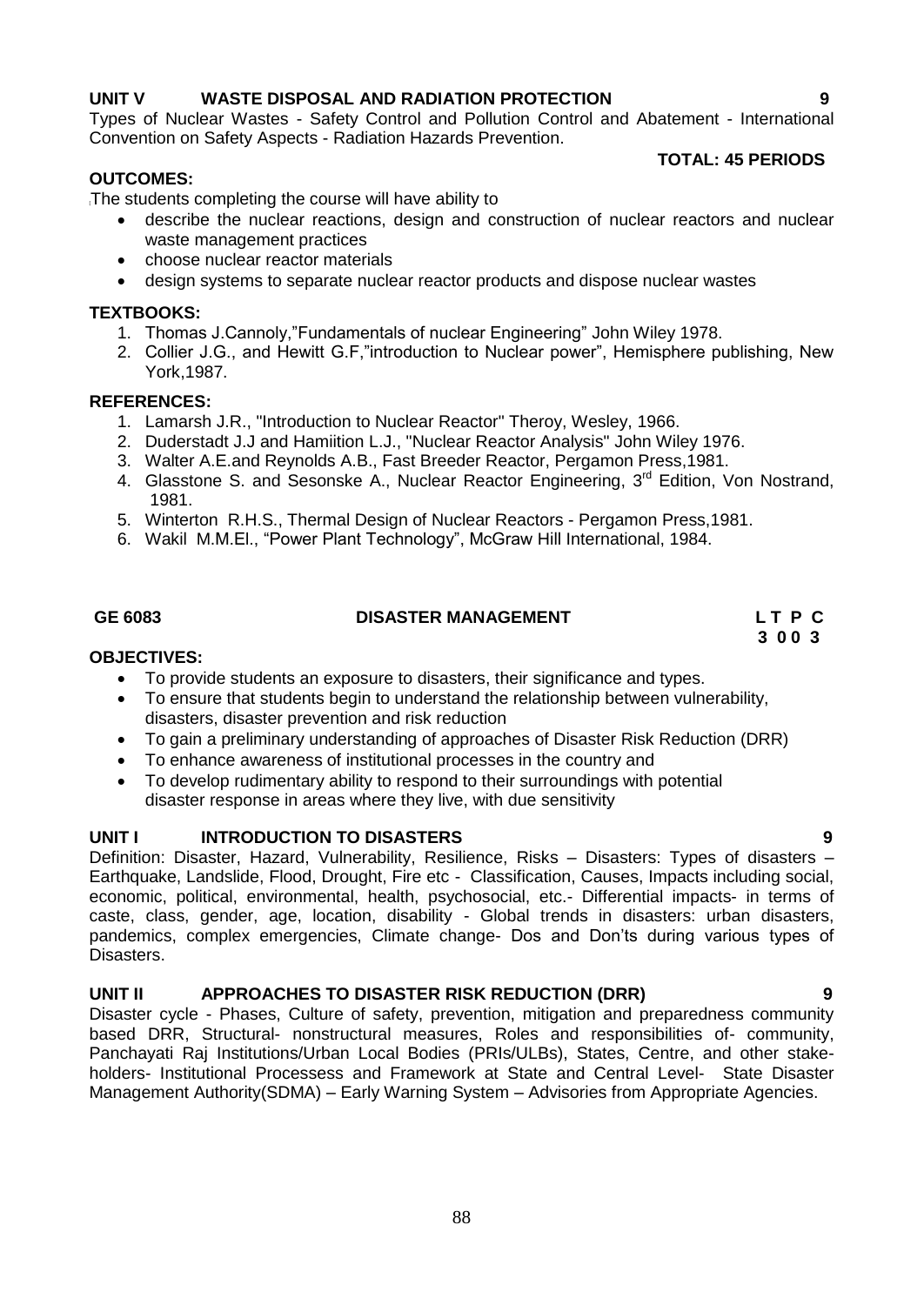# **UNIT V WASTE DISPOSAL AND RADIATION PROTECTION 9**

Types of Nuclear Wastes - Safety Control and Pollution Control and Abatement - International Convention on Safety Aspects - Radiation Hazards Prevention.

# **OUTCOMES:**

# **TOTAL: 45 PERIODS**

The students completing the course will have ability to

- describe the nuclear reactions, design and construction of nuclear reactors and nuclear waste management practices
- choose nuclear reactor materials
- design systems to separate nuclear reactor products and dispose nuclear wastes

# **TEXTBOOKS:**

- 1. Thomas J.Cannoly,"Fundamentals of nuclear Engineering" John Wiley 1978.
- 2. Collier J.G., and Hewitt G.F,"introduction to Nuclear power", Hemisphere publishing, New York,1987.

# **REFERENCES:**

- 1. Lamarsh J.R., "Introduction to Nuclear Reactor" Theroy, Wesley, 1966.
- 2. Duderstadt J.J and Hamiition L.J., "Nuclear Reactor Analysis" John Wiley 1976.
- 3. Walter A.E.and Reynolds A.B., Fast Breeder Reactor, Pergamon Press,1981.
- 4. Glasstone S. and Sesonske A., Nuclear Reactor Engineering, 3<sup>rd</sup> Edition, Von Nostrand, 1981.
- 5. Winterton R.H.S., Thermal Design of Nuclear Reactors Pergamon Press,1981.
- 6. Wakil M.M.El., "Power Plant Technology", McGraw Hill International, 1984.

# **GE 6083 DISASTER MANAGEMENT L T P C**

 **3 0 0 3**

# **OBJECTIVES:**

- To provide students an exposure to disasters, their significance and types.
- To ensure that students begin to understand the relationship between vulnerability, disasters, disaster prevention and risk reduction
- To gain a preliminary understanding of approaches of Disaster Risk Reduction (DRR)
- To enhance awareness of institutional processes in the country and
- To develop rudimentary ability to respond to their surroundings with potential disaster response in areas where they live, with due sensitivity

# **UNIT I INTRODUCTION TO DISASTERS 9**

Definition: Disaster, Hazard, Vulnerability, Resilience, Risks – Disasters: Types of disasters – Earthquake, Landslide, Flood, Drought, Fire etc - Classification, Causes, Impacts including social, economic, political, environmental, health, psychosocial, etc.- Differential impacts- in terms of caste, class, gender, age, location, disability - Global trends in disasters: urban disasters, pandemics, complex emergencies, Climate change- Dos and Don"ts during various types of Disasters.

# **UNIT II APPROACHES TO DISASTER RISK REDUCTION (DRR) 9**

Disaster cycle - Phases, Culture of safety, prevention, mitigation and preparedness community based DRR, Structural- nonstructural measures, Roles and responsibilities of- community, Panchayati Raj Institutions/Urban Local Bodies (PRIs/ULBs), States, Centre, and other stakeholders- Institutional Processess and Framework at State and Central Level- State Disaster Management Authority(SDMA) – Early Warning System – Advisories from Appropriate Agencies.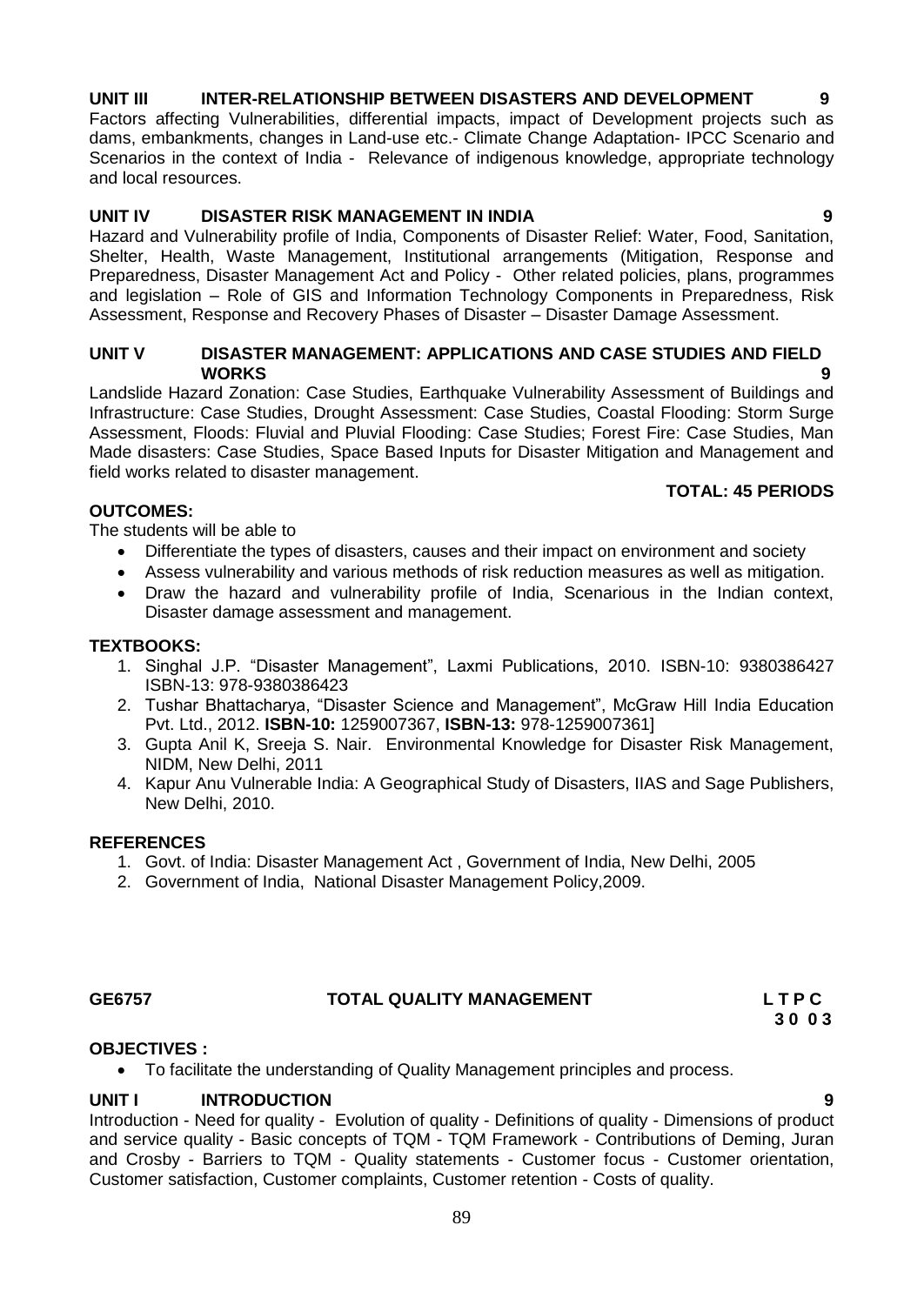# 89

# **UNIT III INTER-RELATIONSHIP BETWEEN DISASTERS AND DEVELOPMENT 9**

Factors affecting Vulnerabilities, differential impacts, impact of Development projects such as dams, embankments, changes in Land-use etc.- Climate Change Adaptation- IPCC Scenario and Scenarios in the context of India - Relevance of indigenous knowledge, appropriate technology and local resources.

# **UNIT IV DISASTER RISK MANAGEMENT IN INDIA 9**

Hazard and Vulnerability profile of India, Components of Disaster Relief: Water, Food, Sanitation, Shelter, Health, Waste Management, Institutional arrangements (Mitigation, Response and Preparedness, Disaster Management Act and Policy - Other related policies, plans, programmes and legislation – Role of GIS and Information Technology Components in Preparedness, Risk Assessment, Response and Recovery Phases of Disaster – Disaster Damage Assessment.

### **UNIT V DISASTER MANAGEMENT: APPLICATIONS AND CASE STUDIES AND FIELD WORKS 9**

Landslide Hazard Zonation: Case Studies, Earthquake Vulnerability Assessment of Buildings and Infrastructure: Case Studies, Drought Assessment: Case Studies, Coastal Flooding: Storm Surge Assessment, Floods: Fluvial and Pluvial Flooding: Case Studies; Forest Fire: Case Studies, Man Made disasters: Case Studies, Space Based Inputs for Disaster Mitigation and Management and field works related to disaster management.

# **TOTAL: 45 PERIODS**

# **OUTCOMES:**

The students will be able to

- Differentiate the types of disasters, causes and their impact on environment and society
- Assess vulnerability and various methods of risk reduction measures as well as mitigation.
- Draw the hazard and vulnerability profile of India, Scenarious in the Indian context, Disaster damage assessment and management.

# **TEXTBOOKS:**

- 1. Singhal J.P. "Disaster Management", Laxmi Publications, 2010. ISBN-10: 9380386427 ISBN-13: 978-9380386423
- 2. Tushar Bhattacharya, "Disaster Science and Management", McGraw Hill India Education Pvt. Ltd., 2012. **ISBN-10:** 1259007367, **ISBN-13:** 978-1259007361]
- 3. Gupta Anil K, Sreeja S. Nair. Environmental Knowledge for Disaster Risk Management, NIDM, New Delhi, 2011
- 4. Kapur Anu Vulnerable India: A Geographical Study of Disasters, IIAS and Sage Publishers, New Delhi, 2010.

# **REFERENCES**

- 1. Govt. of India: Disaster Management Act , Government of India, New Delhi, 2005
- 2. Government of India, National Disaster Management Policy,2009.

# **GE6757 TOTAL QUALITY MANAGEMENT L T P C**

 **3 0 0 3**

# **OBJECTIVES :**

To facilitate the understanding of Quality Management principles and process.

# **UNIT I INTRODUCTION 9**

Introduction - Need for quality - Evolution of quality - Definitions of quality - Dimensions of product and service quality - Basic concepts of TQM - TQM Framework - Contributions of Deming, Juran and Crosby - Barriers to TQM - Quality statements - Customer focus - Customer orientation, Customer satisfaction, Customer complaints, Customer retention - Costs of quality.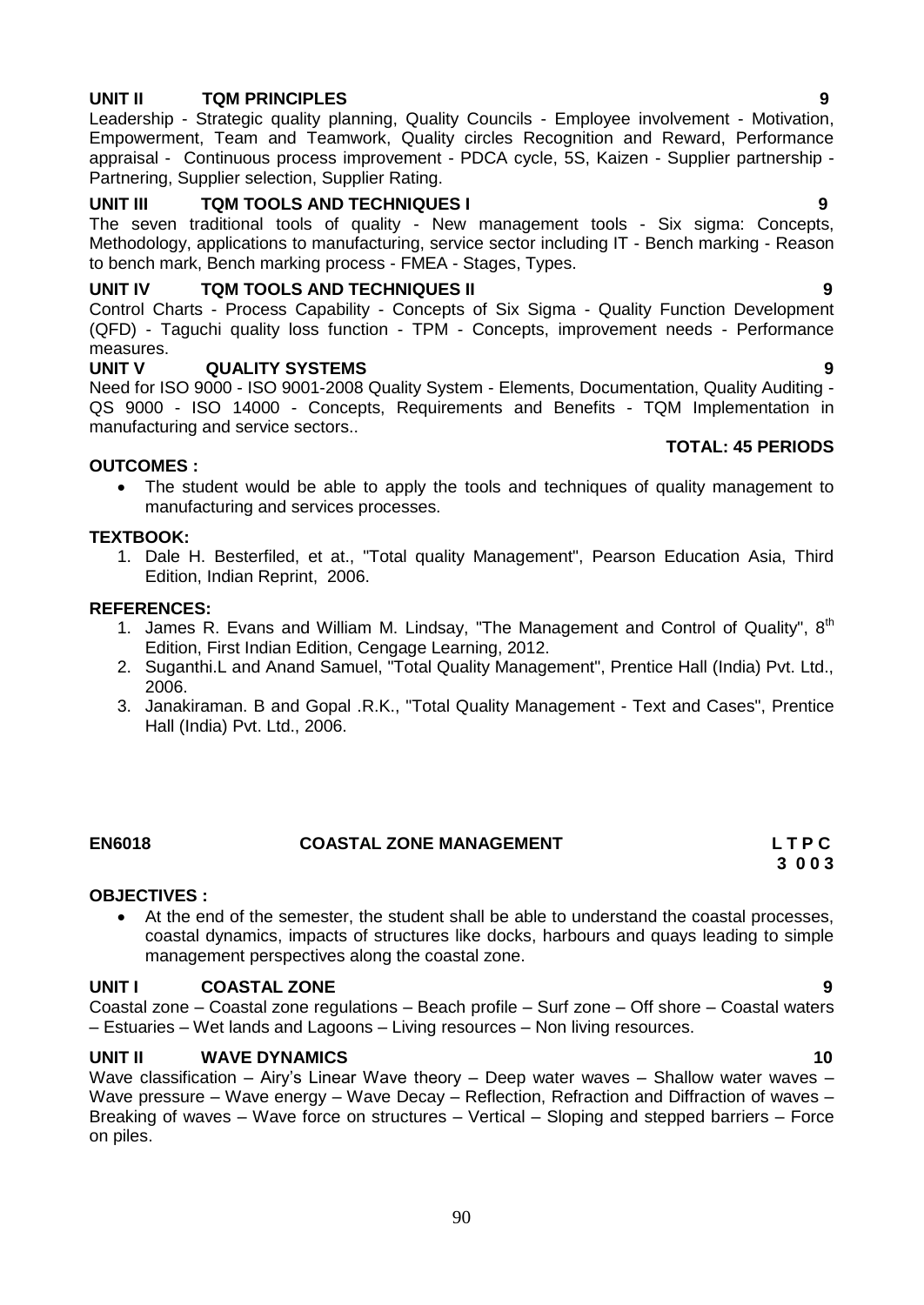# **UNIT II TQM PRINCIPLES 9**

Leadership - Strategic quality planning, Quality Councils - Employee involvement - Motivation, Empowerment, Team and Teamwork, Quality circles Recognition and Reward, Performance appraisal - Continuous process improvement - PDCA cycle, 5S, Kaizen - Supplier partnership - Partnering, Supplier selection, Supplier Rating.

# **UNIT III TQM TOOLS AND TECHNIQUES I 9**

The seven traditional tools of quality - New management tools - Six sigma: Concepts, Methodology, applications to manufacturing, service sector including IT - Bench marking - Reason to bench mark, Bench marking process - FMEA - Stages, Types.

### **UNIT IV TQM TOOLS AND TECHNIQUES II 9**

Control Charts - Process Capability - Concepts of Six Sigma - Quality Function Development (QFD) - Taguchi quality loss function - TPM - Concepts, improvement needs - Performance measures.<br>UNIT V

#### **UNIT V QUALITY SYSTEMS 9**

Need for ISO 9000 - ISO 9001-2008 Quality System - Elements, Documentation, Quality Auditing - QS 9000 - ISO 14000 - Concepts, Requirements and Benefits - TQM Implementation in manufacturing and service sectors..

#### **OUTCOMES :**

• The student would be able to apply the tools and techniques of quality management to manufacturing and services processes.

#### **TEXTBOOK:**

1. Dale H. Besterfiled, et at., "Total quality Management", Pearson Education Asia, Third Edition, Indian Reprint, 2006.

### **REFERENCES:**

- 1. James R. Evans and William M. Lindsay, "The Management and Control of Quality", 8<sup>th</sup> Edition, First Indian Edition, Cengage Learning, 2012.
- 2. Suganthi.L and Anand Samuel, "Total Quality Management", Prentice Hall (India) Pvt. Ltd., 2006.
- 3. Janakiraman. B and Gopal .R.K., "Total Quality Management Text and Cases", Prentice Hall (India) Pvt. Ltd., 2006.

# **EN6018 COASTAL ZONE MANAGEMENT L T P C**

# **3 0 0 3**

# **OBJECTIVES :**

 At the end of the semester, the student shall be able to understand the coastal processes, coastal dynamics, impacts of structures like docks, harbours and quays leading to simple management perspectives along the coastal zone.

### **UNIT I COASTAL ZONE 9**

Coastal zone – Coastal zone regulations – Beach profile – Surf zone – Off shore – Coastal waters – Estuaries – Wet lands and Lagoons – Living resources – Non living resources.

#### **UNIT II WAVE DYNAMICS 10**

Wave classification – Airy's Linear Wave theory – Deep water waves – Shallow water waves – Wave pressure – Wave energy – Wave Decay – Reflection, Refraction and Diffraction of waves – Breaking of waves – Wave force on structures – Vertical – Sloping and stepped barriers – Force on piles.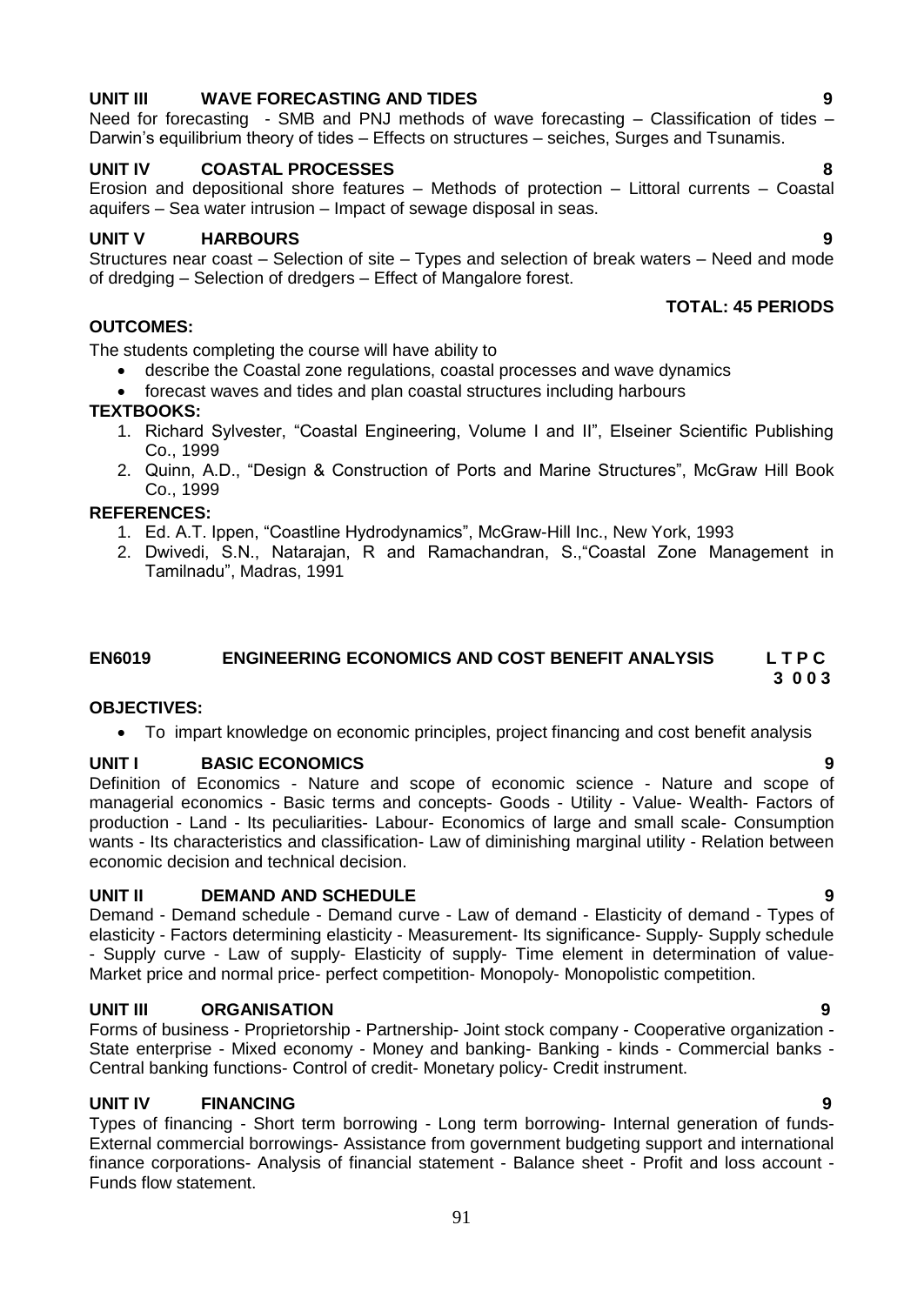# **UNIT III WAVE FORECASTING AND TIDES 9**

Need for forecasting - SMB and PNJ methods of wave forecasting – Classification of tides – Darwin's equilibrium theory of tides – Effects on structures – seiches, Surges and Tsunamis.

# **UNIT IV COASTAL PROCESSES 8**

Erosion and depositional shore features – Methods of protection – Littoral currents – Coastal aquifers – Sea water intrusion – Impact of sewage disposal in seas.

# **UNIT V HARBOURS 9**

Structures near coast – Selection of site – Types and selection of break waters – Need and mode of dredging – Selection of dredgers – Effect of Mangalore forest.

# **OUTCOMES:**

The students completing the course will have ability to

- describe the Coastal zone regulations, coastal processes and wave dynamics
- forecast waves and tides and plan coastal structures including harbours

# **TEXTBOOKS:**

- 1. Richard Sylvester, "Coastal Engineering, Volume I and II", Elseiner Scientific Publishing Co., 1999
- 2. Quinn, A.D., "Design & Construction of Ports and Marine Structures", McGraw Hill Book Co., 1999

# **REFERENCES:**

- 1. Ed. A.T. Ippen, "Coastline Hydrodynamics", McGraw-Hill Inc., New York, 1993
- 2. Dwivedi, S.N., Natarajan, R and Ramachandran, S.,"Coastal Zone Management in Tamilnadu", Madras, 1991

#### **EN6019 ENGINEERING ECONOMICS AND COST BENEFIT ANALYSIS L T P C 3 0 0 3**

# **OBJECTIVES:**

To impart knowledge on economic principles, project financing and cost benefit analysis

# **UNIT I BASIC ECONOMICS 9**

Definition of Economics - Nature and scope of economic science - Nature and scope of managerial economics - Basic terms and concepts- Goods - Utility - Value- Wealth- Factors of production - Land - Its peculiarities- Labour- Economics of large and small scale- Consumption wants - Its characteristics and classification- Law of diminishing marginal utility - Relation between economic decision and technical decision.

# **UNIT II DEMAND AND SCHEDULE 9**

Demand - Demand schedule - Demand curve - Law of demand - Elasticity of demand - Types of elasticity - Factors determining elasticity - Measurement- Its significance- Supply- Supply schedule - Supply curve - Law of supply- Elasticity of supply- Time element in determination of value-Market price and normal price- perfect competition- Monopoly- Monopolistic competition.

# **UNIT III ORGANISATION 9**

Forms of business - Proprietorship - Partnership- Joint stock company - Cooperative organization - State enterprise - Mixed economy - Money and banking- Banking - kinds - Commercial banks - Central banking functions- Control of credit- Monetary policy- Credit instrument.

# **UNIT IV FINANCING 9**

Types of financing - Short term borrowing - Long term borrowing- Internal generation of funds-External commercial borrowings- Assistance from government budgeting support and international finance corporations- Analysis of financial statement - Balance sheet - Profit and loss account - Funds flow statement.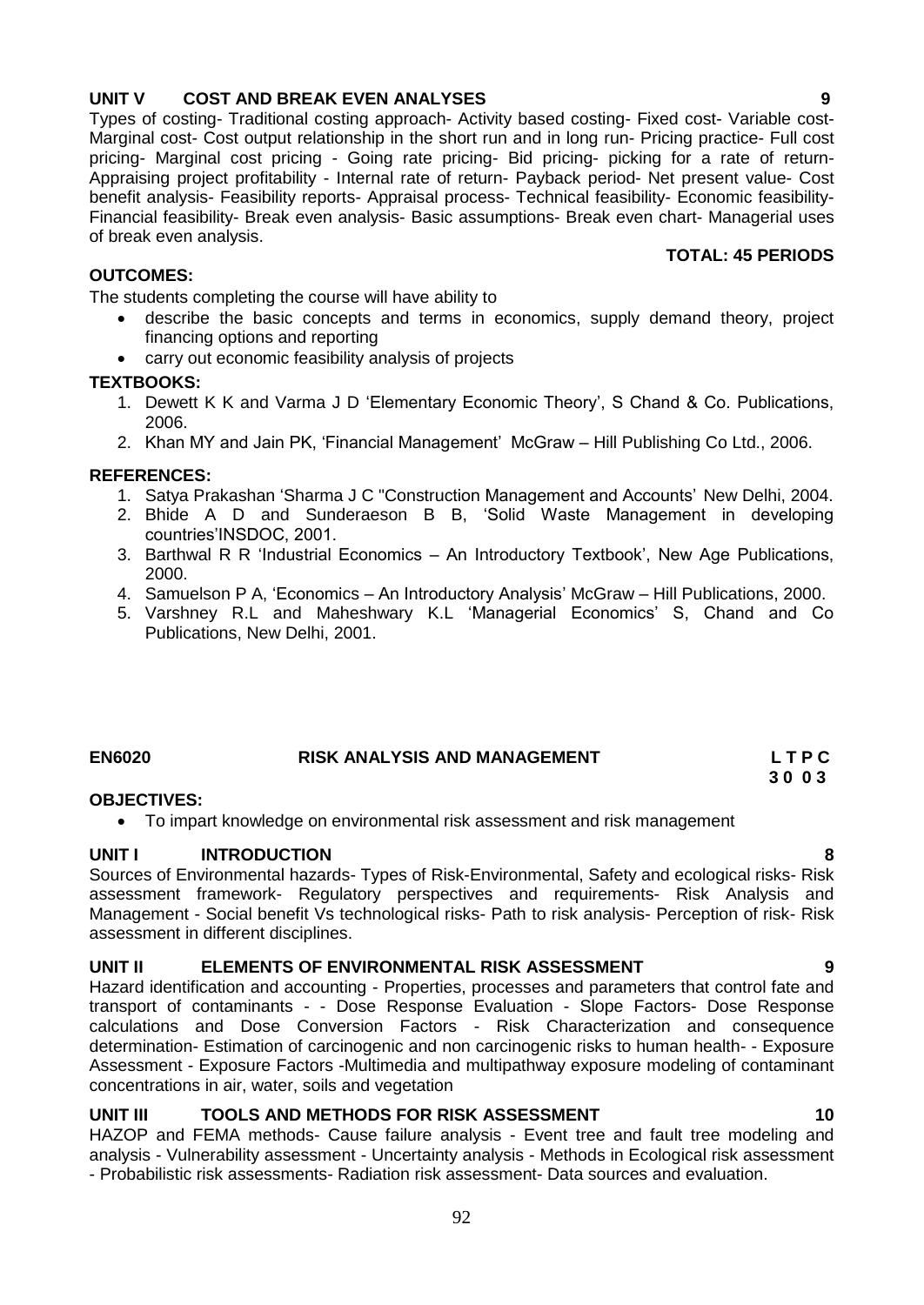# **UNIT V COST AND BREAK EVEN ANALYSES 9**

Types of costing- Traditional costing approach- Activity based costing- Fixed cost- Variable cost-Marginal cost- Cost output relationship in the short run and in long run- Pricing practice- Full cost pricing- Marginal cost pricing - Going rate pricing- Bid pricing- picking for a rate of return-Appraising project profitability - Internal rate of return- Payback period- Net present value- Cost benefit analysis- Feasibility reports- Appraisal process- Technical feasibility- Economic feasibility-Financial feasibility- Break even analysis- Basic assumptions- Break even chart- Managerial uses of break even analysis.

# **OUTCOMES:**

The students completing the course will have ability to

- describe the basic concepts and terms in economics, supply demand theory, project financing options and reporting
- carry out economic feasibility analysis of projects

# **TEXTBOOKS:**

- 1. Dewett K K and Varma J D "Elementary Economic Theory", S Chand & Co. Publications, 2006.
- 2. Khan MY and Jain PK, "Financial Management" McGraw Hill Publishing Co Ltd., 2006.

# **REFERENCES:**

- 1. Satya Prakashan "Sharma J C "Construction Management and Accounts" New Delhi, 2004.
- 2. Bhide A D and Sunderaeson B B, "Solid Waste Management in developing countries"INSDOC, 2001.
- 3. Barthwal R R "Industrial Economics An Introductory Textbook", New Age Publications, 2000.
- 4. Samuelson P A, "Economics An Introductory Analysis" McGraw Hill Publications, 2000.
- 5. Varshney R.L and Maheshwary K.L "Managerial Economics" S, Chand and Co Publications, New Delhi, 2001.

# **EN6020 RISK ANALYSIS AND MANAGEMENT L T P C 3 0 0 3**

# **OBJECTIVES:**

To impart knowledge on environmental risk assessment and risk management

# **UNIT I INTRODUCTION 8**

Sources of Environmental hazards- Types of Risk-Environmental, Safety and ecological risks- Risk assessment framework- Regulatory perspectives and requirements- Risk Analysis and Management - Social benefit Vs technological risks- Path to risk analysis- Perception of risk- Risk assessment in different disciplines.

# **UNIT II ELEMENTS OF ENVIRONMENTAL RISK ASSESSMENT 9**

Hazard identification and accounting - Properties, processes and parameters that control fate and transport of contaminants - - Dose Response Evaluation - Slope Factors- Dose Response calculations and Dose Conversion Factors - Risk Characterization and consequence determination- Estimation of carcinogenic and non carcinogenic risks to human health- - Exposure Assessment - Exposure Factors -Multimedia and multipathway exposure modeling of contaminant concentrations in air, water, soils and vegetation

# **UNIT III TOOLS AND METHODS FOR RISK ASSESSMENT 10**

HAZOP and FEMA methods- Cause failure analysis - Event tree and fault tree modeling and analysis - Vulnerability assessment - Uncertainty analysis - Methods in Ecological risk assessment - Probabilistic risk assessments- Radiation risk assessment- Data sources and evaluation.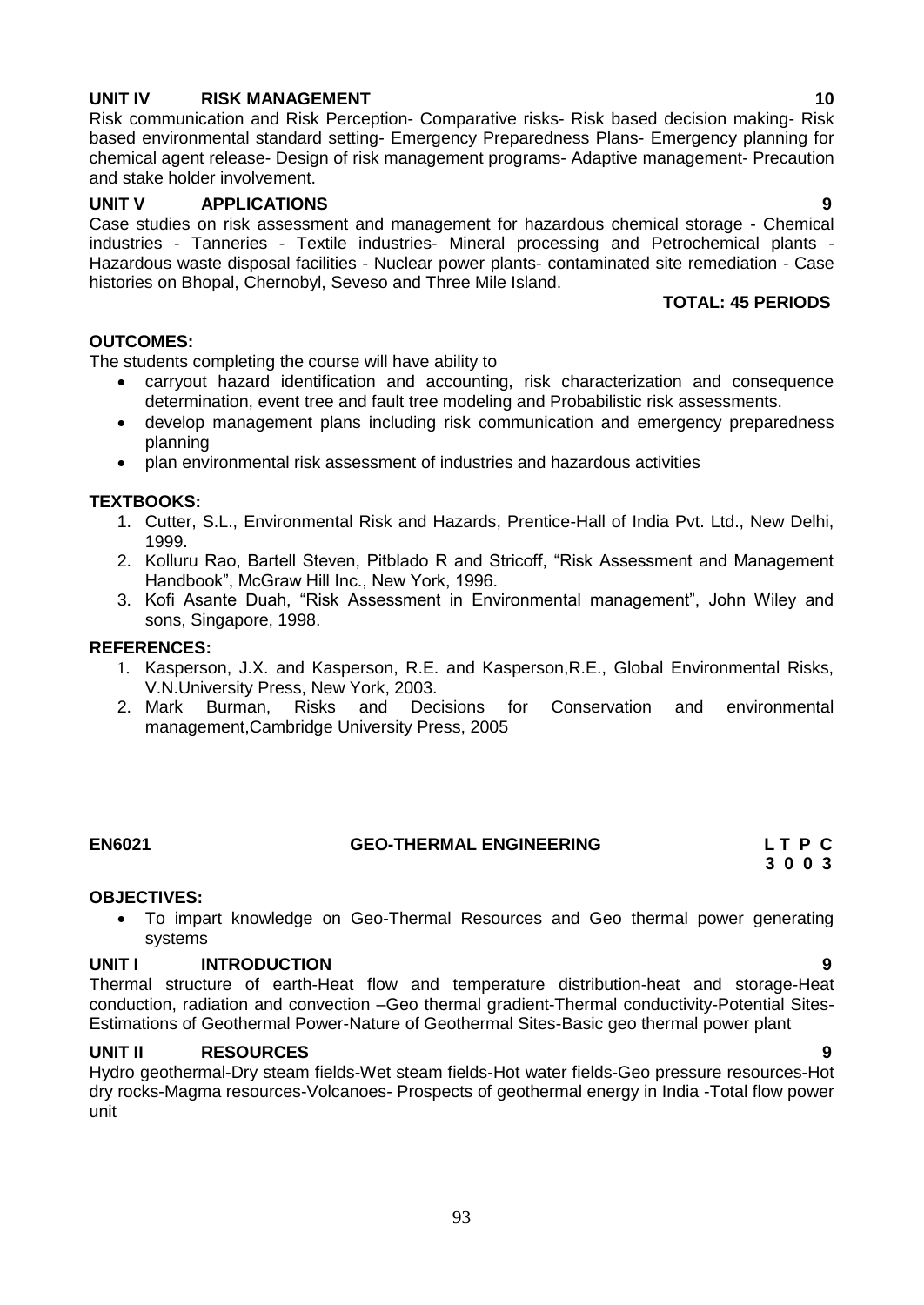# **UNIT IV RISK MANAGEMENT 10**

Risk communication and Risk Perception- Comparative risks- Risk based decision making- Risk based environmental standard setting- Emergency Preparedness Plans- Emergency planning for chemical agent release- Design of risk management programs- Adaptive management- Precaution and stake holder involvement.

# **UNIT V APPLICATIONS 9**

Case studies on risk assessment and management for hazardous chemical storage - Chemical industries - Tanneries - Textile industries- Mineral processing and Petrochemical plants - Hazardous waste disposal facilities - Nuclear power plants- contaminated site remediation - Case histories on Bhopal, Chernobyl, Seveso and Three Mile Island.

# **TOTAL: 45 PERIODS**

# **OUTCOMES:**

The students completing the course will have ability to

- carryout hazard identification and accounting, risk characterization and consequence determination, event tree and fault tree modeling and Probabilistic risk assessments.
- develop management plans including risk communication and emergency preparedness planning
- plan environmental risk assessment of industries and hazardous activities

# **TEXTBOOKS:**

- 1. Cutter, S.L., Environmental Risk and Hazards, Prentice-Hall of India Pvt. Ltd., New Delhi, 1999.
- 2. Kolluru Rao, Bartell Steven, Pitblado R and Stricoff, "Risk Assessment and Management Handbook", McGraw Hill Inc., New York, 1996.
- 3. Kofi Asante Duah, "Risk Assessment in Environmental management", John Wiley and sons, Singapore, 1998.

#### **REFERENCES:**

- 1. Kasperson, J.X. and Kasperson, R.E. and Kasperson,R.E., Global Environmental Risks, V.N.University Press, New York, 2003.
- 2. Mark Burman, Risks and Decisions for Conservation and environmental management,Cambridge University Press, 2005

# **EN6021 GEO-THERMAL ENGINEERING L T P C**

 **3 0 0 3**

# **OBJECTIVES:**

 To impart knowledge on Geo-Thermal Resources and Geo thermal power generating systems

# **UNIT I INTRODUCTION 9**

Thermal structure of earth-Heat flow and temperature distribution-heat and storage-Heat conduction, radiation and convection –Geo thermal gradient-Thermal conductivity-Potential Sites-Estimations of Geothermal Power-Nature of Geothermal Sites-Basic geo thermal power plant

# **UNIT II RESOURCES 9**

Hydro geothermal-Dry steam fields-Wet steam fields-Hot water fields-Geo pressure resources-Hot dry rocks-Magma resources-Volcanoes- Prospects of geothermal energy in India -Total flow power unit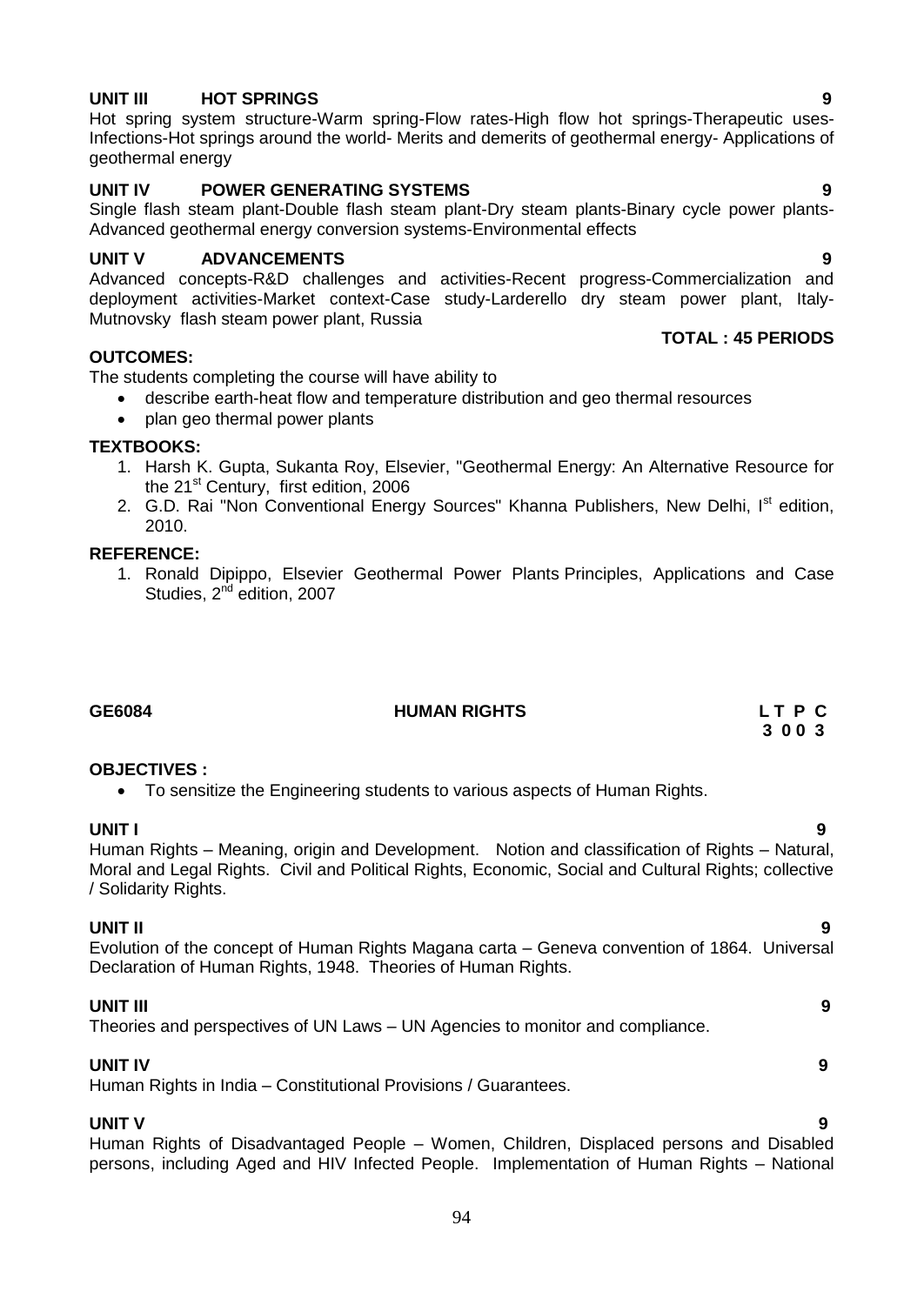# **UNIT III HOT SPRINGS 9**

Hot spring system structure-Warm spring-Flow rates-High flow hot springs-Therapeutic uses-Infections-Hot springs around the world- Merits and demerits of geothermal energy- Applications of geothermal energy

# **UNIT IV POWER GENERATING SYSTEMS 9**

Single flash steam plant-Double flash steam plant-Dry steam plants-Binary cycle power plants-Advanced geothermal energy conversion systems-Environmental effects

# **UNIT V ADVANCEMENTS 9**

Advanced concepts-R&D challenges and activities-Recent progress-Commercialization and deployment activities-Market context-Case study-Larderello dry steam power plant, Italy-Mutnovsky flash steam power plant, Russia

#### **OUTCOMES:**

The students completing the course will have ability to

- describe earth-heat flow and temperature distribution and geo thermal resources
- plan geo thermal power plants

#### **TEXTBOOKS:**

- 1. Harsh K. Gupta, Sukanta Roy, Elsevier, "Geothermal Energy: An Alternative Resource for the 21<sup>st</sup> Century, first edition, 2006
- 2. G.D. Rai "Non Conventional Energy Sources" Khanna Publishers, New Delhi, I<sup>st</sup> edition, 2010.

#### **REFERENCE:**

1. Ronald Dipippo, Elsevier Geothermal Power Plants Principles, Applications and Case Studies, 2<sup>nd</sup> edition, 2007

# **GE6084 HUMAN RIGHTS L T P C**

# **3 0 0 3**

**TOTAL : 45 PERIODS**

# **OBJECTIVES :**

To sensitize the Engineering students to various aspects of Human Rights.

**UNIT I 9** Human Rights – Meaning, origin and Development. Notion and classification of Rights – Natural, Moral and Legal Rights. Civil and Political Rights, Economic, Social and Cultural Rights; collective / Solidarity Rights.

# **UNIT II 9**

Evolution of the concept of Human Rights Magana carta – Geneva convention of 1864. Universal Declaration of Human Rights, 1948. Theories of Human Rights.

#### **UNIT III 9**

Theories and perspectives of UN Laws – UN Agencies to monitor and compliance.

#### **UNIT IV 9**

Human Rights in India – Constitutional Provisions / Guarantees.

# **UNIT V 9**

Human Rights of Disadvantaged People – Women, Children, Displaced persons and Disabled persons, including Aged and HIV Infected People. Implementation of Human Rights – National

- 
- 
-